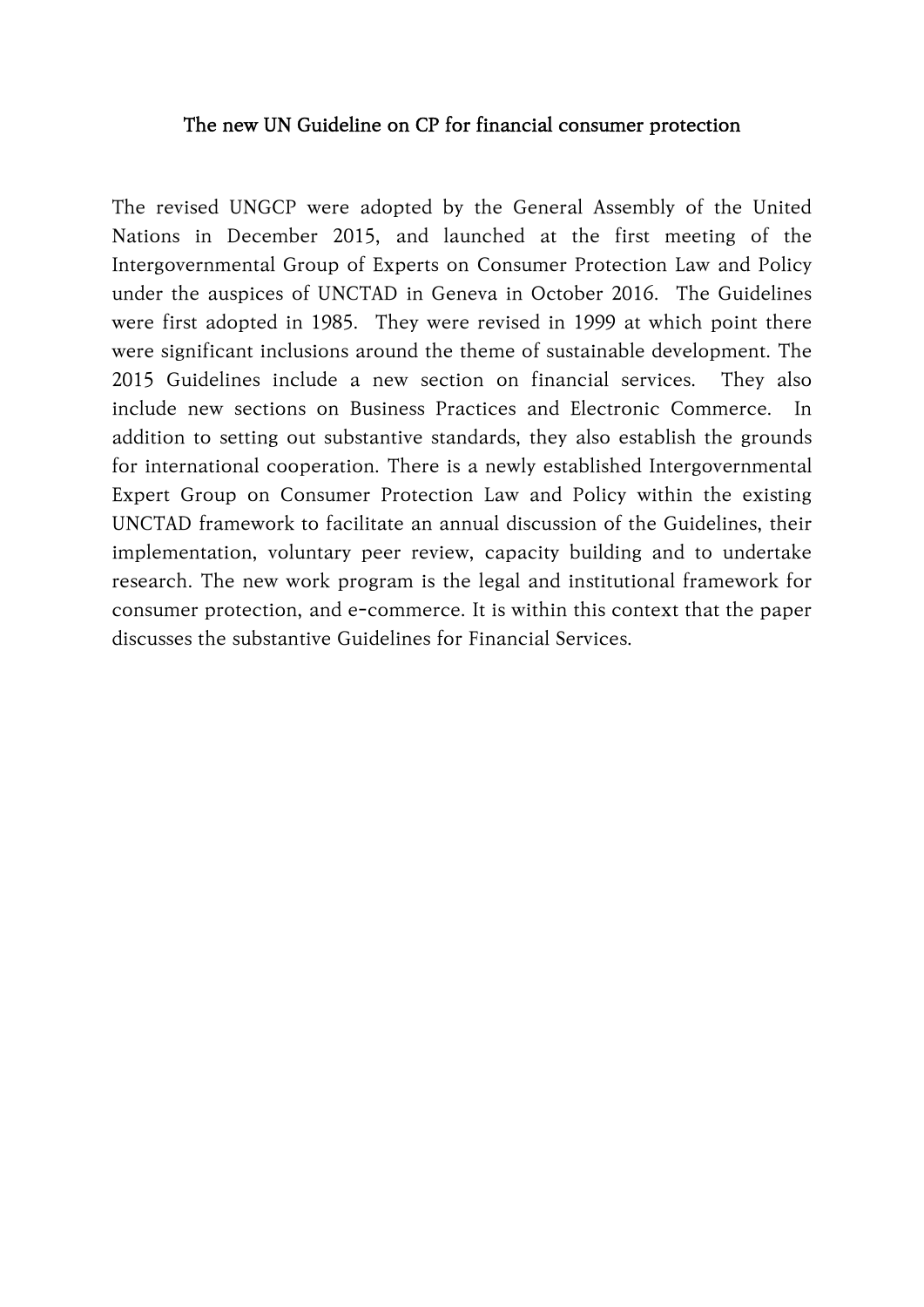#### The new UN Guideline on CP for financial consumer protection

The revised UNGCP were adopted by the General Assembly of the United Nations in December 2015, and launched at the first meeting of the Intergovernmental Group of Experts on Consumer Protection Law and Policy under the auspices of UNCTAD in Geneva in October 2016. The Guidelines were first adopted in 1985. They were revised in 1999 at which point there were significant inclusions around the theme of sustainable development. The 2015 Guidelines include a new section on financial services. They also include new sections on Business Practices and Electronic Commerce. In addition to setting out substantive standards, they also establish the grounds for international cooperation. There is a newly established Intergovernmental Expert Group on Consumer Protection Law and Policy within the existing UNCTAD framework to facilitate an annual discussion of the Guidelines, their implementation, voluntary peer review, capacity building and to undertake research. The new work program is the legal and institutional framework for consumer protection, and e-commerce. It is within this context that the paper discusses the substantive Guidelines for Financial Services.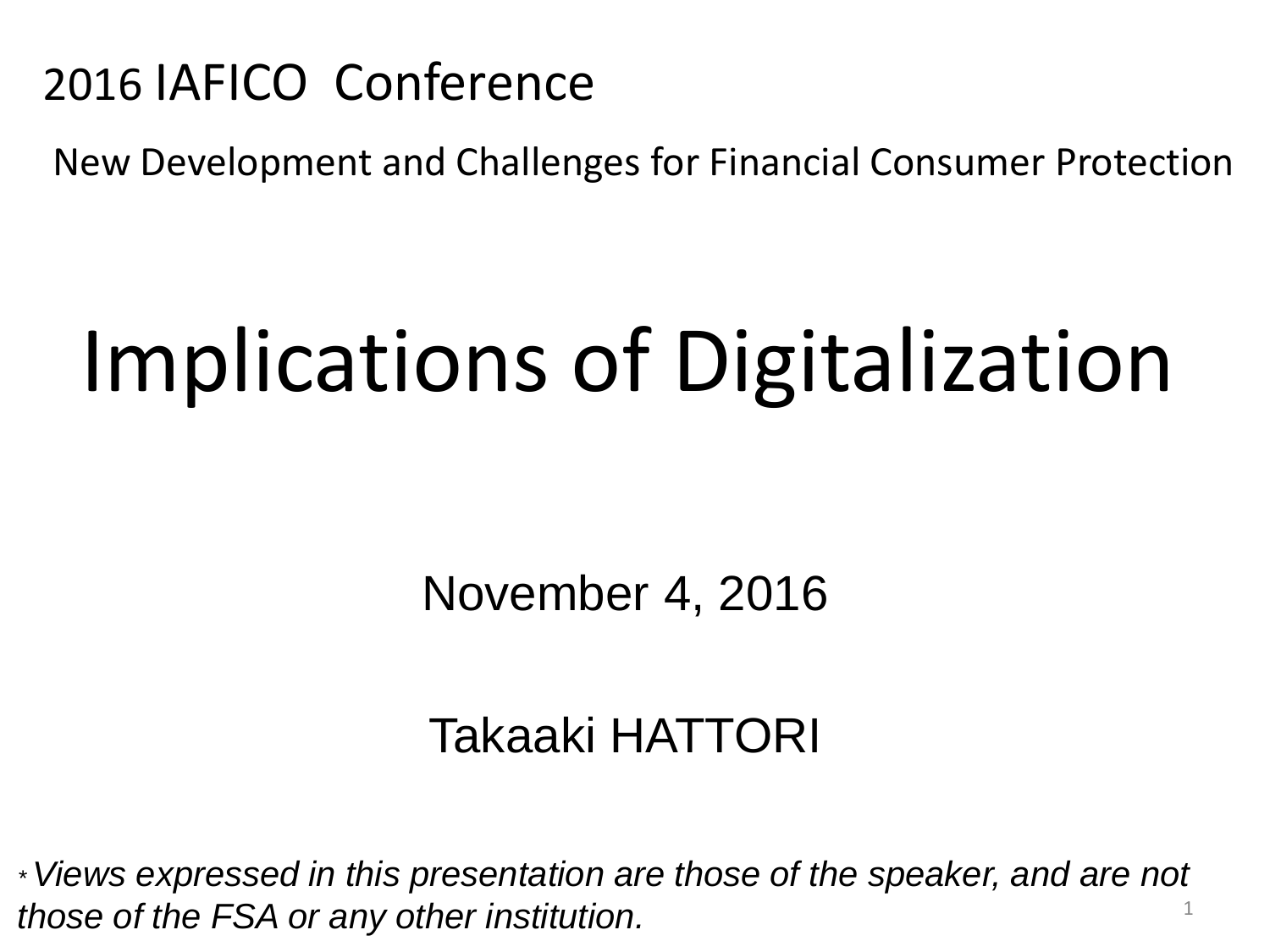## 2016 IAFICO Conference

New Development and Challenges for Financial Consumer Protection

# Implications of Digitalization

November 4, 2016

## Takaaki HATTORI

*\* Views expressed in this presentation are those of the speaker, and are not those of the FSA or any other institution.* <sup>1</sup>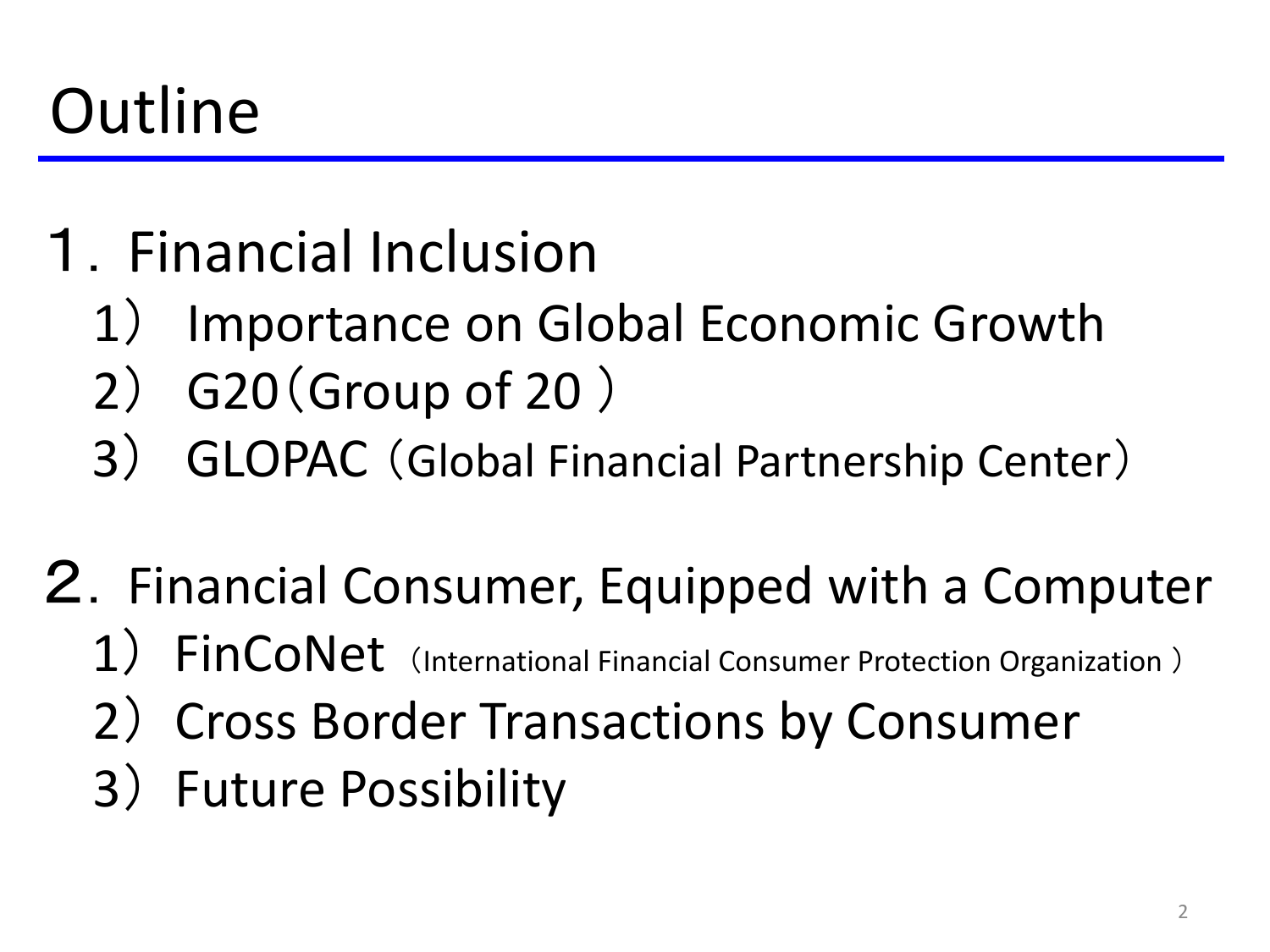## **Outline**

- 1.Financial Inclusion
	- 1) Importance on Global Economic Growth
	- 2) G20(Group of 20 )
	- 3) GLOPAC (Global Financial Partnership Center)
- 2.Financial Consumer, Equipped with a Computer
	- 1) FinCoNet (International Financial Consumer Protection Organization)
	- 2) Cross Border Transactions by Consumer
	- 3) Future Possibility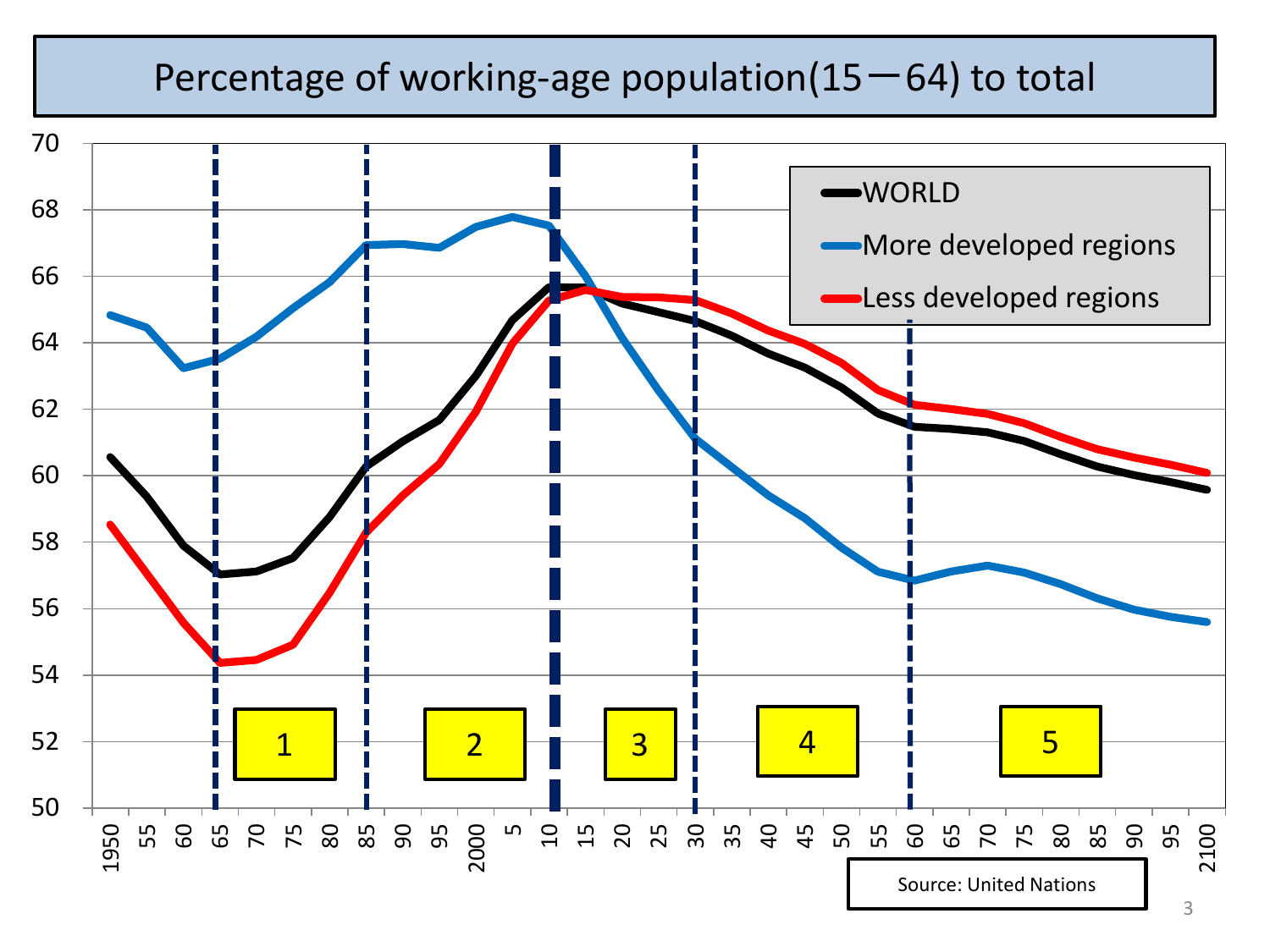#### Percentage of working-age population( $15-64$ ) to total

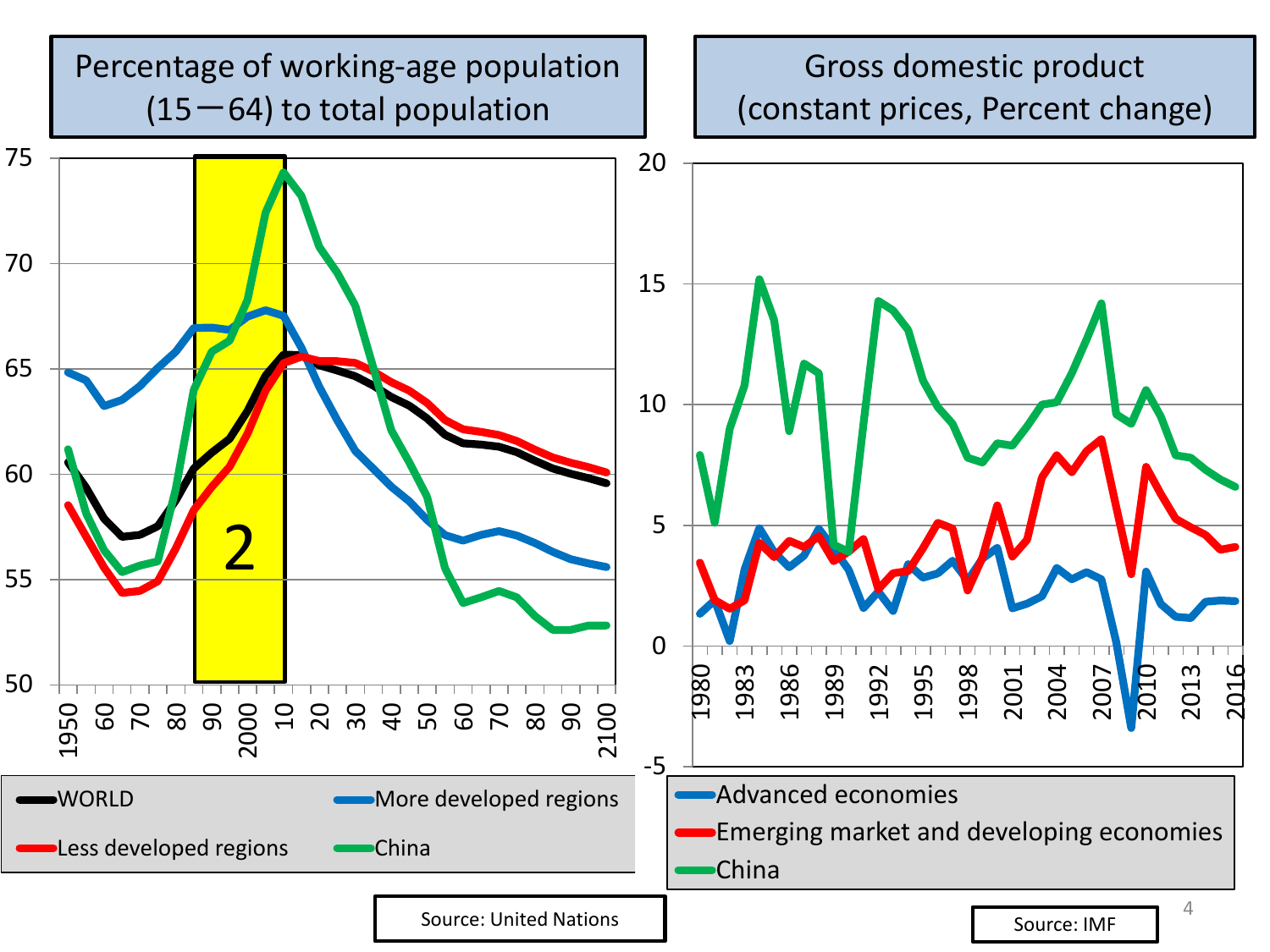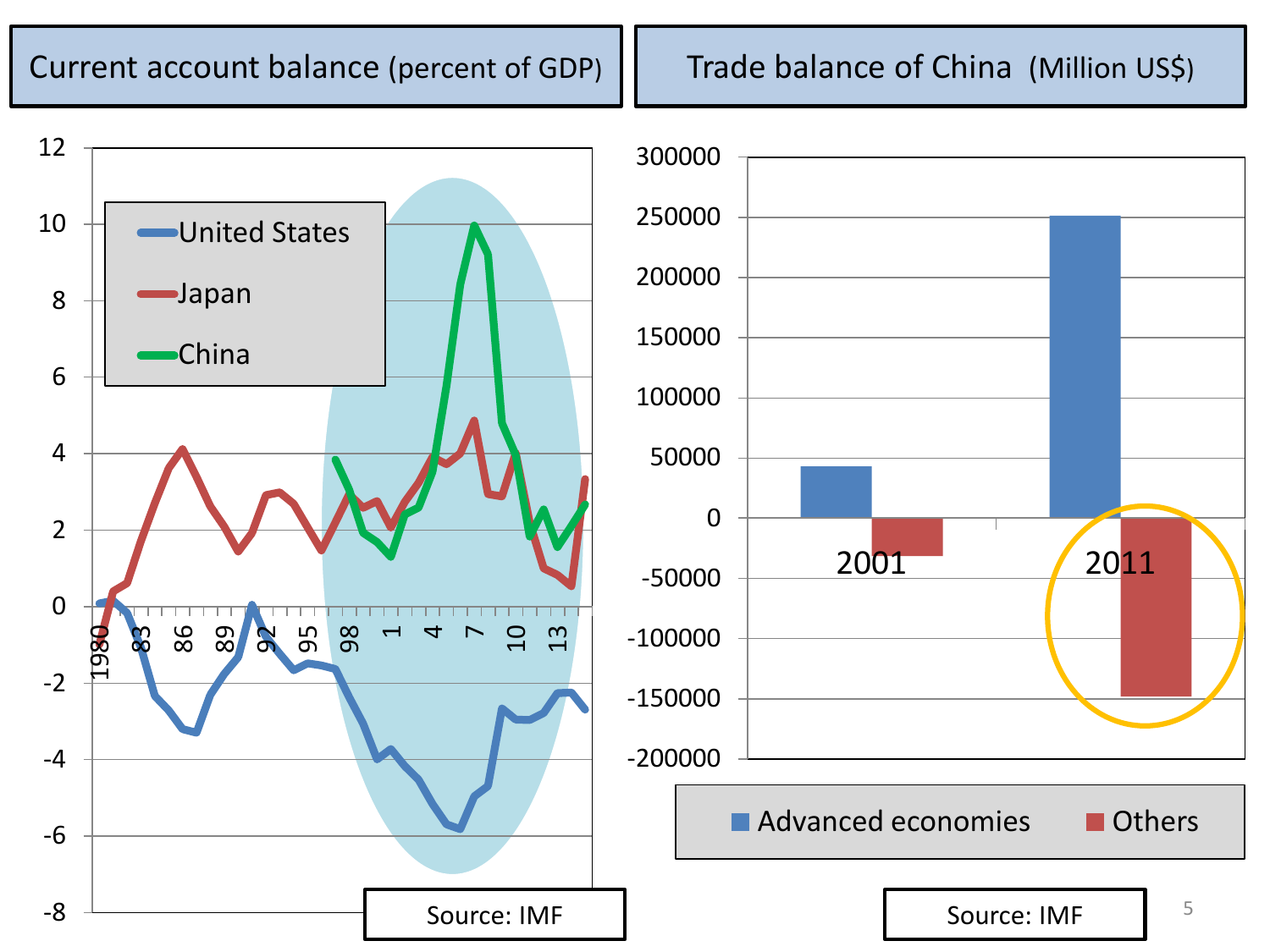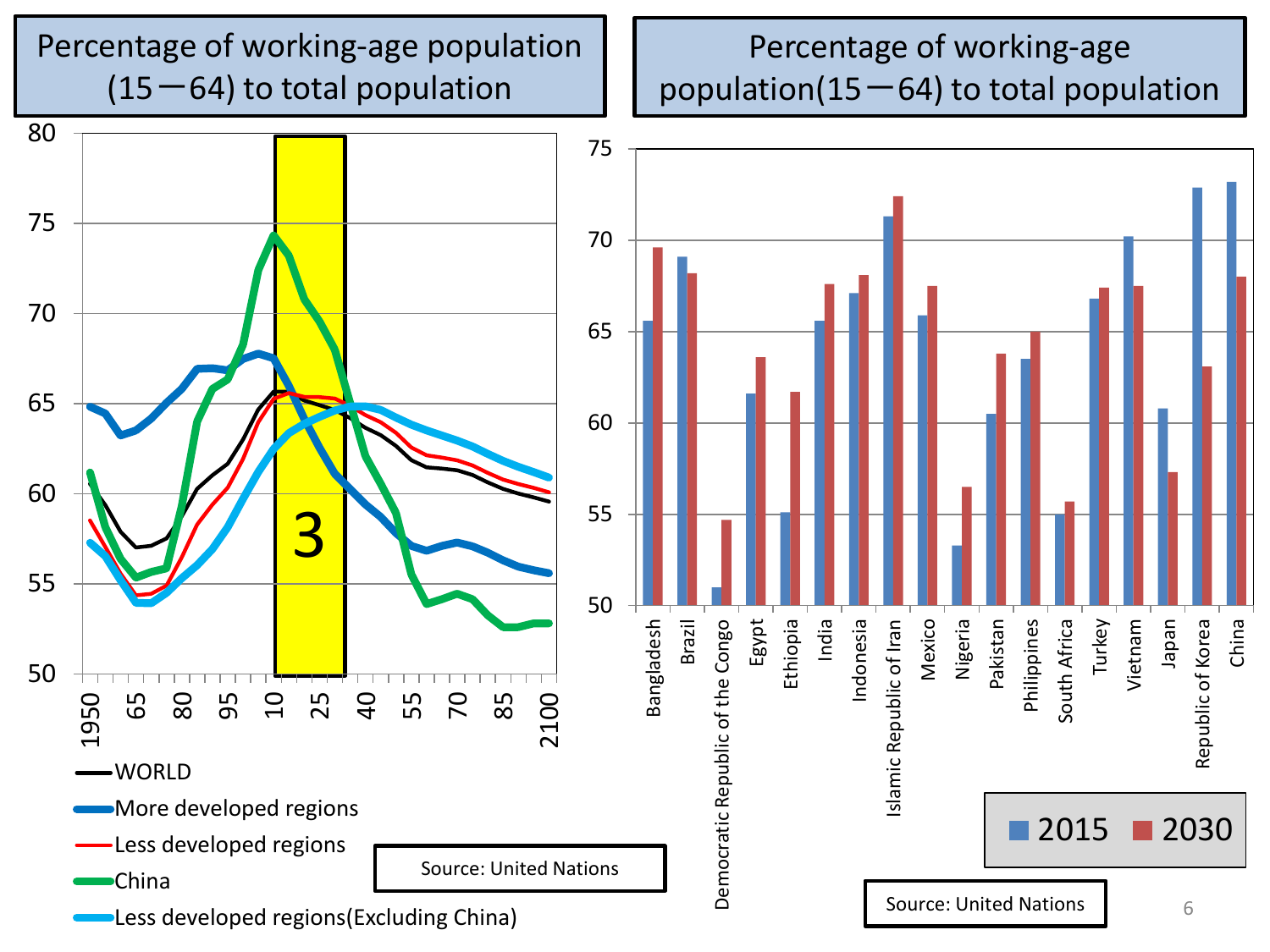#### Percentage of working-age population  $(15-64)$  to total population

#### Percentage of working-age population( $15-64$ ) to total population

Pakistan Philippines South Africa Turkey Vietnam



6

2015 2030

Japan

Republic of Korea

Republic of Korea

China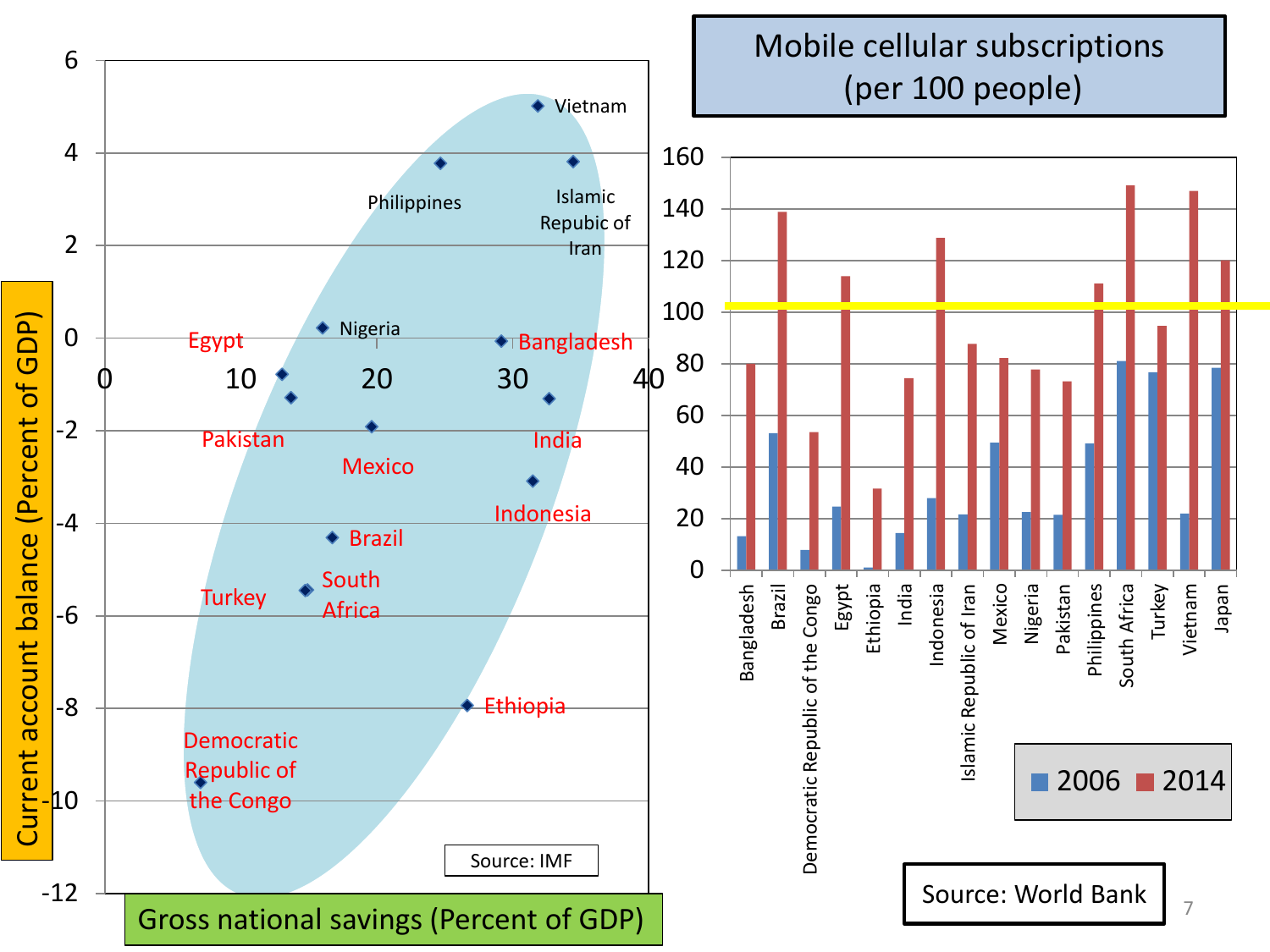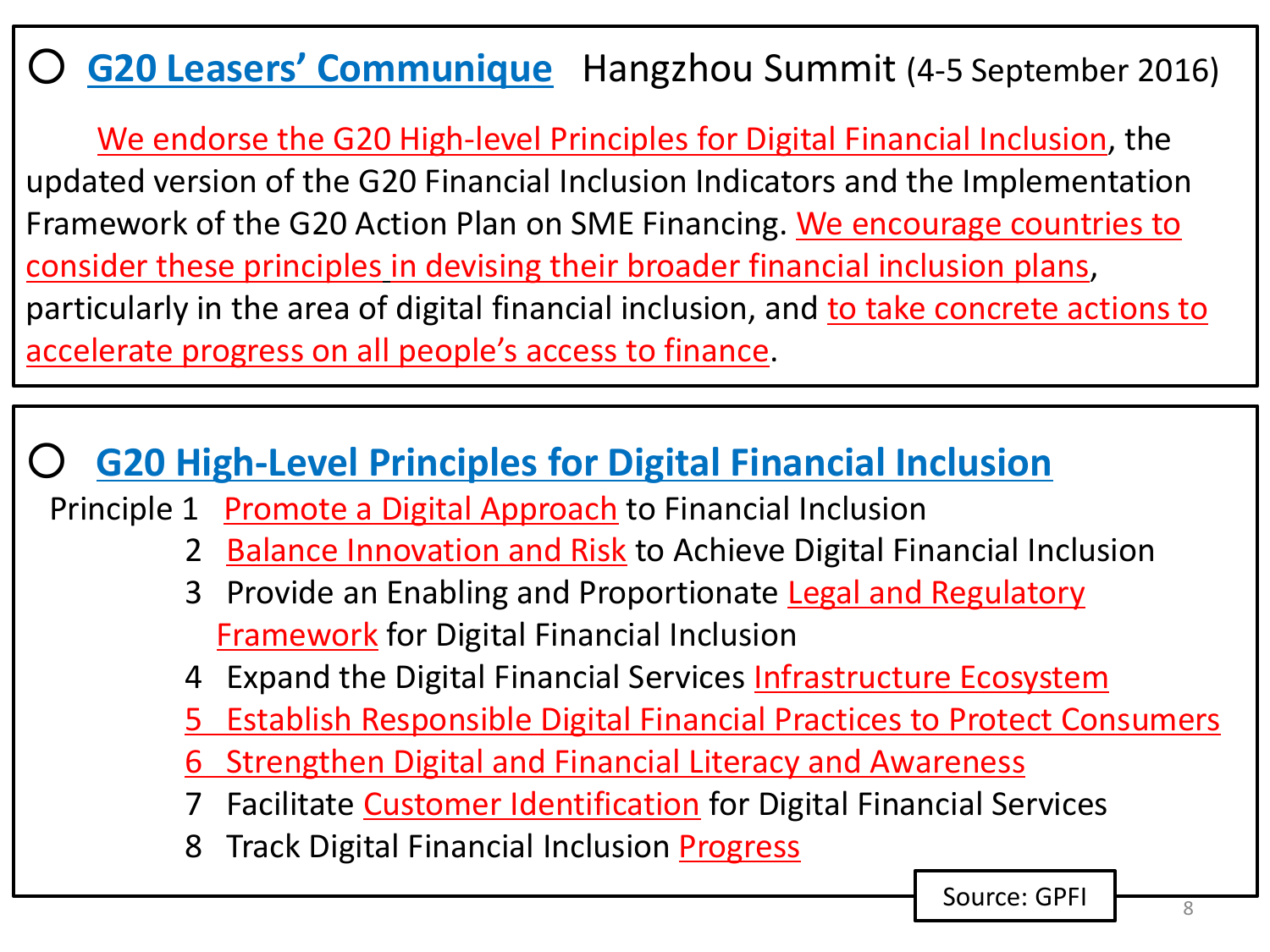### ○ **G20 Leasers' Communique** Hangzhou Summit (4-5 September 2016)

 We endorse the G20 High-level Principles for Digital Financial Inclusion, the updated version of the G20 Financial Inclusion Indicators and the Implementation Framework of the G20 Action Plan on SME Financing. We encourage countries to consider these principles in devising their broader financial inclusion plans, particularly in the area of digital financial inclusion, and to take concrete actions to accelerate progress on all people's access to finance.

#### **G20 High-Level Principles for Digital Financial Inclusion**

- Principle 1 Promote a Digital Approach to Financial Inclusion
	- 2 Balance Innovation and Risk to Achieve Digital Financial Inclusion
	- 3 Provide an Enabling and Proportionate Legal and Regulatory **Framework** for Digital Financial Inclusion
	- 4 Expand the Digital Financial Services Infrastructure Ecosystem
	- 5 Establish Responsible Digital Financial Practices to Protect Consumers
	- 6 Strengthen Digital and Financial Literacy and Awareness
	- 7 Facilitate **Customer Identification** for Digital Financial Services
	- 8 Track Digital Financial Inclusion Progress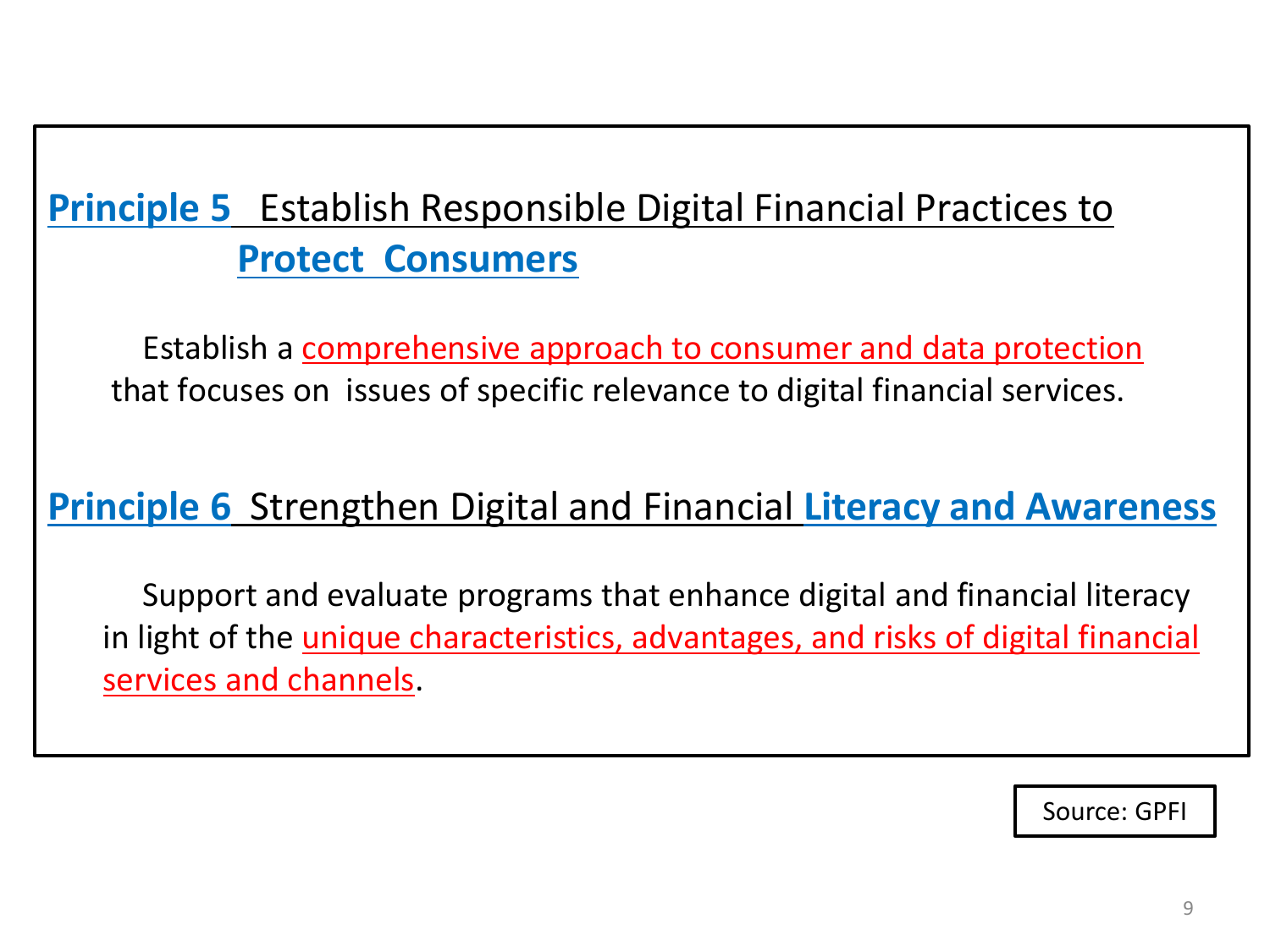### **Principle 5** Establish Responsible Digital Financial Practices to **Protect Consumers**

 Establish a comprehensive approach to consumer and data protection that focuses on issues of specific relevance to digital financial services.

#### **Principle 6** Strengthen Digital and Financial **Literacy and Awareness**

 Support and evaluate programs that enhance digital and financial literacy in light of the *unique characteristics, advantages, and risks of digital financial* services and channels.

Source: GPFI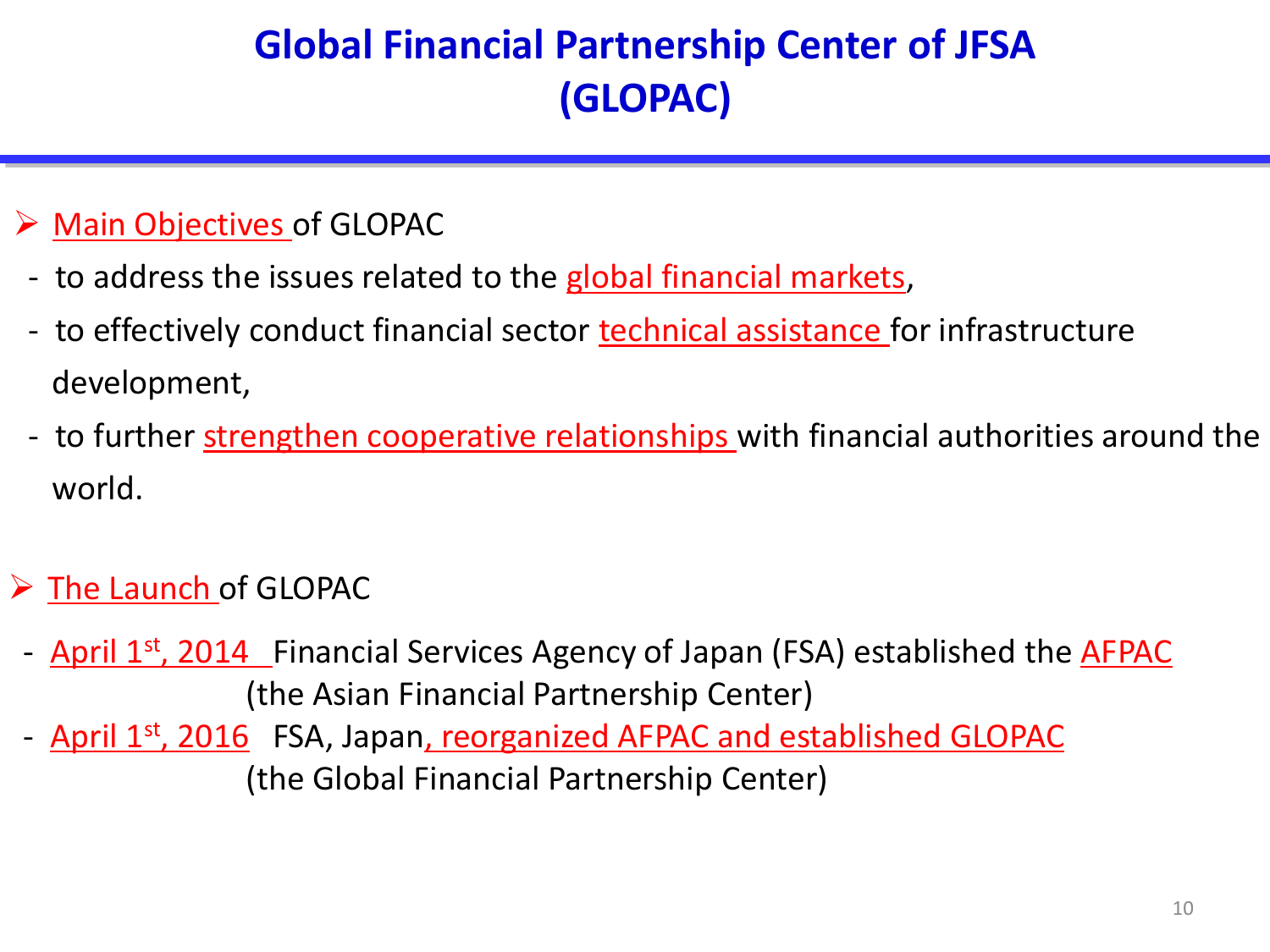### **Global Financial Partnership Center of JFSA (GLOPAC)**

#### $\triangleright$  Main Objectives of GLOPAC

- to address the issues related to the global financial markets,
- to effectively conduct financial sector **technical assistance** for infrastructure development,
- to further strengthen cooperative relationships with financial authorities around the world.

#### $\triangleright$  The Launch of GLOPAC

- April 1<sup>st</sup>, 2014 Financial Services Agency of Japan (FSA) established the **AFPAC** (the Asian Financial Partnership Center)
- April 1<sup>st</sup>, 2016 FSA, Japan, reorganized AFPAC and established GLOPAC (the Global Financial Partnership Center)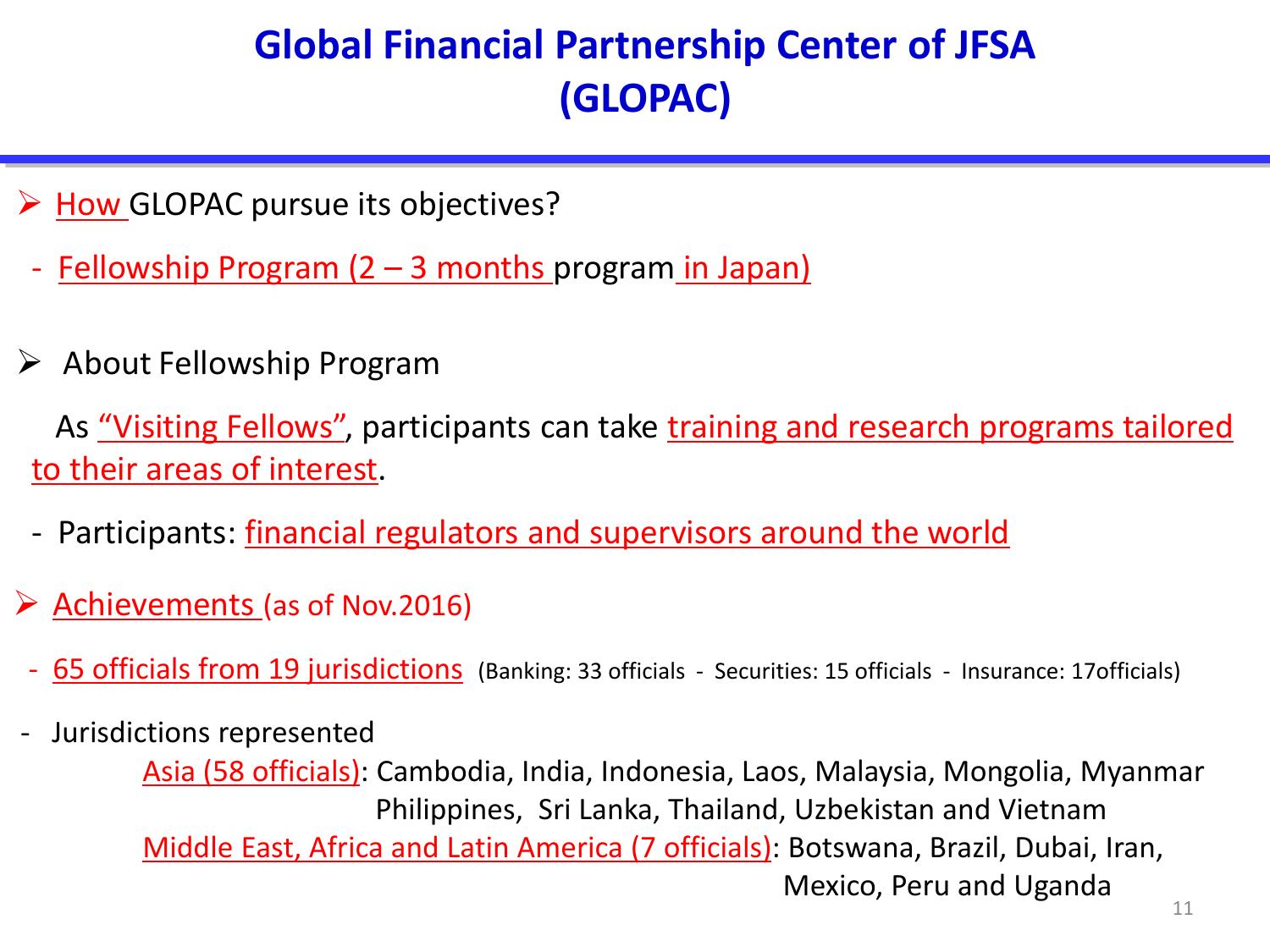### **Global Financial Partnership Center of JFSA (GLOPAC)**

- $\triangleright$  How GLOPAC pursue its objectives?
- <u>Fellowship Program (2 3 months program in Japan)</u>
- $\triangleright$  About Fellowship Program

As "Visiting Fellows", participants can take training and research programs tailored to their areas of interest.

- Participants: <u>financial regulators and supervisors around the world</u>
- ▶ Achievements (as of Nov.2016)
	- 65 officials from 19 jurisdictions (Banking: 33 officials Securities: 15 officials Insurance: 17 officials)
- Jurisdictions represented

 Asia (58 officials): Cambodia, India, Indonesia, Laos, Malaysia, Mongolia, Myanmar Philippines, Sri Lanka, Thailand, Uzbekistan and Vietnam Middle East, Africa and Latin America (7 officials): Botswana, Brazil, Dubai, Iran, Mexico, Peru and Uganda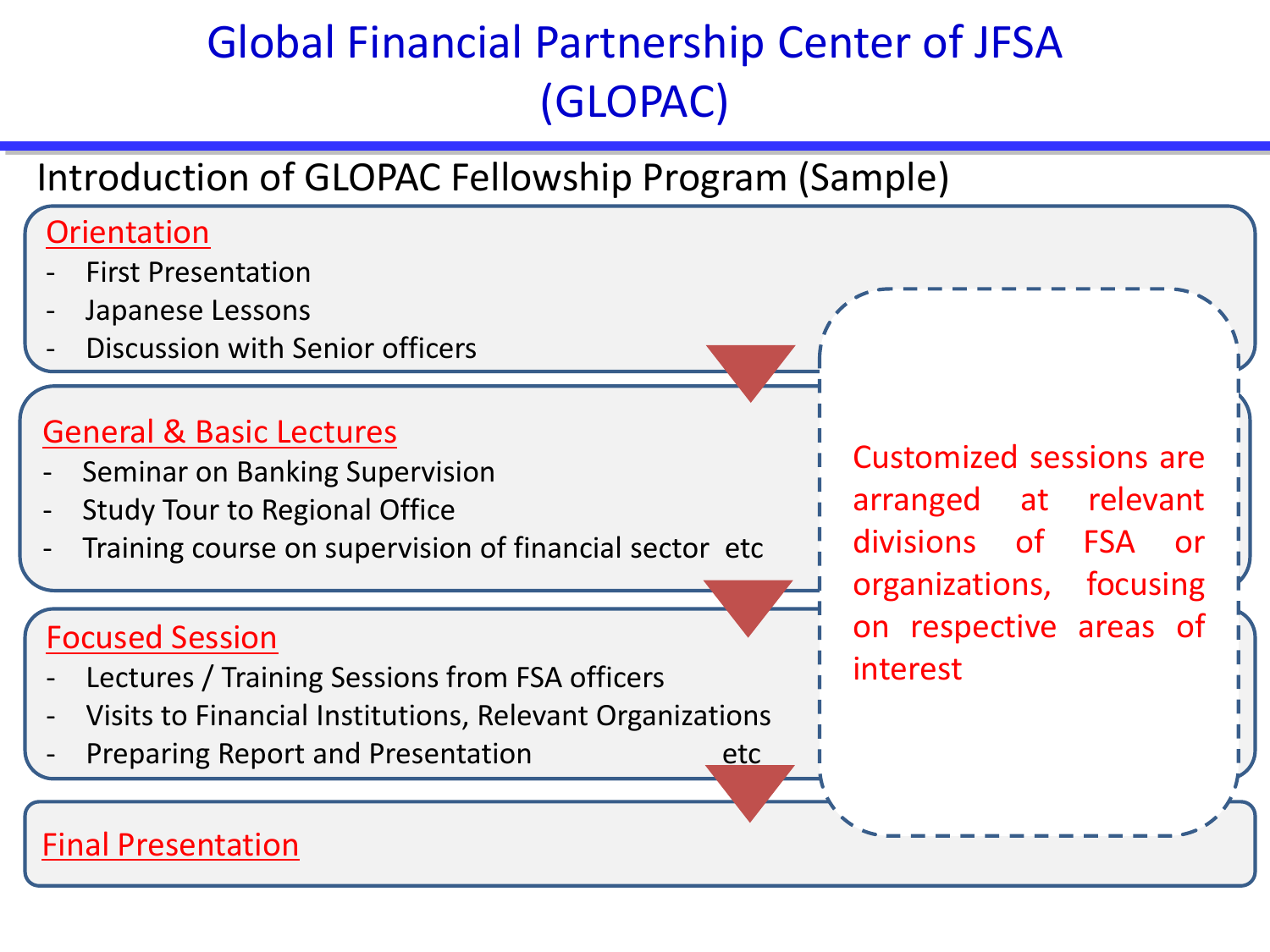## Global Financial Partnership Center of JFSA (GLOPAC)

#### Introduction of GLOPAC Fellowship Program (Sample)

#### **Orientation First Presentation** Japanese Lessons Discussion with Senior officers General & Basic Lectures Seminar on Banking Supervision Study Tour to Regional Office

Training course on supervision of financial sector etc

#### Focused Session

- Lectures / Training Sessions from FSA officers
- Visits to Financial Institutions, Relevant Organizations
- Preparing Report and Presentation etc

Customized sessions are arranged at relevant divisions of FSA or organizations, focusing on respective areas of interest

#### Final Presentation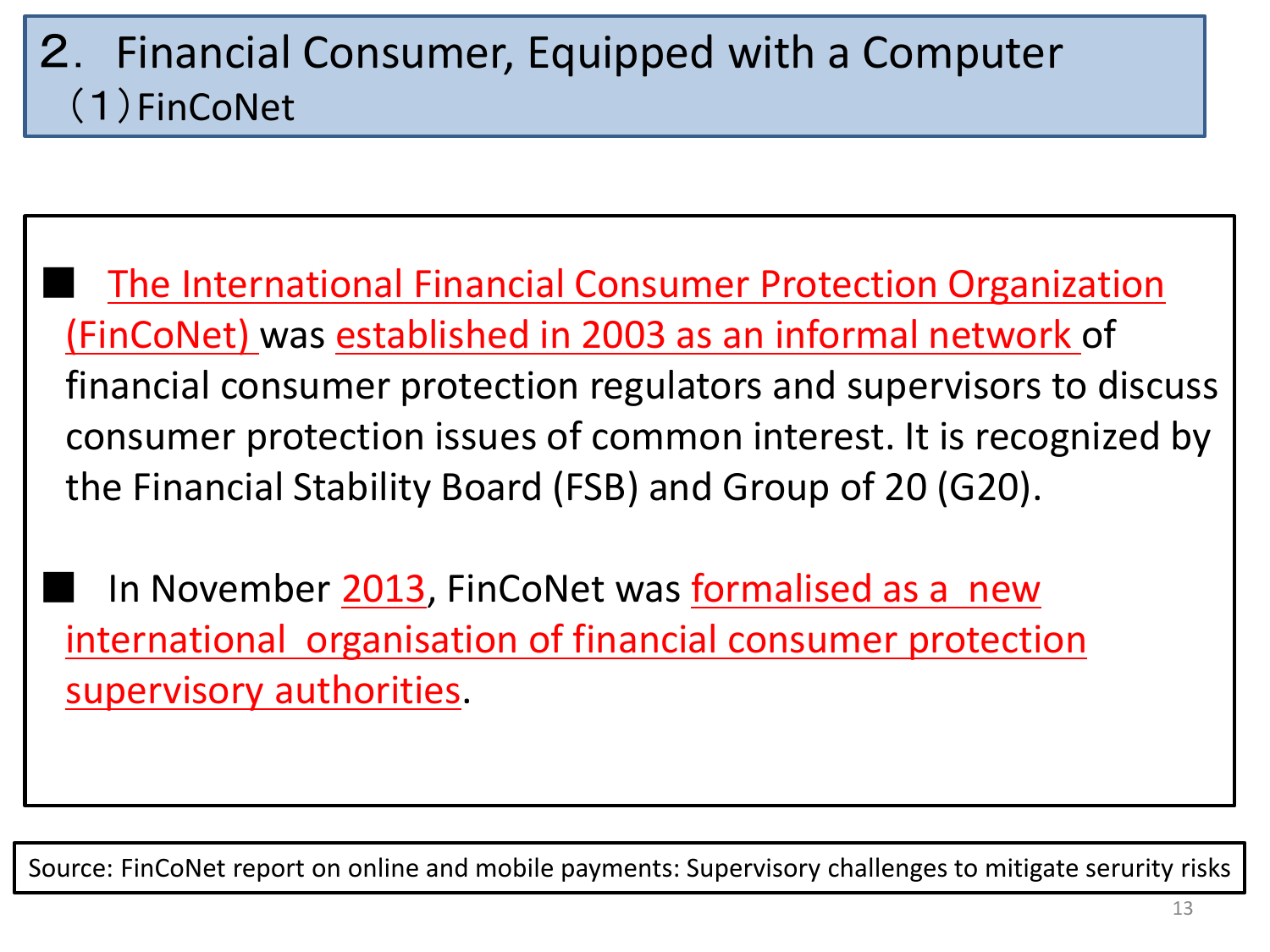### 2. Financial Consumer, Equipped with a Computer (1)FinCoNet

The International Financial Consumer Protection Organization (FinCoNet) was established in 2003 as an informal network of financial consumer protection regulators and supervisors to discuss consumer protection issues of common interest. It is recognized by the Financial Stability Board (FSB) and Group of 20 (G20).

In November 2013, FinCoNet was formalised as a new international organisation of financial consumer protection supervisory authorities.

Source: FinCoNet report on online and mobile payments: Supervisory challenges to mitigate serurity risks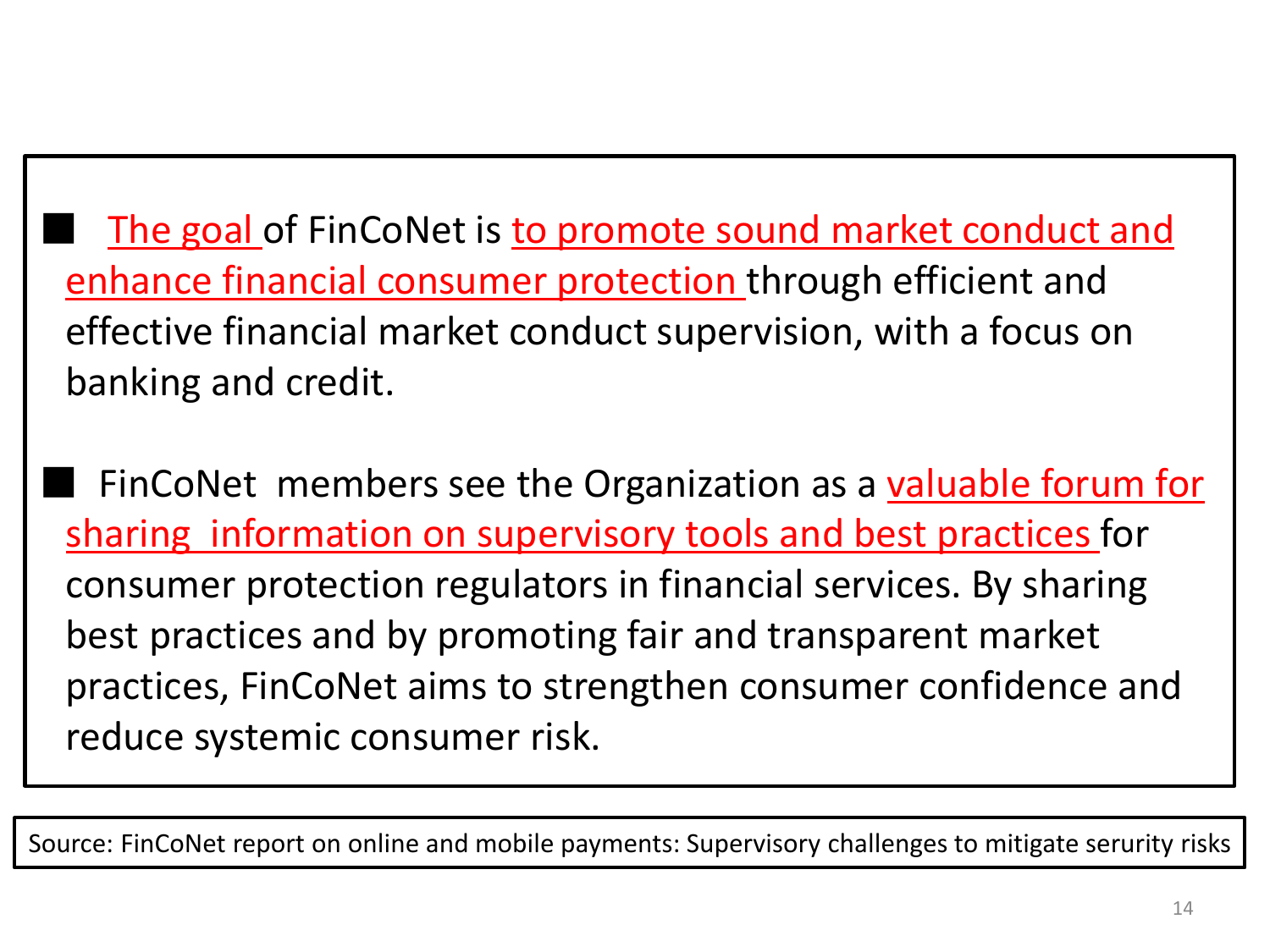The goal of FinCoNet is to promote sound market conduct and enhance financial consumer protection through efficient and effective financial market conduct supervision, with a focus on banking and credit.

FinCoNet members see the Organization as a valuable forum for sharing information on supervisory tools and best practices for consumer protection regulators in financial services. By sharing best practices and by promoting fair and transparent market practices, FinCoNet aims to strengthen consumer confidence and reduce systemic consumer risk.

Source: FinCoNet report on online and mobile payments: Supervisory challenges to mitigate serurity risks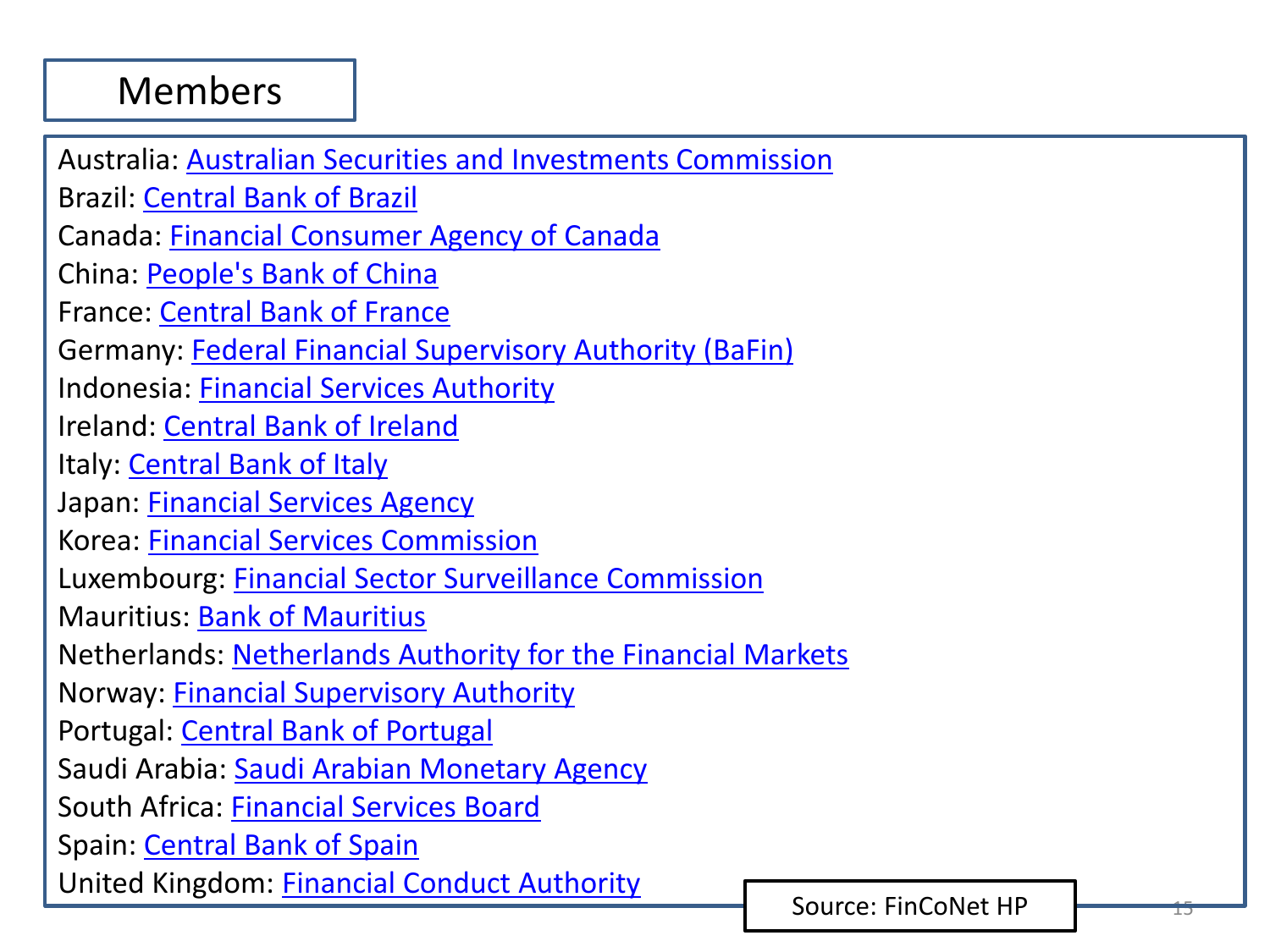#### Members

Australia: [Australian Securities and Investments Commission](http://www.asic.gov.au/) Brazil: [Central Bank of Brazil](http://www.bcb.gov.br/?ENGLISH) Canada: [Financial Consumer Agency of Canada](http://www.fcac-acfc.gc.ca/Pages/Welcome-Bienvenue.aspx) China: [People's Bank of China](http://www.pbc.gov.cn/publish/english/963/index.html) France: [Central Bank of France](https://www.banque-france.fr/accueil.html) Germany: [Federal Financial Supervisory Authority \(BaFin\)](http://www.bafin.de/cgi-bin/bafin.pl?verz=&sprache=1&filter=&ntick=0) Indonesia: [Financial Services Authority](http://www.ojk.go.id/en/) Ireland: [Central Bank of Ireland](http://www.centralbank.ie/Pages/home.aspx) Italy: [Central Bank of Italy](https://www.bancaditalia.it/homepage/index.html?com.dotmarketing.htmlpage.language=1) Japan: [Financial Services Agency](http://www.fsa.go.jp/en/) Korea: [Financial Services Commission](http://www.fsc.go.kr/eng/) Luxembourg: [Financial Sector Surveillance Commission](http://www.cssf.lu/) Mauritius: [Bank of Mauritius](https://www.bom.mu/) Netherlands: [Netherlands Authority for the Financial Markets](http://www.afm.nl/en) Norway: [Financial Supervisory Authority](http://www.finanstilsynet.no/en/) Portugal: [Central Bank of Portugal](http://www.bportugal.pt/en-US/Pages/inicio.aspx) Saudi Arabia: [Saudi Arabian Monetary Agency](http://www.sama.gov.sa/sites/SAMAEN/Pages/Home.aspx) South Africa: [Financial Services Board](https://www.fsb.co.za/Pages/Home.aspx) Spain: [Central Bank of Spain](http://www.bde.es/bde/en/) United Kingdom: [Financial Conduct Authority](http://www.fca.org.uk/)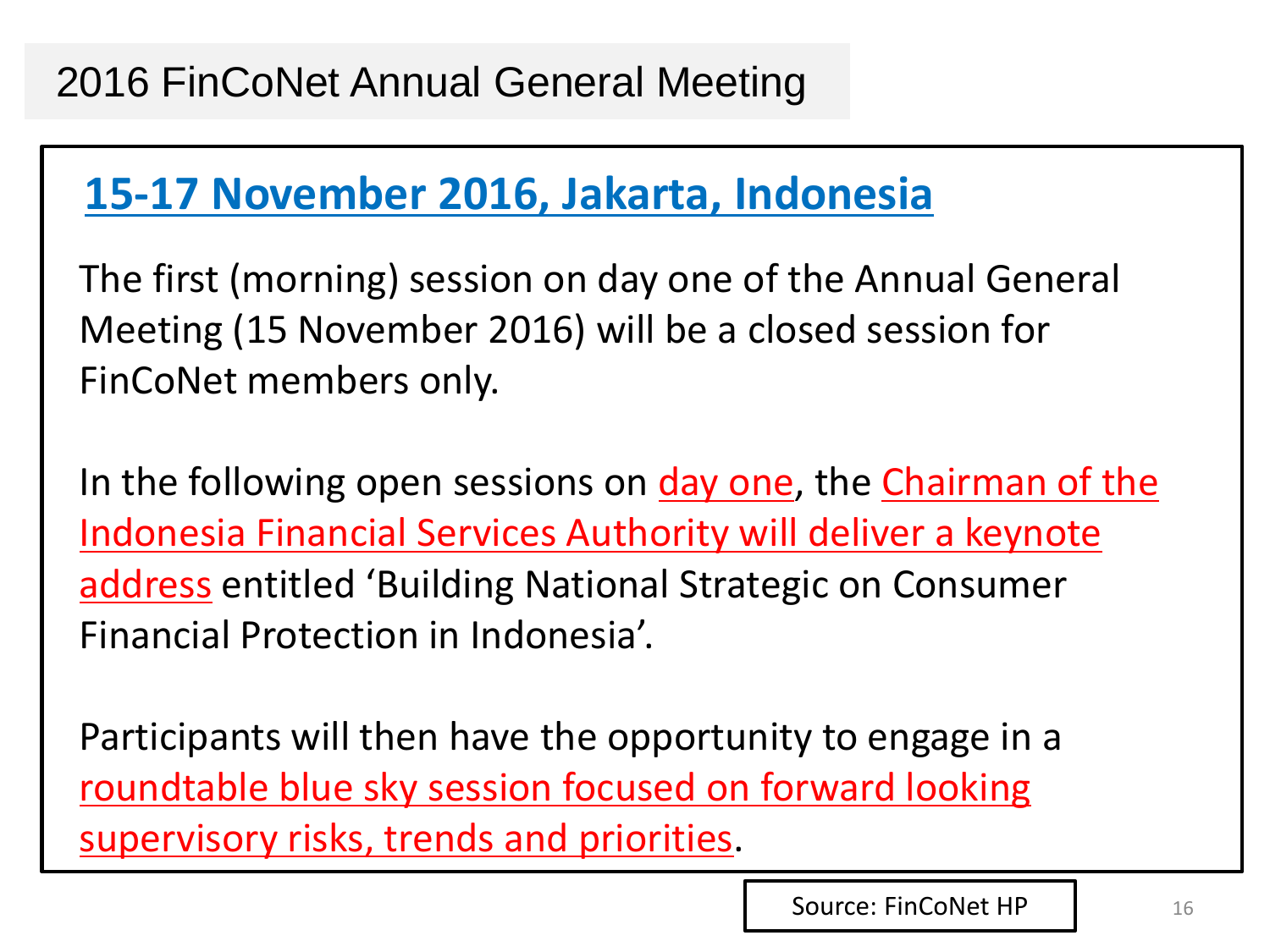### **15-17 November 2016, Jakarta, Indonesia**

The first (morning) session on day one of the Annual General Meeting (15 November 2016) will be a closed session for FinCoNet members only.

In the following open sessions on day one, the Chairman of the Indonesia Financial Services Authority will deliver a keynote address entitled 'Building National Strategic on Consumer Financial Protection in Indonesia'.

Participants will then have the opportunity to engage in a roundtable blue sky session focused on forward looking supervisory risks, trends and priorities.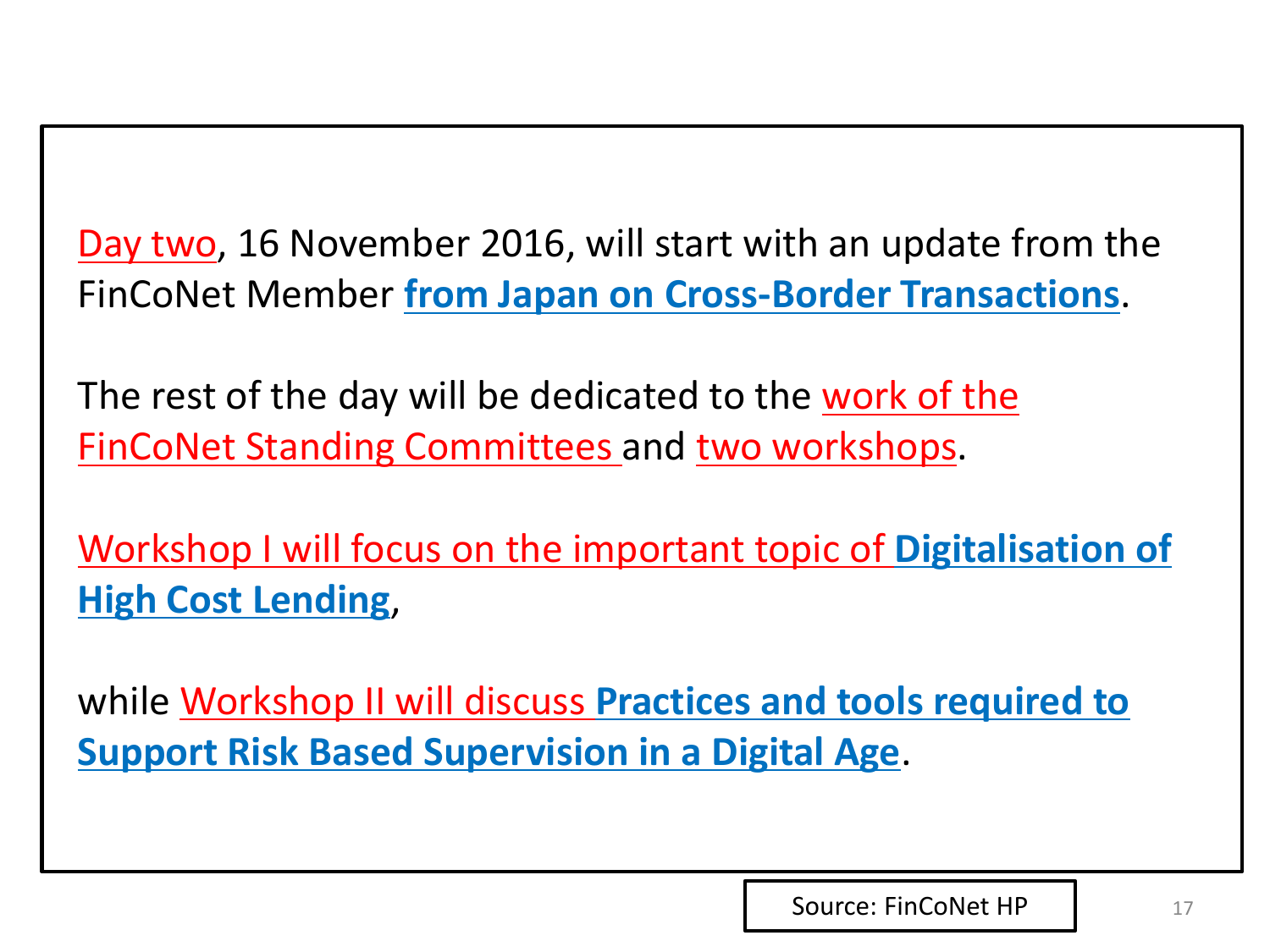Day two, 16 November 2016, will start with an update from the FinCoNet Member **from Japan on Cross-Border Transactions**.

The rest of the day will be dedicated to the work of the FinCoNet Standing Committees and two workshops.

Workshop I will focus on the important topic of **Digitalisation of High Cost Lending**,

while Workshop II will discuss **Practices and tools required to Support Risk Based Supervision in a Digital Age**.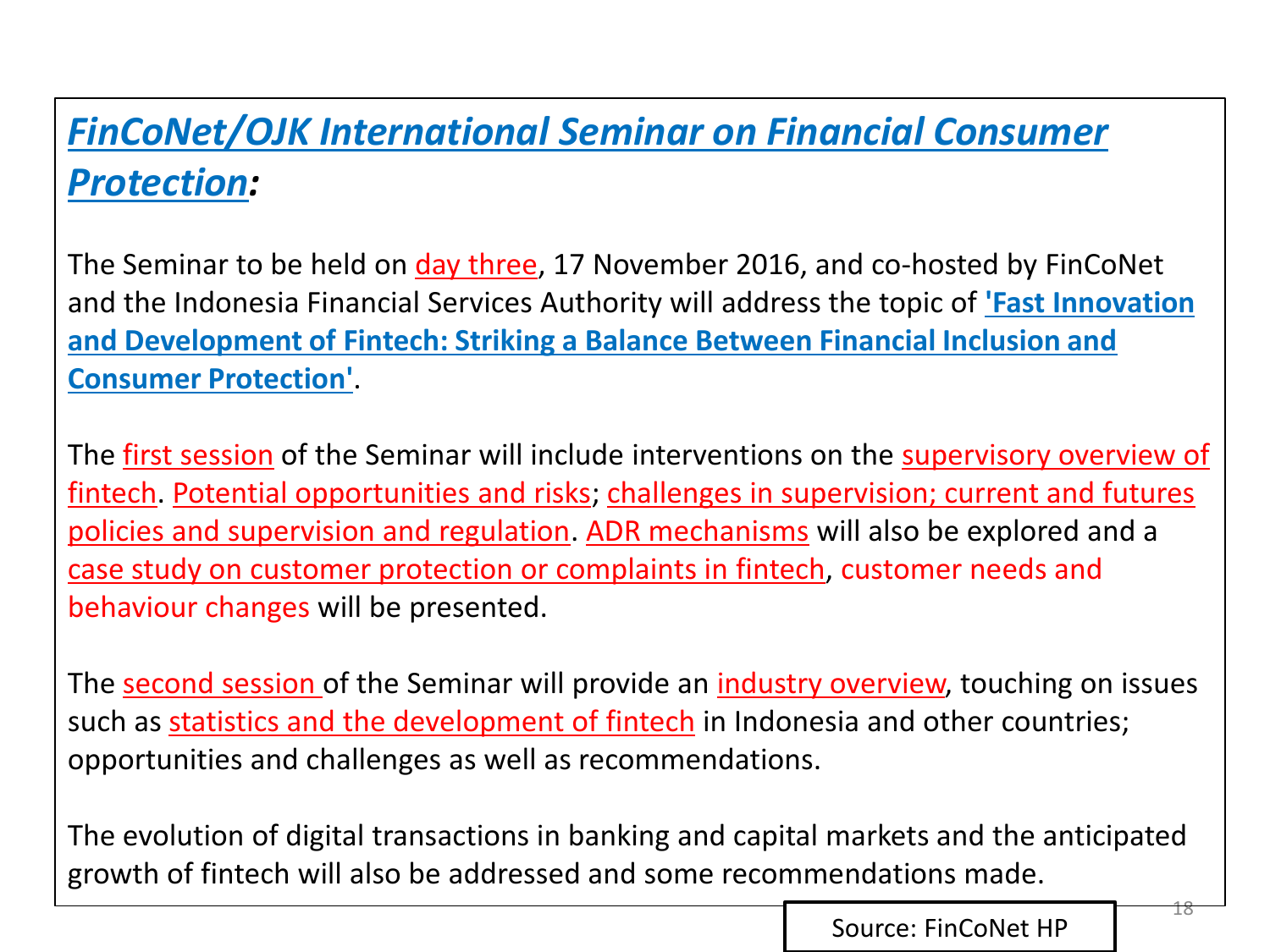#### *FinCoNet/OJK International Seminar on Financial Consumer Protection:*

The Seminar to be held on *day three*, 17 November 2016, and co-hosted by FinCoNet and the Indonesia Financial Services Authority will address the topic of **'Fast Innovation and Development of Fintech: Striking a Balance Between Financial Inclusion and Consumer Protection'**.

The first session of the Seminar will include interventions on the **supervisory overview of** fintech. Potential opportunities and risks; challenges in supervision; current and futures policies and supervision and regulation. ADR mechanisms will also be explored and a case study on customer protection or complaints in fintech, customer needs and behaviour changes will be presented.

The second session of the Seminar will provide an *industry overview*, touching on issues such as statistics and the development of fintech in Indonesia and other countries; opportunities and challenges as well as recommendations.

The evolution of digital transactions in banking and capital markets and the anticipated growth of fintech will also be addressed and some recommendations made.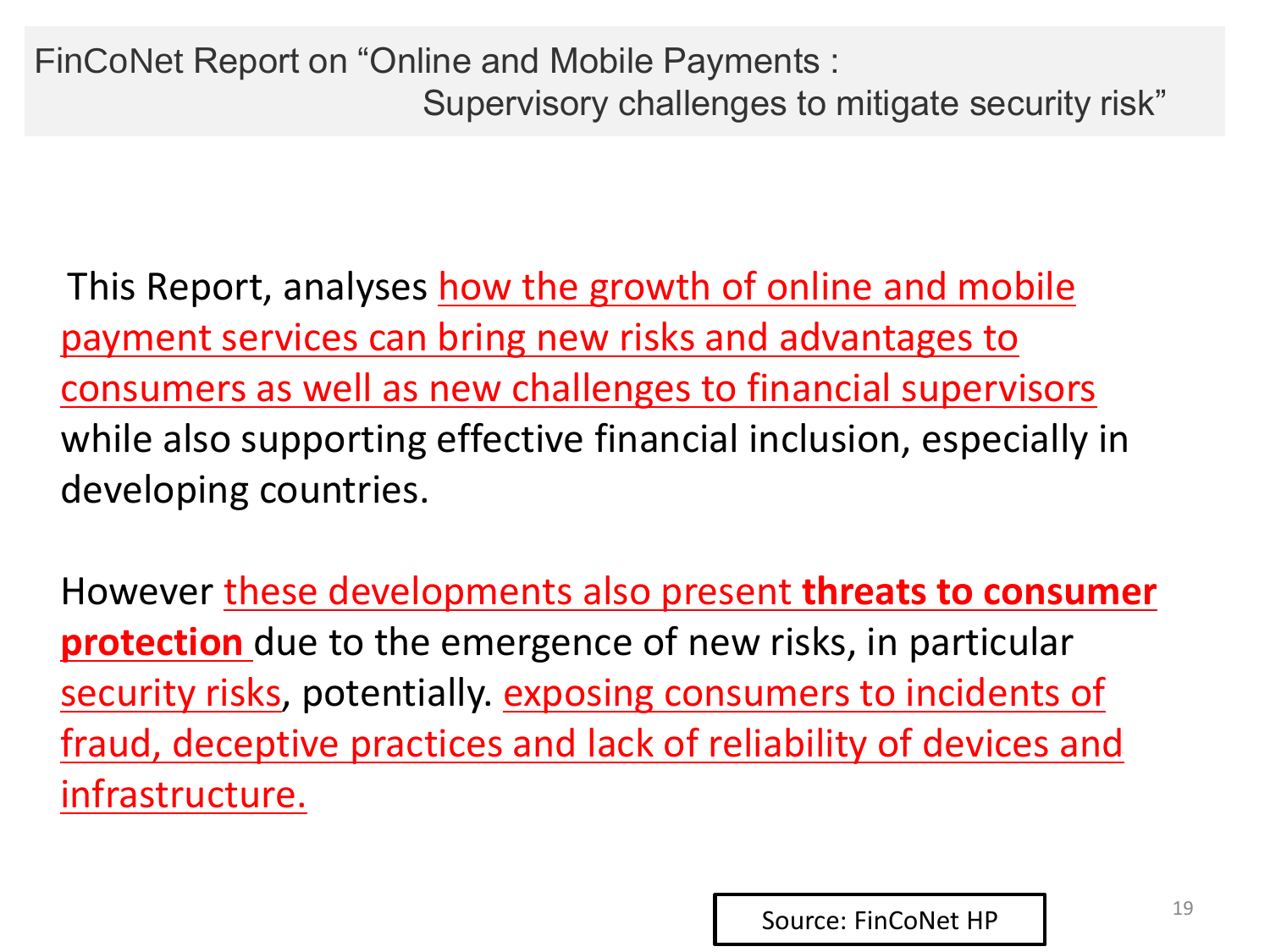This Report, analyses how the growth of online and mobile payment services can bring new risks and advantages to consumers as well as new challenges to financial supervisors while also supporting effective financial inclusion, especially in developing countries.

However these developments also present **threats to consumer protection** due to the emergence of new risks, in particular security risks, potentially. exposing consumers to incidents of fraud, deceptive practices and lack of reliability of devices and infrastructure.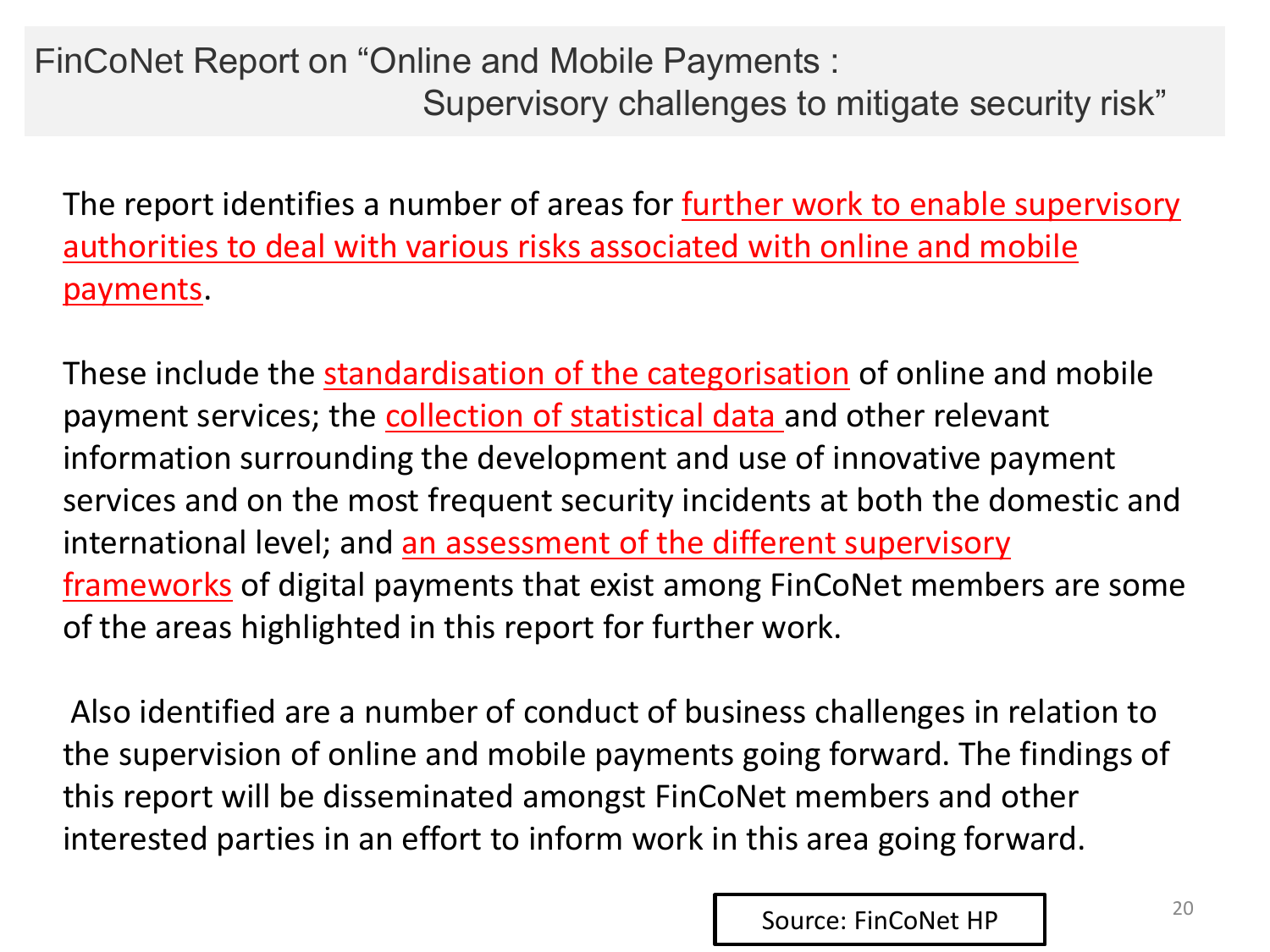FinCoNet Report on "Online and Mobile Payments : Supervisory challenges to mitigate security risk"

The report identifies a number of areas for **further work to enable supervisory** authorities to deal with various risks associated with online and mobile payments.

These include the standardisation of the categorisation of online and mobile payment services; the collection of statistical data and other relevant information surrounding the development and use of innovative payment services and on the most frequent security incidents at both the domestic and international level; and an assessment of the different supervisory frameworks of digital payments that exist among FinCoNet members are some of the areas highlighted in this report for further work.

Also identified are a number of conduct of business challenges in relation to the supervision of online and mobile payments going forward. The findings of this report will be disseminated amongst FinCoNet members and other interested parties in an effort to inform work in this area going forward.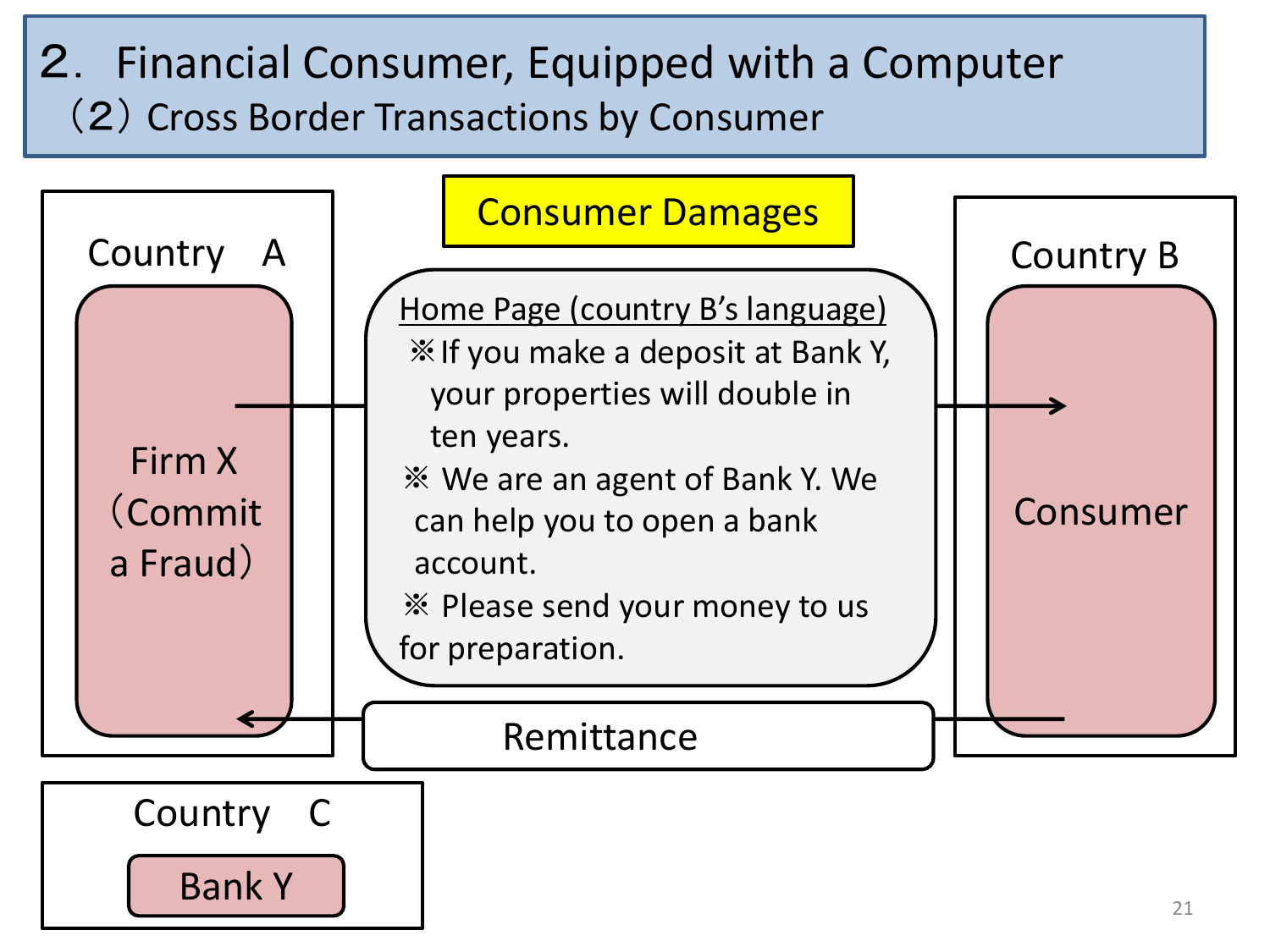### 2. Financial Consumer, Equipped with a Computer (2) Cross Border Transactions by Consumer

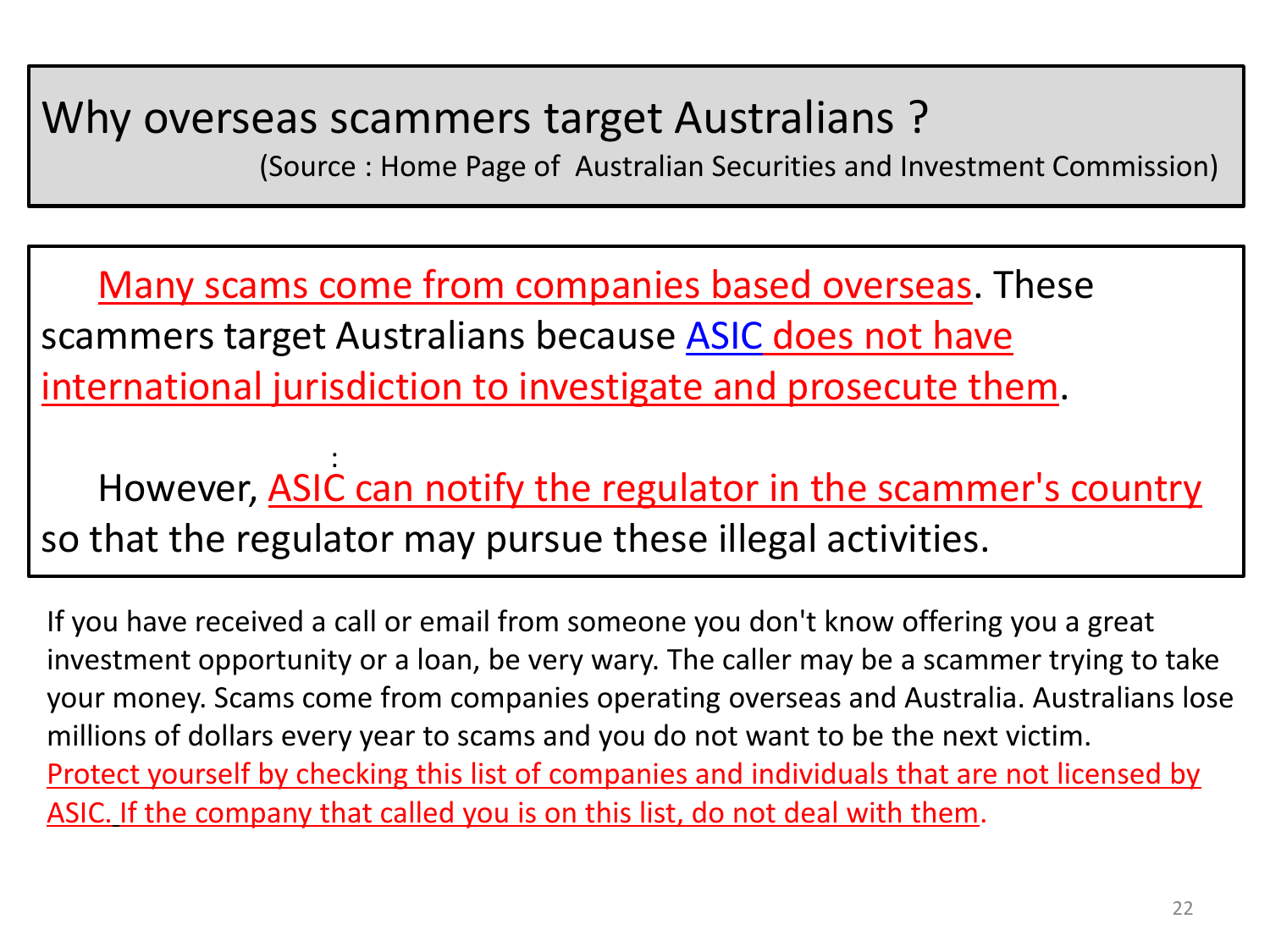### Why overseas scammers target Australians ?

(Source : Home Page of Australian Securities and Investment Commission)

Many scams come from companies based overseas. These scammers target Australians because **[ASIC](https://www.moneysmart.gov.au/glossary/a/australian-securities-and-investments-commission-asic) does not have** international jurisdiction to investigate and prosecute them.

However, ASIC can notify the regulator in the scammer's country so that the regulator may pursue these illegal activities. :

If you have received a call or email from someone you don't know offering you a great investment opportunity or a loan, be very wary. The caller may be a scammer trying to take your money. Scams come from companies operating overseas and Australia. Australians lose millions of dollars every year to scams and you do not want to be the next victim. Protect yourself by checking this list of companies and individuals that are not licensed by ASIC. If the company that called you is on this list, do not deal with them.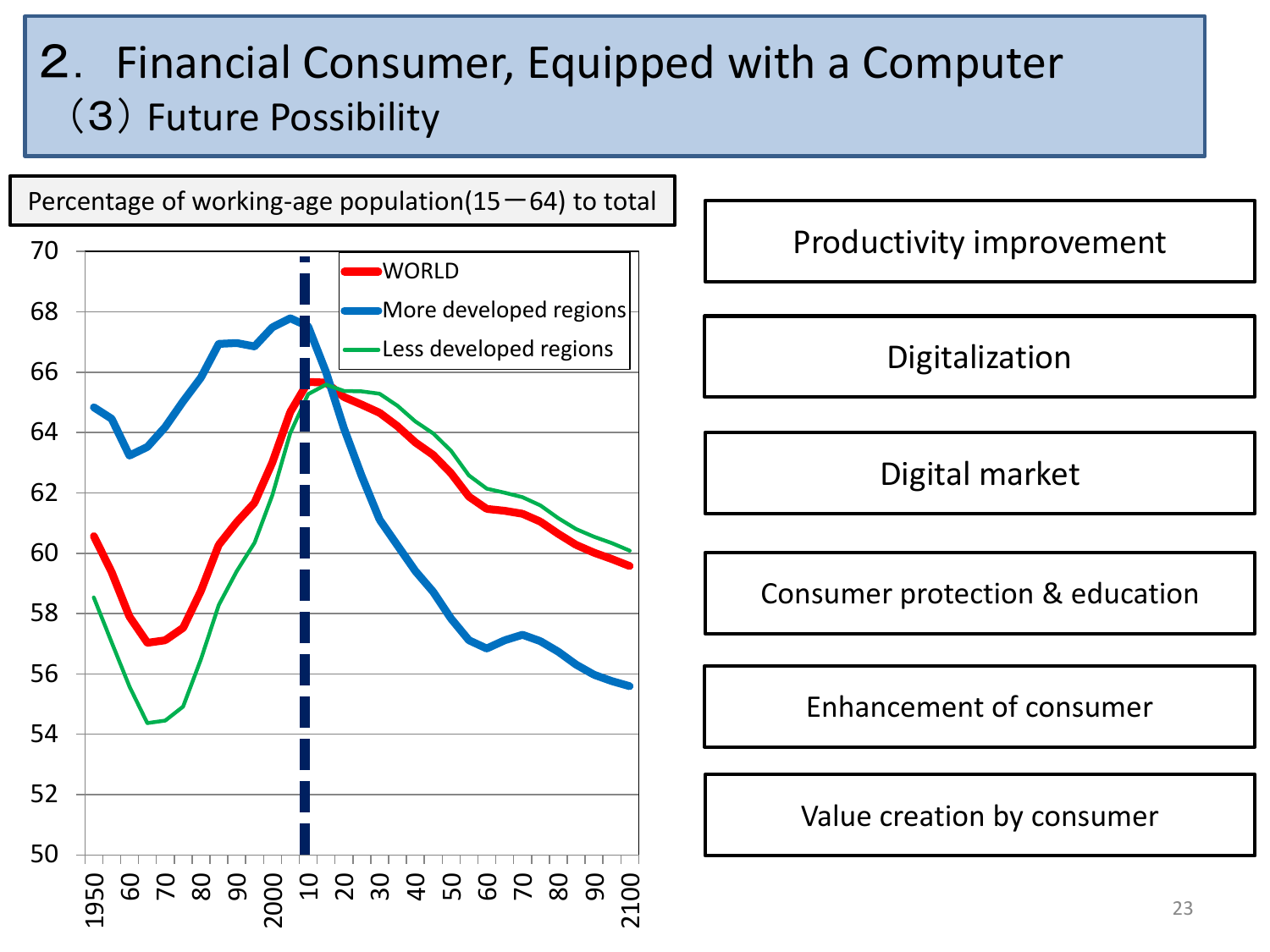### 2. Financial Consumer, Equipped with a Computer (3) Future Possibility



Productivity improvement

Digitalization

Digital market

Consumer protection & education

Enhancement of consumer

Value creation by consumer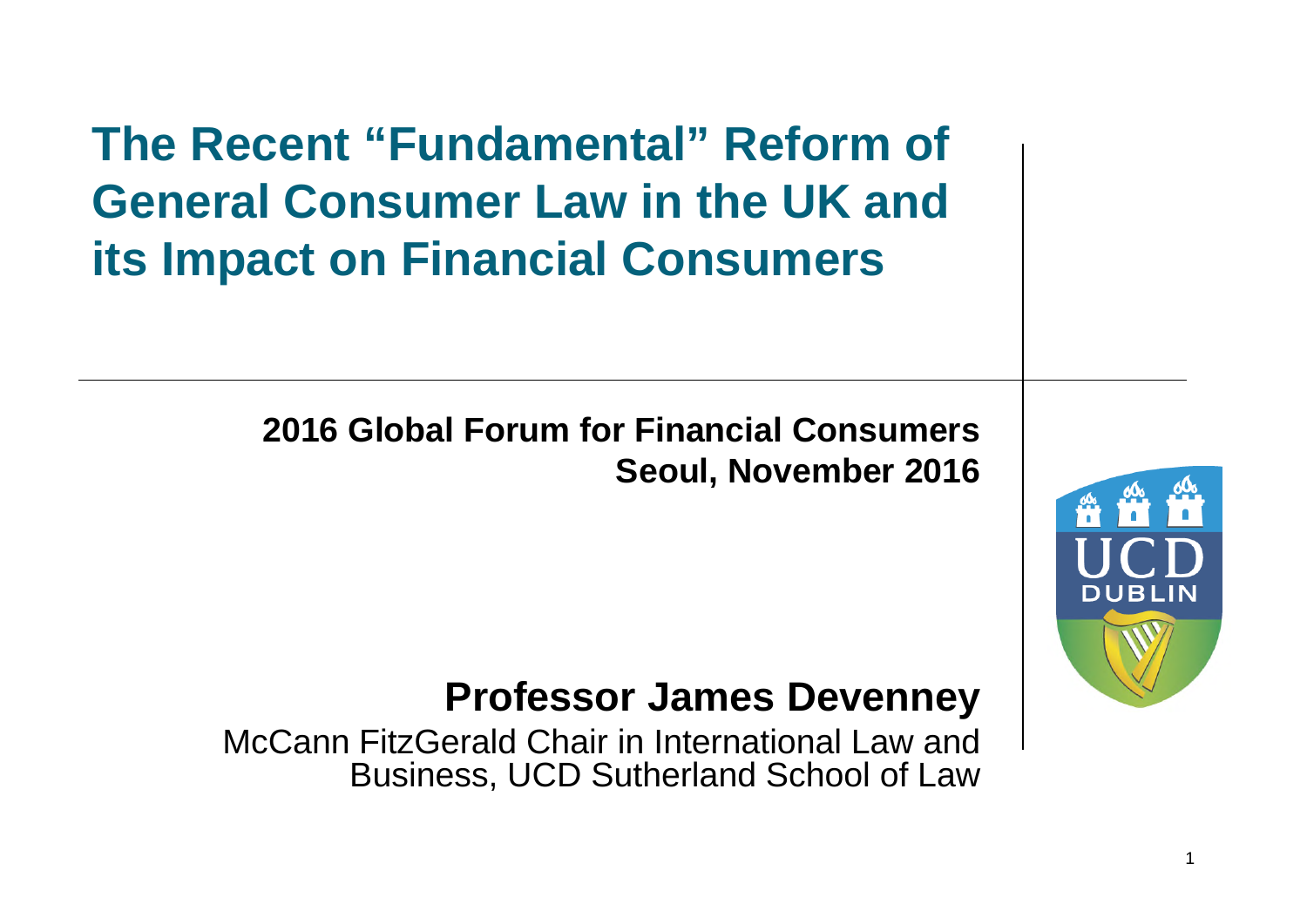**The Recent "Fundamental" Reform of General Consumer Law in the UK and its Impact on Financial Consumers**

> **2016 Global Forum for Financial Consumers Seoul, November 2016**



#### **Professor James Devenney**

McCann FitzGerald Chair in International Law and Business, UCD Sutherland School of Law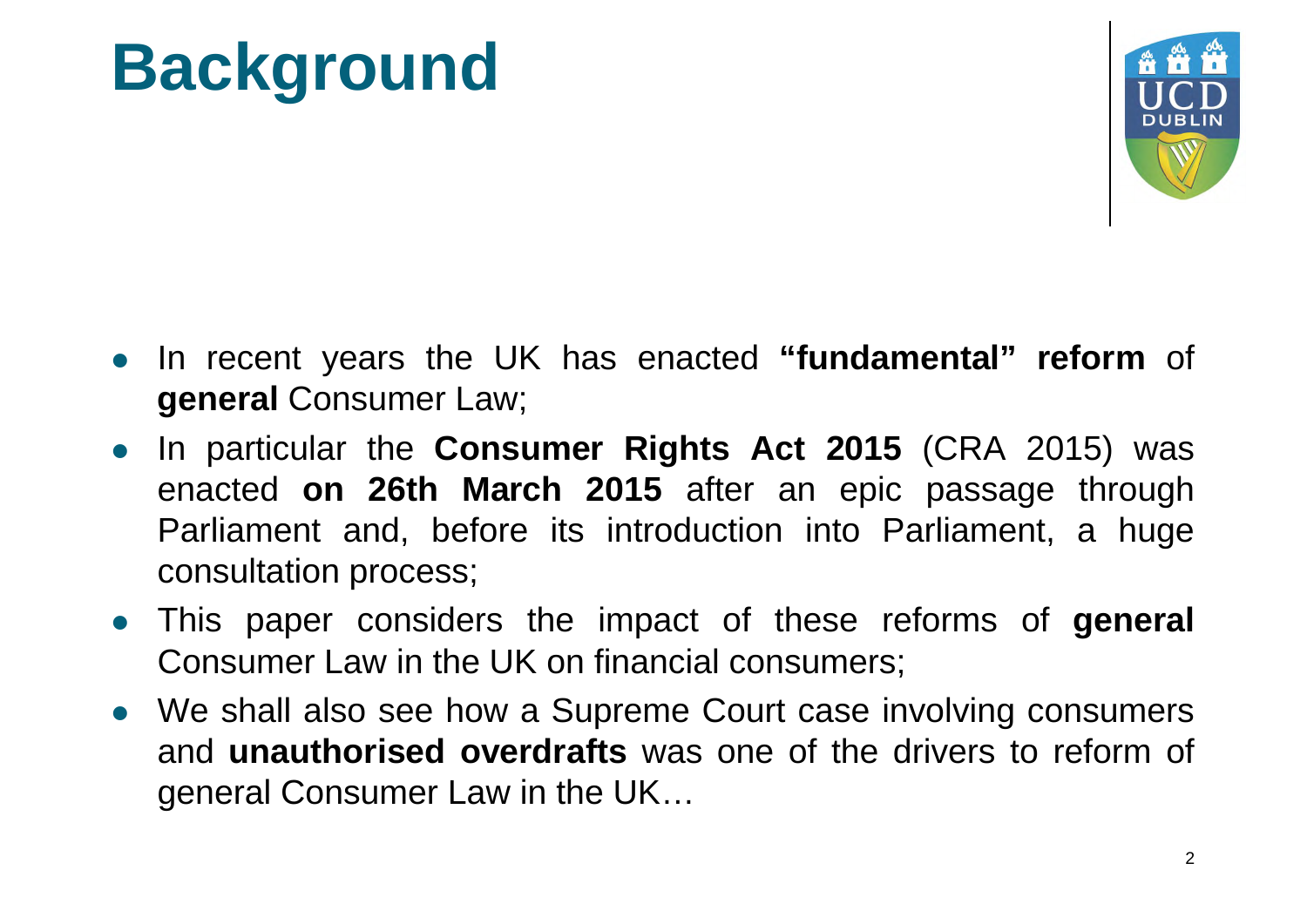## **Background**



- In recent years the UK has enacted **"fundamental" reform** of **general** Consumer Law;
- In particular the **Consumer Rights Act 2015** (CRA 2015) was enacted **on 26th March 2015** after an epic passage through Parliament and, before its introduction into Parliament, a huge consultation process;
- This paper considers the impact of these reforms of **general** Consumer Law in the UK on financial consumers;
- We shall also see how a Supreme Court case involving consumers and **unauthorised overdrafts** was one of the drivers to reform of general Consumer Law in the UK…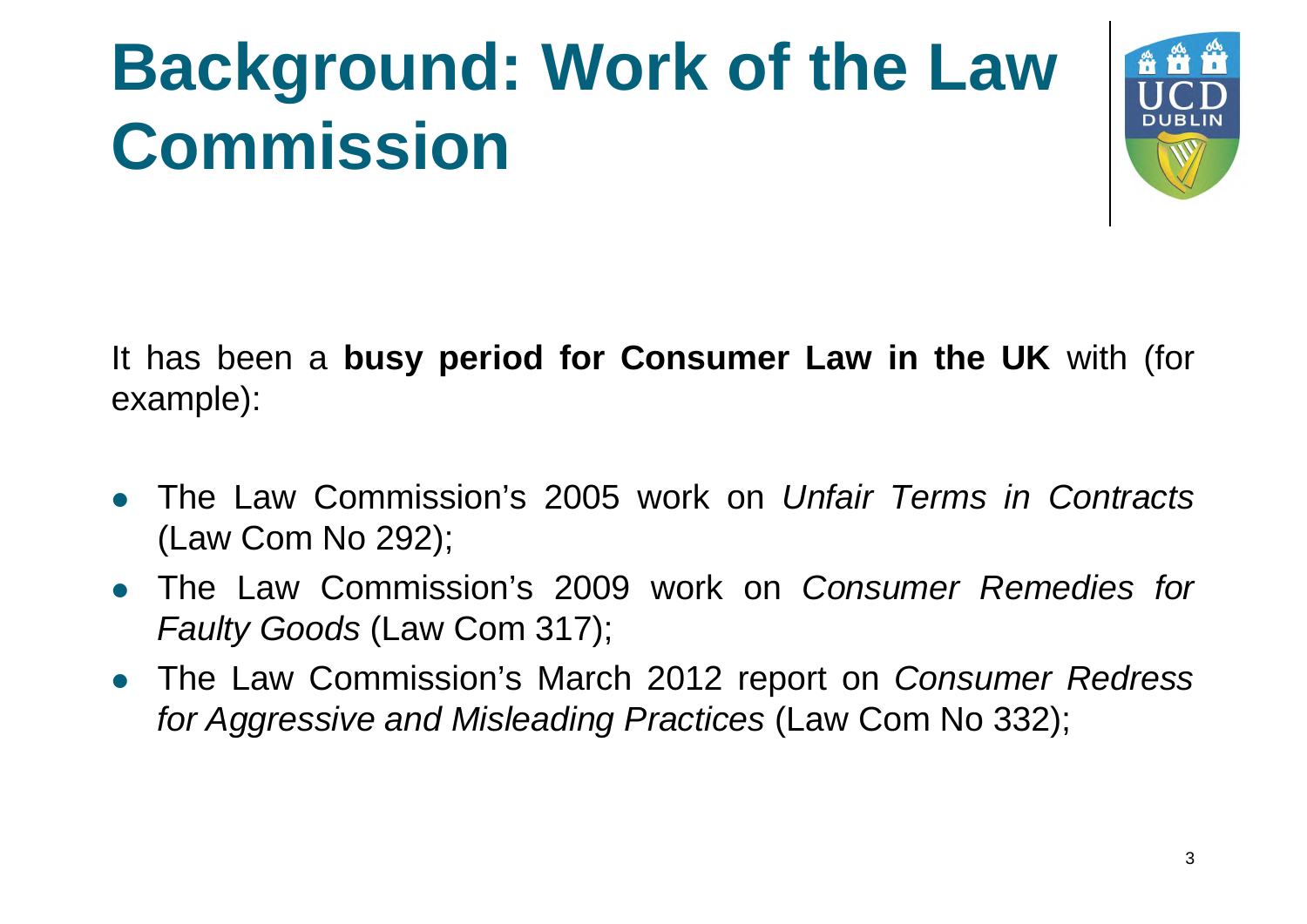## **Background: Work of the Law Commission**



It has been a **busy period for Consumer Law in the UK** with (for example):

- The Law Commission's 2005 work on *Unfair Terms in Contracts* (Law Com No 292);
- The Law Commission's 2009 work on *Consumer Remedies for Faulty Goods* (Law Com 317);
- The Law Commission's March 2012 report on *Consumer Redress for Aggressive and Misleading Practices* (Law Com No 332);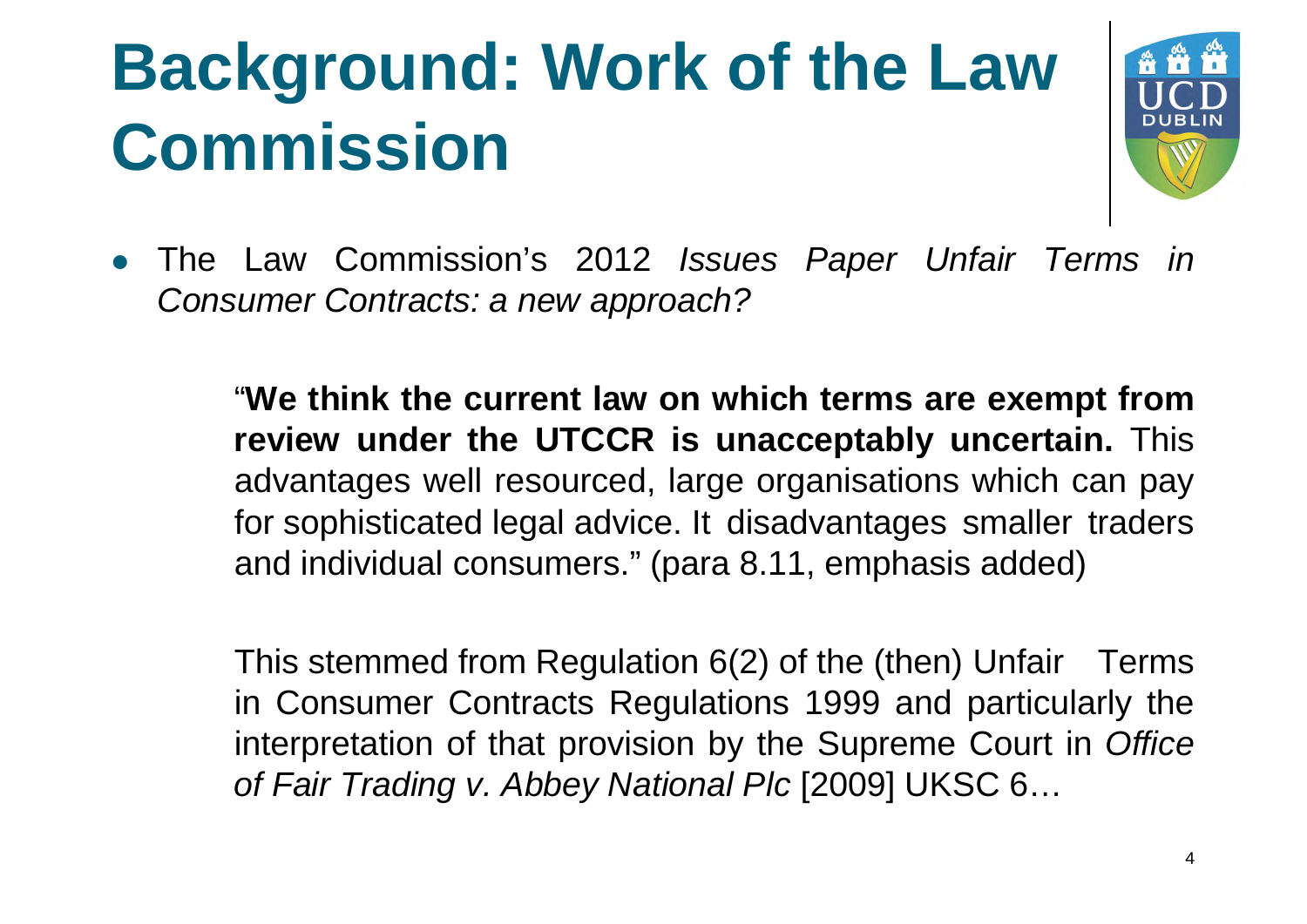## **Background: Work of the Law Commission**



 The Law Commission's 2012 *Issues Paper Unfair Terms in Consumer Contracts Contracts: a new approach?*

> "**We think the current law on which terms are exempt from review under the UTCCR is unacceptably uncertain.** This advantages well resourced, large organisations which can pay for sophisticated legal advice. It disadvantages smaller traders and individual consumers." (para 8.11, emphasis added)

> This stemmed from Regulation 6(2) of the (then) Unfair Terms in Consumer Contracts Regulations 1999 and particularly the interpretation of that provision by the Supreme Court in *Office of Fair Trading v. Abbey National Plc* [2009] UKSC 6…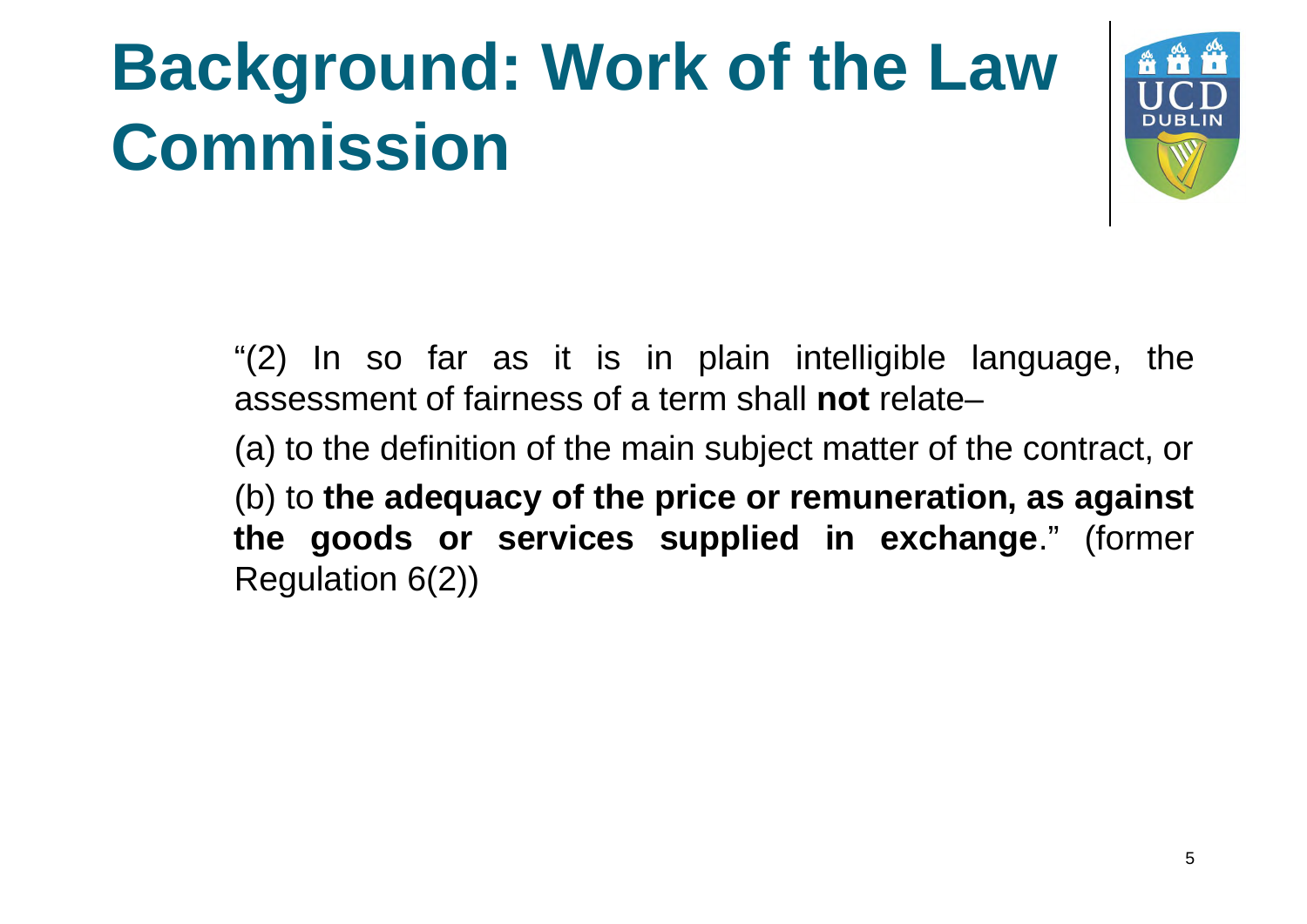## **Background: Work of the Law Commission**



"(2) In so far as it is in plain intelligible language, the assessment of fairness of a term shall **not** relate–

(a) to the definition of the main subject matter of the contract, or

(b) to **the adequacy of the price or remuneration, as against the goods or services supplied in exchange**." (former Regulation 6(2))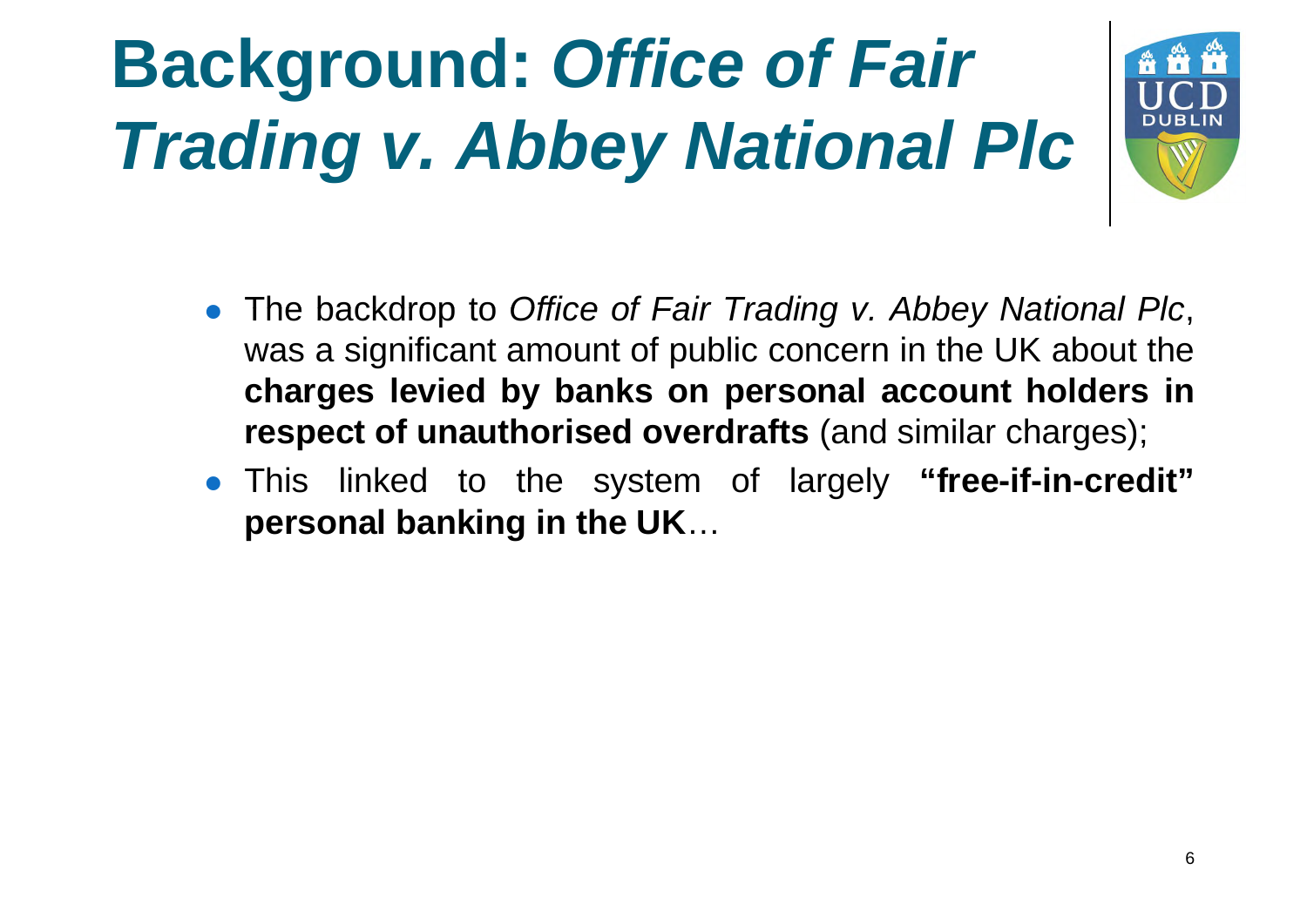

- The backdrop to *Office of Fair Trading v. Abbey National Plc*, was a significant amount of public concern in the UK about the **charges levied by banks on personal account holders in respect of unauthorised overdrafts** (and similar charges);
- This linked to the system of largely **"free-if-in-credit" personal banking in the UK**…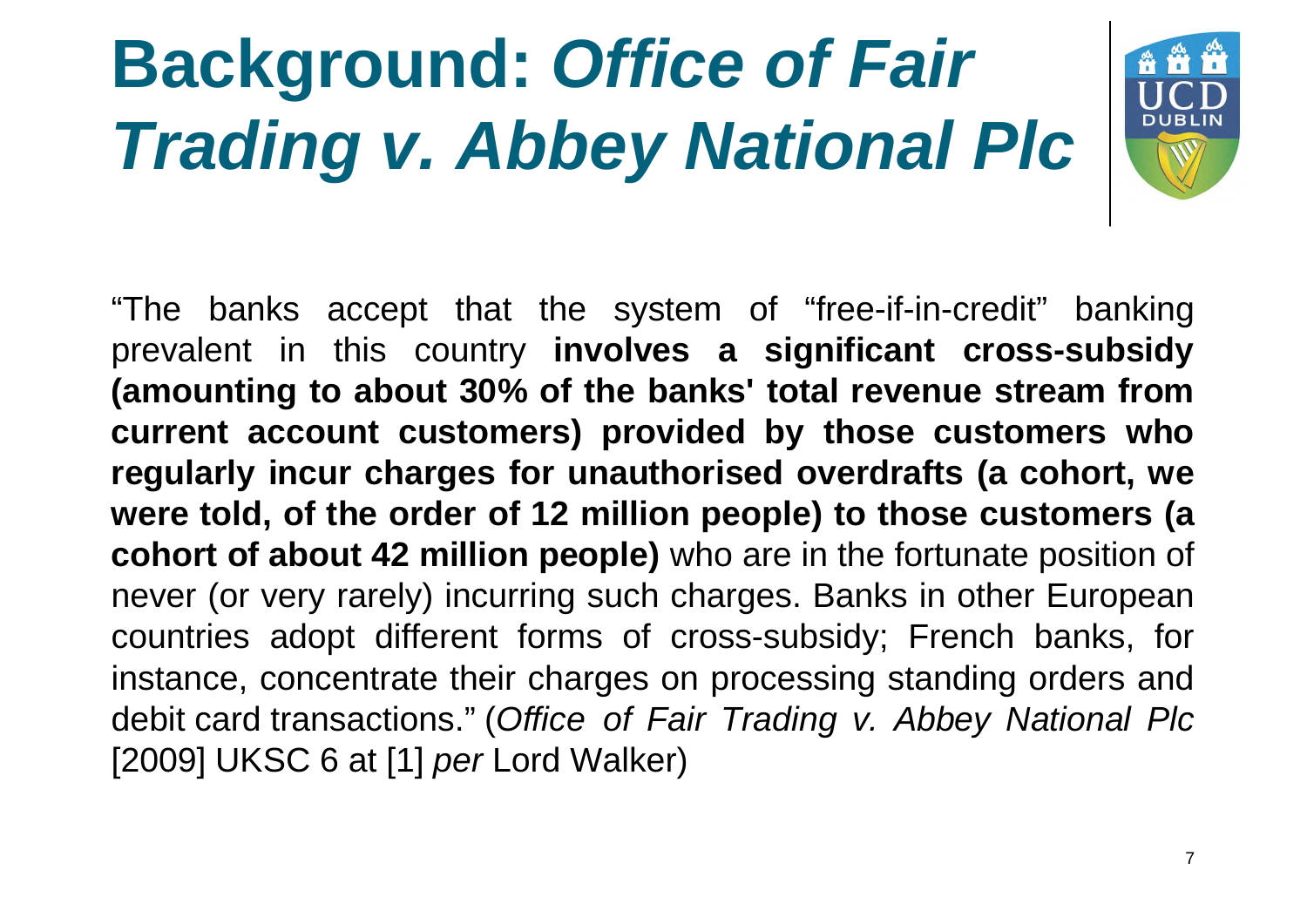

"The banks accept that the system of "free-if-in-credit" banking prevalent in this country **involves a significant cross-subsidy (amounting to about 30% of the banks' total revenue stream from current account customers) provided by those customers who regularly incur charges for unauthorised overdrafts (a cohort, we were told, of the order of 12 million people) to those customers (a cohort of about 42 million people)** who are in the fortunate position of never (or very rarely) incurring such charges. Banks in other European countries adopt different forms of cross-subsidy; French banks, for instance, concentrate their charges on processing standing orders and debit card transactions." (*Office of Fair Trading v. Abbey National Plc* [2009] UKSC 6 at [1] *per* Lord Walker)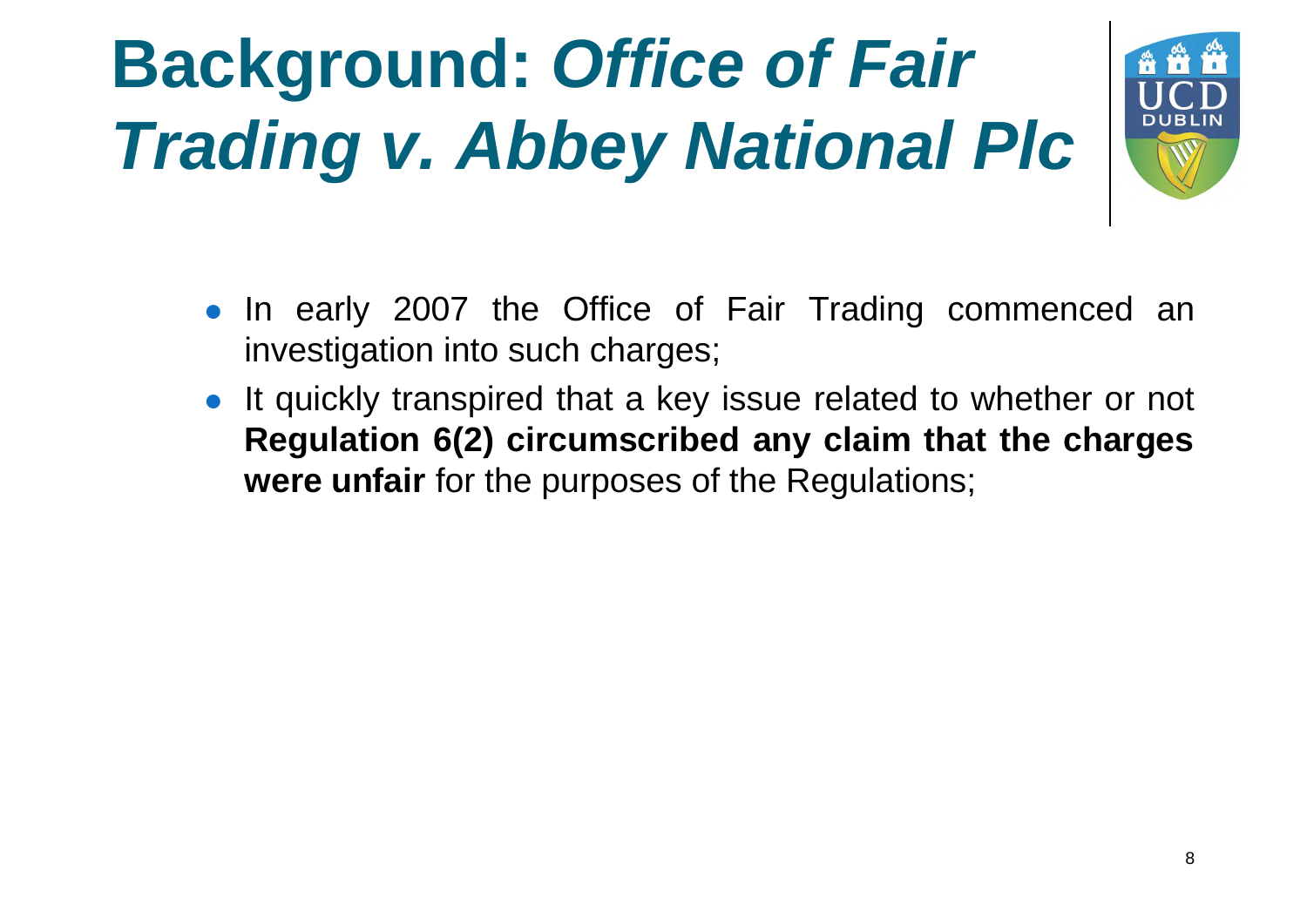

- In early 2007 the Office of Fair Trading commenced an investigation into such charges;
- It quickly transpired that a key issue related to whether or not **Regulation 6(2) circumscribed any claim that the charges were unfair** for the purposes of the Regulations;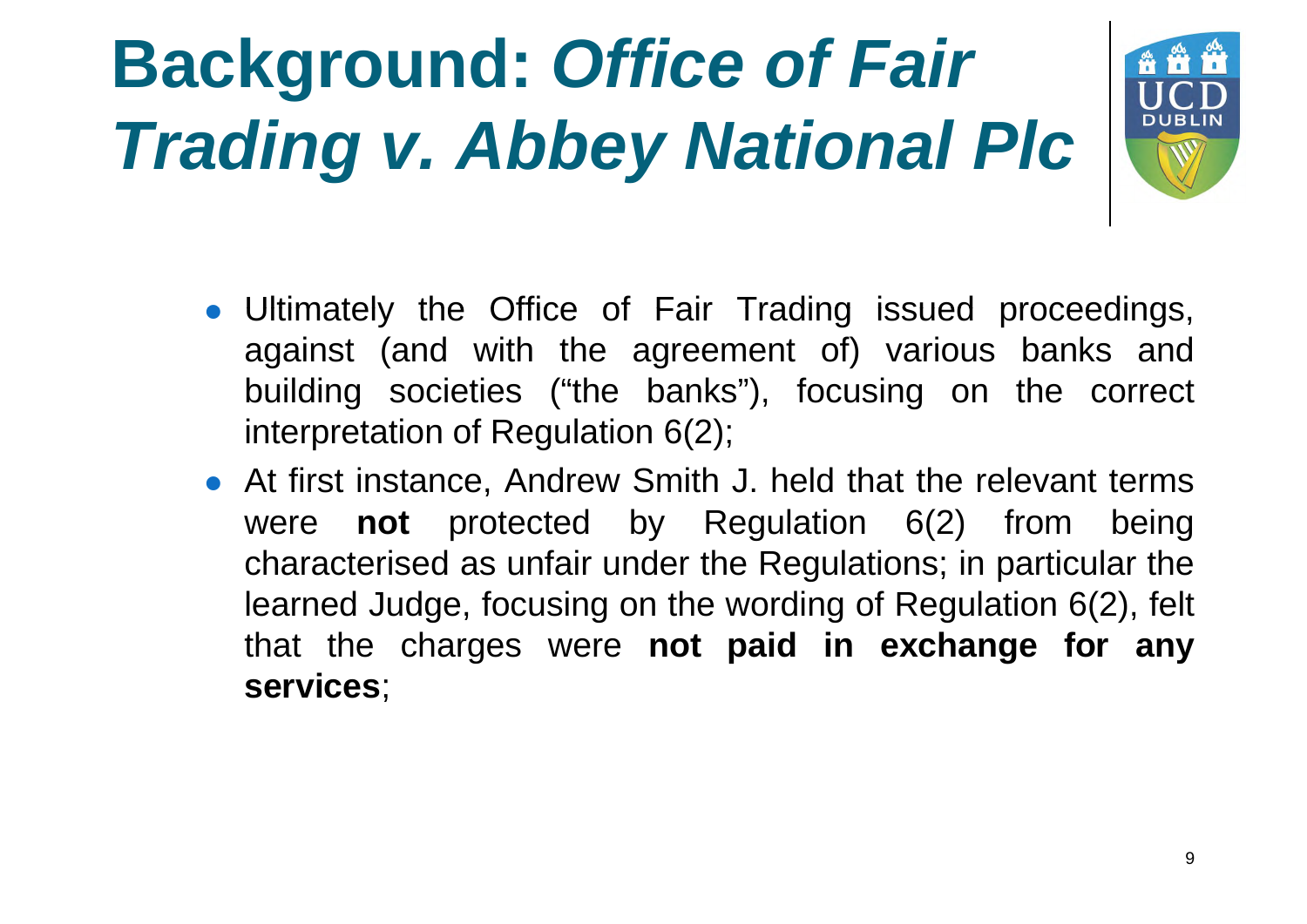

- Ultimately the Office of Fair Trading issued proceedings, against (and with the agreement of) various banks and building societies ("the banks"), focusing on the correct interpretation of Regulation 6(2);
- At first instance, Andrew Smith J. held that the relevant terms were **not** protected by Regulation 6(2) from being characterised as unfair under the Regulations; in particular the learned Judge, focusing on the wording of Regulation 6(2), felt that the charges were **not paid in exchange for any services**;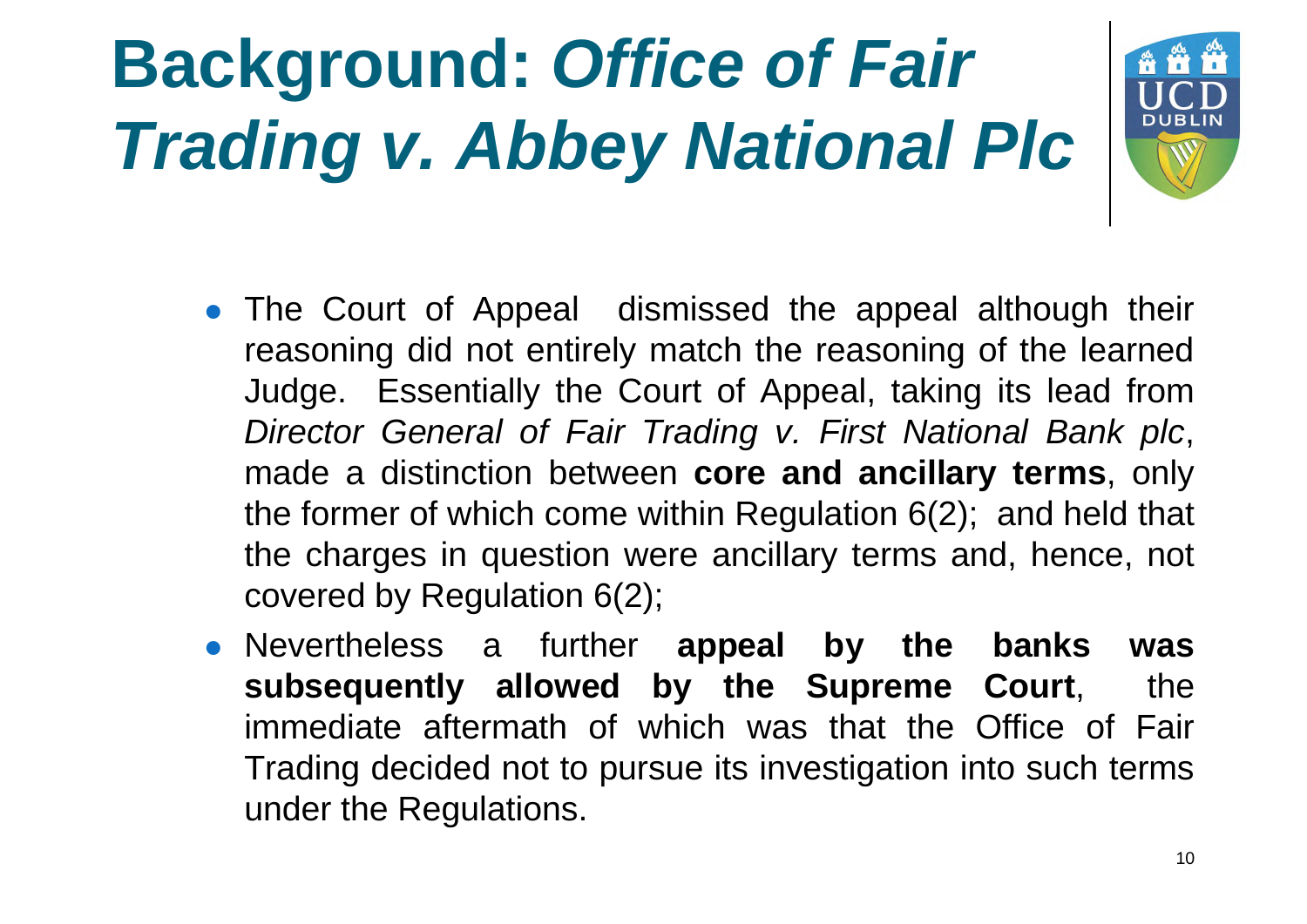

- The Court of Appeal dismissed the appeal although their reasoning did not entirely match the reasoning of the learned Judge. Essentially the Court of Appeal, taking its lead from *Director General of Fair Trading v. First National Bank plc*, made a distinction between **core and ancillary terms**, only the former of which come within Regulation 6(2); and held that the charges in question were ancillary terms and, hence, not covered by Regulation 6(2);
- Nevertheless a further **appeal by the banks was subsequently allowed by the Supreme Court**, the immediate aftermath of which was that the Office of Fair Trading decided not to pursue its investigation into such terms under the Regulations.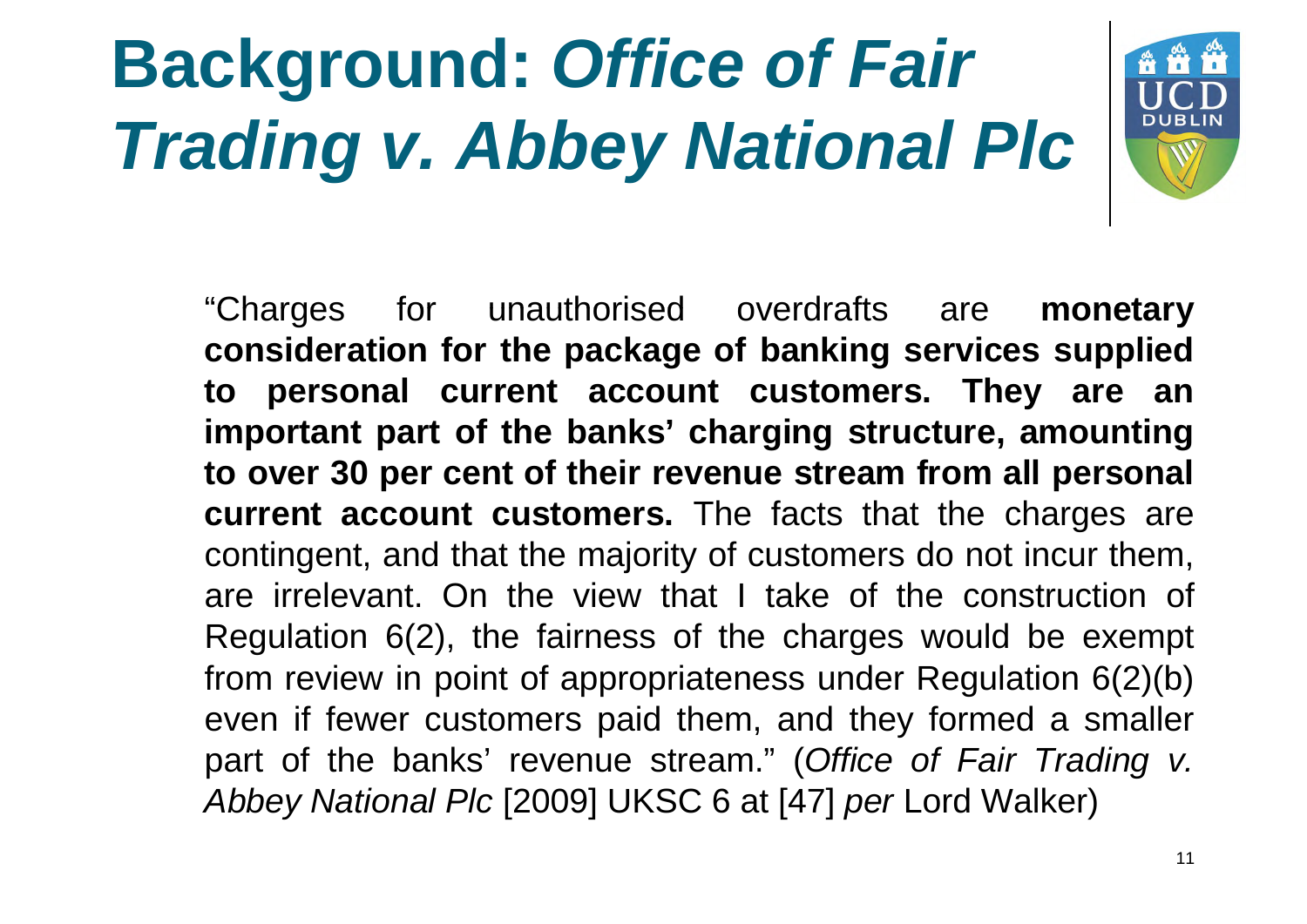

"Charges for unauthorised overdrafts are **monetary consideration for the package of banking services supplied to personal current account customers. They are an important part of the banks' charging structure, amounting to over 30 per cent of their revenue stream from all personal current account customers.** The facts that the charges are contingent, and that the majority of customers do not incur them, are irrelevant. On the view that I take of the construction of Regulation 6(2), the fairness of the charges would be exempt from review in point of appropriateness under Regulation 6(2)(b) even if fewer customers paid them, and they formed a smaller part of the banks' revenue stream." (*Office of Fair Trading v. Abbey National Plc* [2009] UKSC 6 at [47] *per* Lord Walker)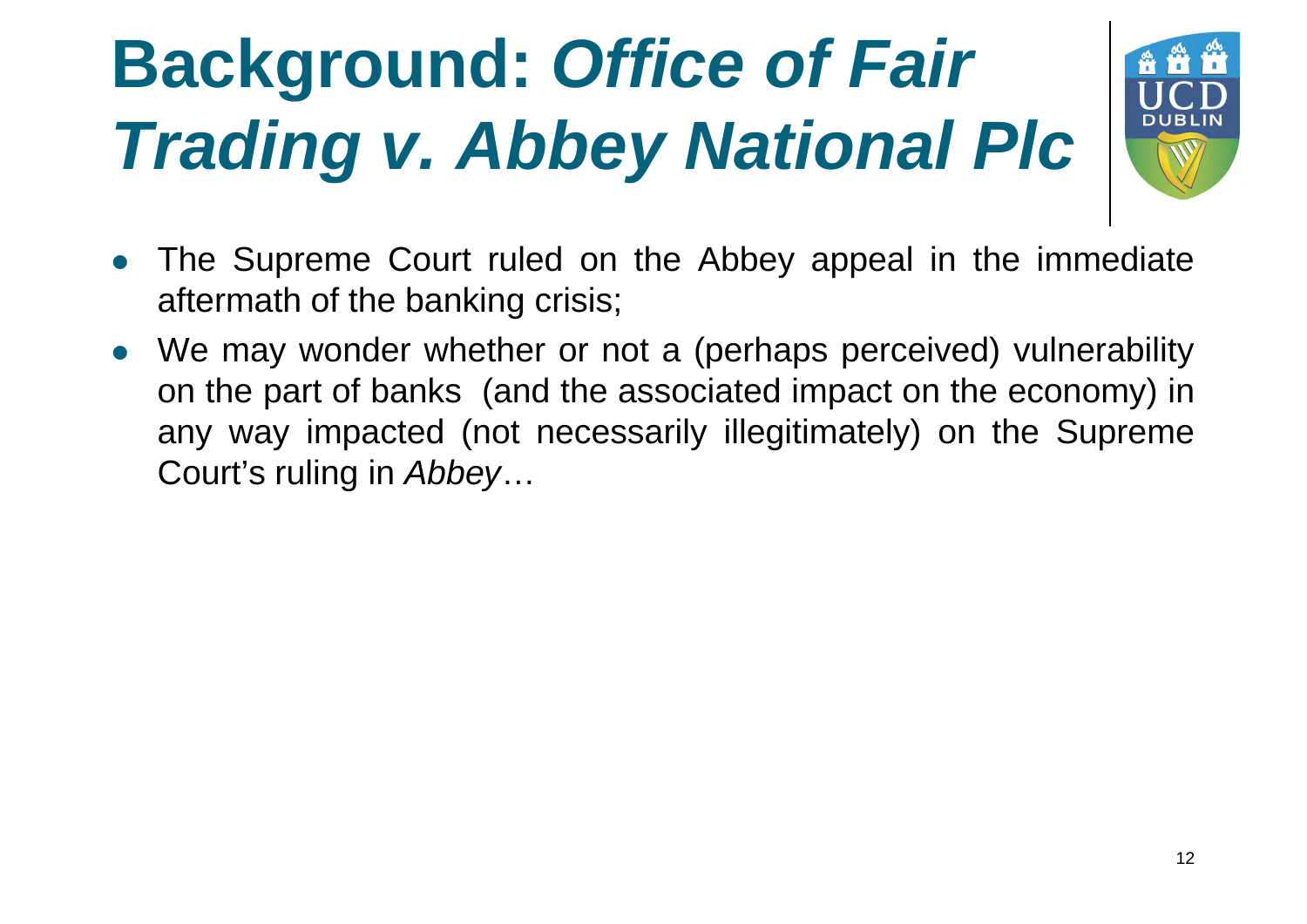

- The Supreme Court ruled on the Abbey appeal in the immediate aftermath of the banking crisis;
- We may wonder whether or not a (perhaps perceived) vulnerability on the part of banks (and the associated impact on the economy) in any way impacted (not necessarily illegitimately) on the Supreme Court's ruling in *Abbey*…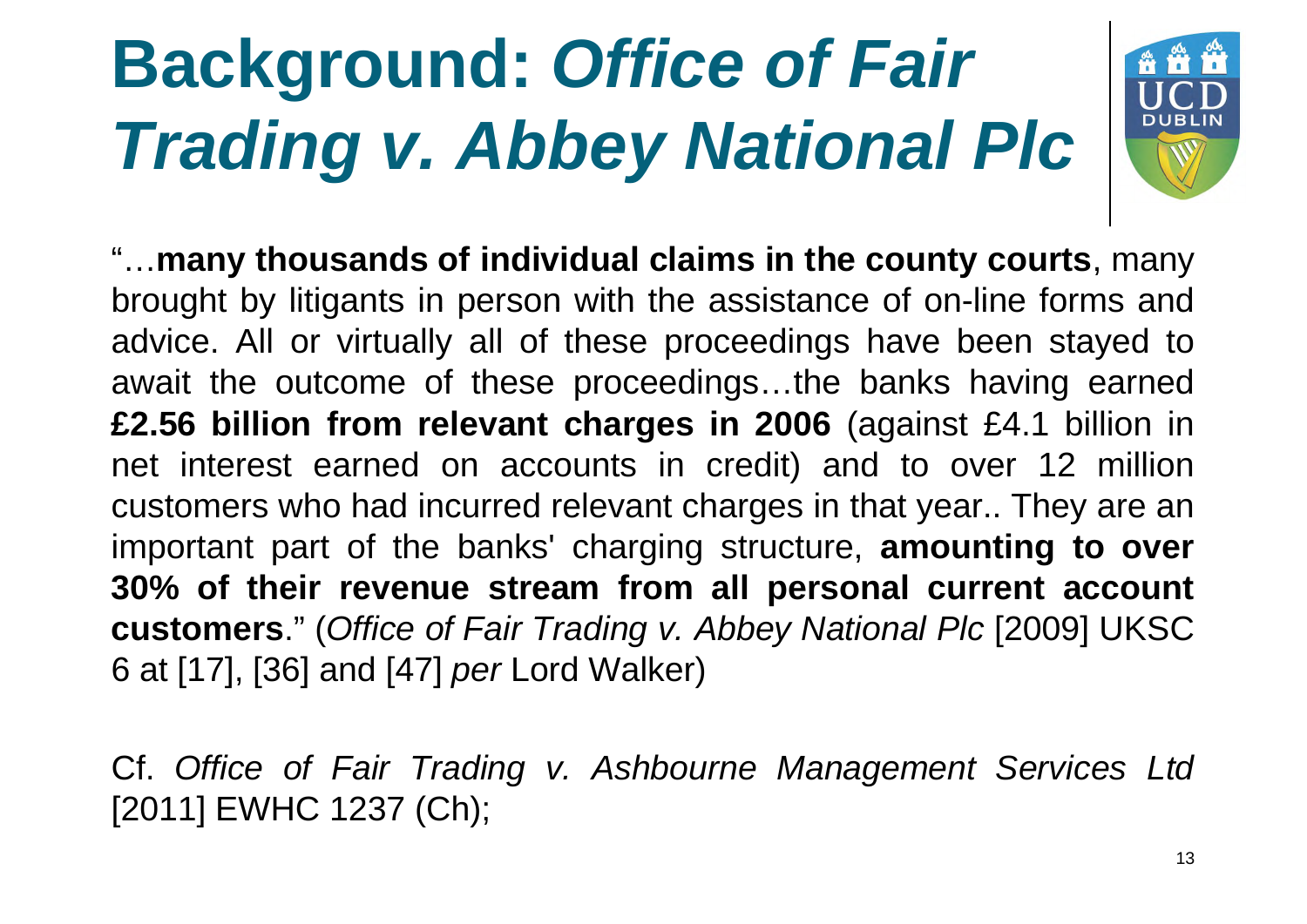## **Background:** *Office of Fair Trading v. Abbey National Plc*



"…**many thousands of individual claims in the county courts**, many brought by litigants in person with the assistance of on-line forms and advice. All or virtually all of these proceedings have been stayed to await the outcome of these proceedings…the banks having earned **£2.56 billion from relevant charges in 2006** (against £4.1 billion in net interest earned on accounts in credit) and to over 12 million customers who had incurred relevant charges in that year.. They are an important part of the banks' charging structure, **amounting to over 30% of their revenue stream from all personal current account customers** ." (*Office of Fair Trading v. Abbey National Plc* [2009] UKSC 6 at [17], [36] and [47] *per* Lord Walker)

Cf. *Office of Fair Trading v. Ashbourne Management Services Ltd* [2011] EWHC 1237 (Ch);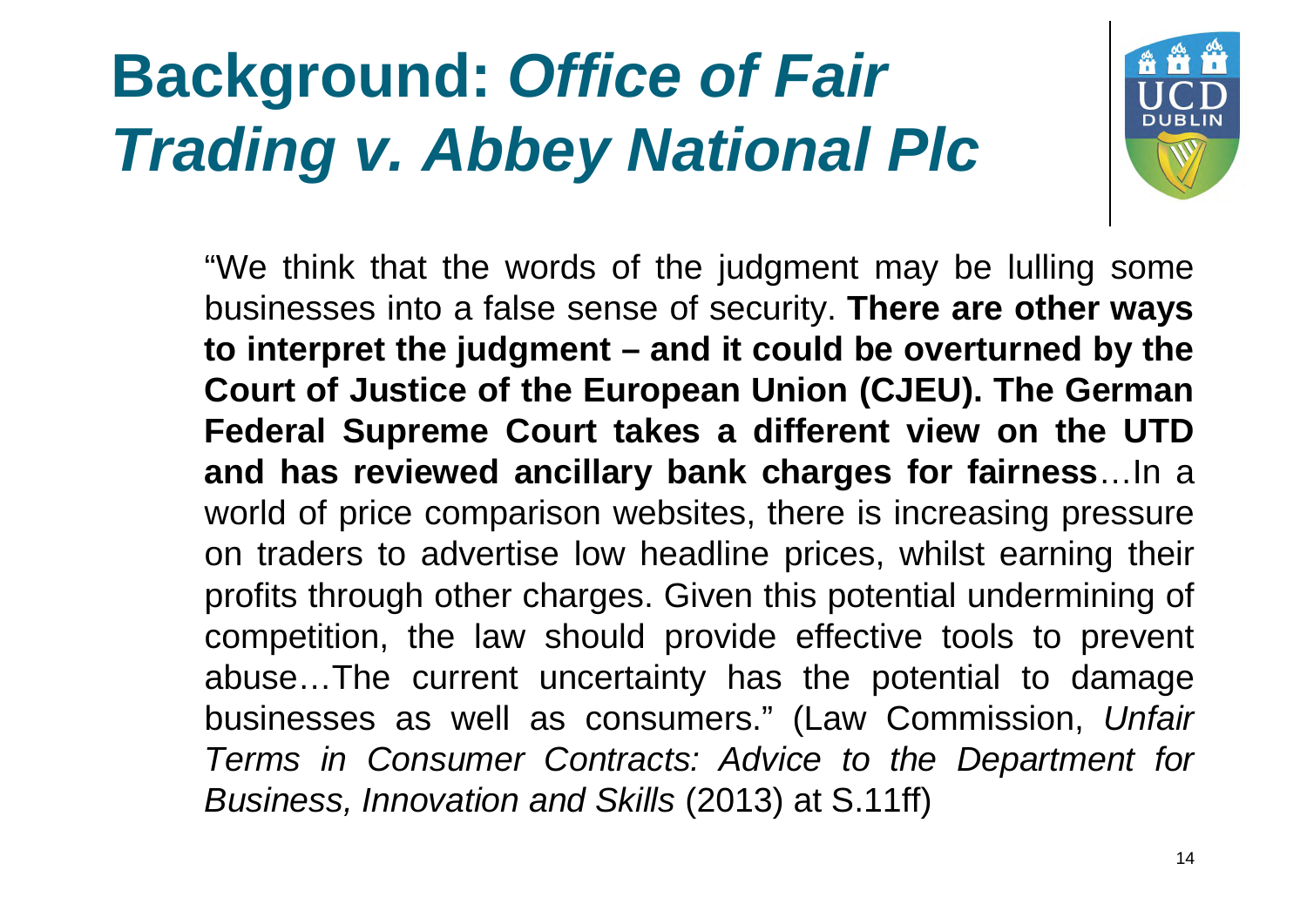#### **Background:** *Office of Fair Trading v. Abbey National Plc*



"We think that the words of the judgment may be lulling some **businesses into a false sense of security. There are other ways to interpret the judgment – and it could be overturned by the Court of Justice of the European Union (CJEU). The German Federal Supreme Court takes a different view on the UTD and has reviewed ancillary bank charges for fairness**…In a world of price comparison websites, there is increasing pressure on traders to advertise low headline prices, whilst earning their profits through other charges. Given this potential undermining of competition, the law should provide effective tools to prevent abuse…The current uncertainty has the potential to damage businesses as well as consumers." (Law Commission, *Unfair Terms in Consumer Contracts: Advice to the Department for Business, Innovation and Skills* (2013) at S.11ff)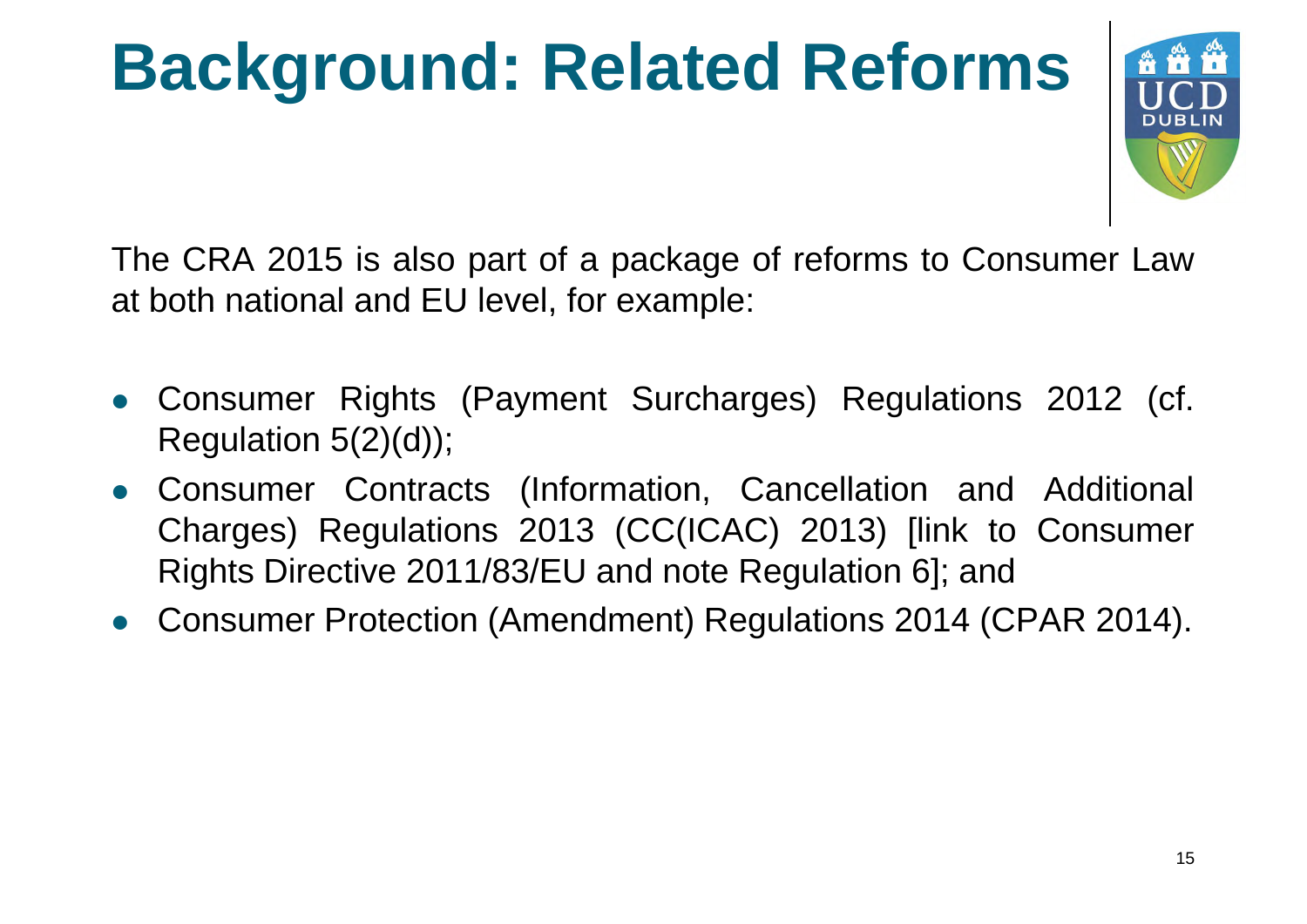# **Background: Related Reforms**



The CRA 2015 is also part of a package of reforms to Consumer Law at both national and EU level, for example:

- Consumer Rights (Payment Surcharges) Regulations 2012 (cf. Regulation  $5(2)(d)$ ;
- Consumer Contracts (Information, Cancellation and Additional Charges) Regulations 2013 (CC(ICAC) 2013) [link to Consumer Rights Directive 2011/83/EU and note Regulation 6]; and
- Consumer Protection (Amendment) Regulations 2014 (CPAR 2014).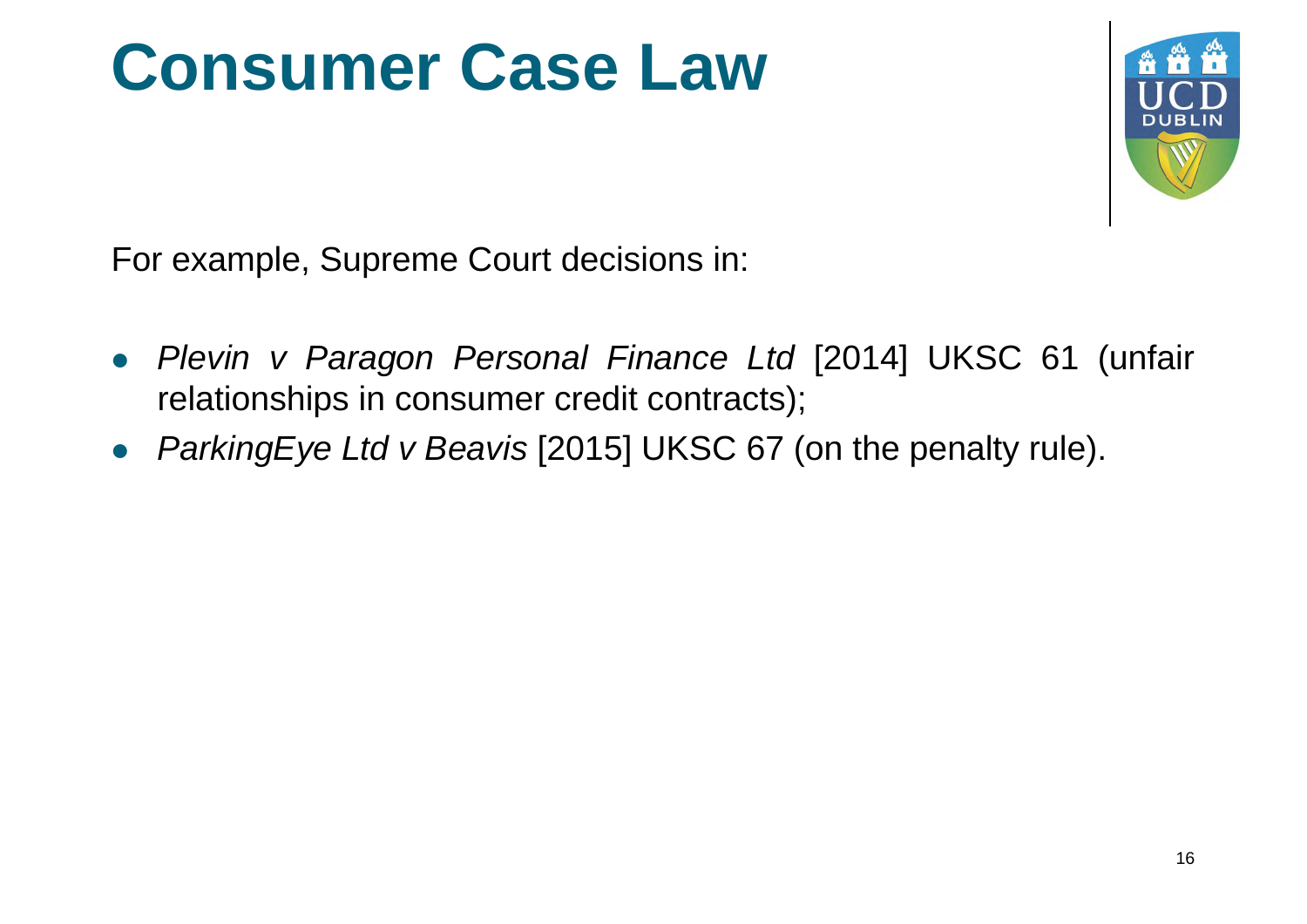#### **Consumer Case Law**



For example, Supreme Court decisions in:

- *Plevin v Paragon Personal Finance Ltd* [2014] UKSC 61 (unfair relationships in consumer credit contracts);
- *ParkingEye Ltd v Beavis* [2015] UKSC 67 (on the penalty rule).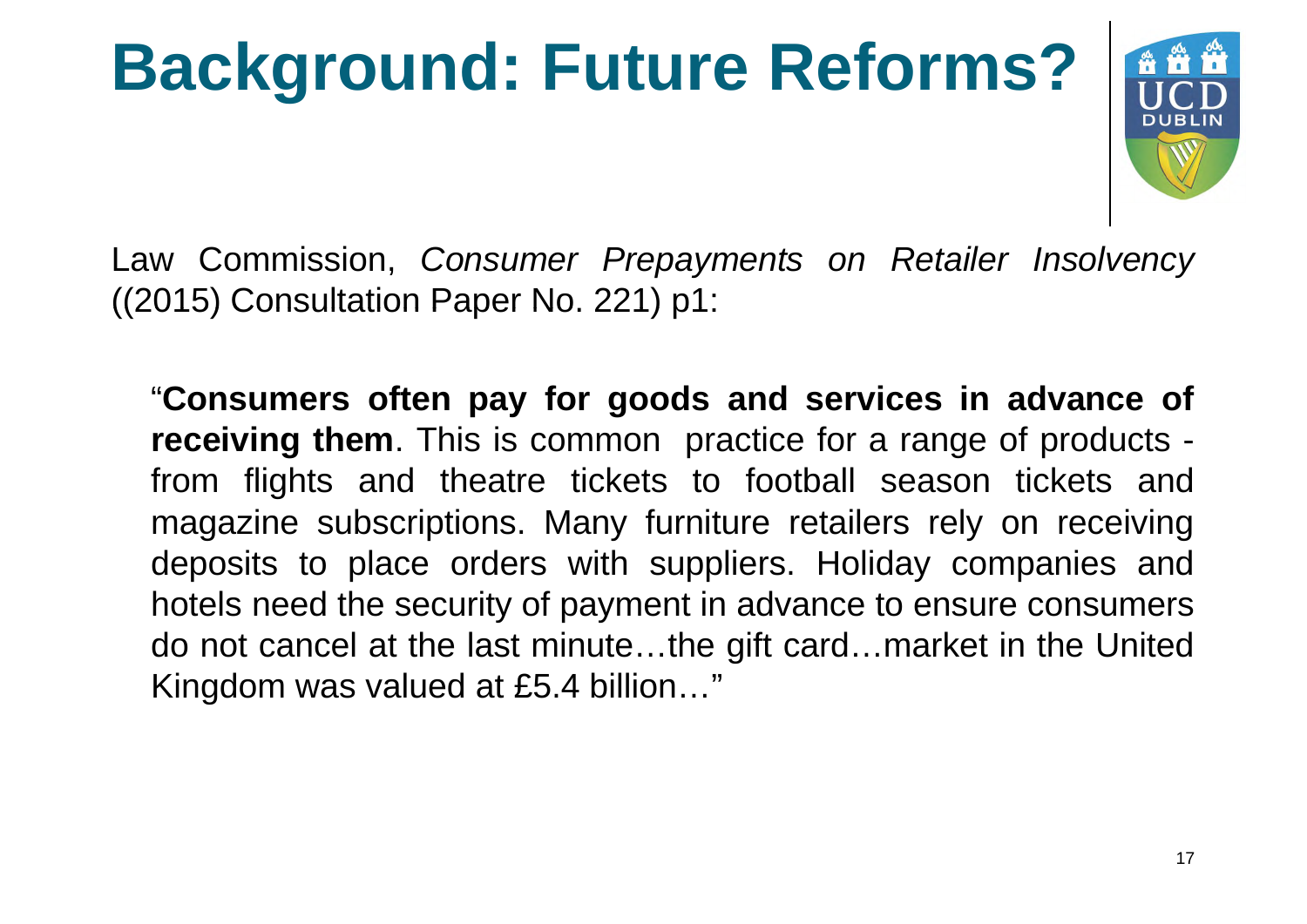# **Background: Future Reforms? ###**



Law Commission, *Consumer Prepayments on Retailer Insolvency* ((2015) Consultation Paper No. 221) p1:

"**Consumers often pay for goods and services in advance of receiving them**. This is common practice for a range of products from flights and theatre tickets to football season tickets and magazine subscriptions. Many furniture retailers rely on receiving deposits to place orders with suppliers. Holiday companies and hotels need the security of payment in advance to ensure consumers do not cancel at the last minute…the gift card…market in the United Kingdom was valued at £5.4 billion…"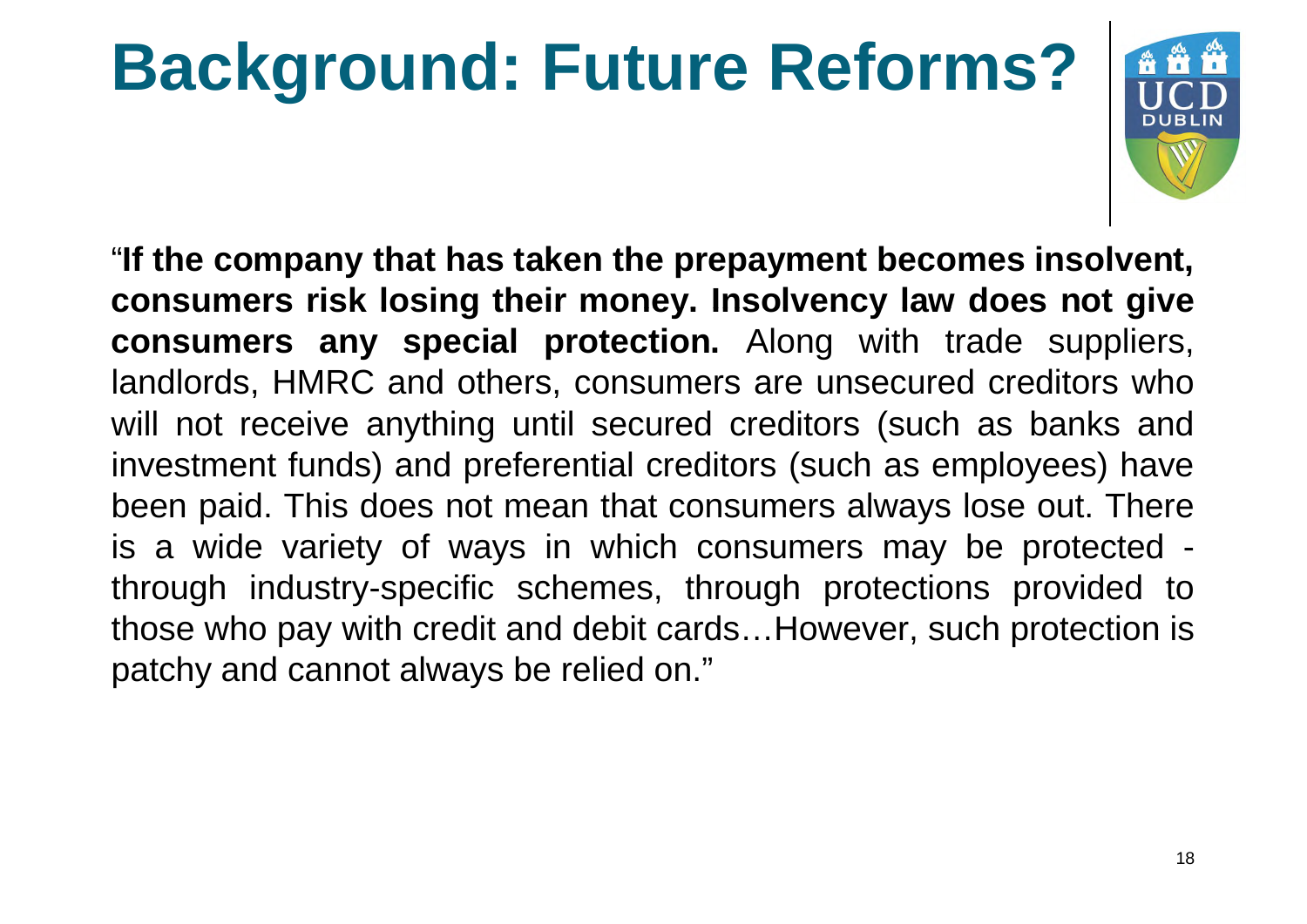# **Background: Future Reforms?**



"**If the company that has taken the prepayment becomes insolvent, consumers risk losing their money. Insolvency law does not give consumers any special protection.** Along with trade suppliers, landlords, HMRC and others, consumers are unsecured creditors who will not receive anything until secured creditors (such as banks and investment funds) and preferential creditors (such as employees) have been paid. This does not mean that consumers always lose out. There is a wide variety of ways in which consumers may be protected through industry-specific schemes, through protections provided to those who pay with credit and debit cards... However, such protection is patchy and cannot always be relied on."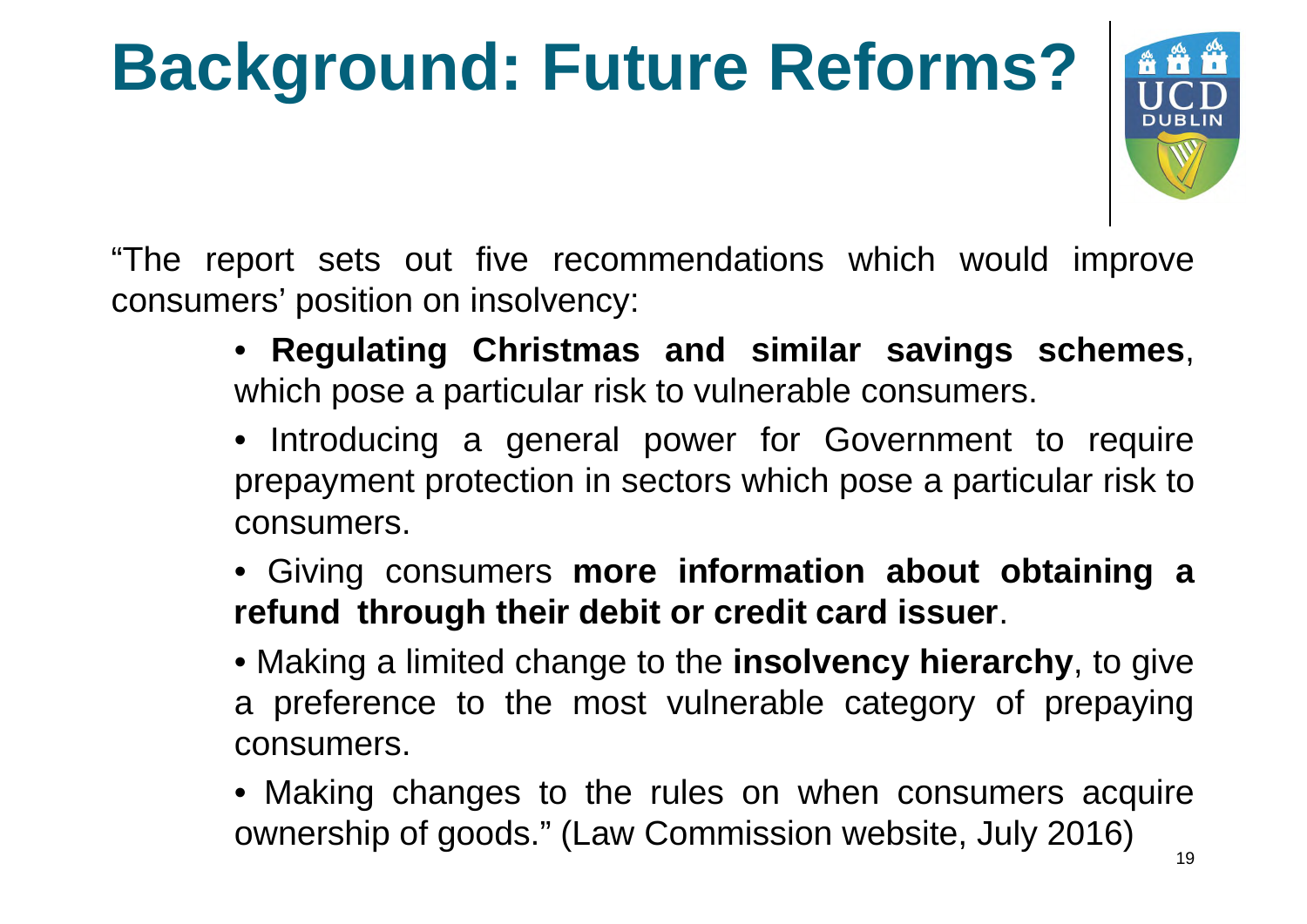# **Background: Future Reforms?**



"The report sets out five recommendations which would improve consumers' position on insolvency:

- **Regulating Christmas and similar savings schemes**, which pose a particular risk to vulnerable consumers.
- Introducing a general power for Government to require prepayment protection in sectors which pose a particular risk to consumers.
- Giving consumers **more information about obtaining a refund through their debit or credit card issuer**.
- Making a limited change to the **insolvency hierarchy**, to give a preference to the most vulnerable category of prepaying consumers.
- Making changes to the rules on when consumers acquire ownership of goods." (Law Commission website, July 2016)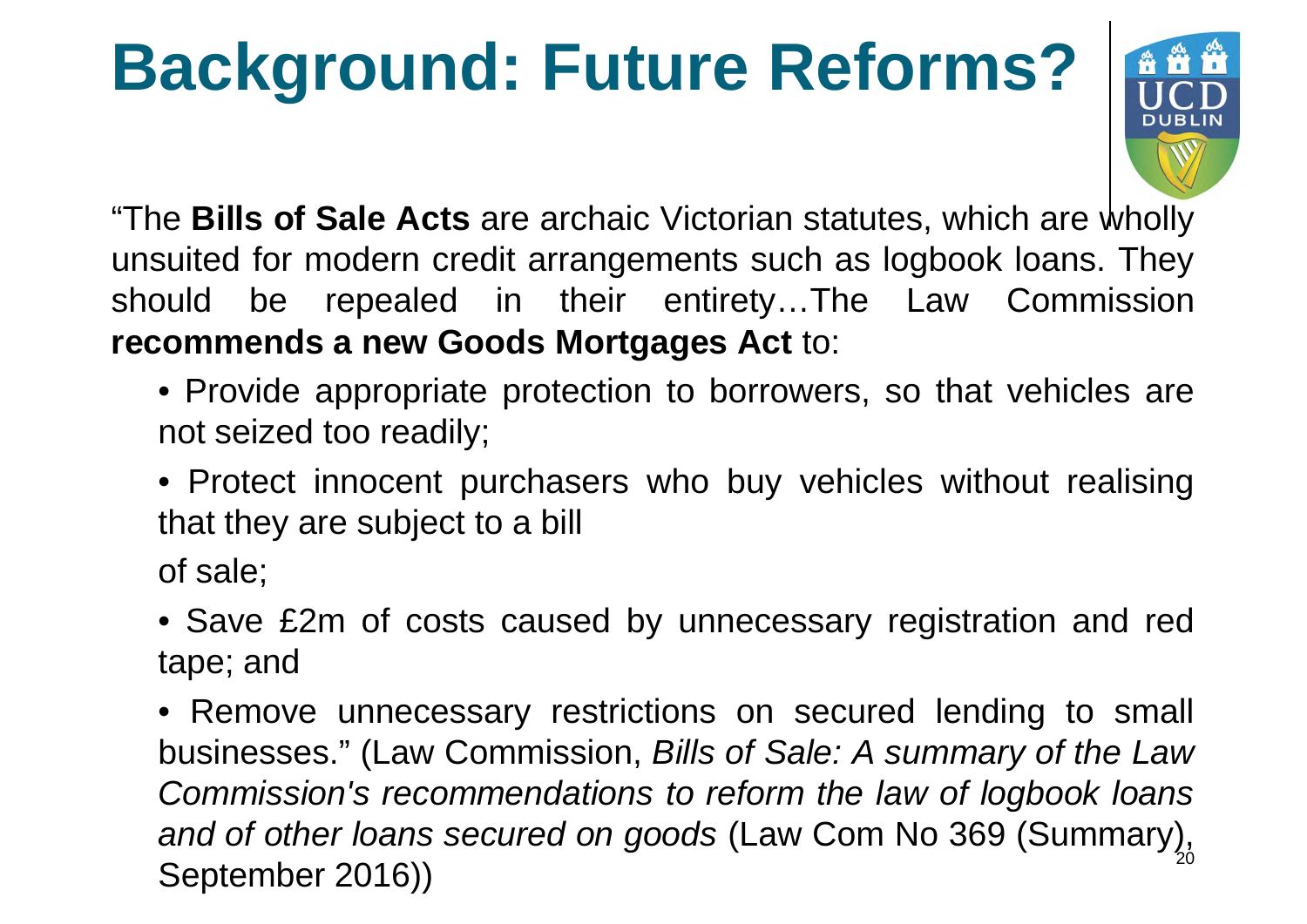#### **Background: Future Reforms?**



"The **Bills of Sale Acts** are archaic Victorian statutes, which are wholly unsuited for modern credit arrangements such as logbook loans. They should be repealed in their entirety...The Law Commission **recommends a new Goods Mortgages Act** to:

- Provide appropriate protection to borrowers, so that vehicles are not seized too readily;
- Protect innocent purchasers who buy vehicles without realising that they are subject to a bill

of sale;

• Save £2m of costs caused by unnecessary registration and red tape; and

• Remove unnecessary restrictions on secured lending to small businesses." (Law Commission, *Bills of Sale: A summary of the Law Commission's recommendations to reform the law of logbook loans and of other loans secured on goods* (Law Com No 369 (Summary), September 2016))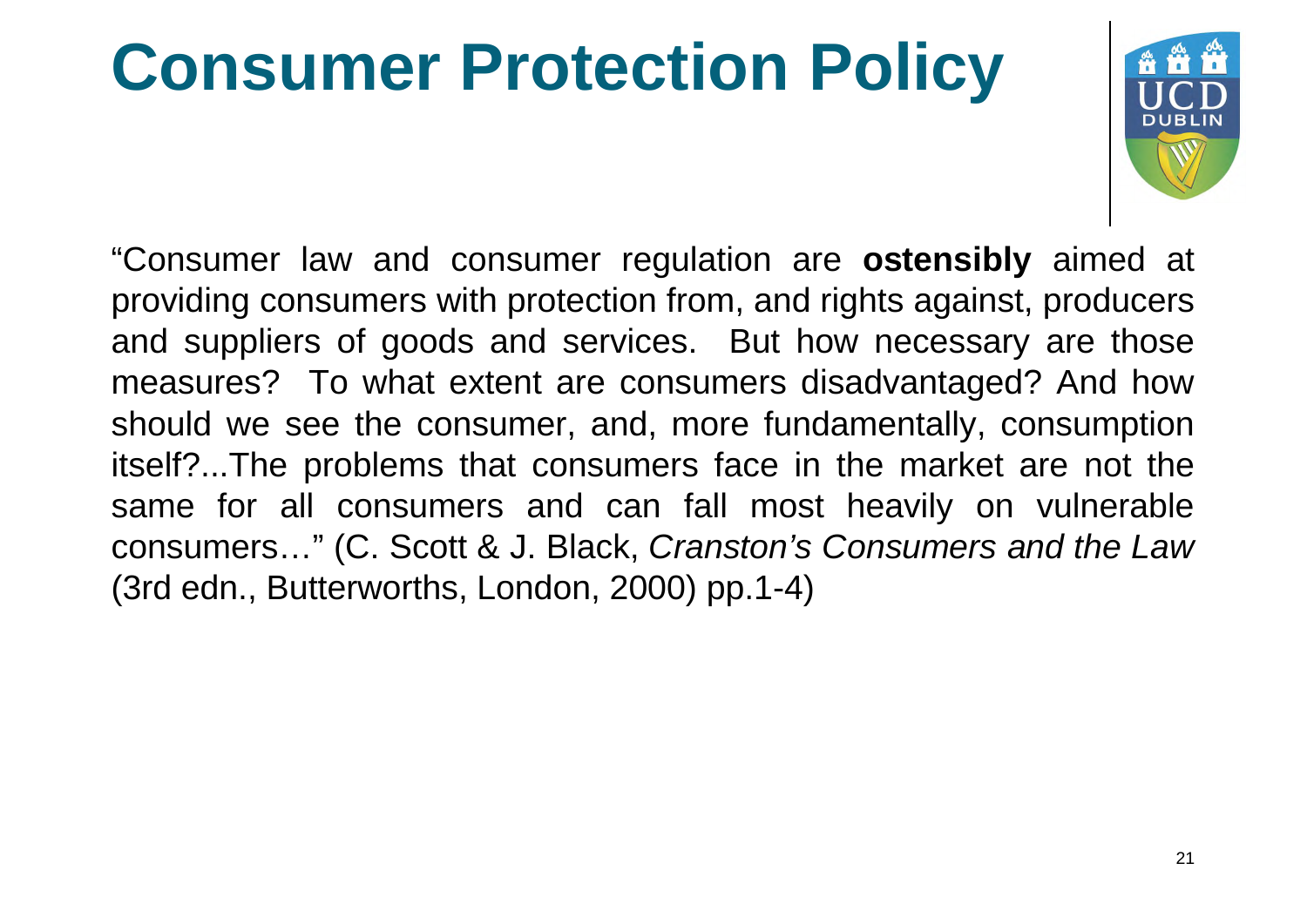#### **Consumer Protection Policy**



"Consumer law and consumer regulation are **ostensibly** aimed at providing consumers with protection from, and rights against, producers and suppliers of goods and services. But how necessary are those measures? To what extent are consumers disadvantaged? And how should we see the consumer, and, more fundamentally, consumption itself?...The problems that consumers face in the market are not the same for all consumers and can fall most heavily on vulnerable consumers…" (C. Scott & J. Black, *Cranston's Consumers and the Law* (3rd edn., Butterworths, London, 2000) pp.1-4)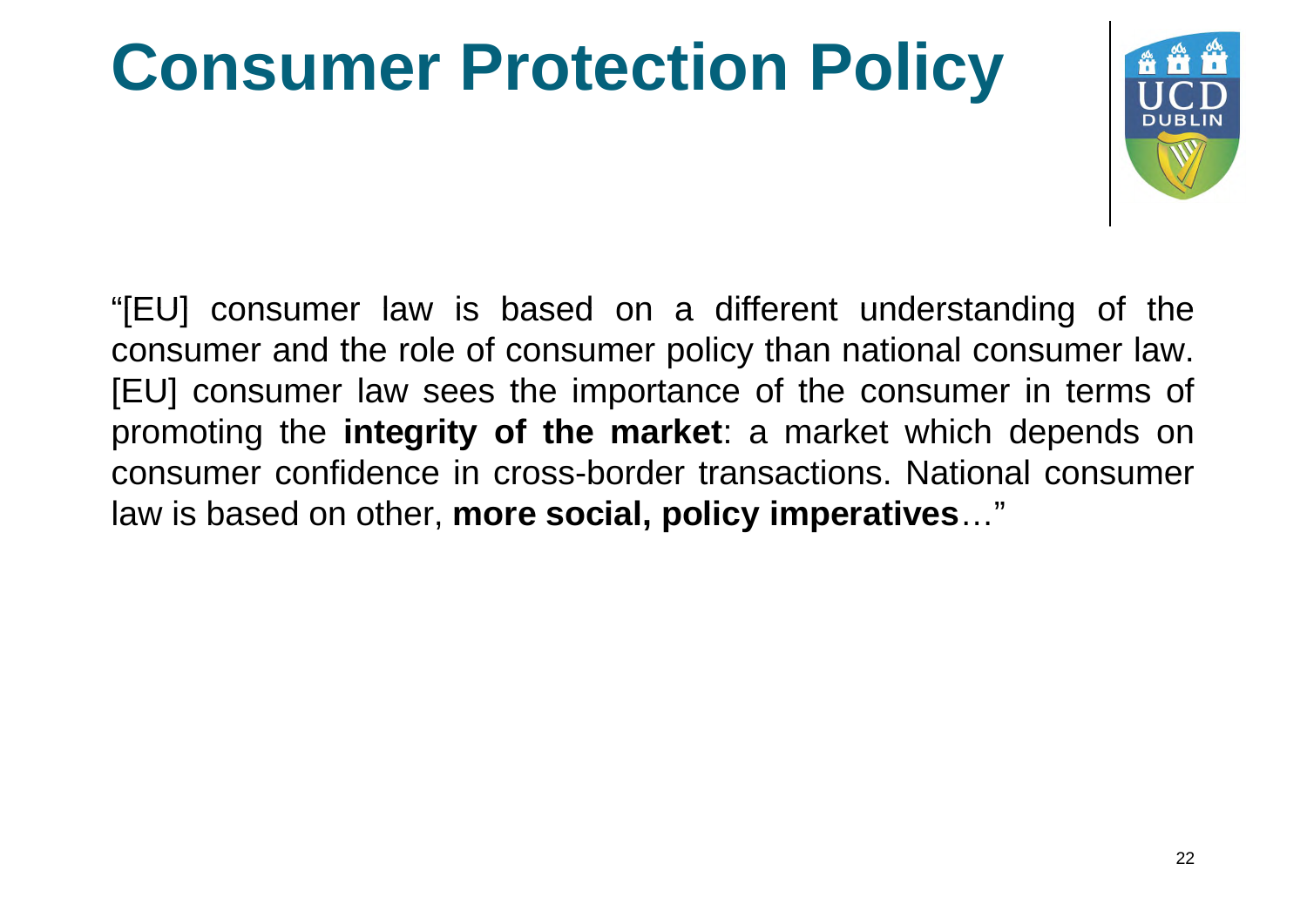#### **Consumer Protection Policy**



"[EU] consumer law is based on a different understanding of the consumer and the role of consumer policy than national consumer law. [EU] consumer law sees the importance of the consumer in terms of promoting the **integrity of the market**: a market which depends on consumer confidence in cross-border transactions. National consumer law is based on other, **more social, policy imperatives**…"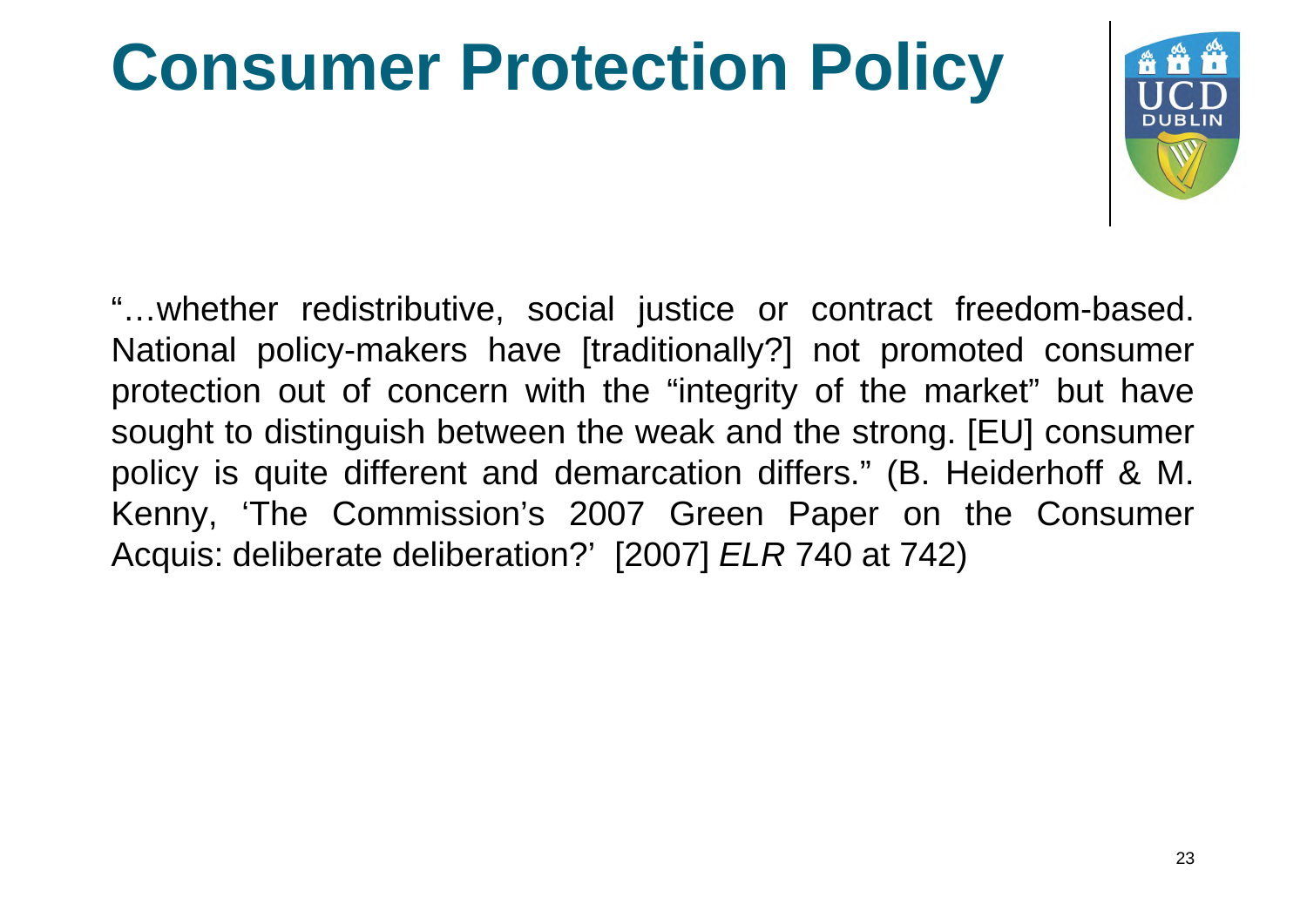#### **Consumer Protection Policy**



"...whether redistributive, social justice or contract freedom-based. National policy-makers have [traditionally?] not promoted consumer protection out of concern with the "integrity of the market" but have sought to distinguish between the weak and the strong. [EU] consumer policy is quite different and demarcation differs." (B. Heiderhoff & M. Kenny, 'The Commission's 2007 Green Paper on the Consumer Acquis: deliberate deliberation?' [2007] *ELR* 740 at 742)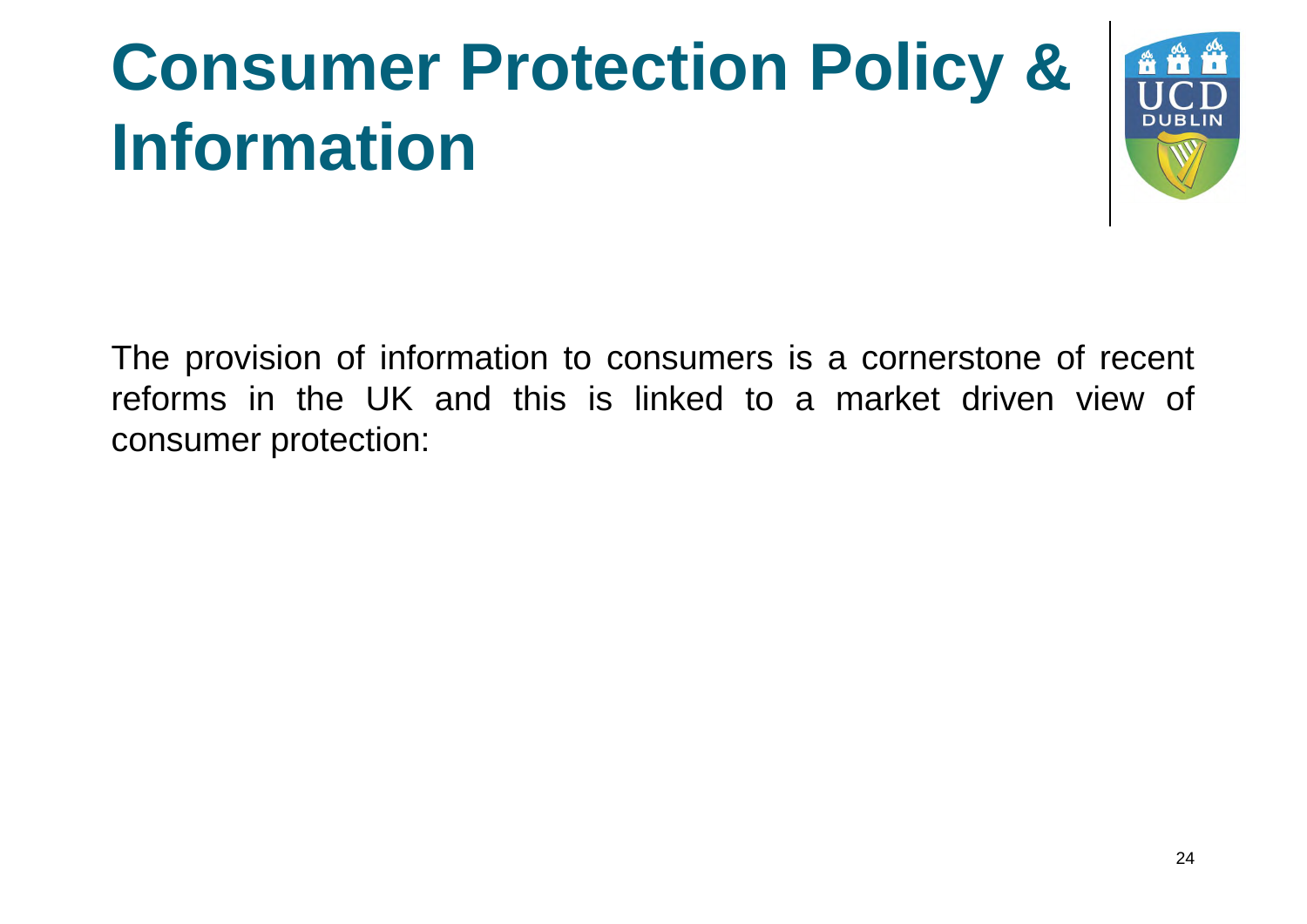## **Consumer Protection Policy & Information**



The provision of information to consumers is a cornerstone of recent reforms in the UK and this is linked to a market driven view of consumer protection: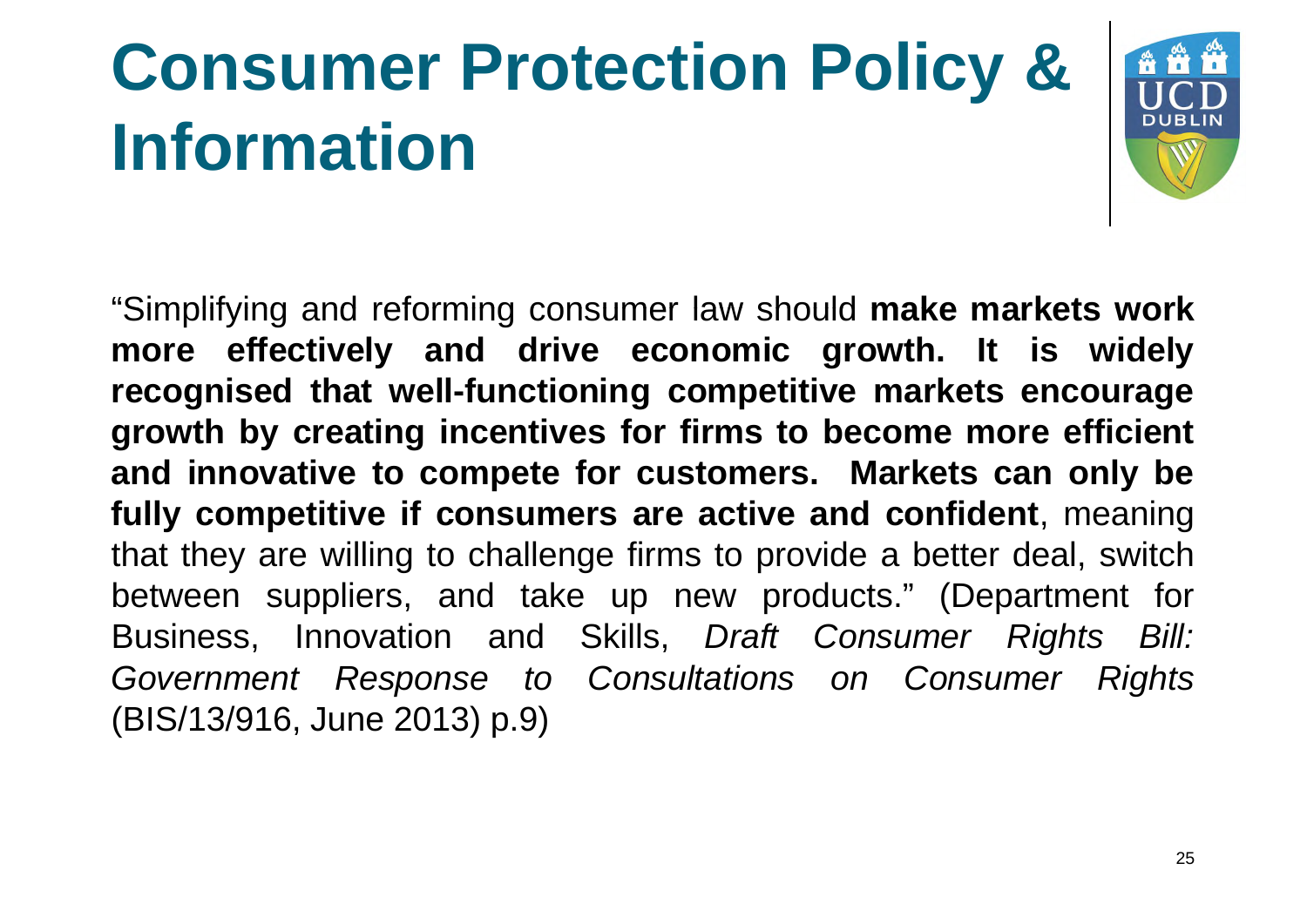## **Consumer Protection Policy & Information**



"Simplifying and reforming consumer law should **make markets work more effectively and drive economic growth. It is widely recognised that well-functioning competitive markets encourage growth by creating incentives for firms to become more efficient and innovative to compete for customers. Markets can only be fully competitive if consumers are active and confident**, meaning that they are willing to challenge firms to provide a better deal, switch between suppliers, and take up new products." (Department for Business, Innovation and Skills, *Draft Consumer Rights Bill: Government Response to Consultations on Consumer Rights* (BIS/13/916, June 2013) p.9)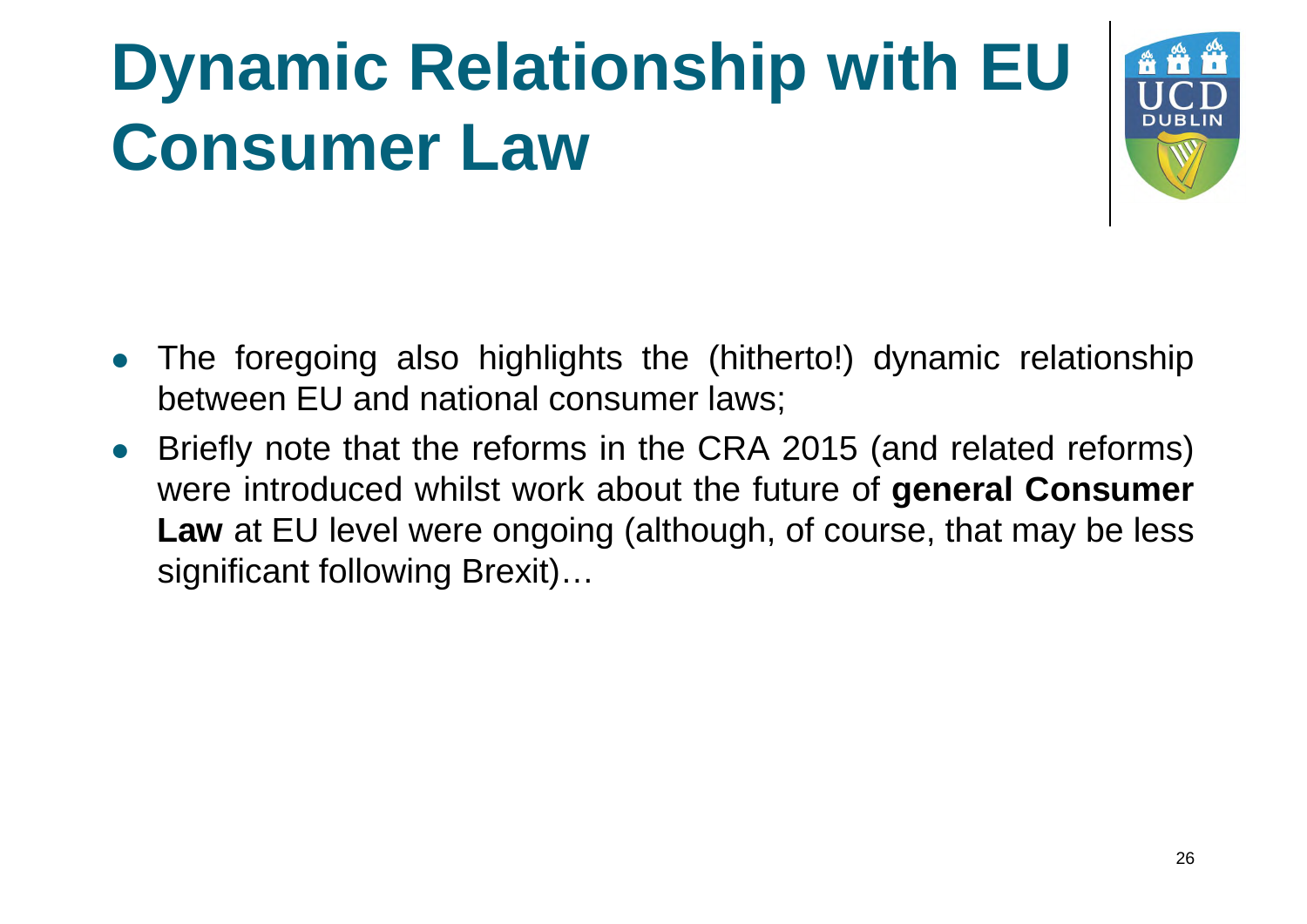

- The foregoing also highlights the (hitherto!) dynamic relationship between EU and national consumer laws;
- Briefly note that the reforms in the CRA 2015 (and related reforms) were introduced whilst work about the future of **general Consumer Law** at EU level were ongoing (although, of course, that may be less significant following Brexit)…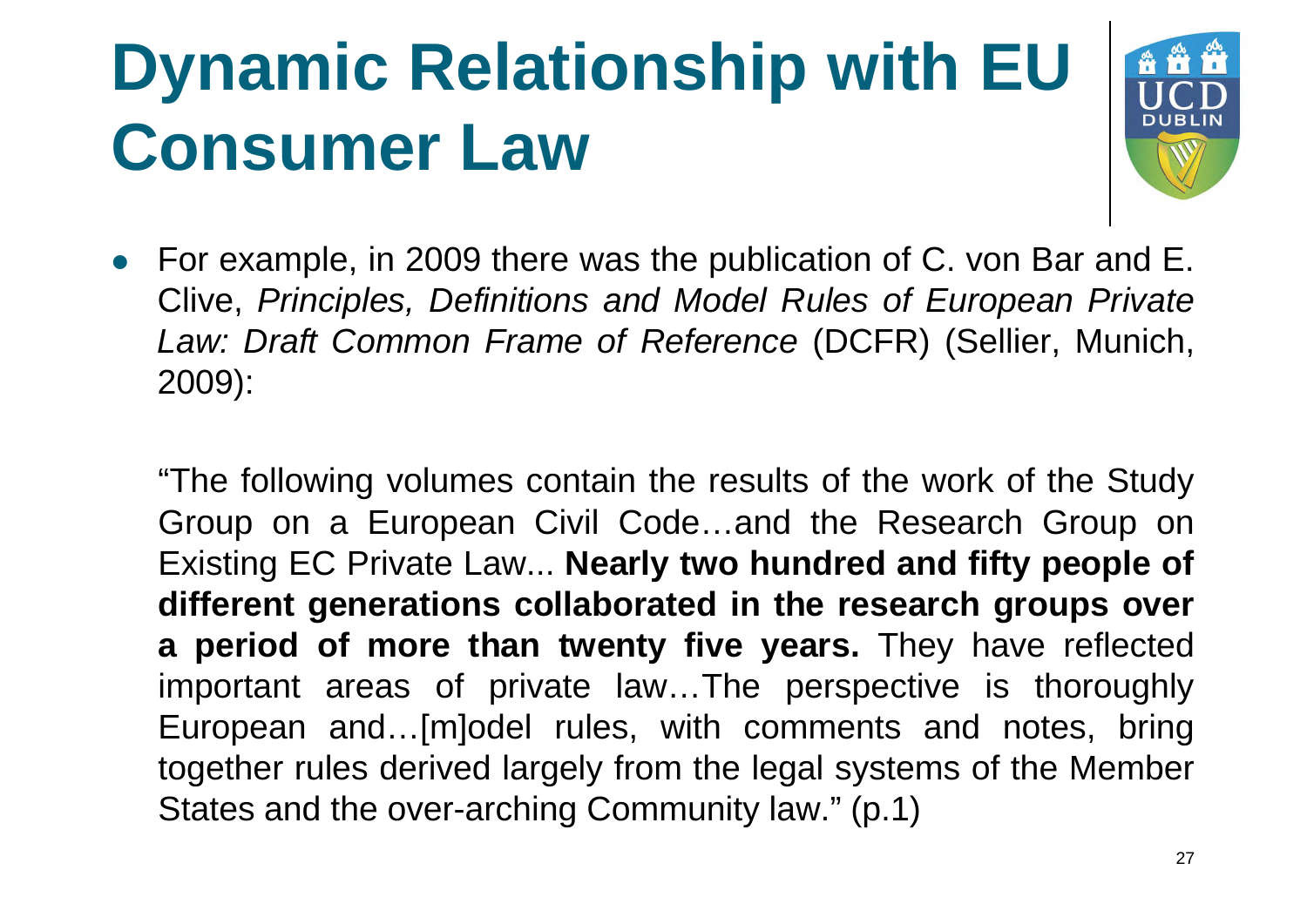

 For example, in 2009 there was the publication of C. von Bar and E. Clive, *Principles, Definitions and Model Rules of European Private Law: Draft Common Frame of Reference* (DCFR) (Sellier, Munich, 2009):

"The following volumes contain the results of the work of the Study Group on a European Civil Code…and the Research Group on Existing EC Private Law... **Nearly two hundred and fifty people of different generations collaborated in the research groups over a period of more than twenty five years.** They have reflected important areas of private law…The perspective is thoroughly European and…[m]odel rules, with comments and notes, bring together rules derived largely from the legal systems of the Member States and the over-arching Community law." (p.1)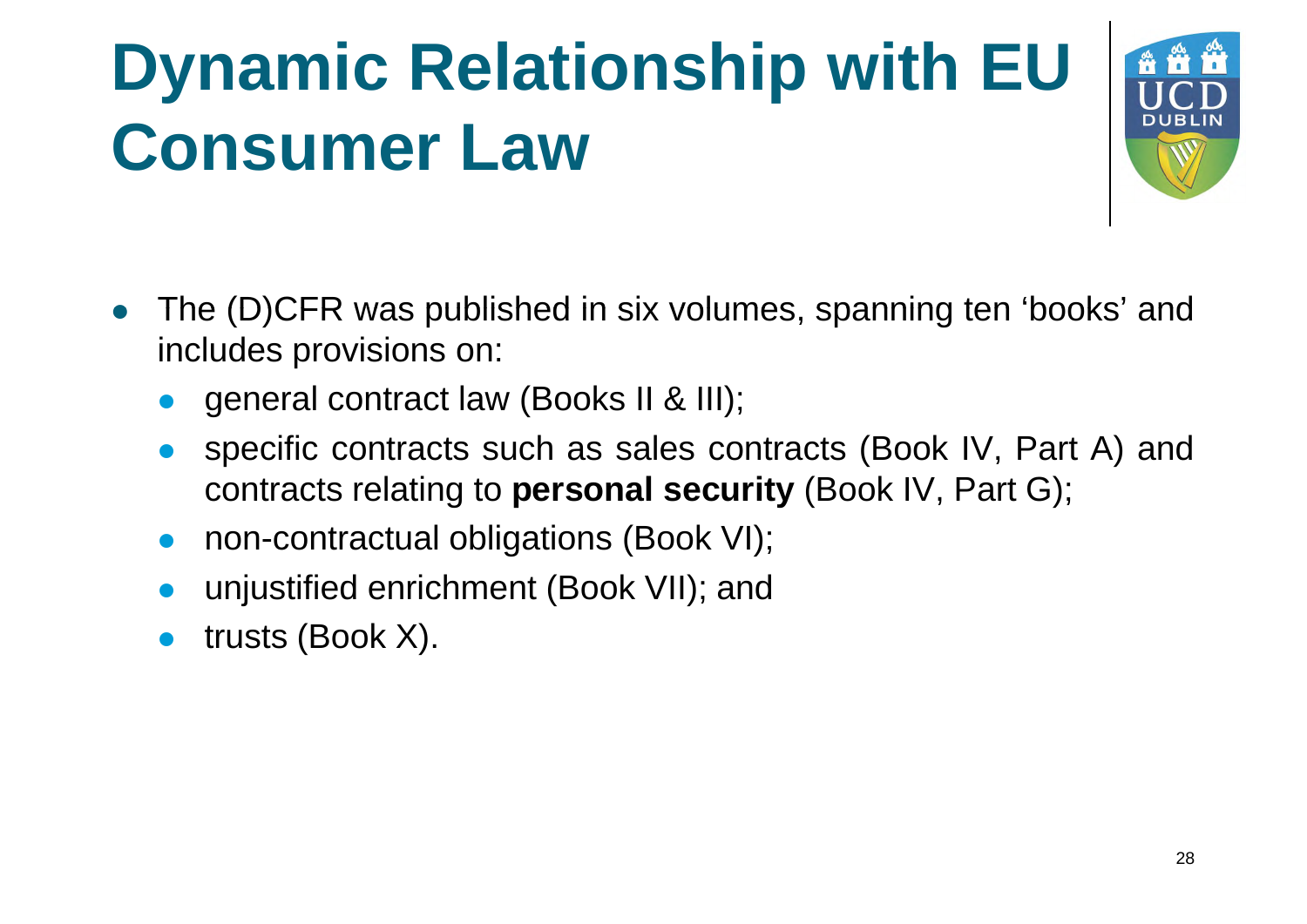

- The (D)CFR was published in six volumes, spanning ten 'books' and includes provisions on:
	- general contract law (Books II & III);
	- specific contracts such as sales contracts (Book IV, Part A) and contracts relating to **personal security** (Book IV, Part G);
	- non-contractual obligations (Book VI);
	- unjustified enrichment (Book VII); and
	- trusts (Book X).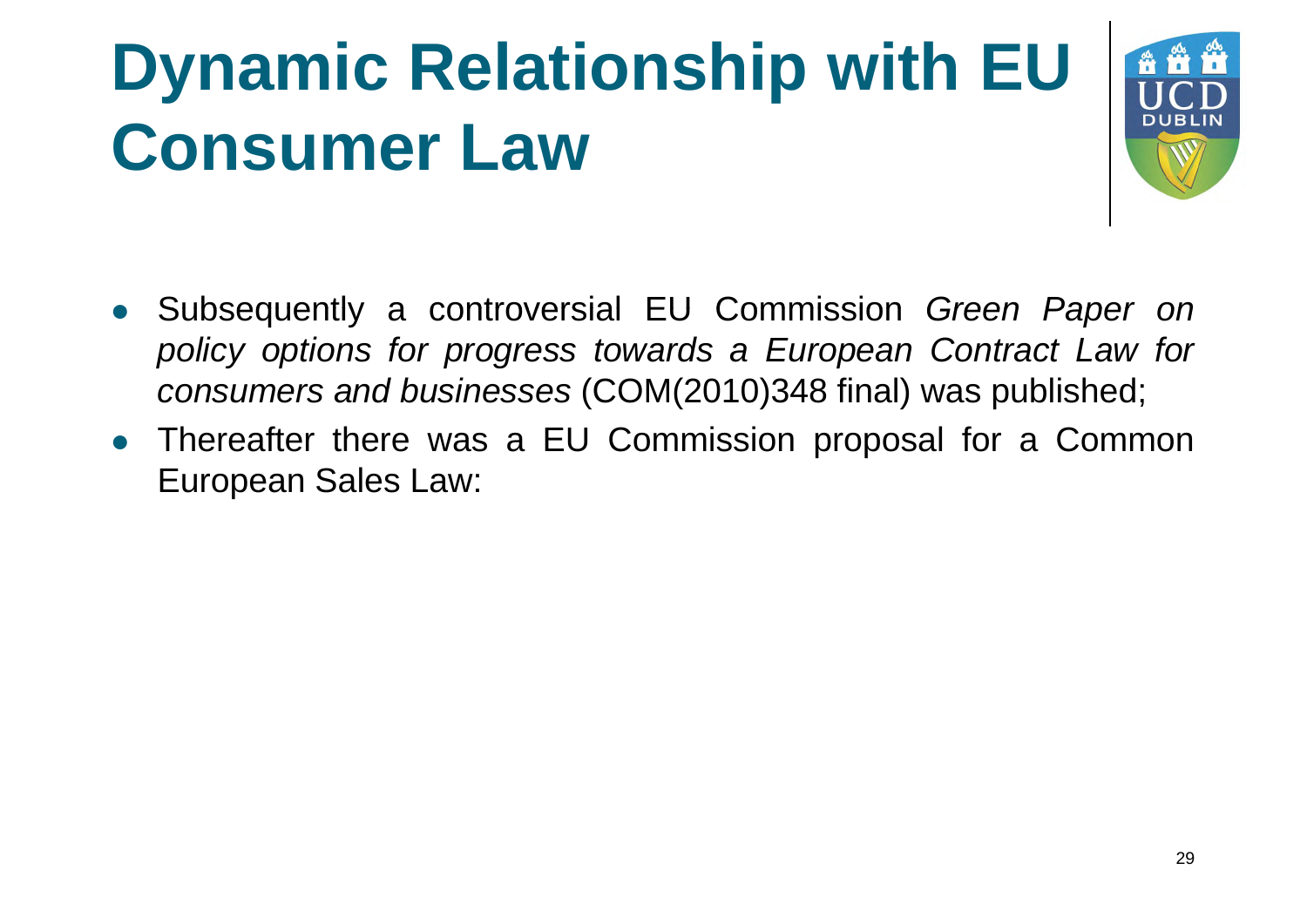

- Subsequently a controversial EU Commission *Green Paper on policy options for progress towards a European Contract Law for consumers and businesses* (COM(2010)348 final) was published;
- Thereafter there was a EU Commission proposal for a Common European Sales Law: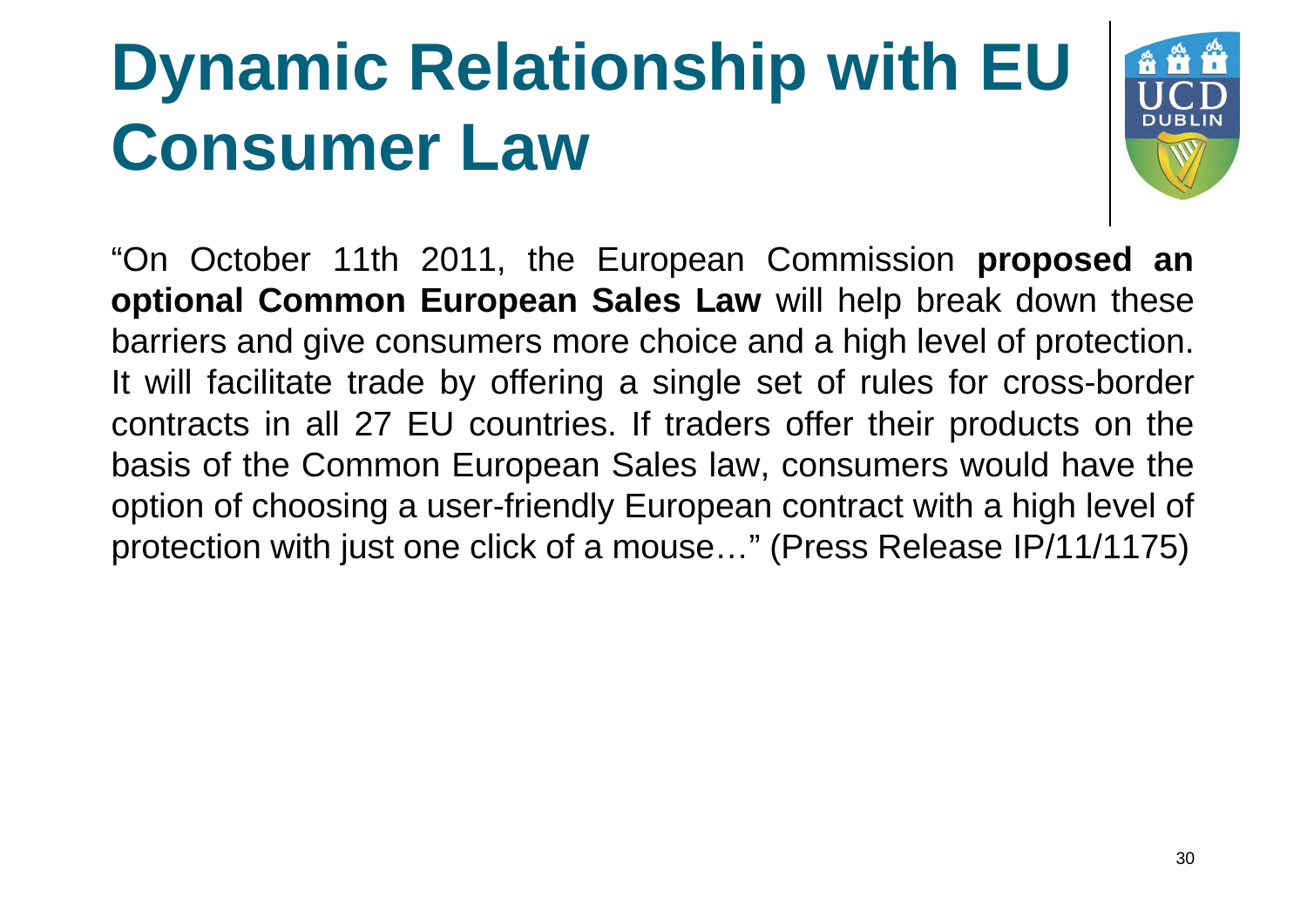

"On October 11th 2011, the European Commission **proposed an optional Common European Sales Law** will help break down these barriers and give consumers more choice and a high level of protection. It will facilitate trade by offering a single set of rules for cross-border contracts in all 27 EU countries. If traders offer their products on the basis of the Common European Sales law, consumers would have the option of choosing a user-friendly European contract with a high level of protection with just one click of a mouse…" (Press Release IP/11/1175)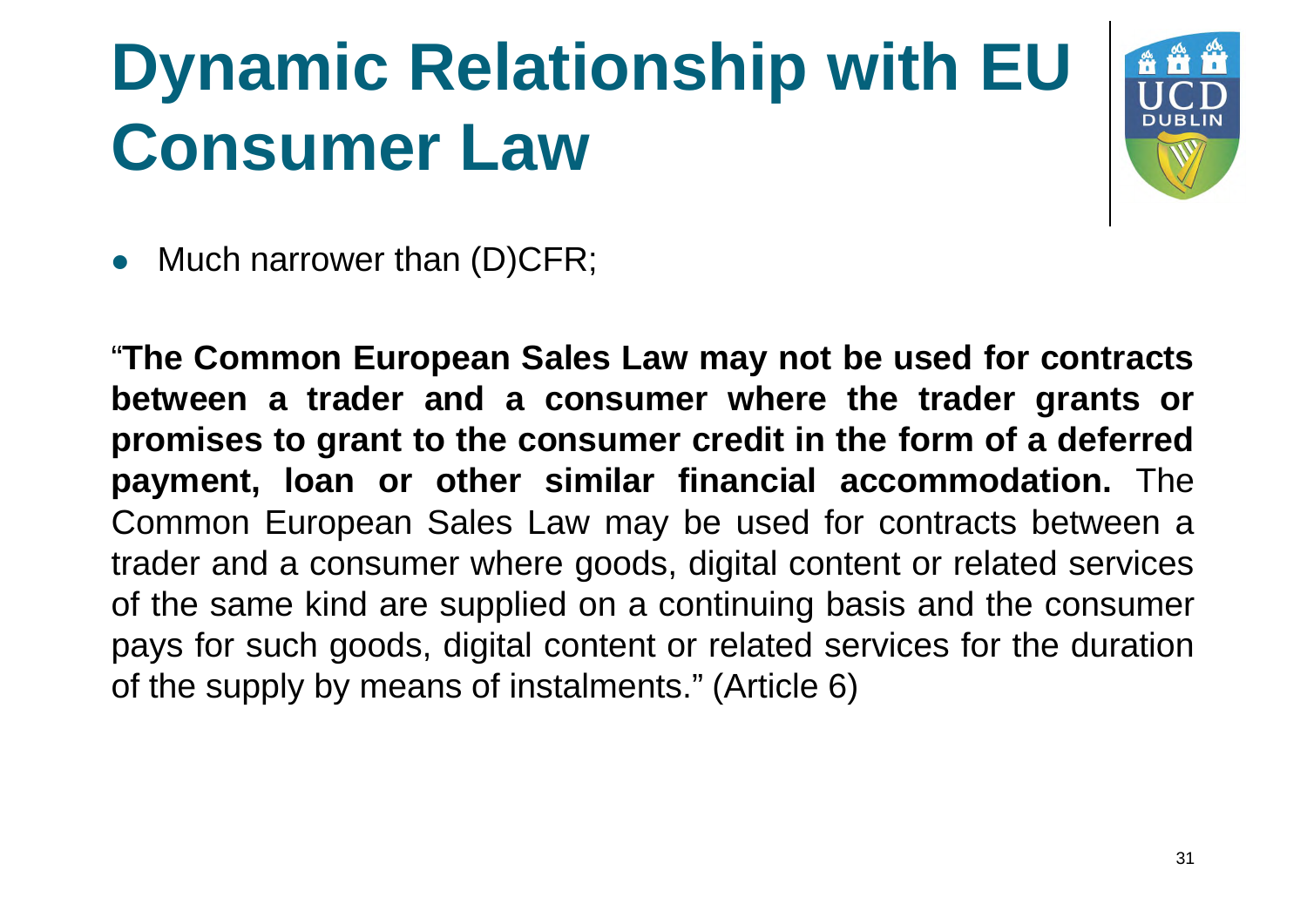

• Much narrower than (D)CFR;

"**The Common European Sales Law may not be used for contracts between a trader and a consumer where the trader grants or promises to grant to the consumer credit in the form of a deferred payment, loan or other similar financial accommodation.** The Common European Sales Law may be used for contracts between a trader and a consumer where goods, digital content or related services of the same kind are supplied on a continuing basis and the consumer pays for such goods, digital content or related services for the duration of the supply by means of instalments." (Article 6)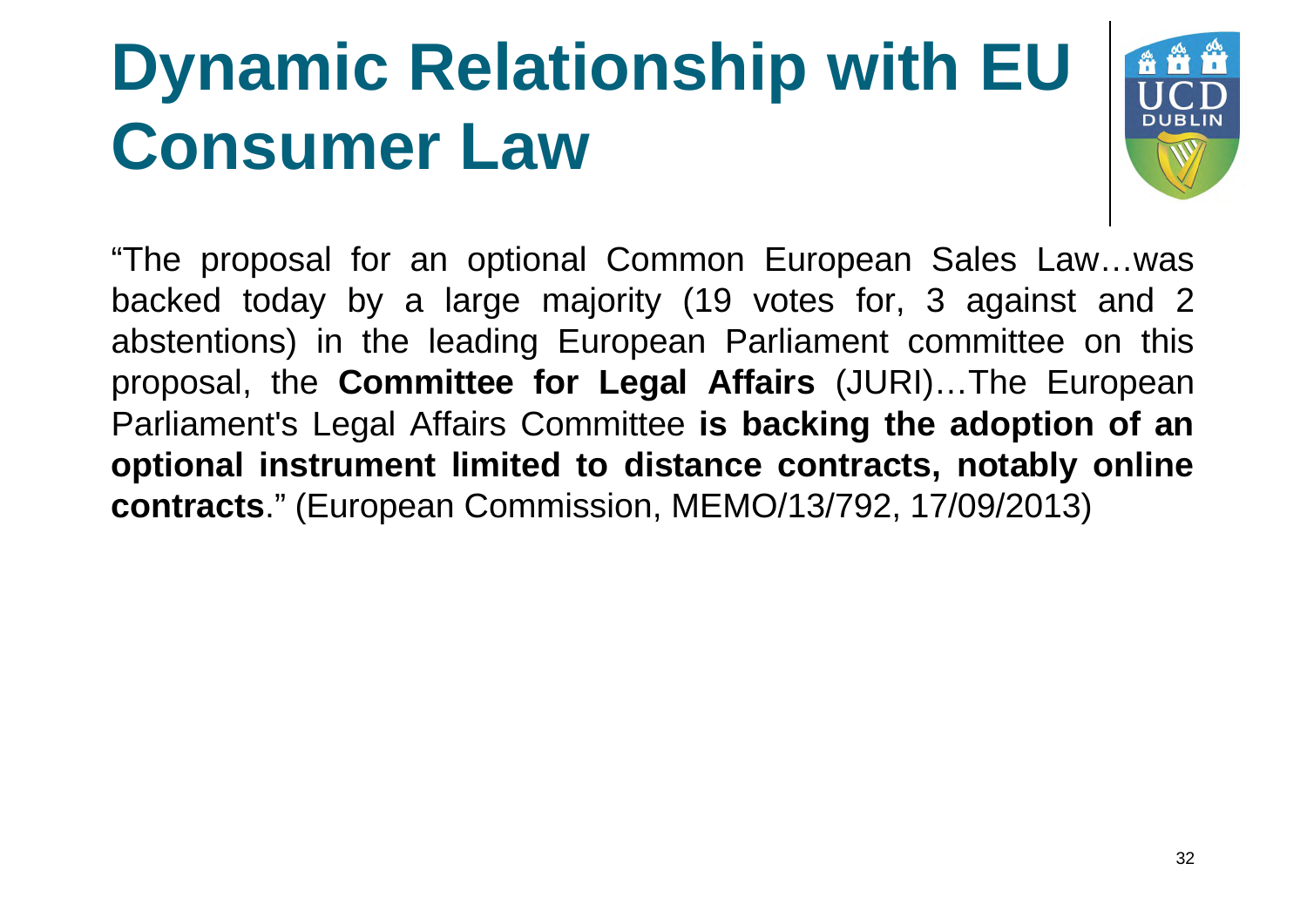

"The proposal for an optional Common European Sales Law…was backed today by a large majority (19 votes for, 3 against and 2 abstentions) in the leading European Parliament committee on this proposal, the **Committee for Legal Affairs** (JURI)…The European Parliament's Legal Affairs Committee **is backing the adoption of an optional instrument limited to distance contracts, notably online contracts**." (European Commission, MEMO/13/792, 17/09/2013)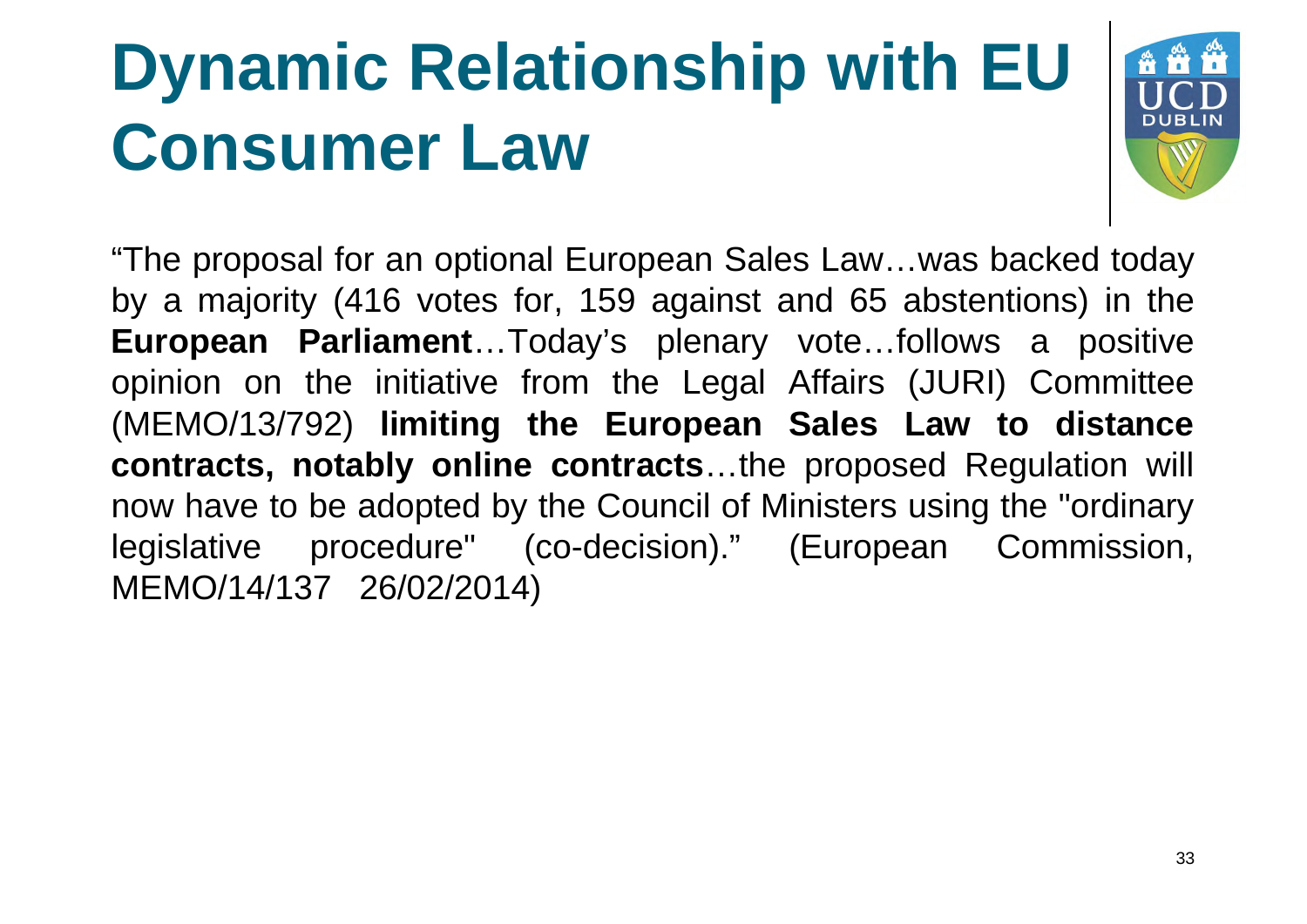

"The proposal for an optional European Sales Law…was backed today by a majority (416 votes for, 159 against and 65 abstentions) in the **European Parliament**…Today's plenary vote…follows a positive opinion on the initiative from the Legal Affairs (JURI) Committee (MEMO/13/792) **limiting the European Sales Law to distance contracts, notably online contracts**…the proposed Regulation will now have to be adopted by the Council of Ministers using the "ordinary legislative procedure" (co-decision)." (European Commission, MEMO/14/137 26/02/2014)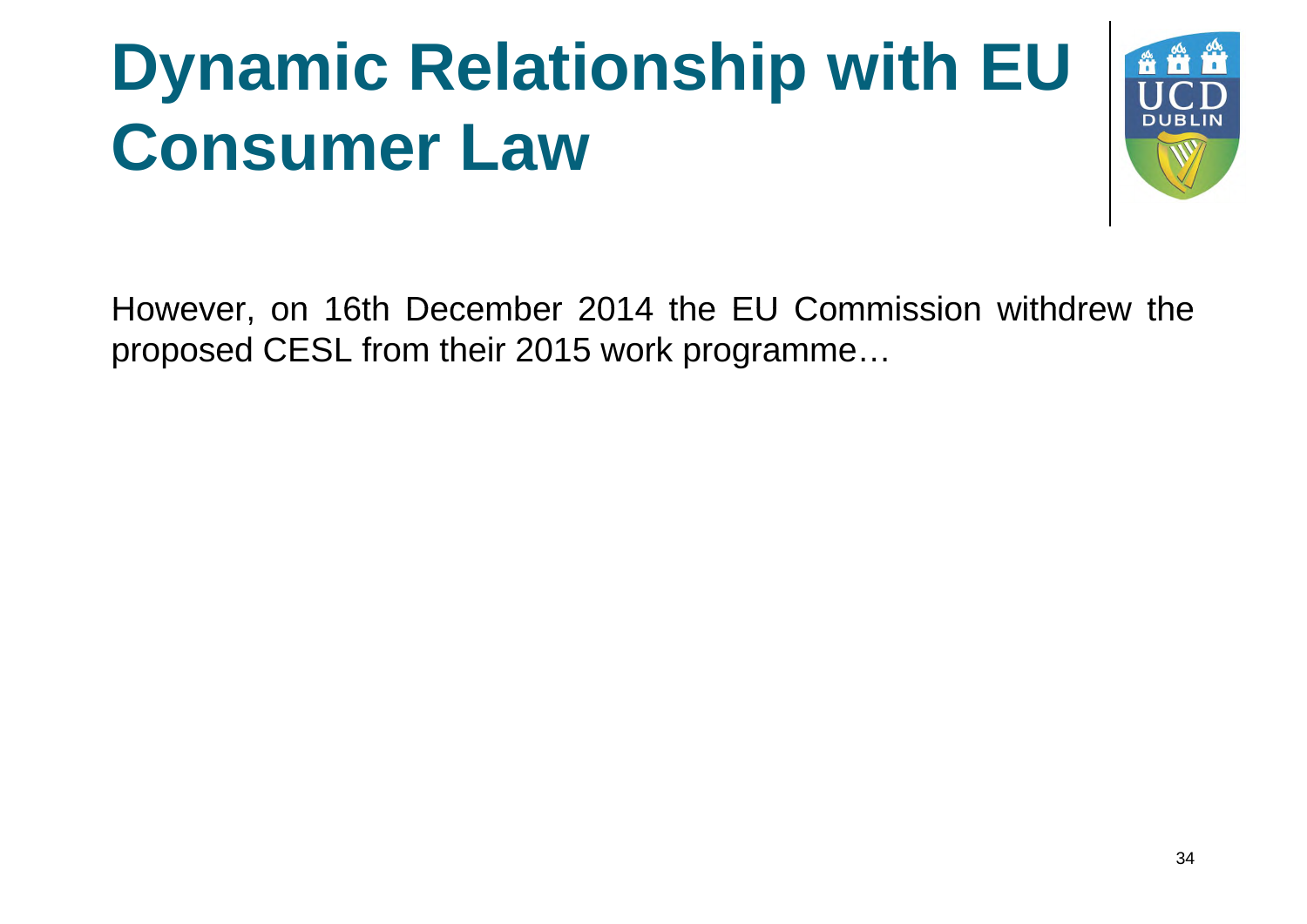

However, on 16th December 2014 the EU Commission withdrew the proposed CESL from their 2015 work programme…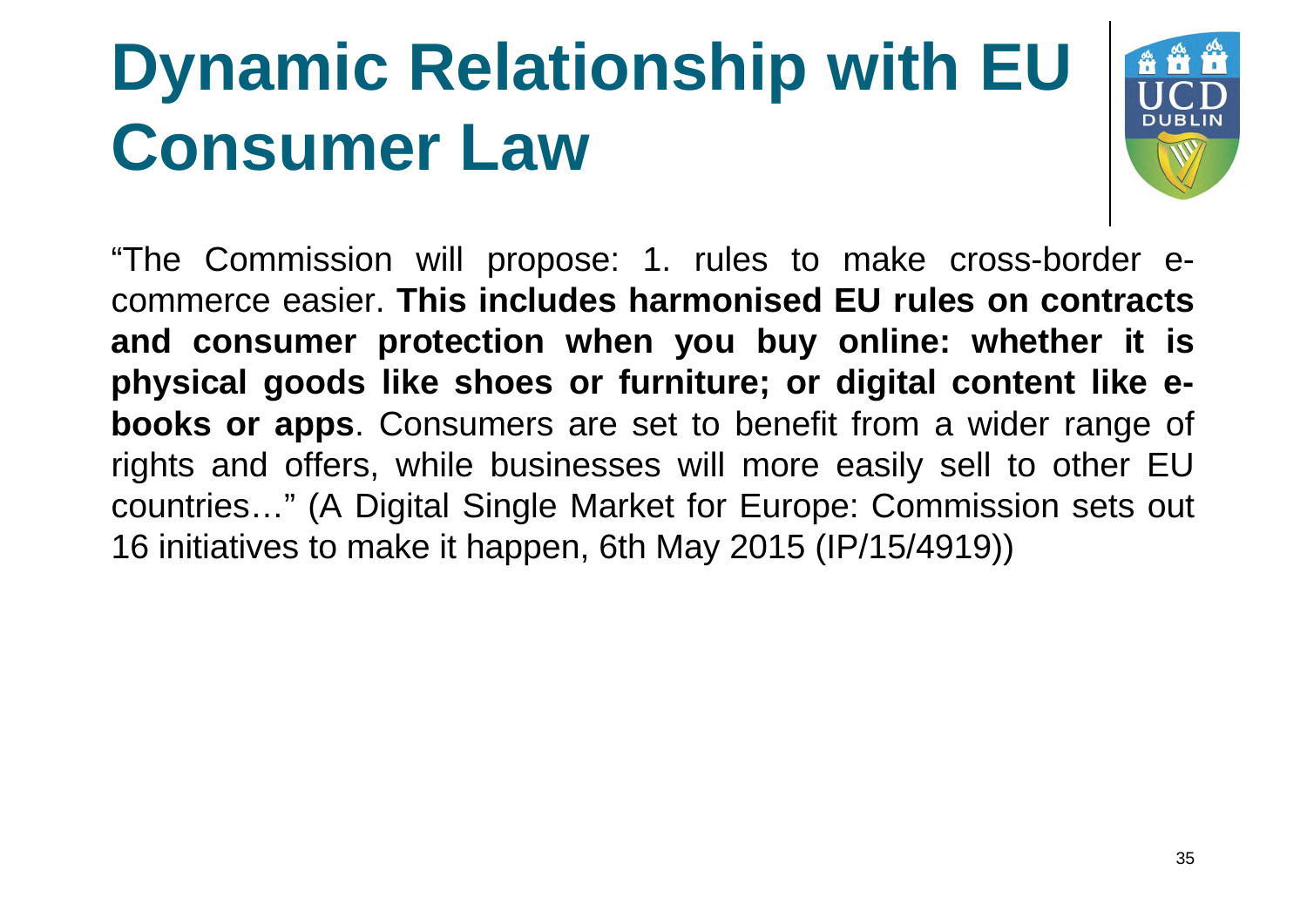

"The Commission will propose: 1. rules to make cross-border ecommerce easier. **This includes harmonised EU rules on contracts and consumer protection when you buy online: whether it is physical goods like shoes or furniture; or digital content like ebooks or apps**. Consumers are set to benefit from a wider range of rights and offers, while businesses will more easily sell to other EU countries…" (A Digital Single Market for Europe: Commission sets out 16 initiatives to make it happen, 6th May 2015 (IP/15/4919))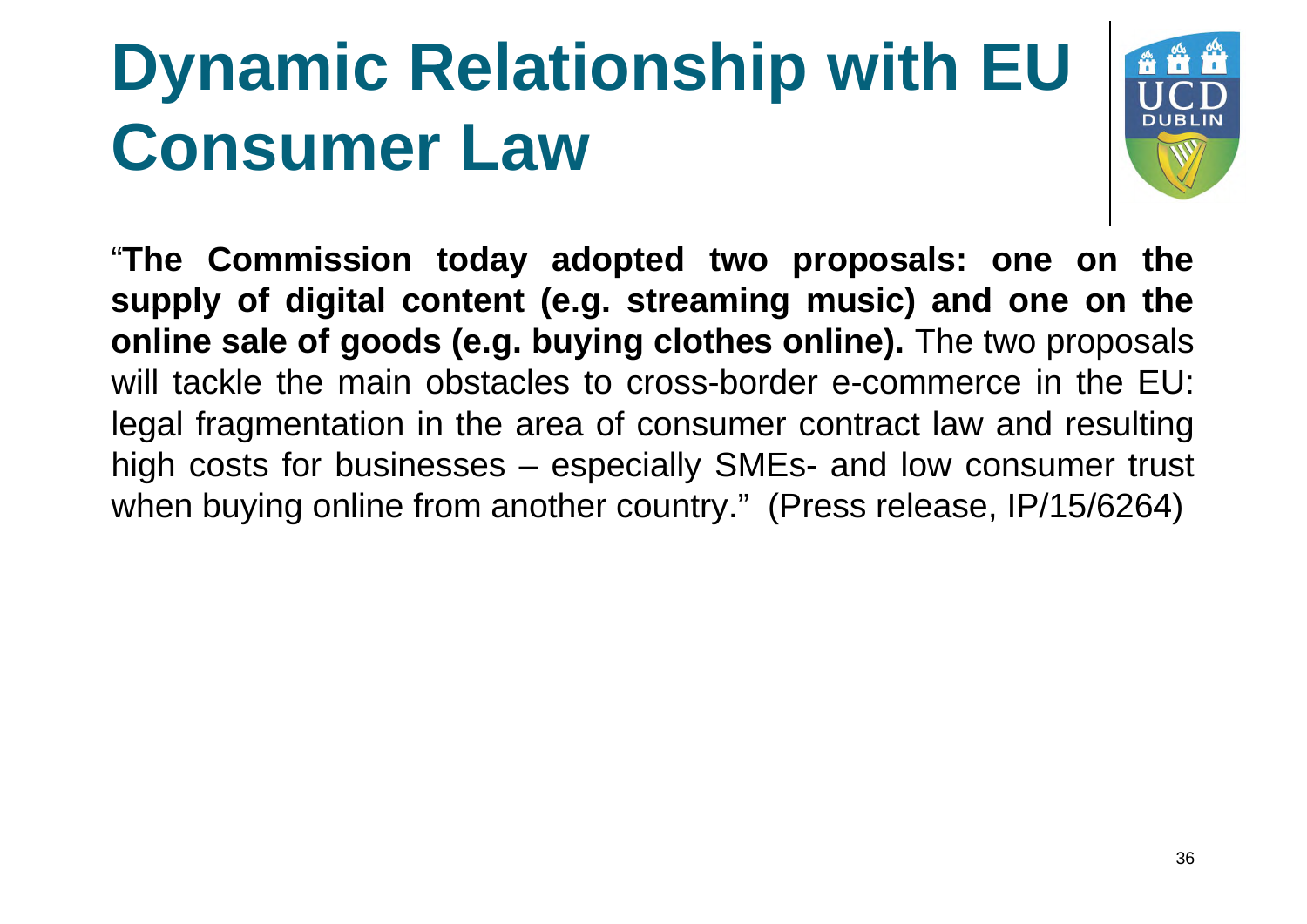

"**The Commission today adopted two proposals: one on the supply of digital content (e.g. streaming music) and one on the online sale of goods (e.g. buying clothes online).** The two proposals will tackle the main obstacles to cross-border e-commerce in the EU: legal fragmentation in the area of consumer contract law and resulting high costs for businesses – especially SMEs- and low consumer trust when buying online from another country." (Press release, IP/15/6264)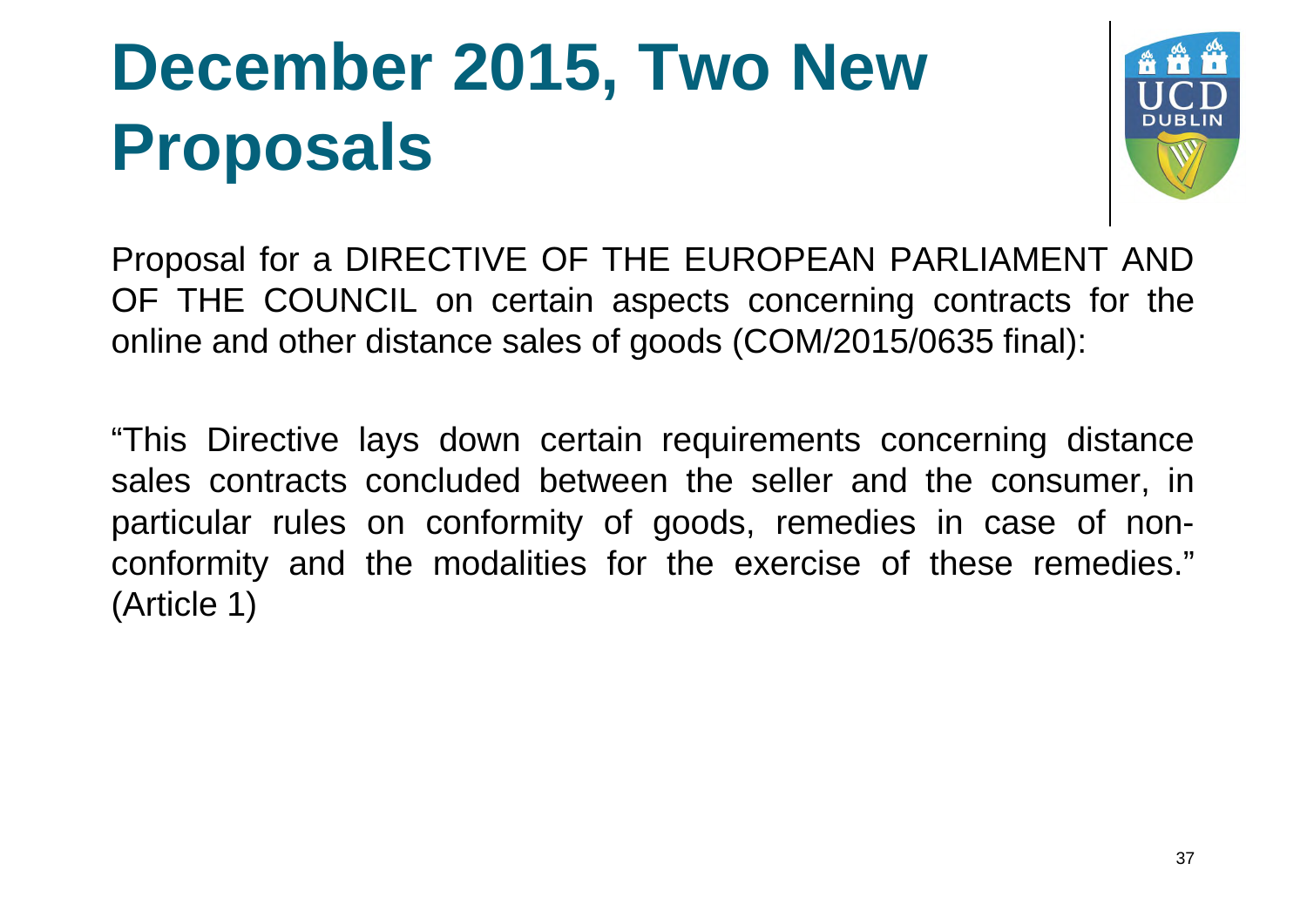

Proposal for a DIRECTIVE OF THE EUROPEAN PARLIAMENT AND OF THE COUNCIL on certain aspects concerning contracts for the online and other distance sales of goods (COM/2015/0635 final):

"This Directive lays down certain requirements concerning distance sales contracts concluded between the seller and the consumer, in particular rules on conformity of goods, remedies in case of nonconformity and the modalities for the exercise of these remedies." (Article 1)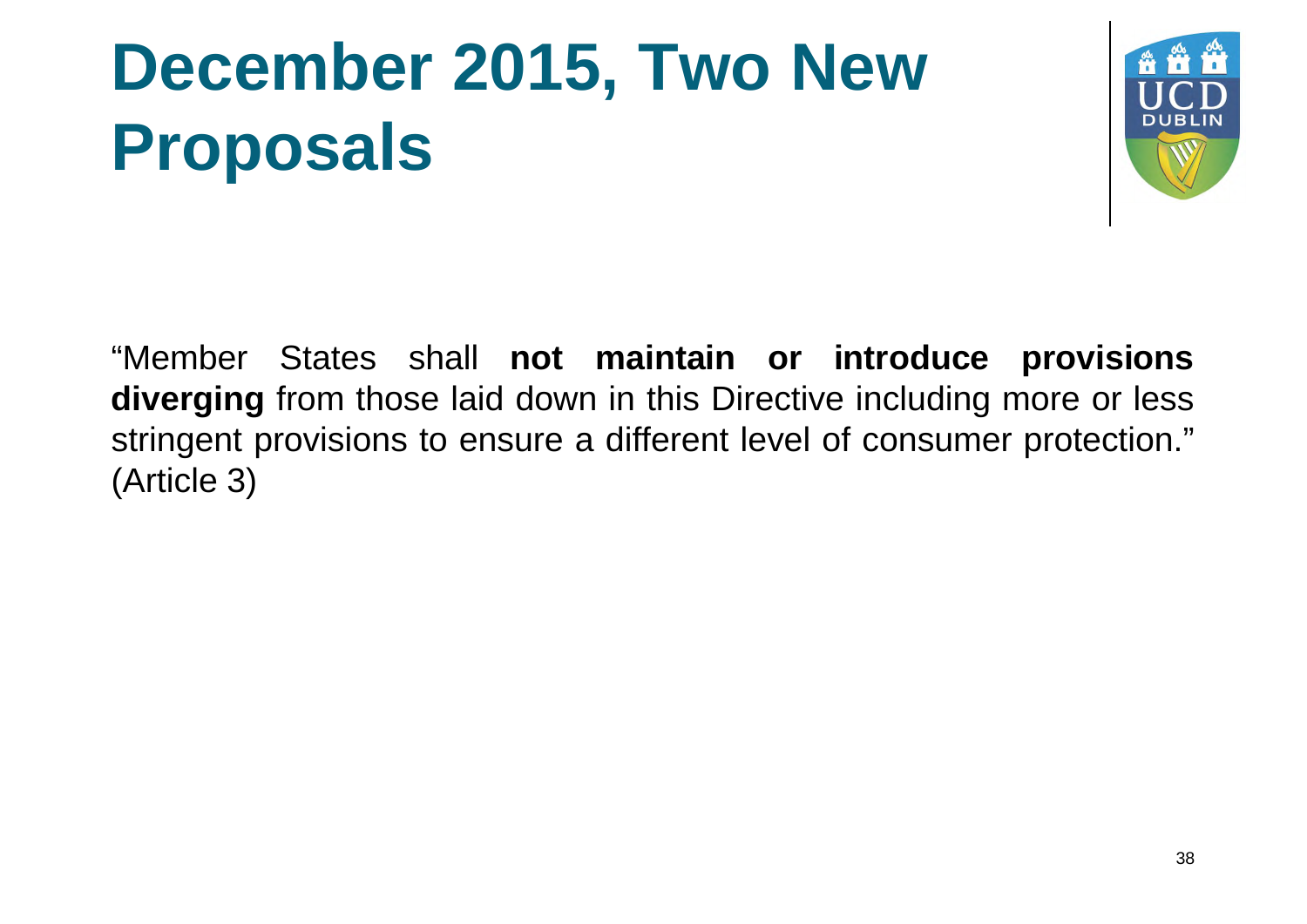

"Member States shall **not maintain or introduce provisions diverging** from those laid down in this Directive including more or less stringent provisions to ensure a different level of consumer protection." (Article 3)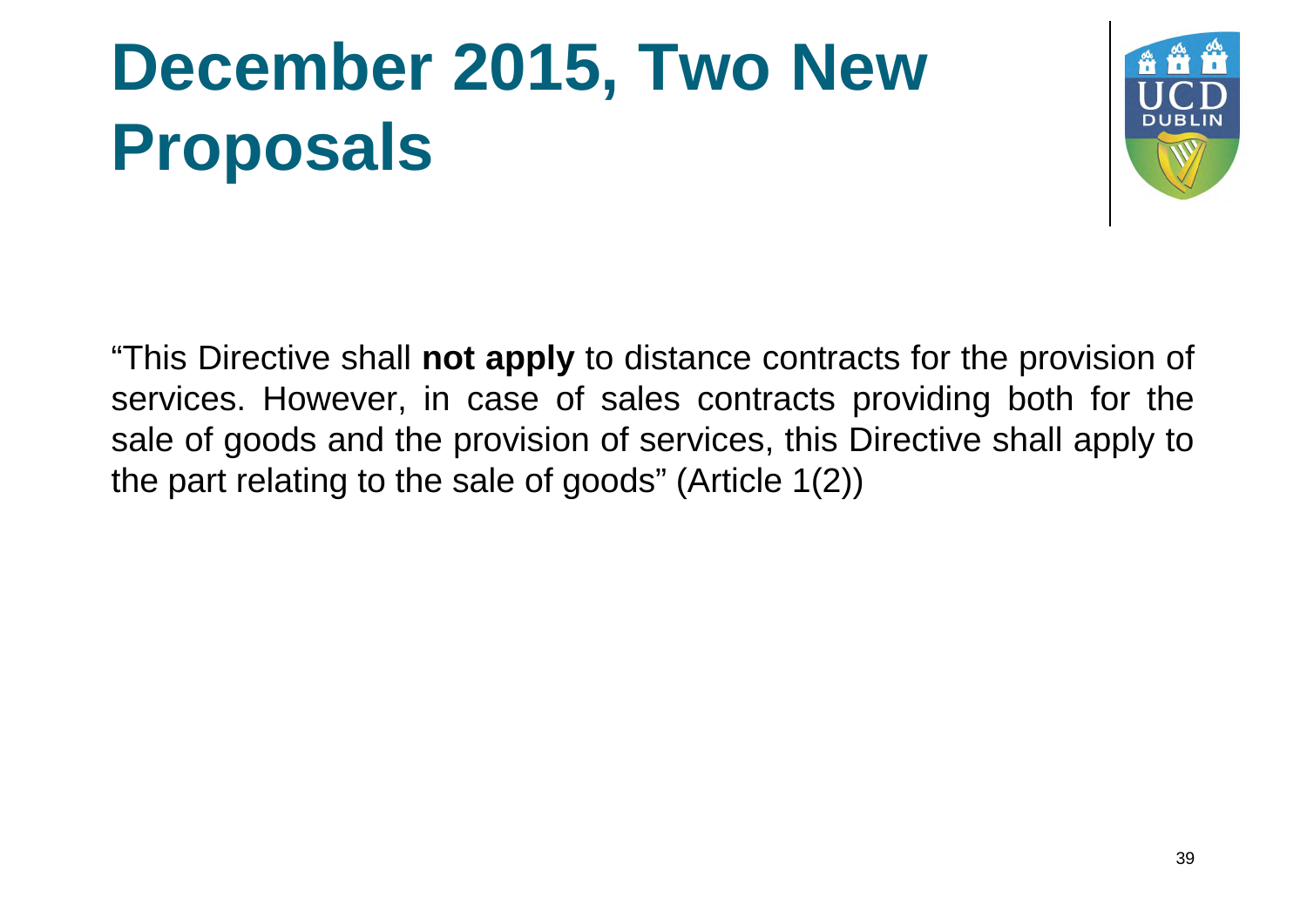

"This Directive shall **not apply** to distance contracts for the provision of services. However, in case of sales contracts providing both for the sale of goods and the provision of services, this Directive shall apply to the part relating to the sale of goods" (Article 1(2))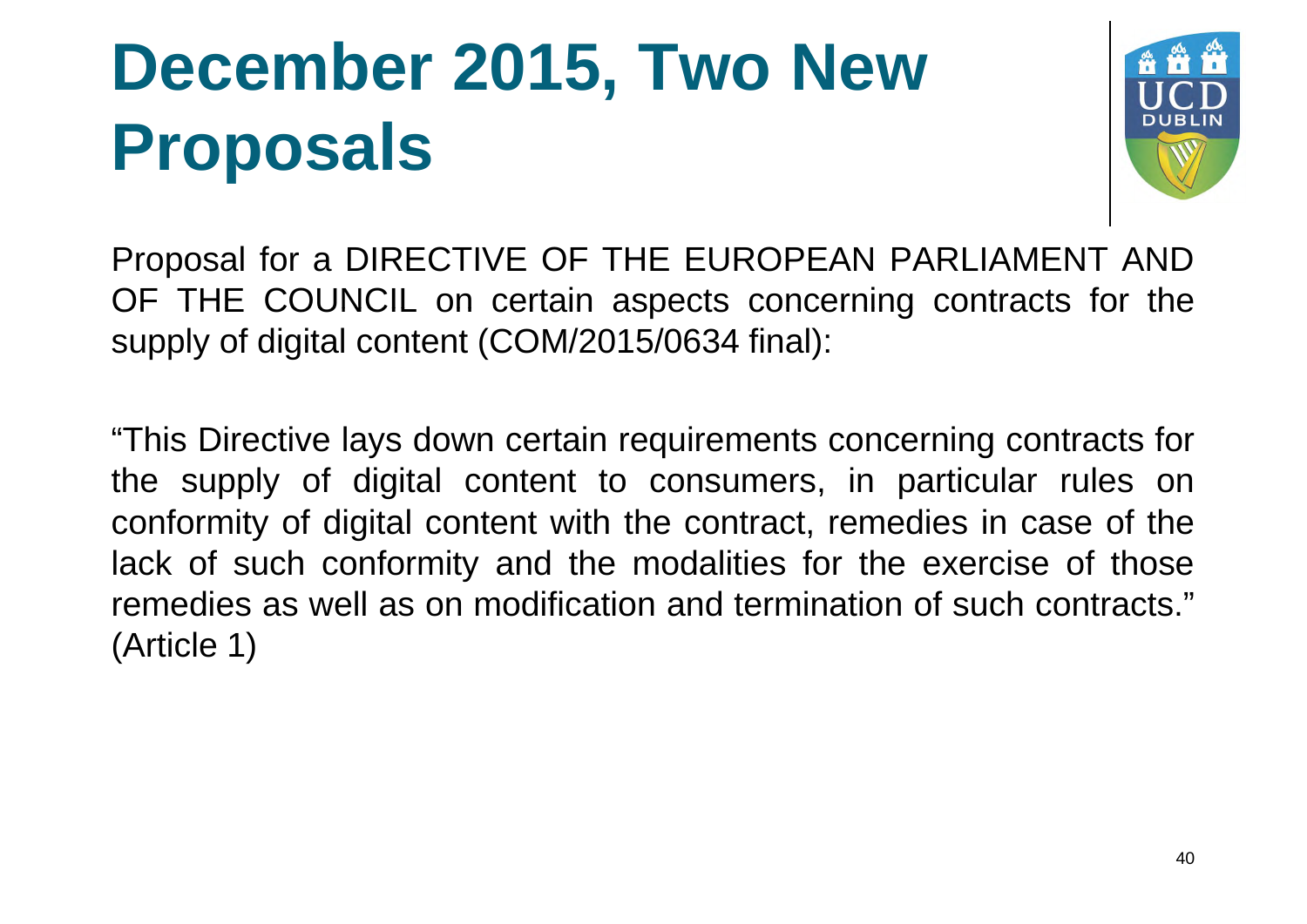

Proposal for a DIRECTIVE OF THE EUROPEAN PARLIAMENT AND OF THE COUNCIL on certain aspects concerning contracts for the supply of digital content (COM/2015/0634 final):

"This Directive lays down certain requirements concerning contracts for the supply of digital content to consumers, in particular rules on conformity of digital content with the contract, remedies in case of the lack of such conformity and the modalities for the exercise of those remedies as well as on modification and termination of such contracts." (Article 1)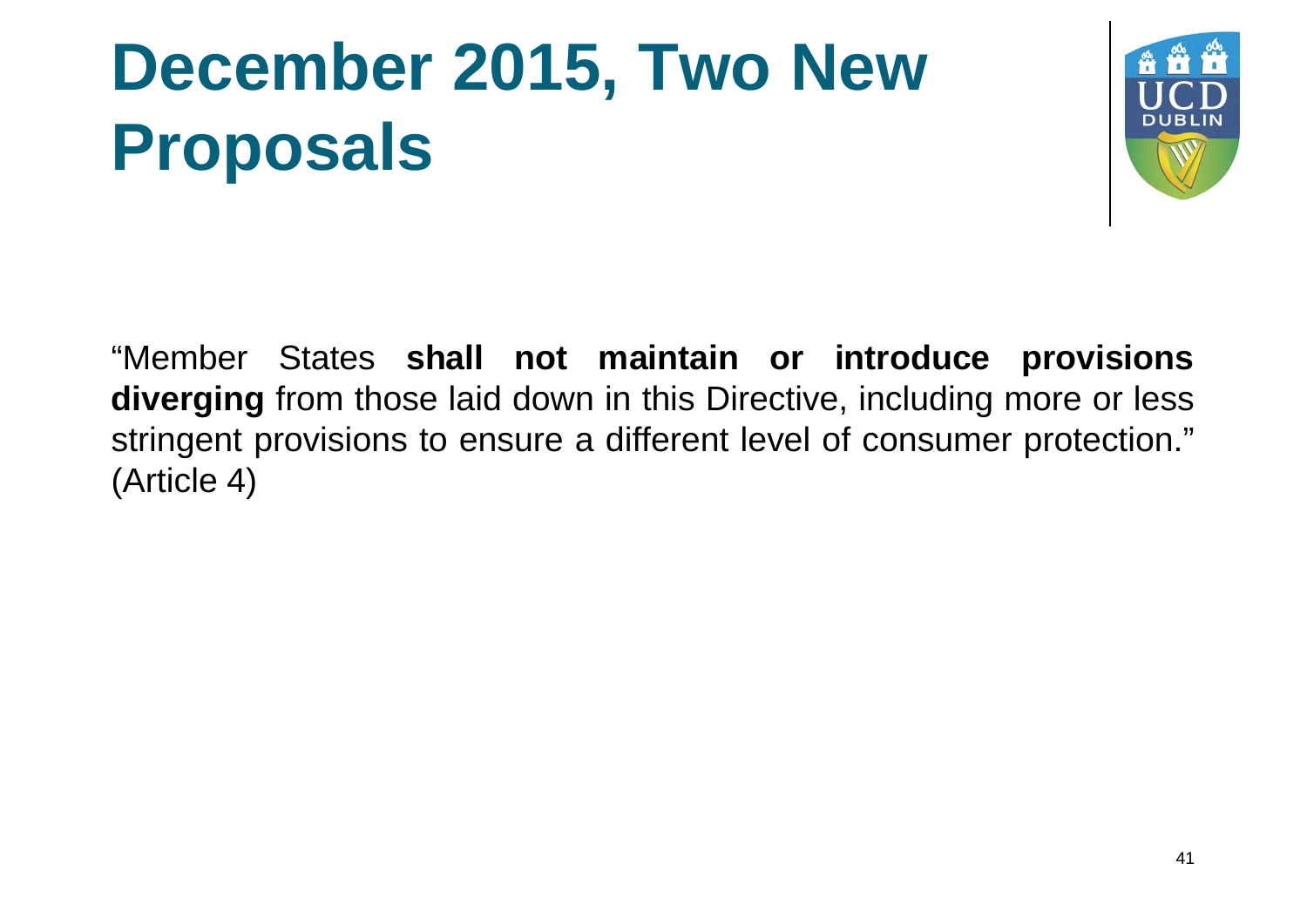

"Member States **shall not maintain or introduce provisions diverging** from those laid down in this Directive, including more or less stringent provisions to ensure a different level of consumer protection." (Article 4)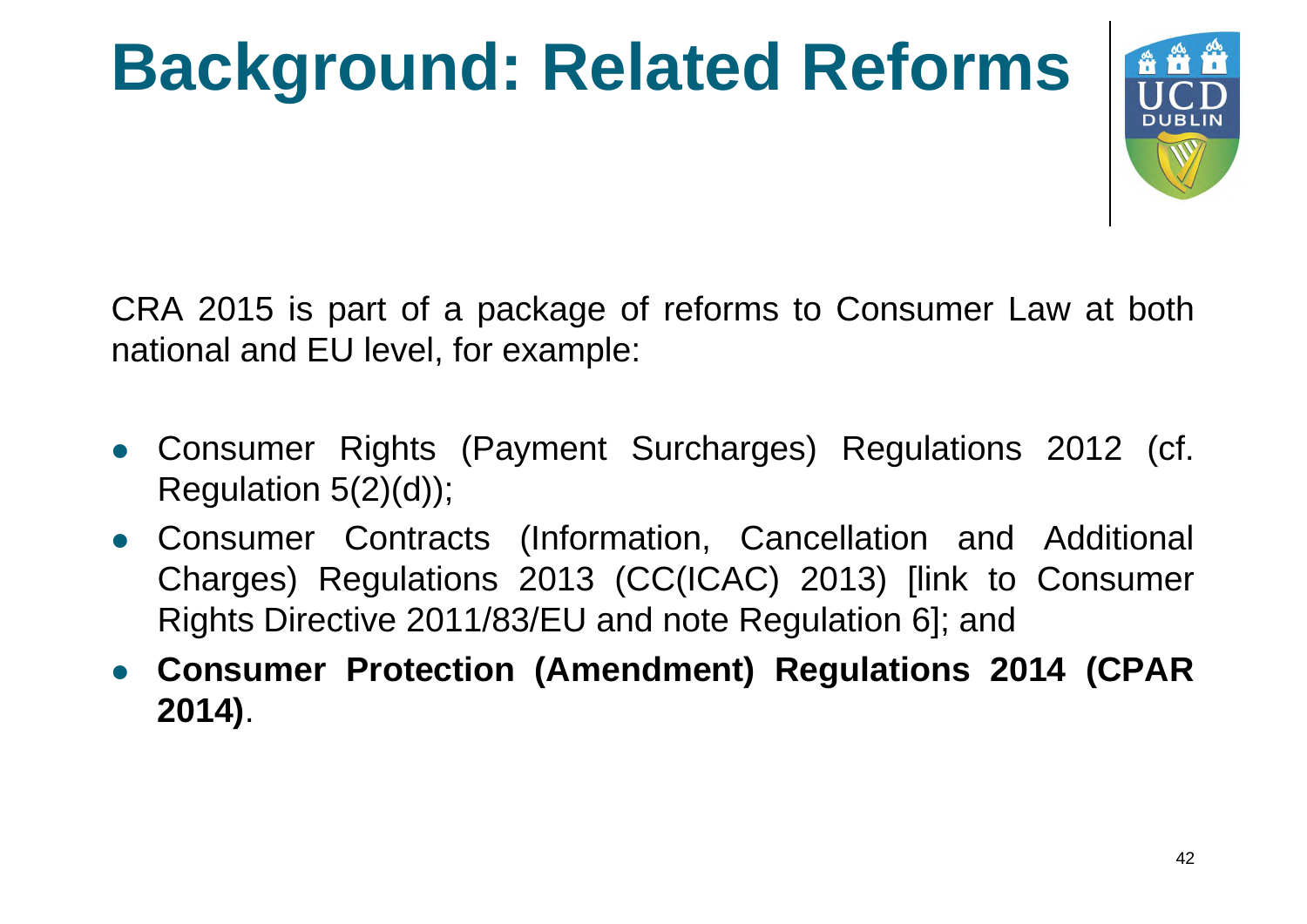# **Background: Related Reforms**



CRA 2015 is part of a package of reforms to Consumer Law at both national and EU level, for example:

- Consumer Rights (Payment Surcharges) Regulations 2012 (cf. Regulation  $5(2)(d)$ ;
- Consumer Contracts (Information, Cancellation and Additional Charges) Regulations 2013 (CC(ICAC) 2013) [link to Consumer Rights Directive 2011/83/EU and note Regulation 6]; and
- **Consumer Protection (Amendment) Regulations 2014 (CPAR 2014)**.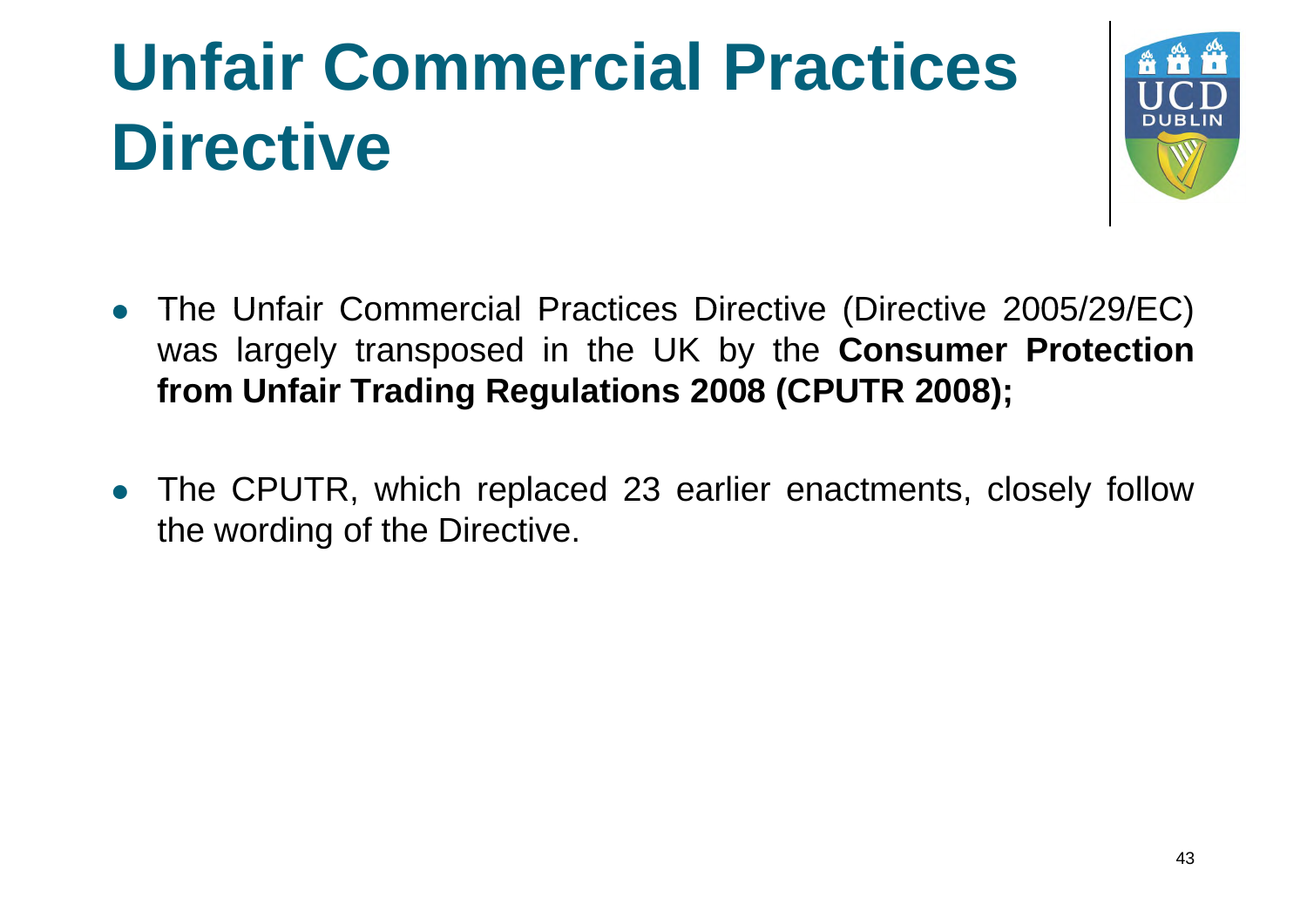### **Unfair Commercial Practices Directive**



- The Unfair Commercial Practices Directive (Directive 2005/29/EC) was largely transposed in the UK by the **Consumer Protection from Unfair Trading Regulations 2008 (CPUTR 2008);**
- The CPUTR, which replaced 23 earlier enactments, closely follow the wording of the Directive.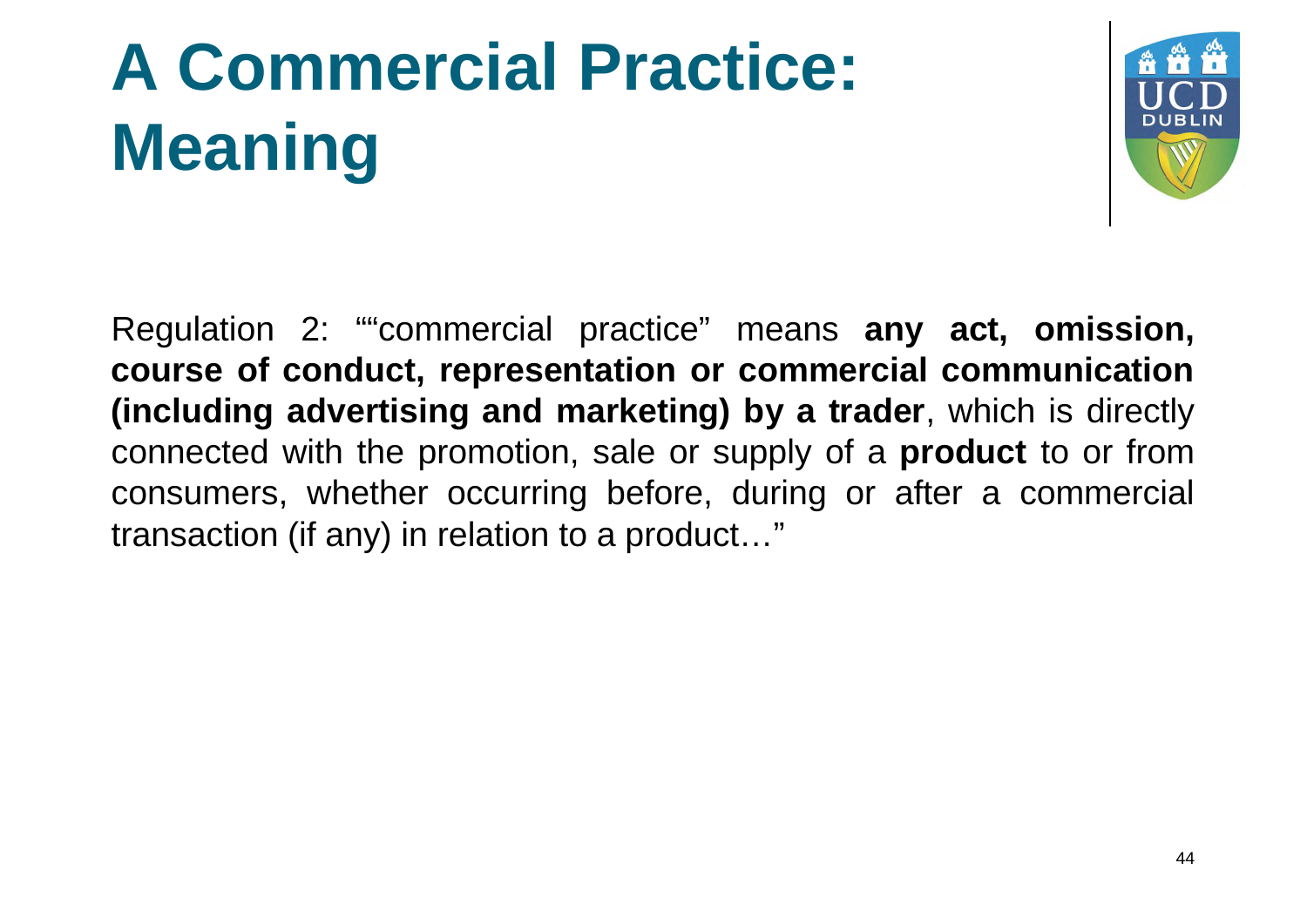## **A Commercial Practice: Meaning**



Regulation 2: ""commercial practice" means **any act, omission, course of conduct, representation or commercial communication (including advertising and marketing) by a trader**, which is directly connected with the promotion, sale or supply of a **product** to or from consumers, whether occurring before, during or after a commercial transaction (if any) in relation to a product…"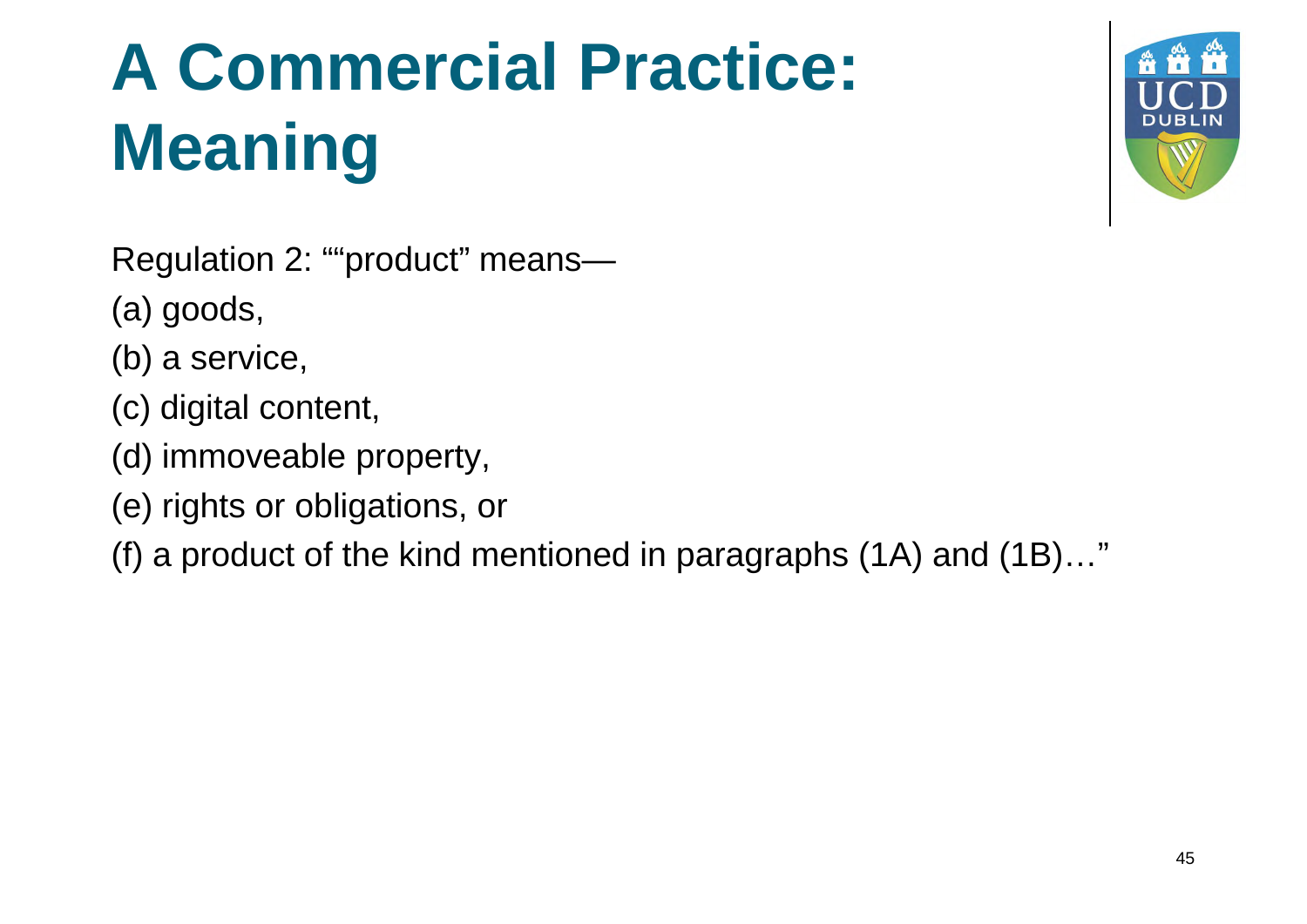## **A Commercial Practice: Meaning**



Regulation 2: ""product" means—

(a) goods,

- (b) a service,
- (c) digital content,
- (d) immoveable property,
- (e) rights or obligations, or

(f) a product of the kind mentioned in paragraphs (1A) and (1B)…"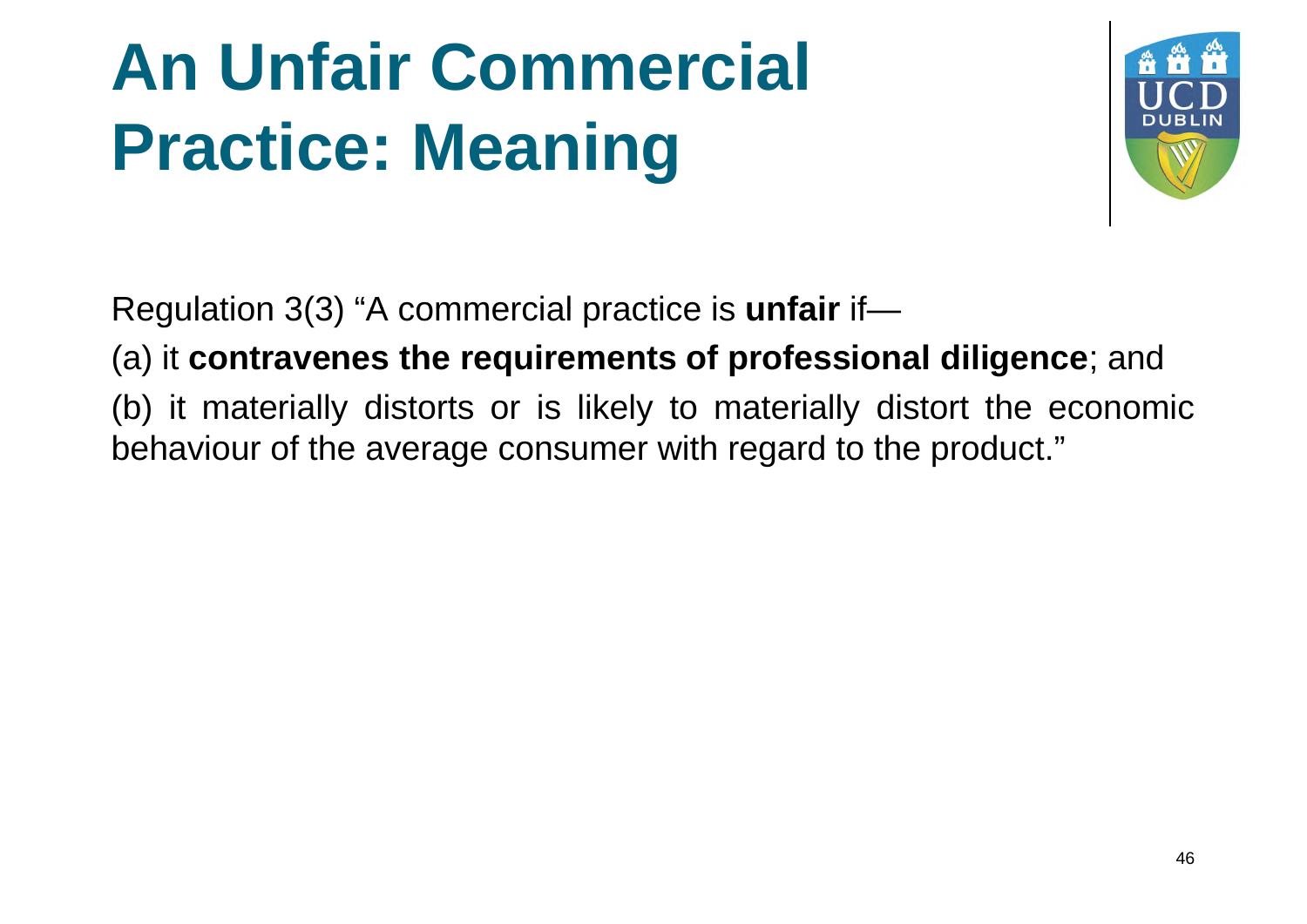### **An Unfair Commercial Practice: Meaning**



Regulation 3(3) "A commercial practice is **unfair** if—

(a) it **contravenes the requirements of professional diligence**; and

(b) it materially distorts or is likely to materially distort the economic behaviour of the average consumer with regard to the product."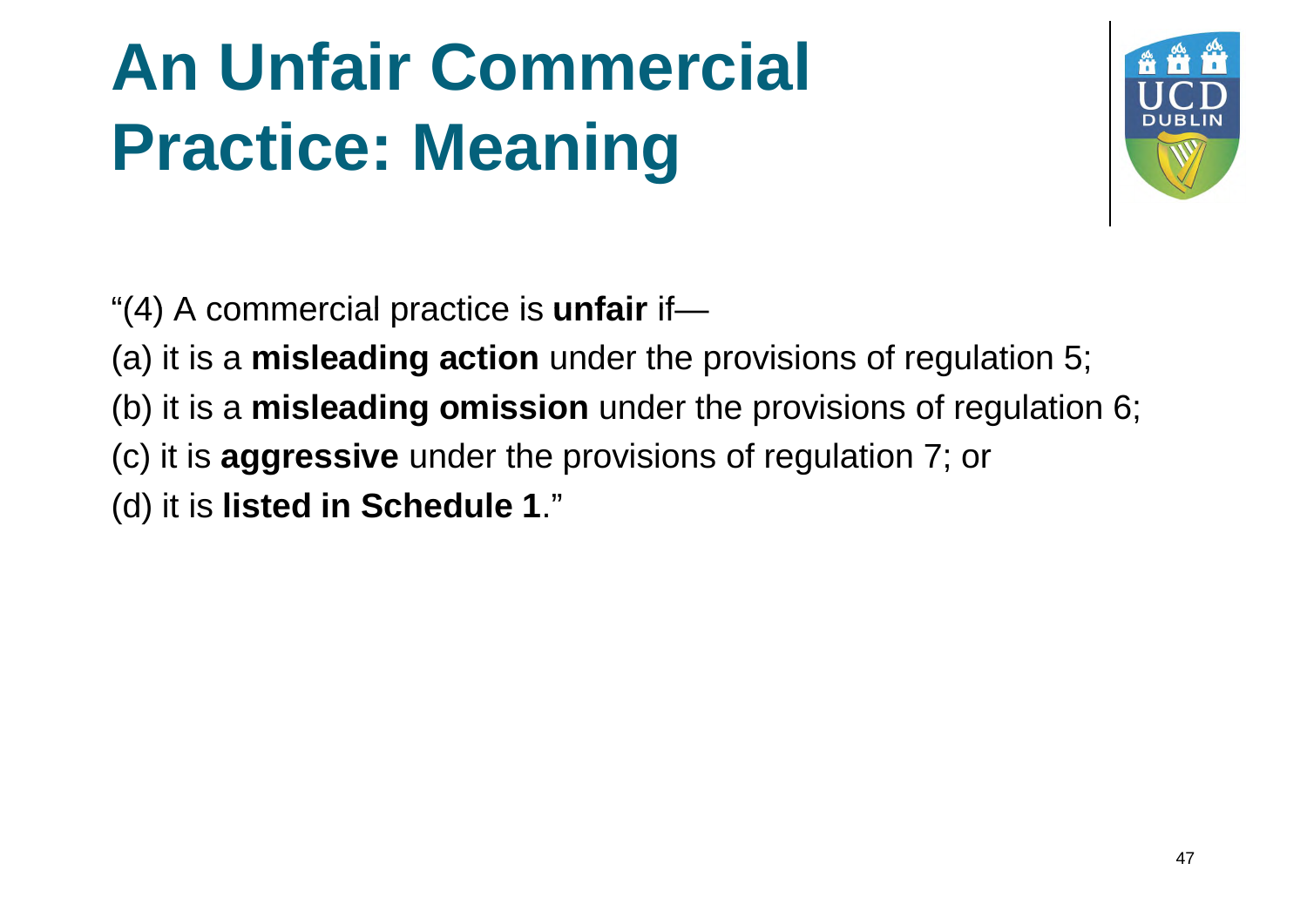#### **An Unfair Commercial Practice: Meaning**



"(4) A commercial practice is **unfair** if—

- (a) it is a **misleading action** under the provisions of regulation 5;
- (b) it is a **misleading omission** under the provisions of regulation 6;
- (c) it is **aggressive** under the provisions of regulation 7; or
- (d) it is **listed in Schedule 1**."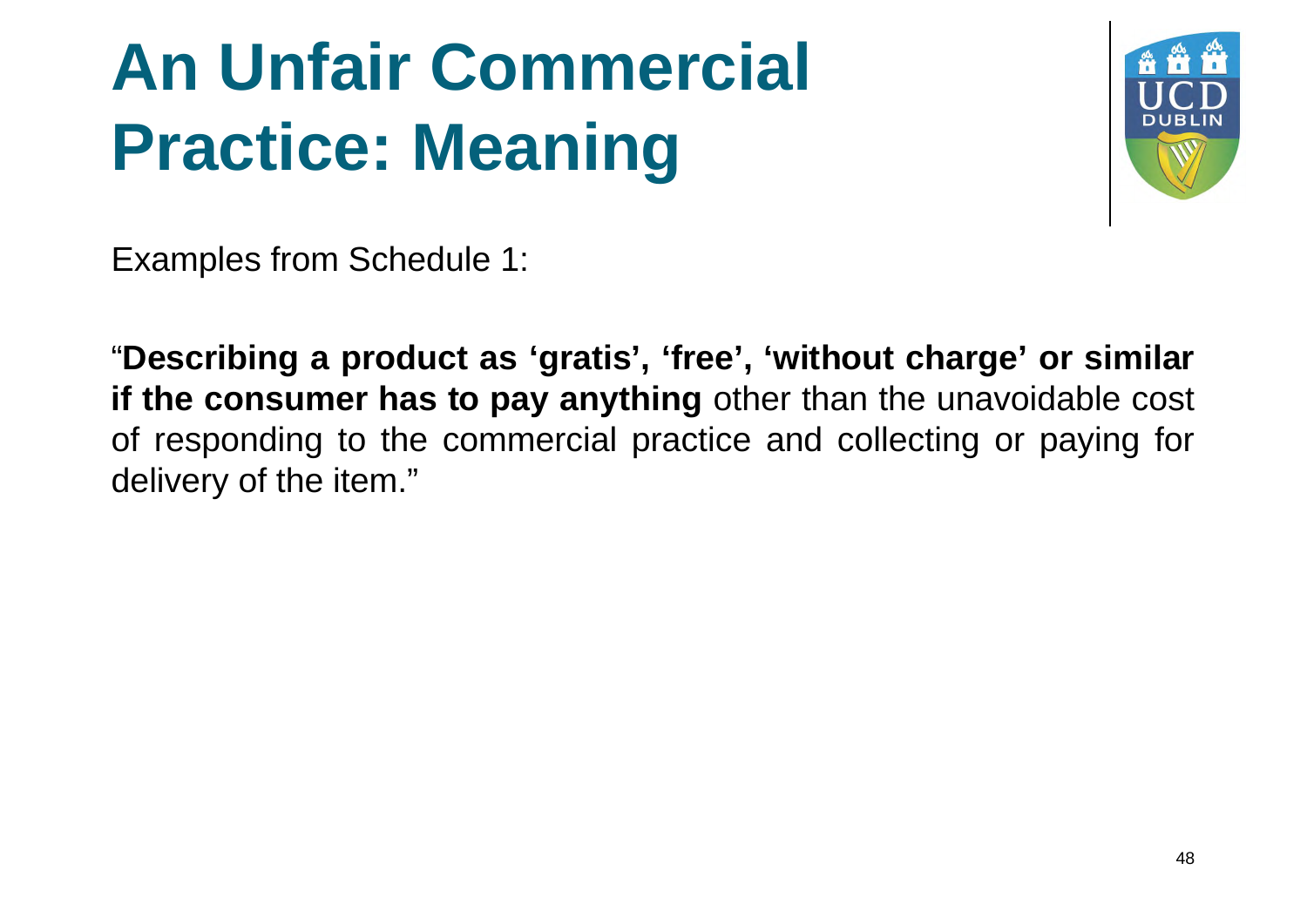#### **An Unfair Commercial Practice: Meaning**



Examples from Schedule 1:

"**Describing a product as 'gratis', 'free', 'without charge' or similar if the consumer has to pay anything** other than the unavoidable cost of responding to the commercial practice and collecting or paying for delivery of the item."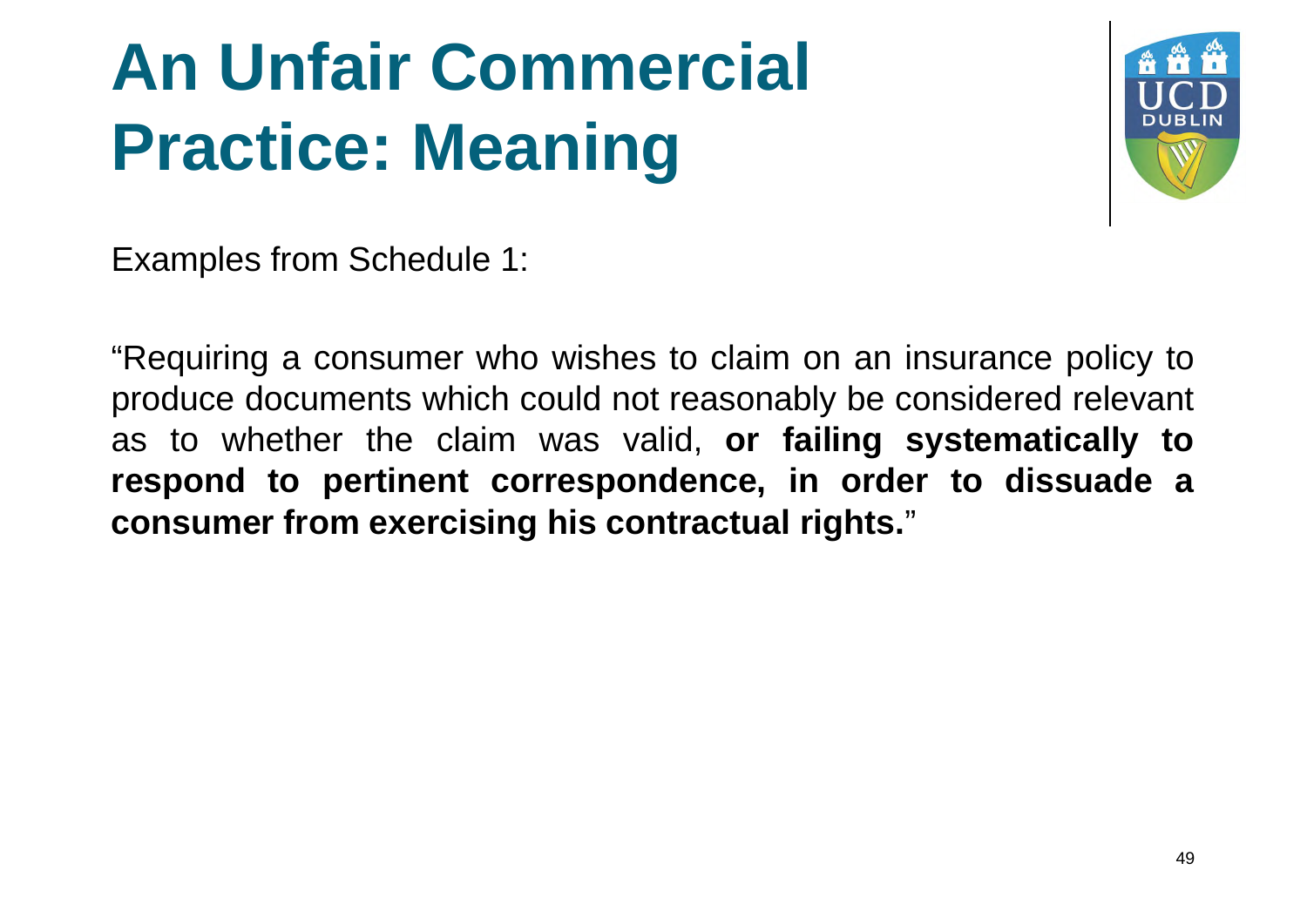# **An Unfair Commercial Practice: Meaning**



Examples from Schedule 1:

"Requiring a consumer who wishes to claim on an insurance policy to produce documents which could not reasonably be considered relevant as to whether the claim was valid, **or failing systematically to respond to pertinent correspondence, in order to dissuade a consumer from exercising his contractual rights.**"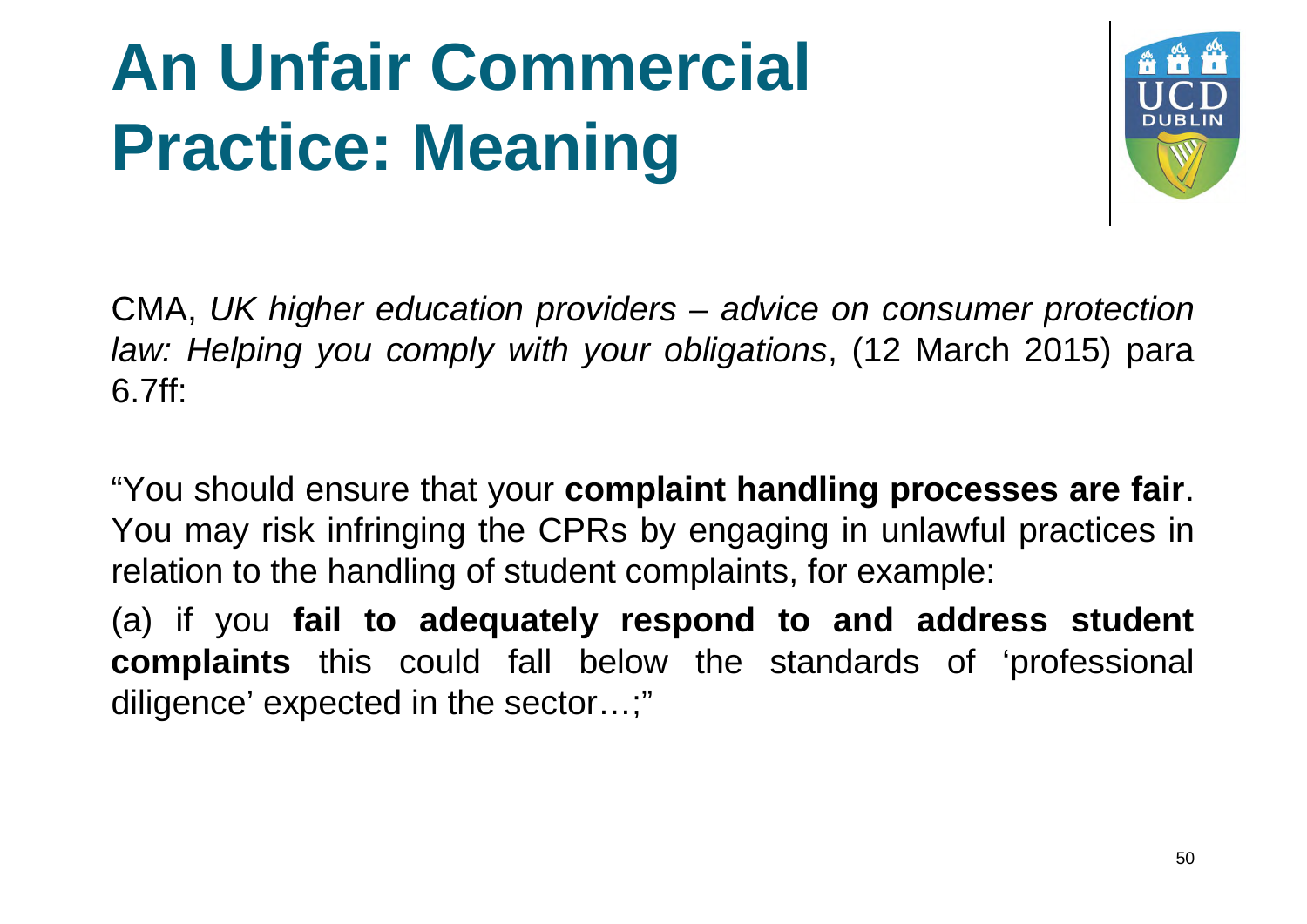# **An Unfair Commercial Practice: Meaning**



CMA, *UK higher education providers – advice on consumer protection law: Helping you comply with your obligations*, (12 March 2015) para 6.7ff:

"You should ensure that your **complaint handling processes are fair**. You may risk infringing the CPRs by engaging in unlawful practices in relation to the handling of student complaints, for example:

(a) if you **fail to adequately respond to and address student complaints** this could fall below the standards of 'professional diligence' expected in the sector…;"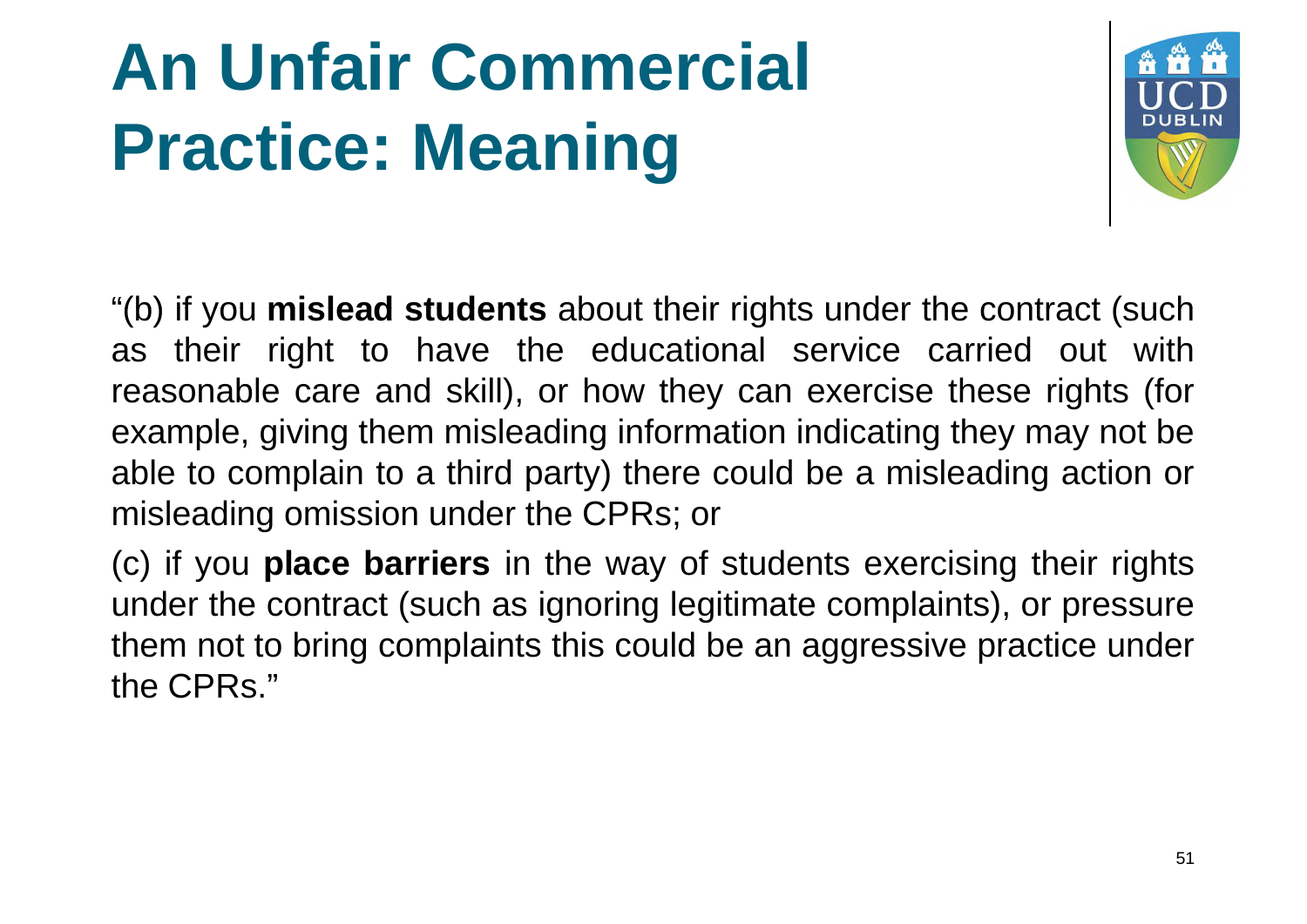# **An Unfair Commercial Practice: Meaning**



"(b) if you **mislead students** about their rights under the contract (such as their right to have the educational service carried out with reasonable care and skill), or how they can exercise these rights (for example, giving them misleading information indicating they may not be able to complain to a third party) there could be a misleading action or misleading omission under the CPRs; or

(c) if you **place barriers** in the way of students exercising their rights under the contract (such as ignoring legitimate complaints), or pressure them not to bring complaints this could be an aggressive practice under the CPRs."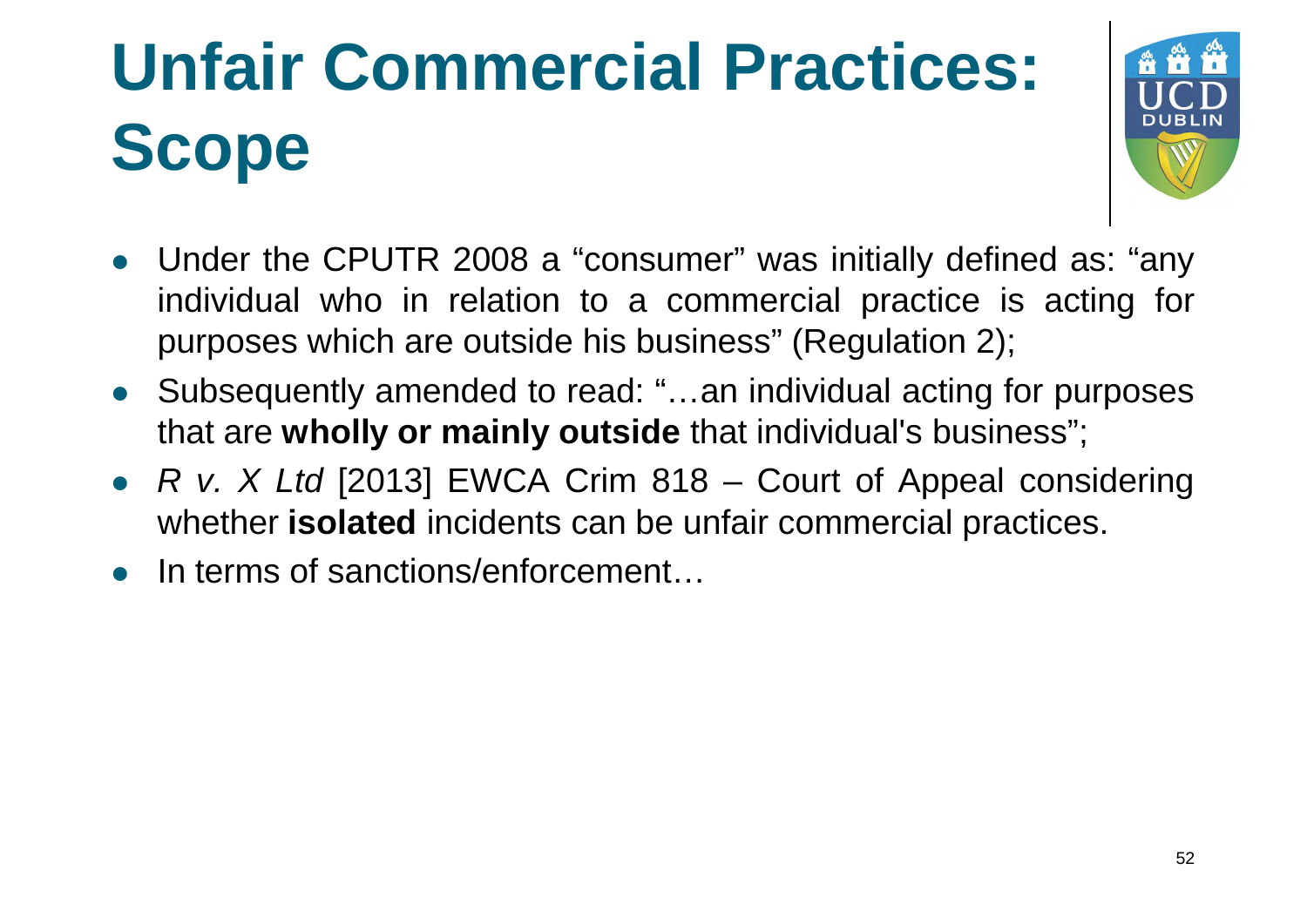# **Unfair Commercial Practices: Scope**



- Under the CPUTR 2008 a "consumer" was initially defined as: "any individual who in relation to a commercial practice is acting for purposes which are outside his business" (Regulation 2);
- Subsequently amended to read: "…an individual acting for purposes that are **wholly or mainly outside** that individual's business";
- *R v. X Ltd* [2013] EWCA Crim 818 Court of Appeal considering whether **isolated** incidents can be unfair commercial practices.
- In terms of sanctions/enforcement…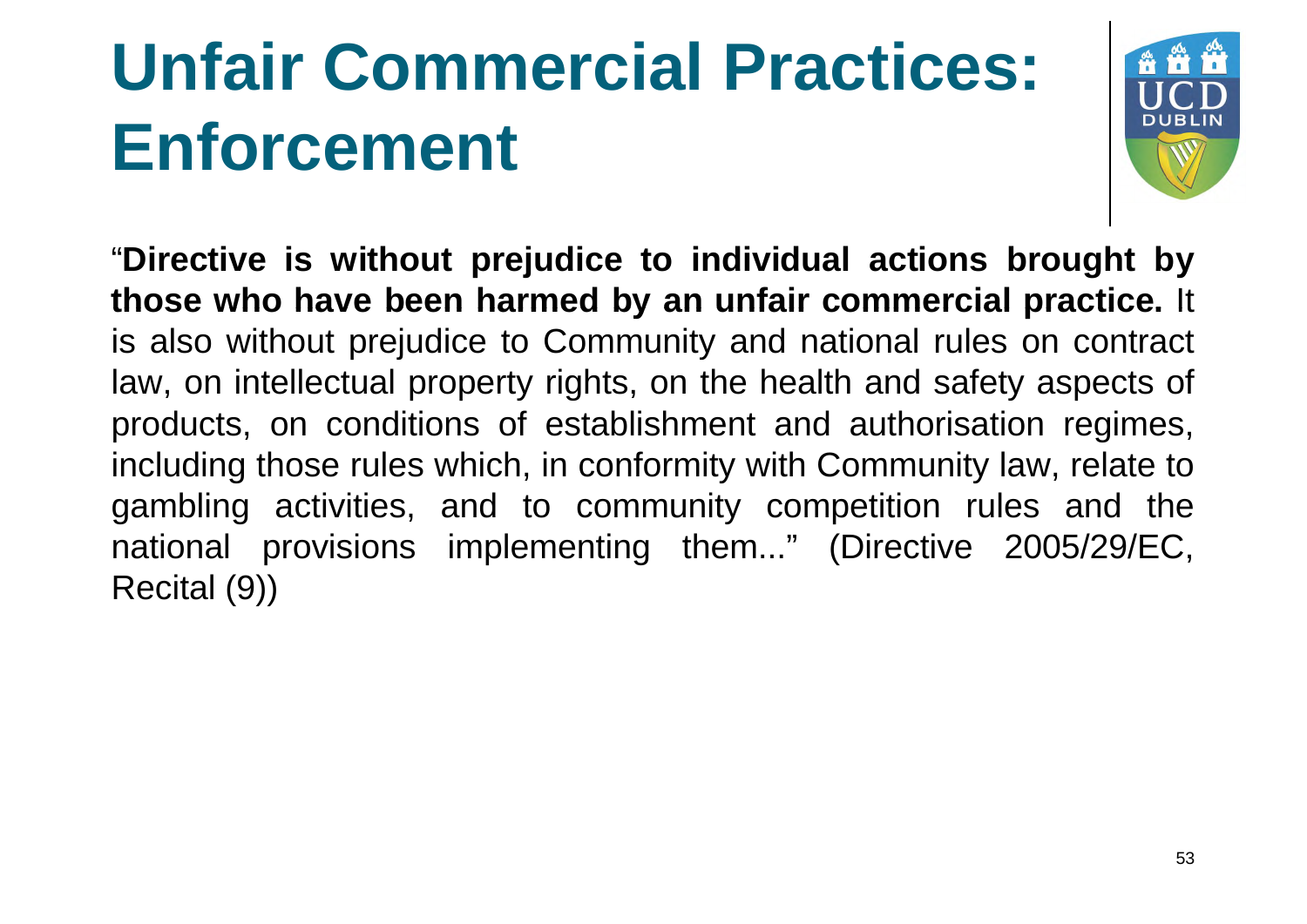# **Unfair Commercial Practices: Enforcement**



"**Directive is without prejudice to individual actions brought by those who have been harmed by an unfair commercial practice practice.** It is also without prejudice to Community and national rules on contract law, on intellectual property rights, on the health and safety aspects of products, on conditions of establishment and authorisation regimes, including those rules which, in conformity with Community law, relate to gambling activities, and to community competition rules and the national provisions implementing them..." (Directive 2005/29/EC, Recital (9))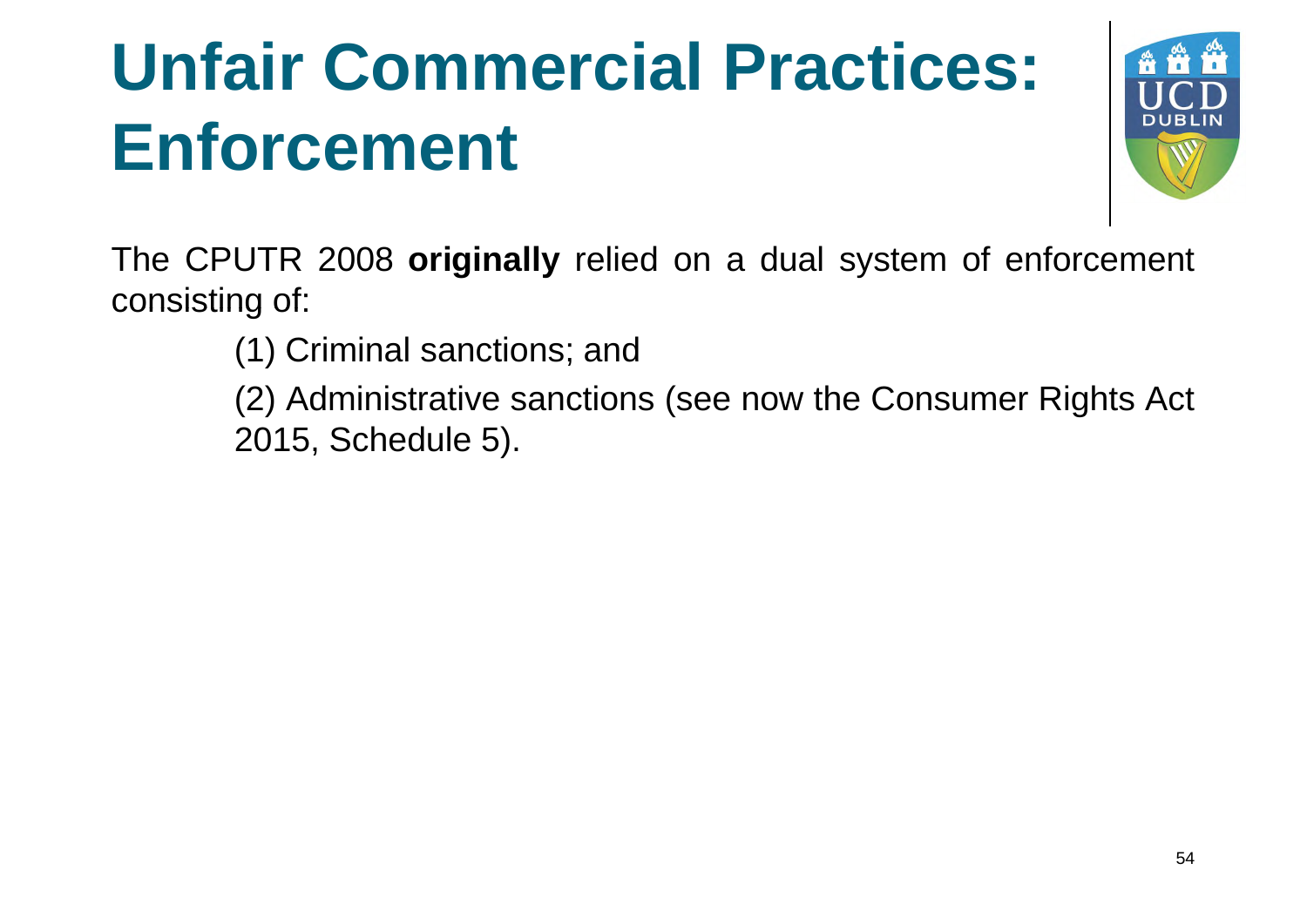## **Unfair Commercial Practices: Enforcement**



The CPUTR 2008 **originally** relied on a dual system of enforcement consisting of:

(1) Criminal sanctions; and

(2) Administrative sanctions (see now the Consumer Rights Act 2015, Schedule 5).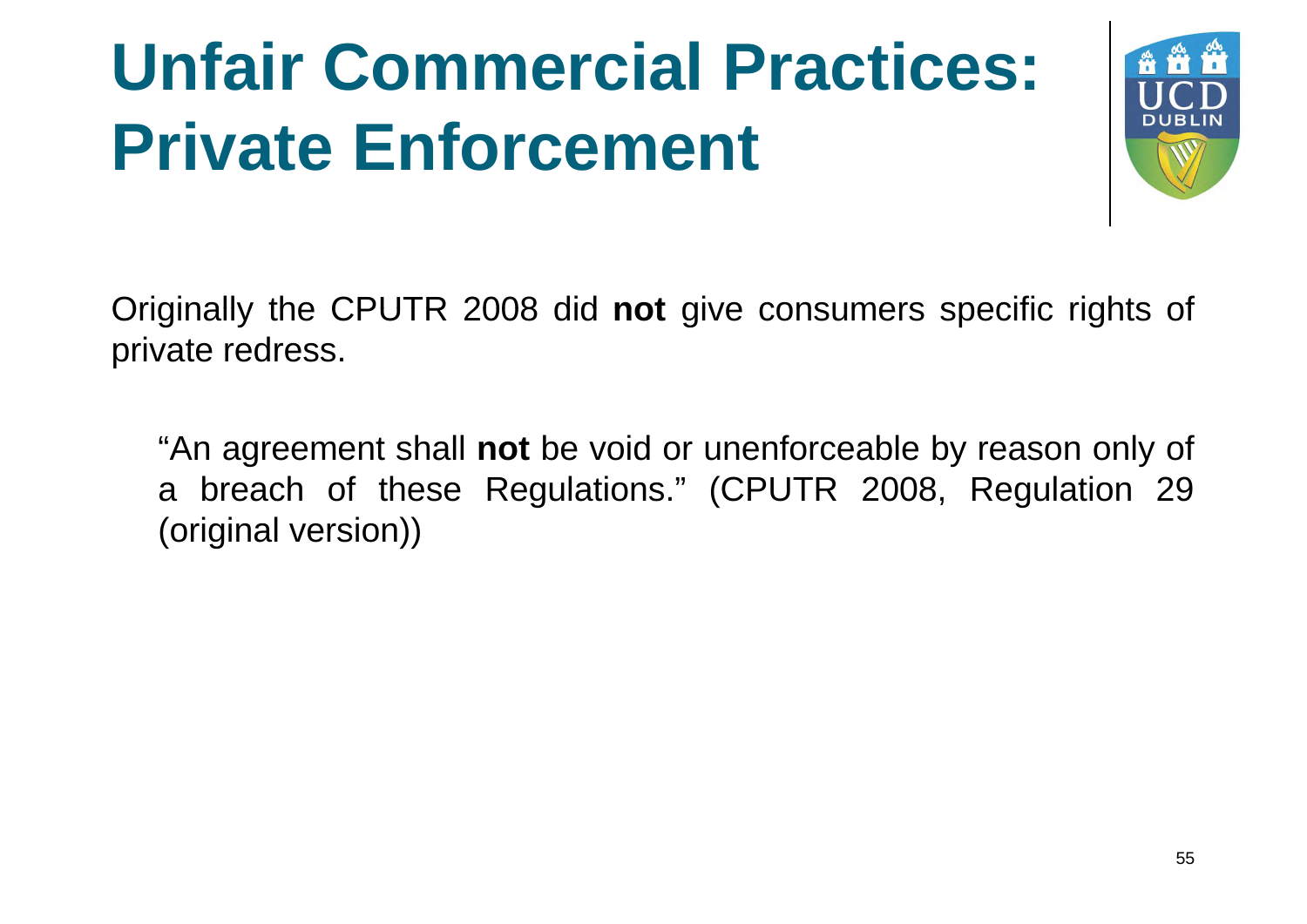# **Unfair Commercial Practices: Private Enforcement**



Originally the CPUTR 2008 did **not** give consumers specific rights of private redress.

"An agreement shall **not** be void or unenforceable by reason only of a breach of these Regulations." (CPUTR 2008, Regulation 29 (original version))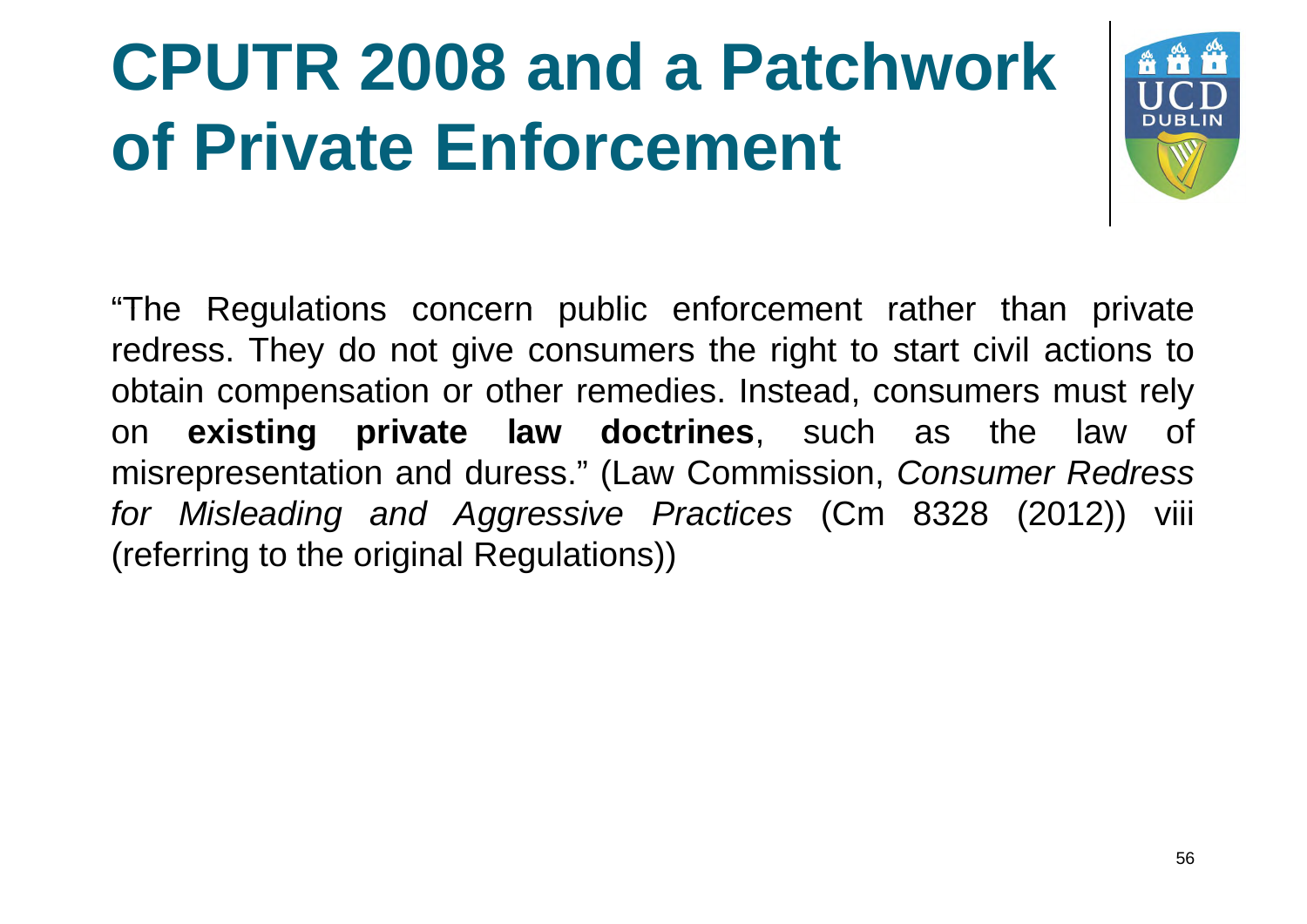# **CPUTR 2008 and a Patchwork of Private Enforcement**



"The Regulations concern public enforcement rather than private redress. They do not give consumers the right to start civil actions to obtain compensation or other remedies. Instead, consumers must rely on **existing private law doctrines**, such as the law of misrepresentation and duress." (Law Commission, *Consumer Redress for Misleading and Aggressive Practices* (Cm 8328 (2012)) viii (referring to the original Regulations))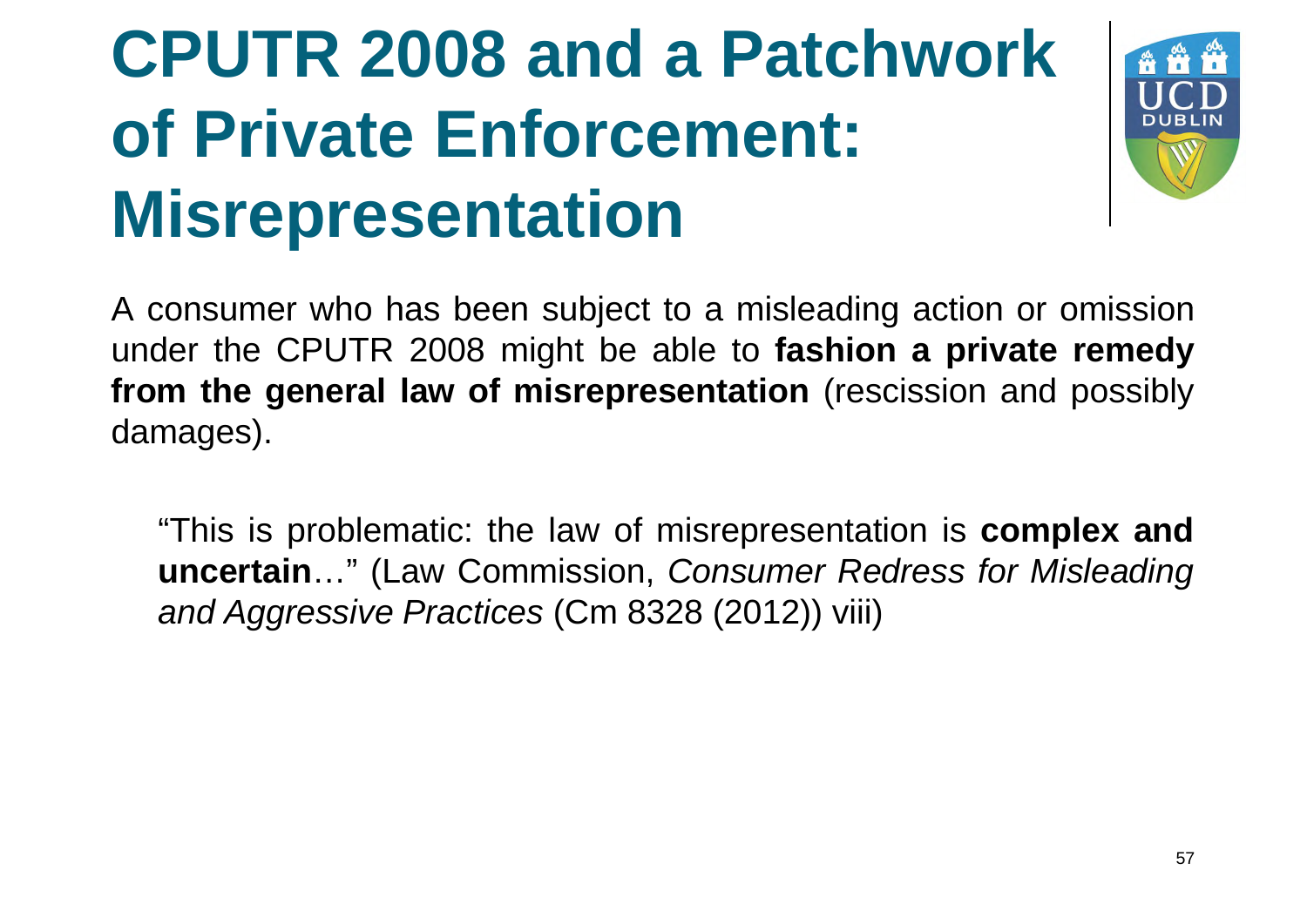## **CPUTR 2008 and a Patchwork of Private Enforcement: Misrepresentation**



A consumer who has been subject to a misleading action or omission under the CPUTR 2008 might be able to **fashion a private remedy from the general law of misrepresentation** (rescission and possibly damages).

"This is problematic: the law of misrepresentation is **complex and uncertain**…" (Law Commission, *Consumer Redress for Misleading and Aggressive Practices* (Cm 8328 (2012)) viii)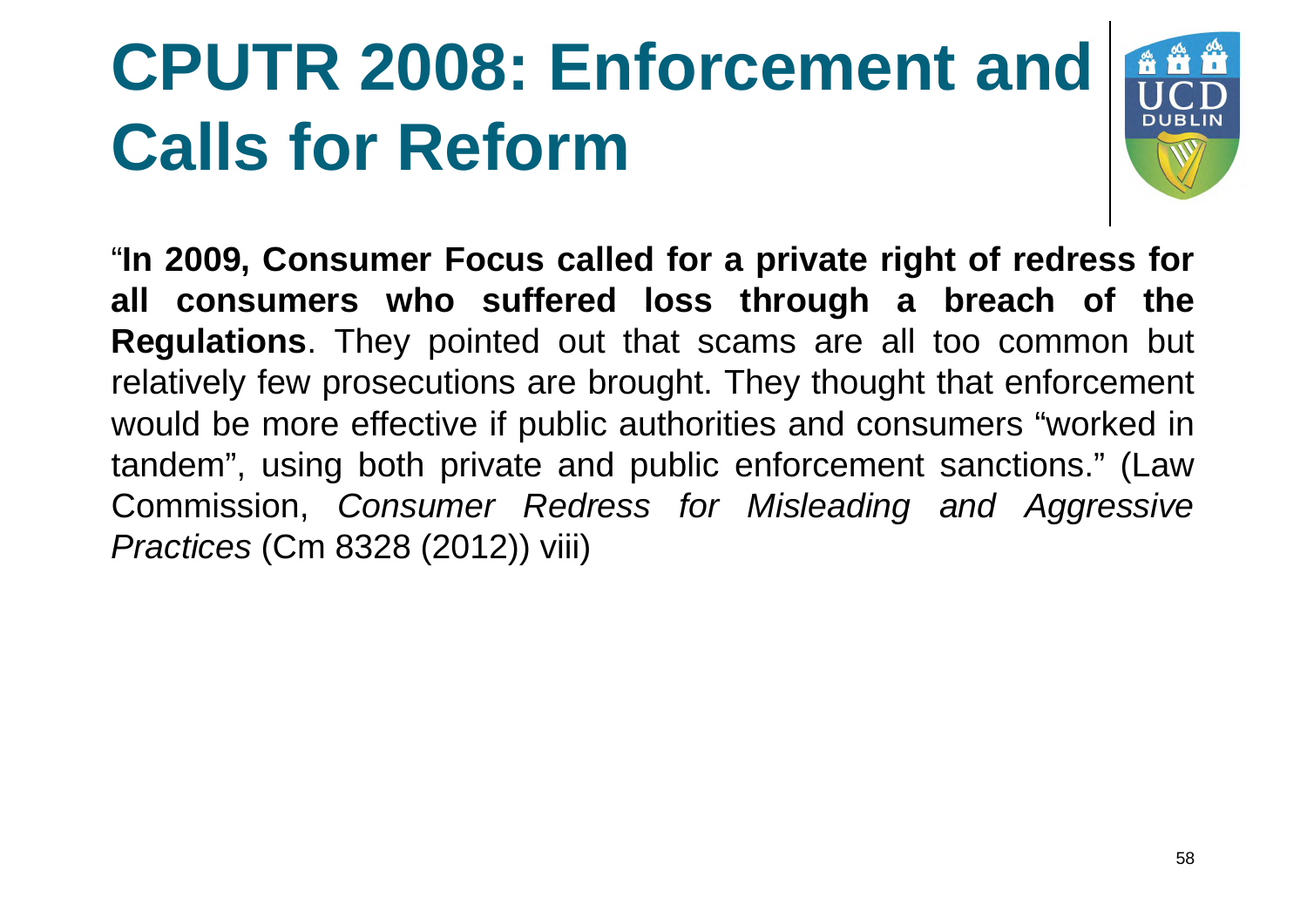# **CPUTR 2008: Enforcement and Calls for Reform**



"**In 2009, Consumer Focus called for a private right of redress for all consumers who suffered loss through a breach of the Regulations**. They pointed out that scams are all too common but relatively few prosecutions are brought. They thought that enforcement would be more effective if public authorities and consumers "worked in tandem", using both private and public enforcement sanctions." (Law Commission, *Consumer Redress for Misleading and Aggressive Practices* (Cm 8328 (2012)) viii)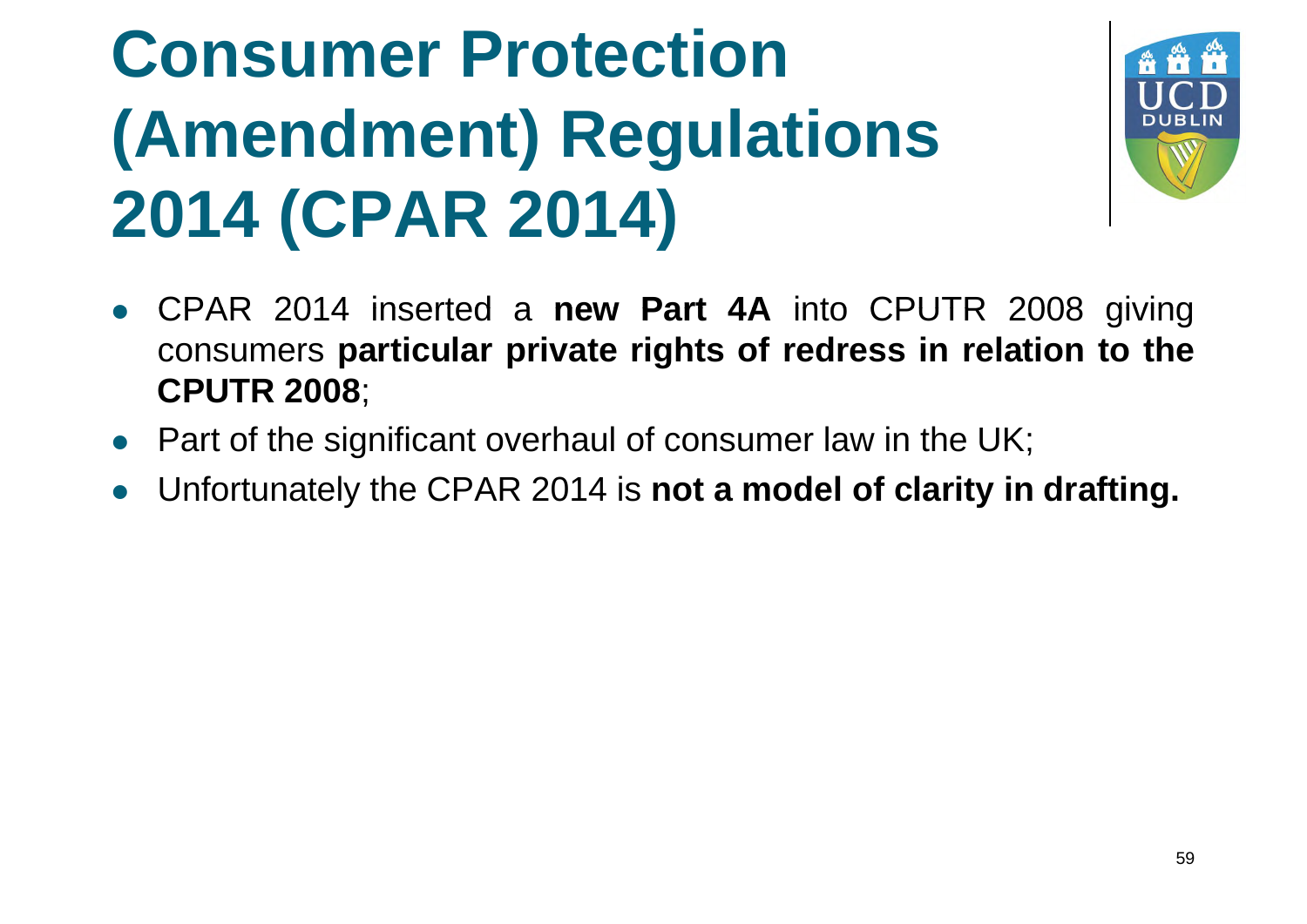# **Consumer Protection (Amendment) Regulations 2014 (CPAR 2014)**



- CPAR 2014 inserted a **new Part 4A** into CPUTR 2008 giving consumers **particular private rights of redress in relation to the CPUTR 2008**;
- Part of the significant overhaul of consumer law in the UK;
- Unfortunately the CPAR 2014 is **not a model of clarity in drafting.**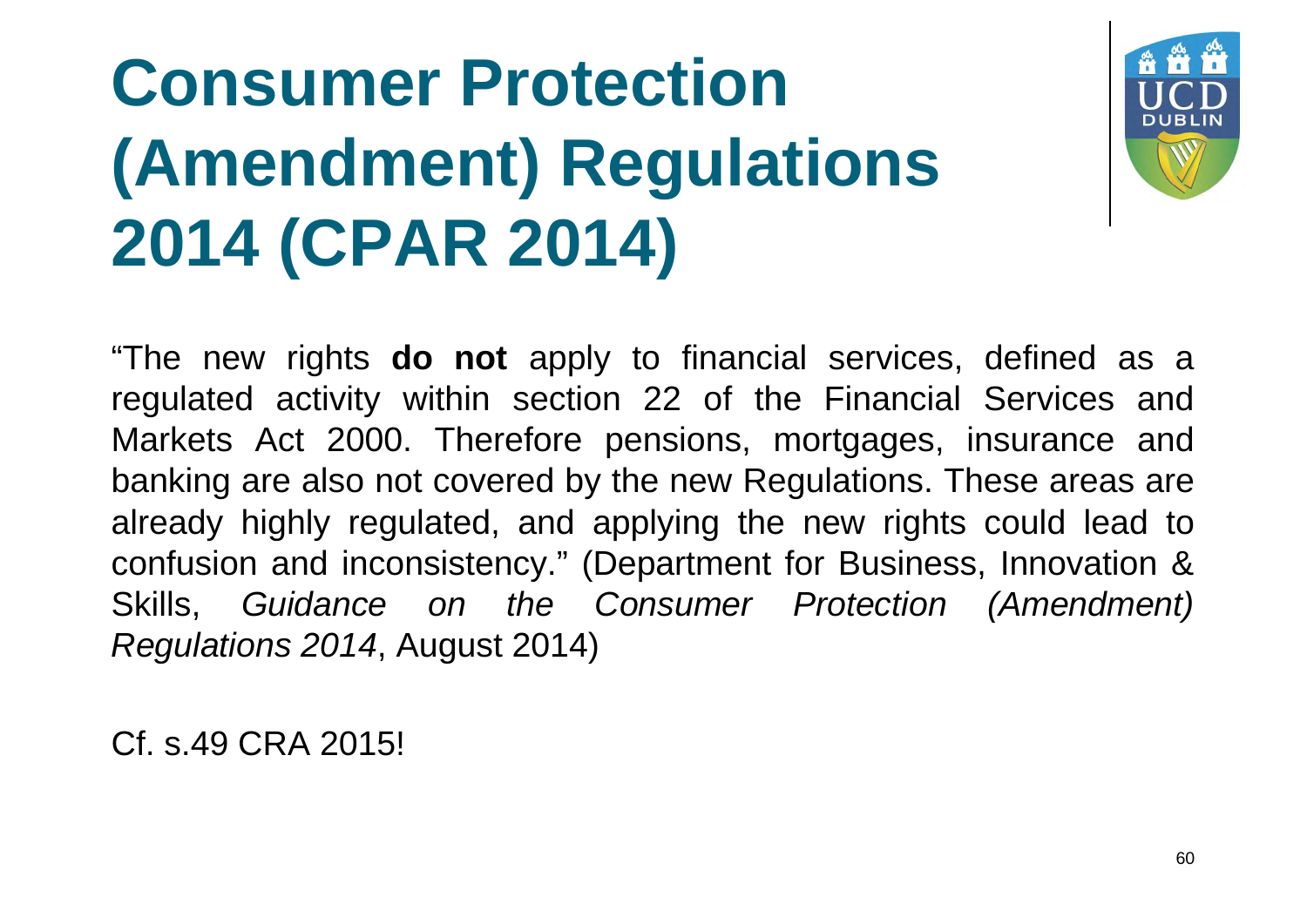# **Consumer Protection (Amendment) Regulations 2014 (CPAR 2014)**



"The new rights **do not** apply to financial services, defined as a regulated activity within section 22 of the Financial Services and Markets Act 2000. Therefore pensions, mortgages, insurance and banking are also not covered by the new Regulations. These areas are already highly regulated, and applying the new rights could lead to confusion and inconsistency." (Department for Business, Innovation & Skills, *Guidance on the Consumer Protection (Amendment) Regulations 2014*, August 2014)

Cf. s.49 CRA 2015!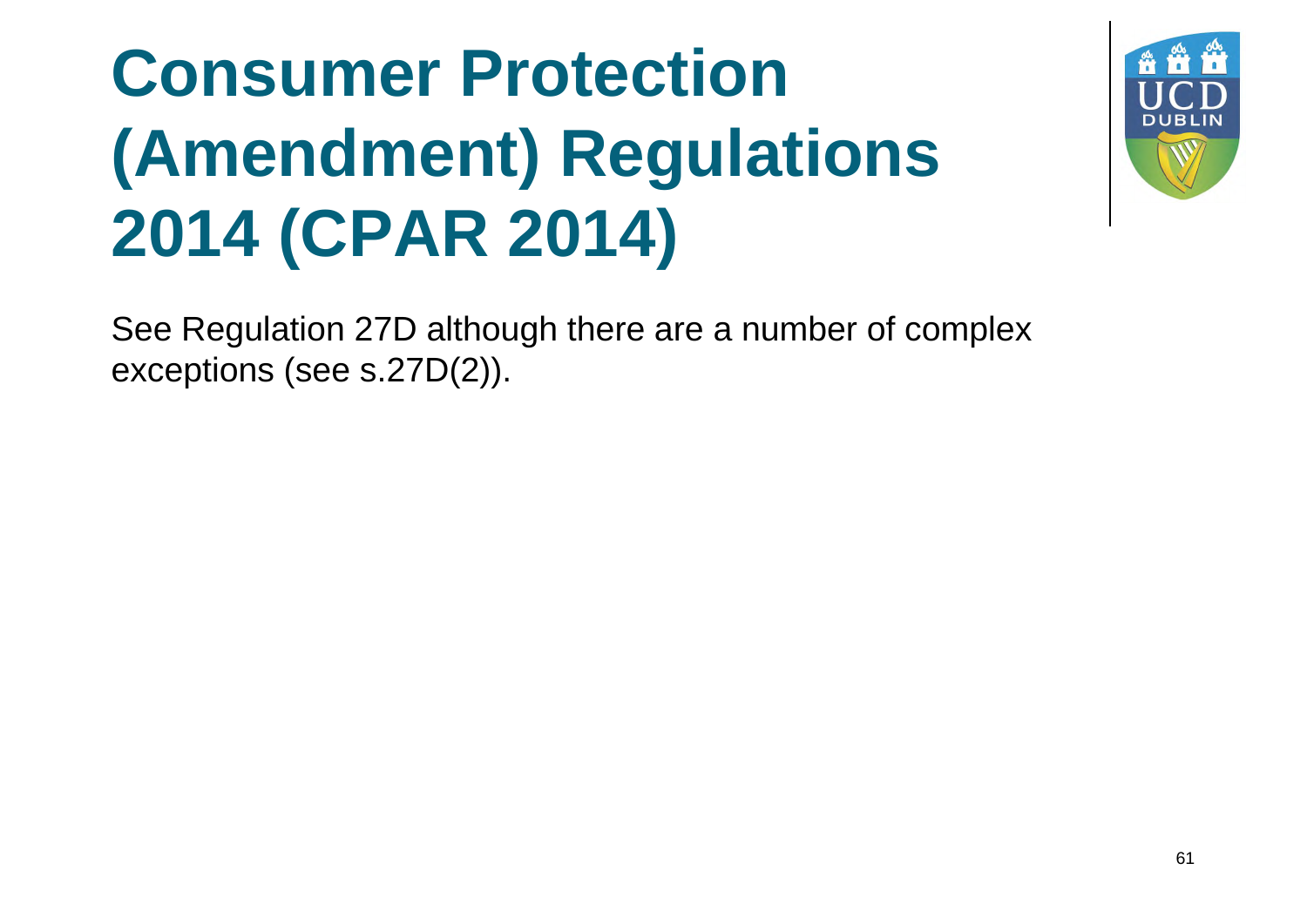## **Consumer Protection (Amendment) Regulations 2014 (CPAR 2014)**



See Regulation 27D although there are a number of complex exceptions (see s.27D(2)).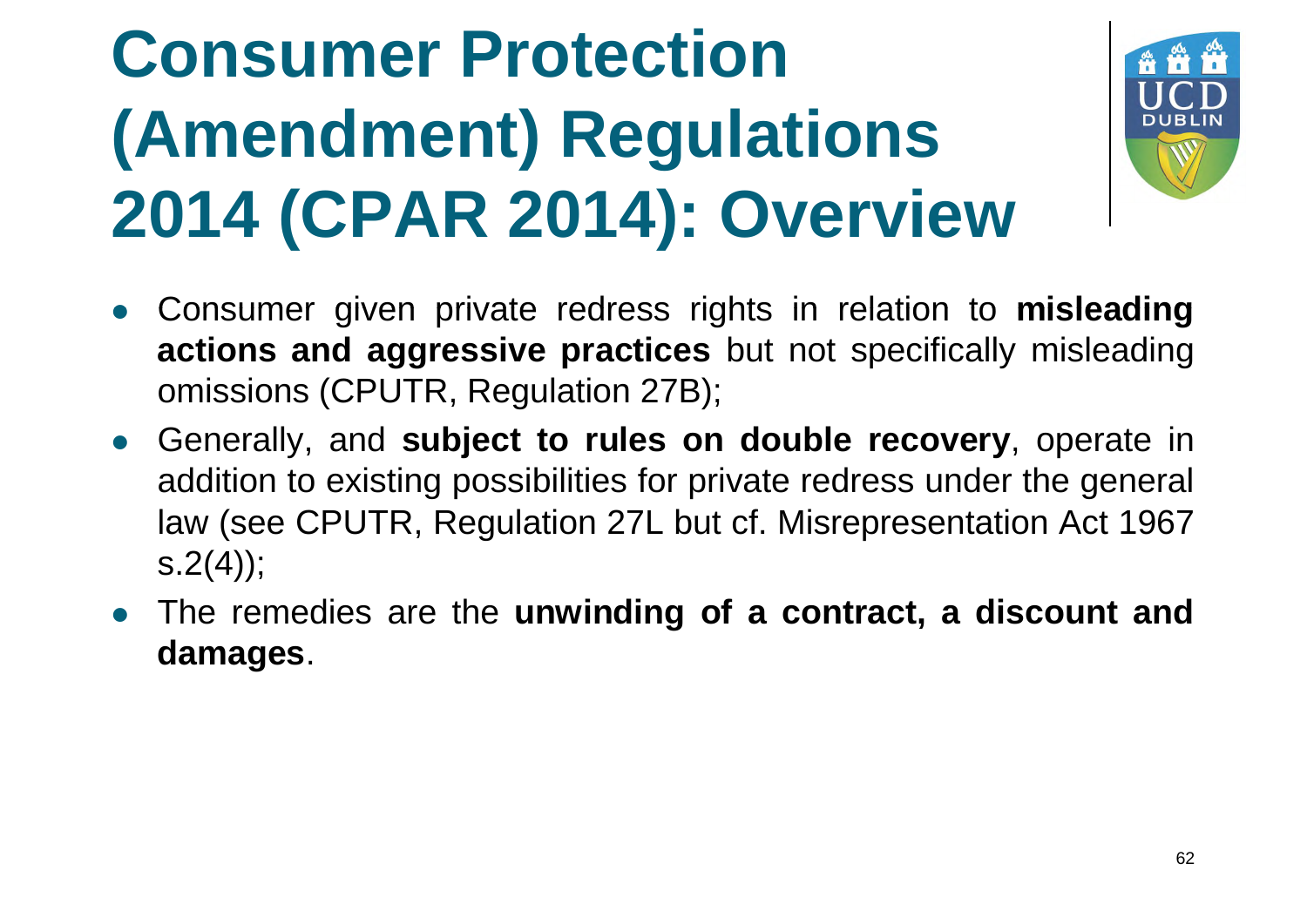# **Consumer Protection (Amendment) Regulations 2014 (CPAR 2014): Overview**



- Consumer given private redress rights in relation to **misleading actions and aggressive practices** but not specifically misleading omissions (CPUTR, Regulation 27B);
- Generally, and **subject to rules on double recovery**, operate in addition to existing possibilities for private redress under the general law (see CPUTR, Regulation 27L but cf. Misrepresentation Act 1967  $s.2(4)$ ;
- The remedies are the **unwinding of a contract, a discount and damages**.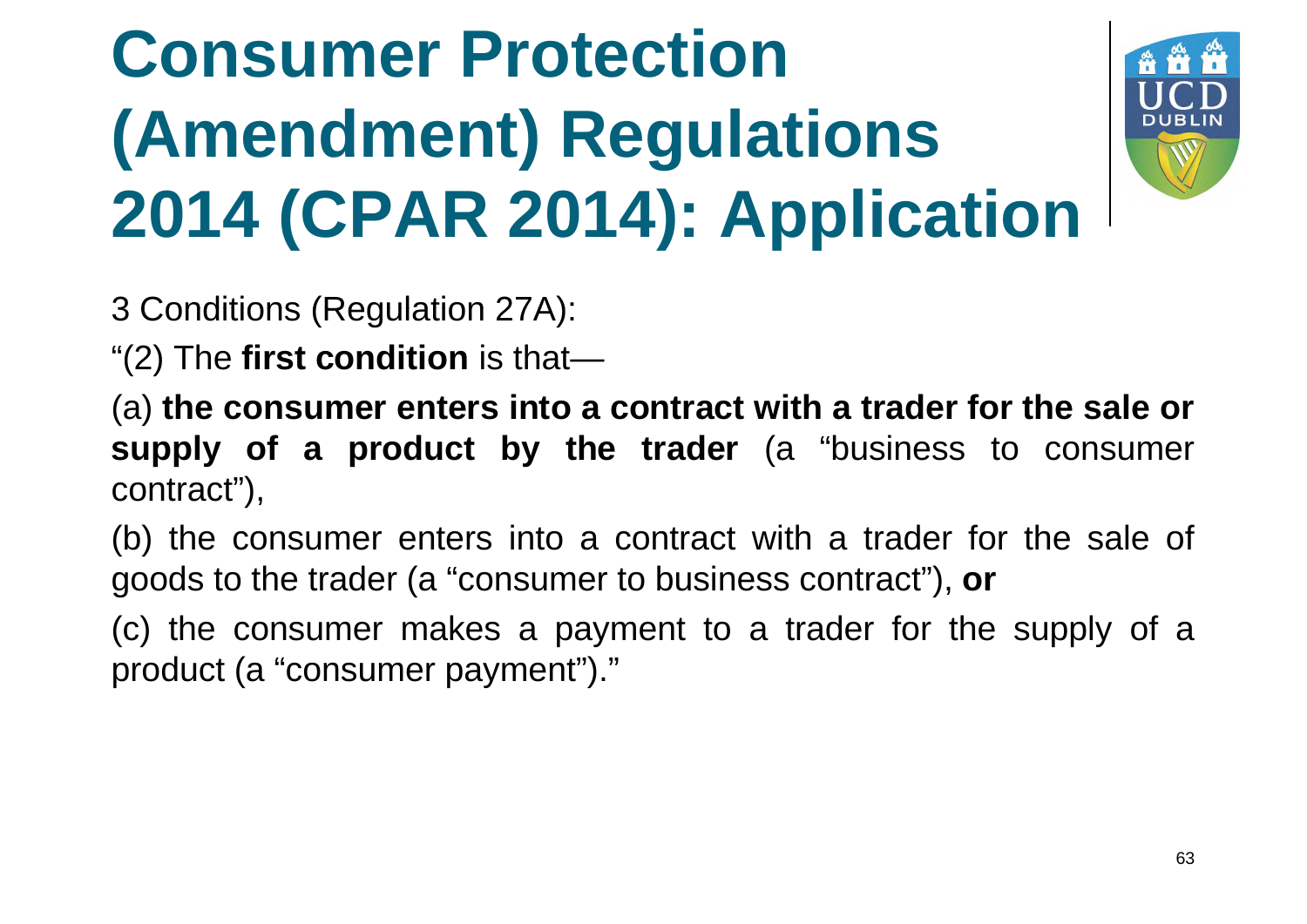# **Consumer Protection (Amendment) Regulations 2014 (CPAR 2014): Application**



3 Conditions (Regulation 27A):

"(2) The **first condition** is that—

(a) **the consumer enters into a contract with a trader for the sale or supply of a product by the trader** (a "business to consumer contract"),

(b) the consumer enters into a contract with a trader for the sale of goods to the trader (a "consumer to business contract"), **or**

(c) the consumer makes a payment to a trader for the supply of a product (a "consumer payment")."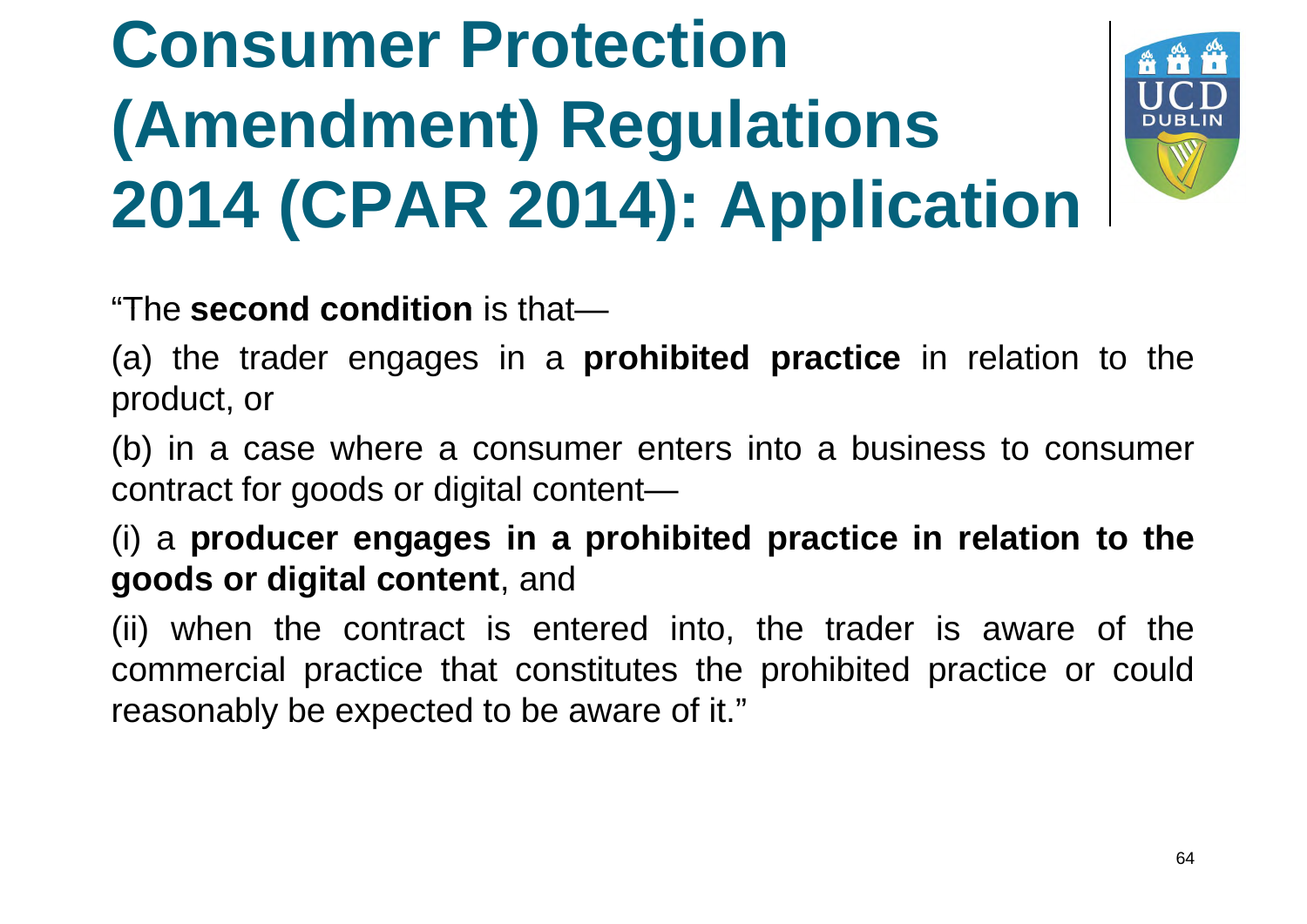# **Consumer Protection (Amendment) Regulations 2014 (CPAR 2014): Application**



"The **second condition** is that—

(a) the trader engages in a **prohibited practice** in relation to the product, or

(b) in a case where a consumer enters into a business to consumer contract for goods or digital content—

(i) a **producer engages in a prohibited practice in relation to the goods or digital content**, and

(ii) when the contract is entered into, the trader is aware of the commercial practice that constitutes the prohibited practice or could reasonably be expected to be aware of it."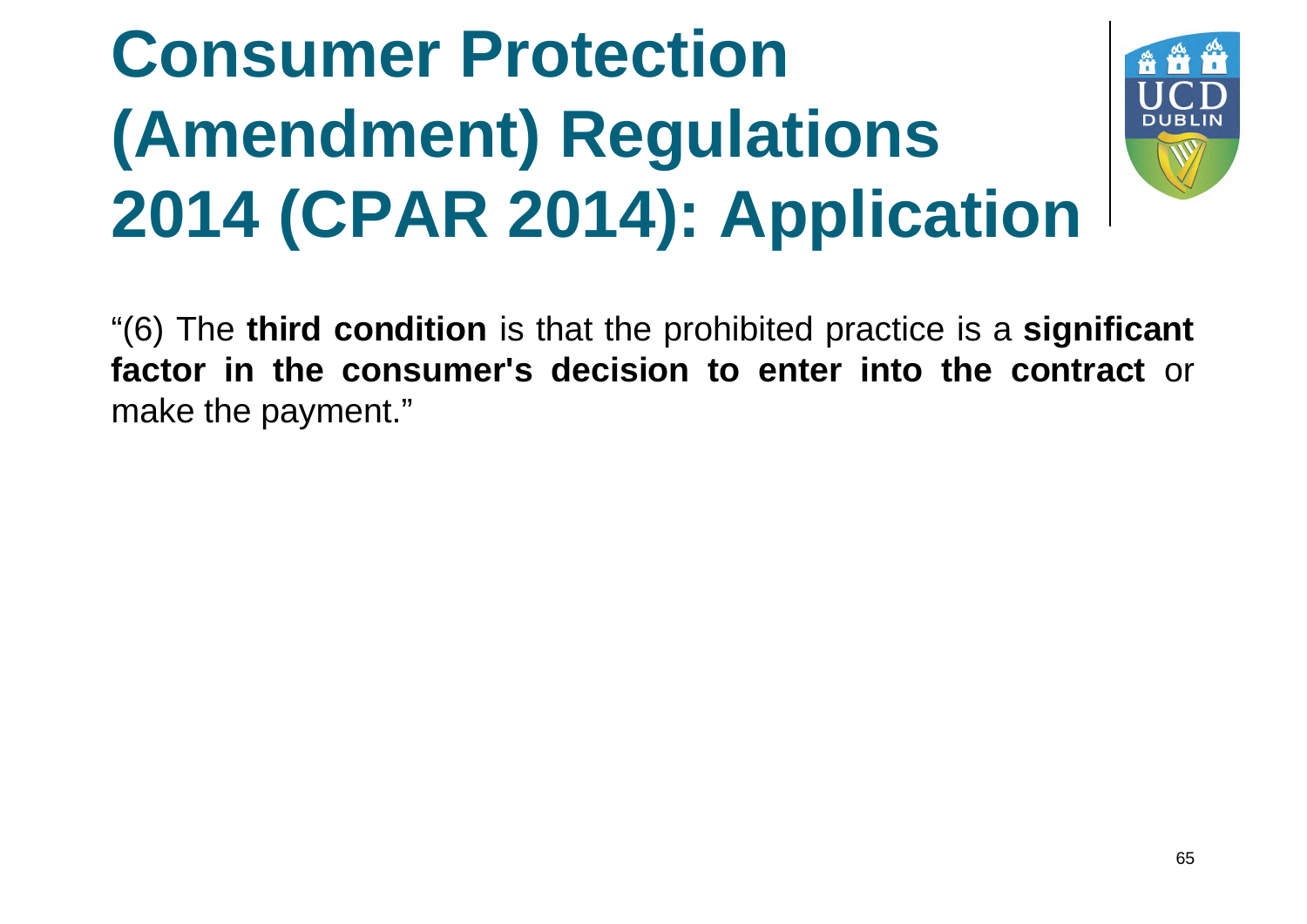# **Consumer Protection (Amendment) Regulations 2014 (CPAR 2014): Application**



"(6) The **third condition** is that the prohibited practice is a **significant factor in the consumer's decision to enter into the contract** or make the payment."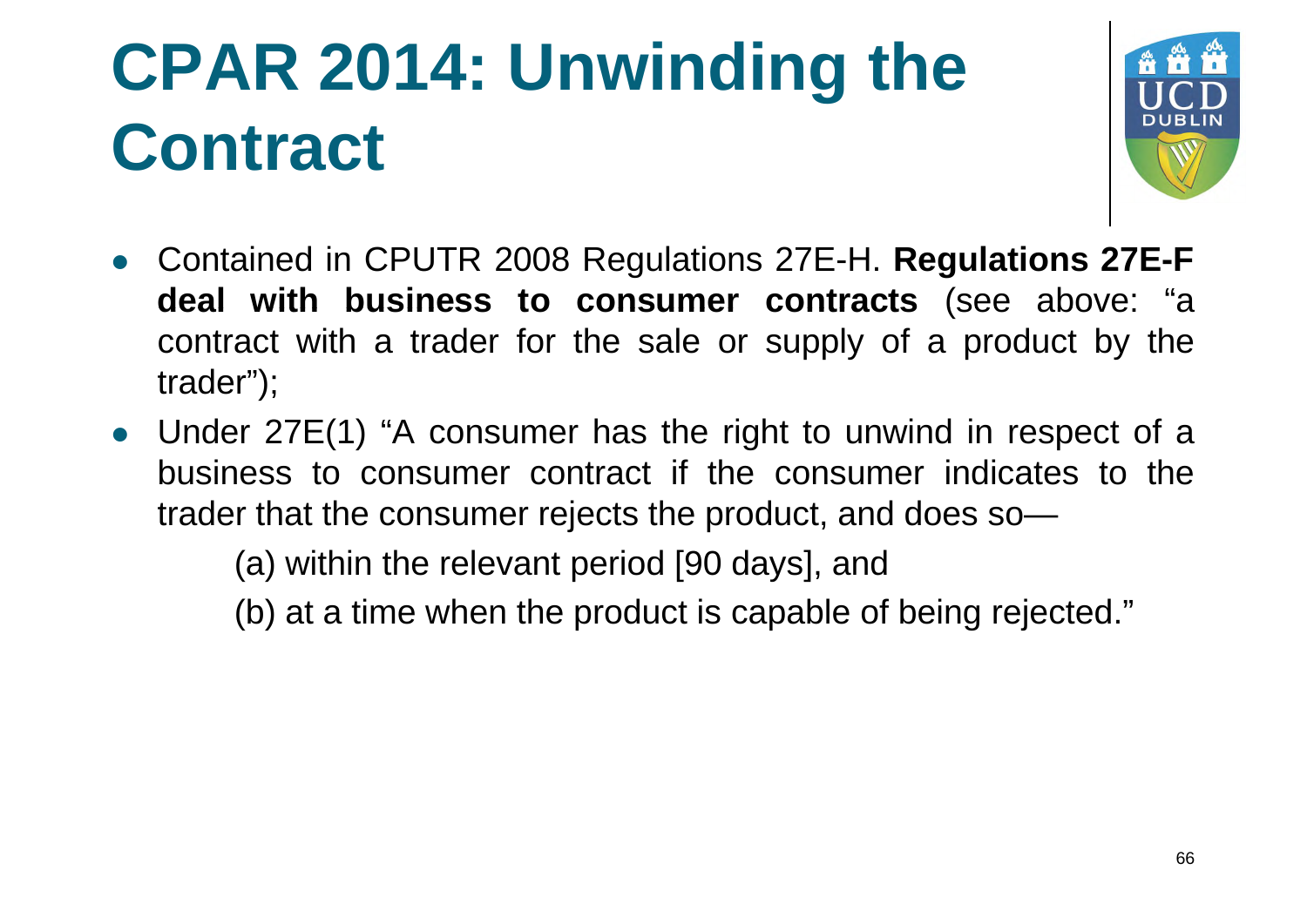

- Contained in CPUTR 2008 Regulations 27E-H. **Regulations 27E-F deal with business to consumer contracts** (see above: "a contract with a trader for the sale or supply of a product by the trader");
- Under 27E(1) "A consumer has the right to unwind in respect of a business to consumer contract if the consumer indicates to the trader that the consumer rejects the product, and does so—

(a) within the relevant period [90 days], and

 $(b)$  at a time when the product is capable of being rejected."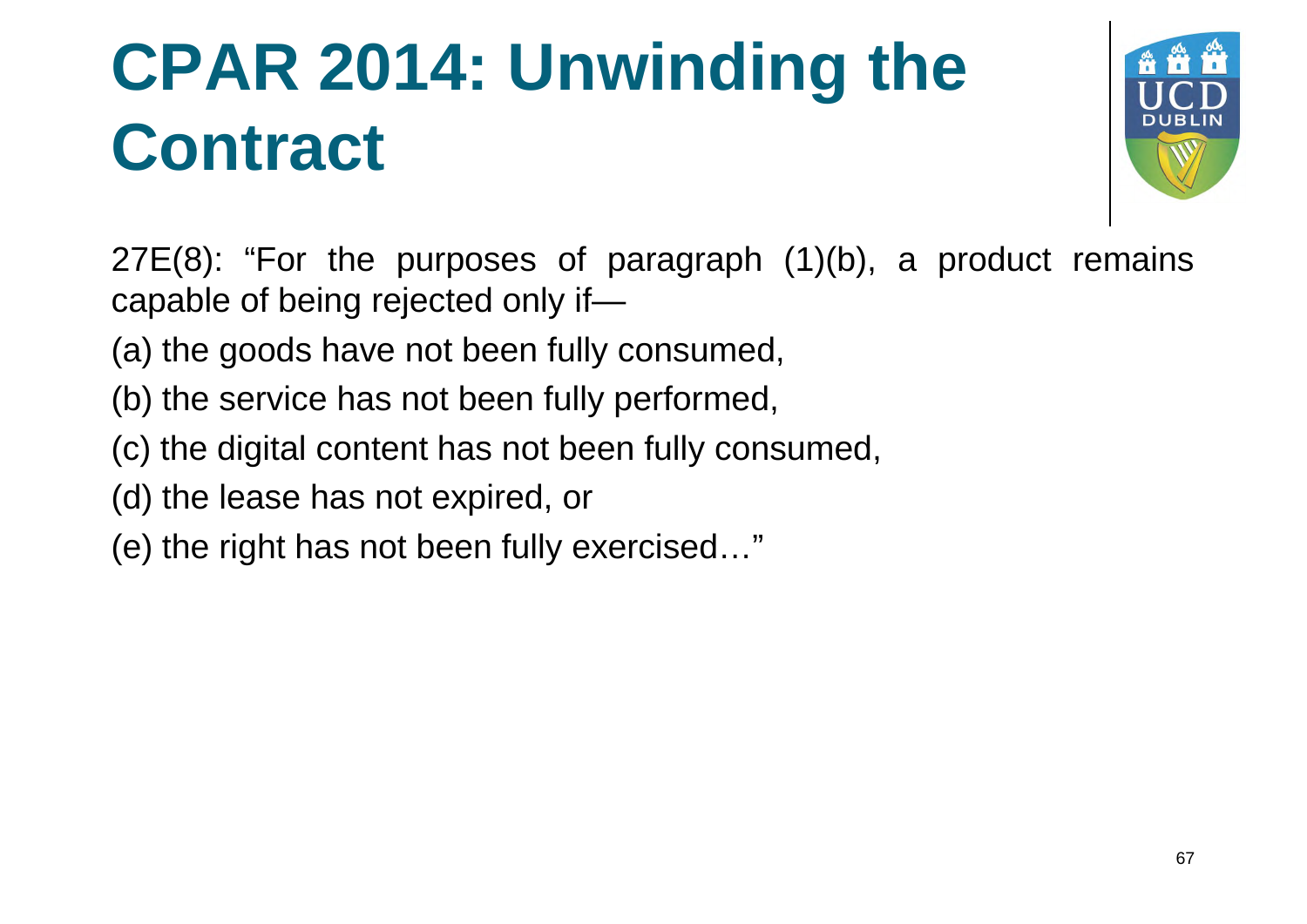

27E(8): "For the purposes of paragraph (1)(b), a product remains capable of being rejected only if—

- (a) the goods have not been fully consumed,
- (b) the service has not been fully performed,
- (c) the digital content has not been fully consumed,
- (d) the lease has not expired, or
- (e) the right has not been fully exercised…"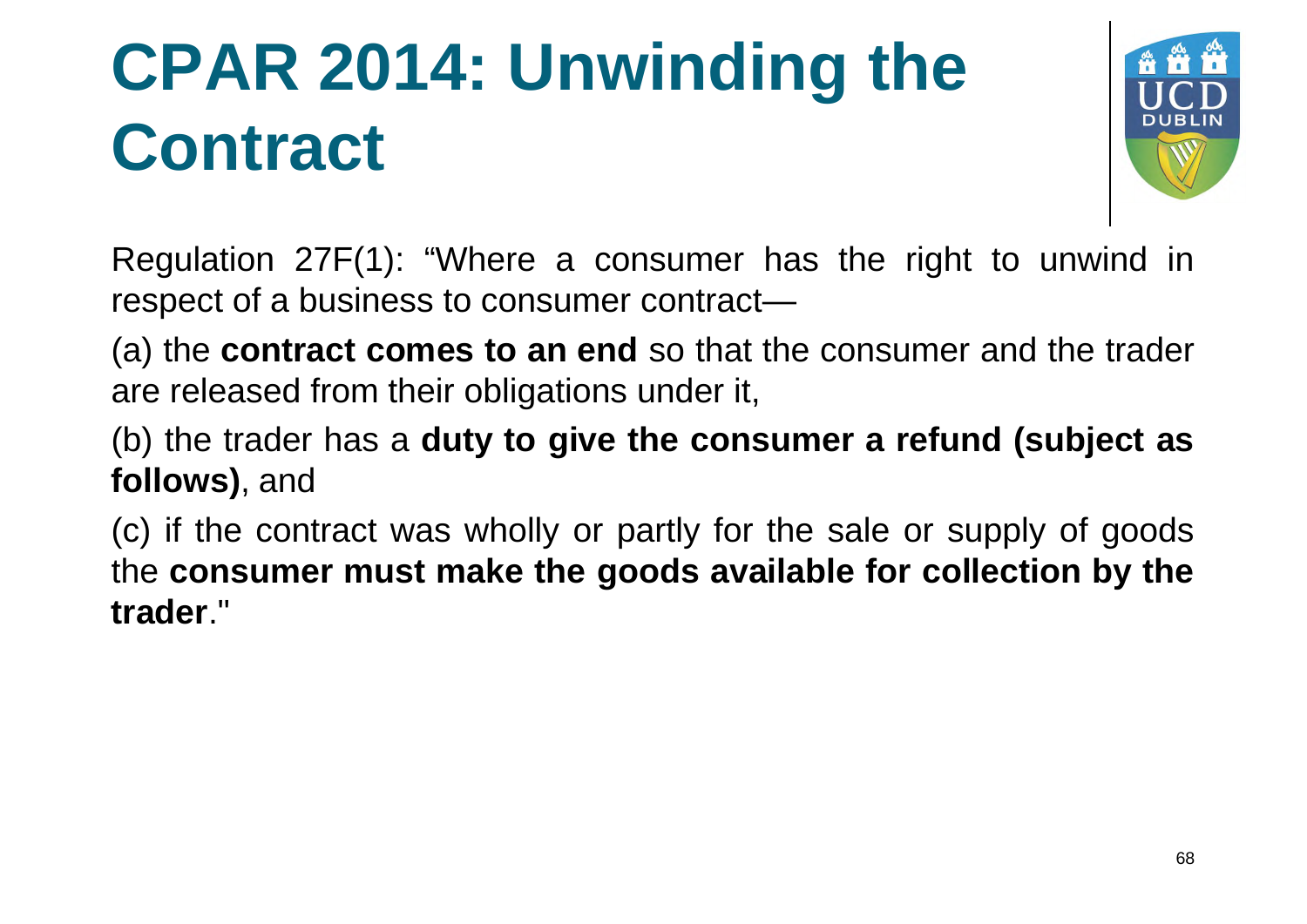

Regulation 27F(1): "Where a consumer has the right to unwind in respect of a business to consumer contract—

(a) the **contract comes to an end** so that the consumer and the trader are released from their obligations under it,

(b) the trader has a **duty to give the consumer a refund (subject as follows)**, and

(c) if the contract was wholly or partly for the sale or supply of goods the **consumer must make the goods available for collection by the trader**."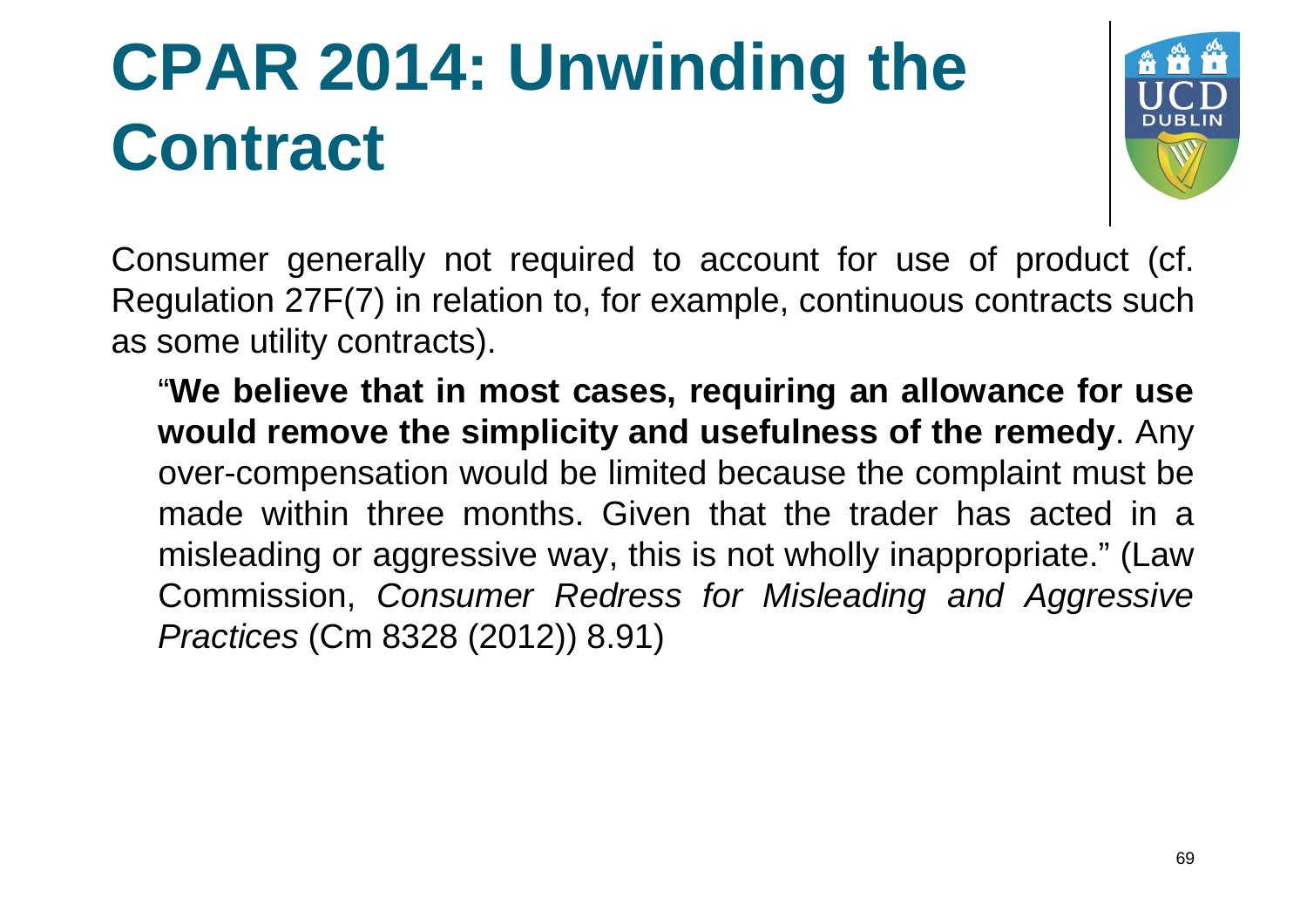

Consumer generally not required to account for use of product (cf. Regulation 27F(7) in relation to, for example, continuous contracts such as some utility contracts).

"**We believe that in most cases, requiring an allowance for use would remove the simplicity and usefulness of the remedy**. Any over-compensation would be limited because the complaint must be made within three months. Given that the trader has acted in a misleading or aggressive way, this is not wholly inappropriate." (Law Commission, *Consumer Redress for Misleading and Aggressive Practices* (Cm 8328 (2012)) 8.91)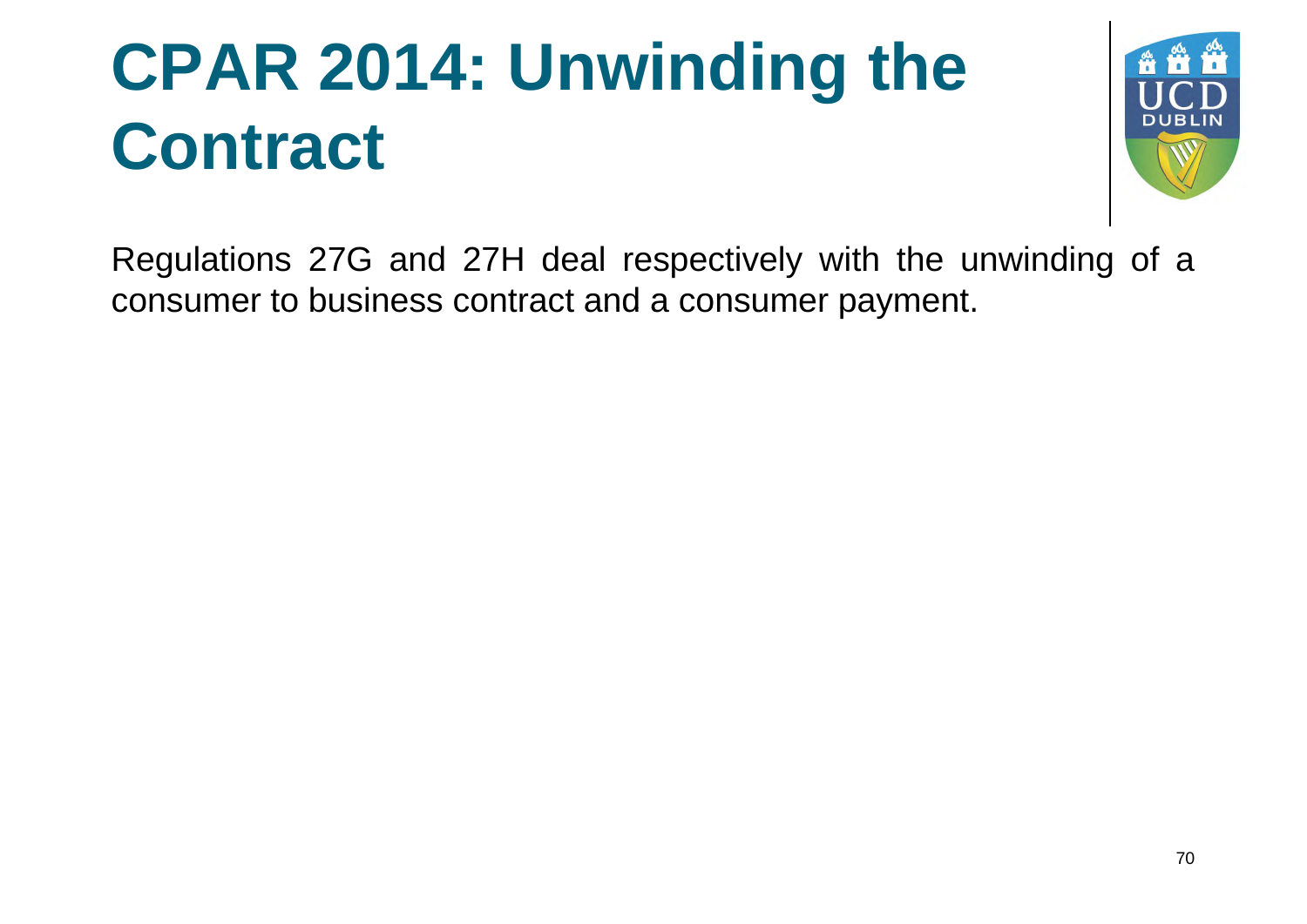

Regulations 27G and 27H deal respectively with the unwinding of a consumer to business contract and a consumer payment.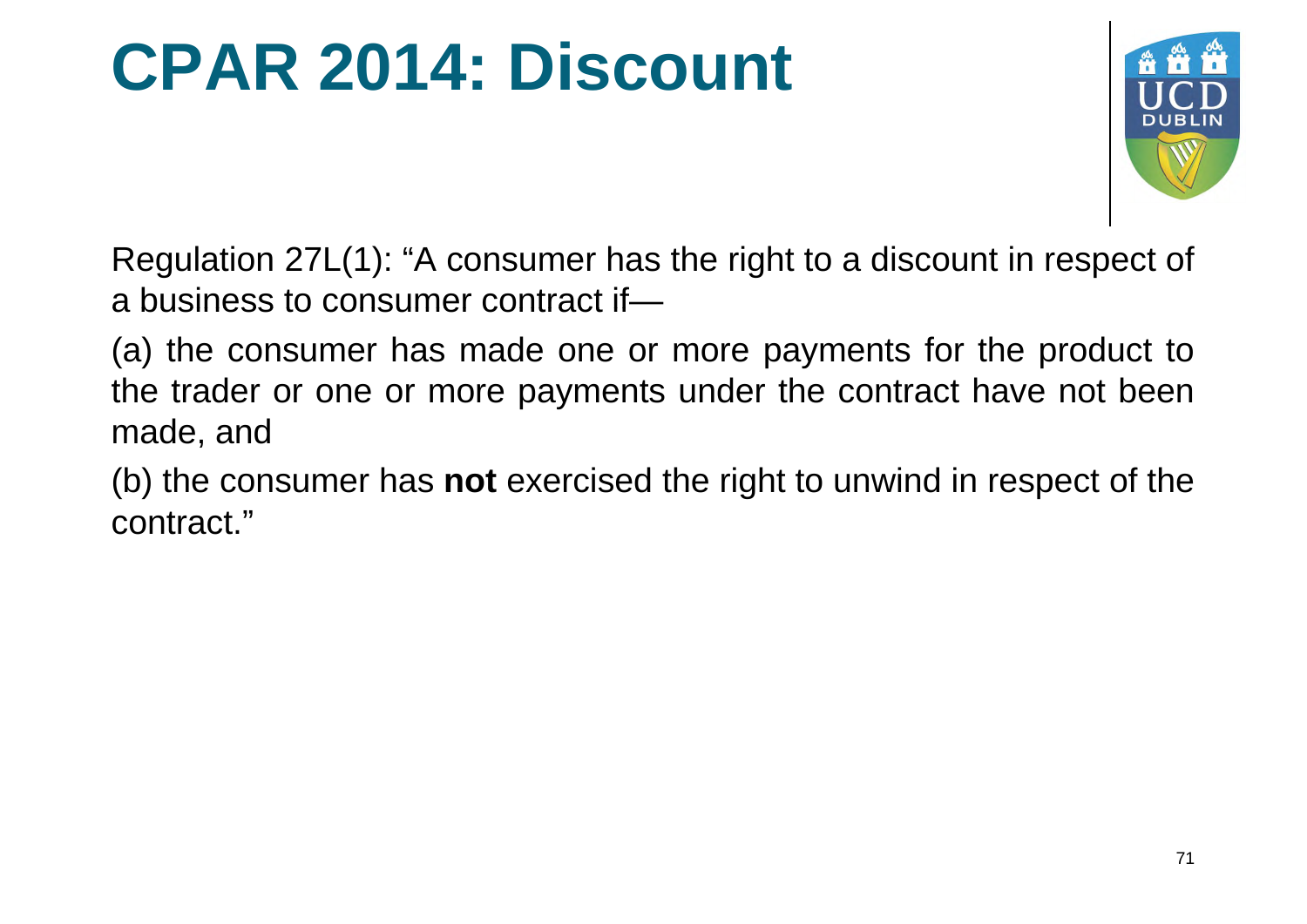#### **CPAR 2014: Discount**



Regulation 27L(1): "A consumer has the right to a discount in respect of a business to consumer contract if—

(a) the consumer has made one or more payments for the product to the trader or one or more payments under the contract have not been made, and

(b) the consumer has **not** exercised the right to unwind in respect of the contract."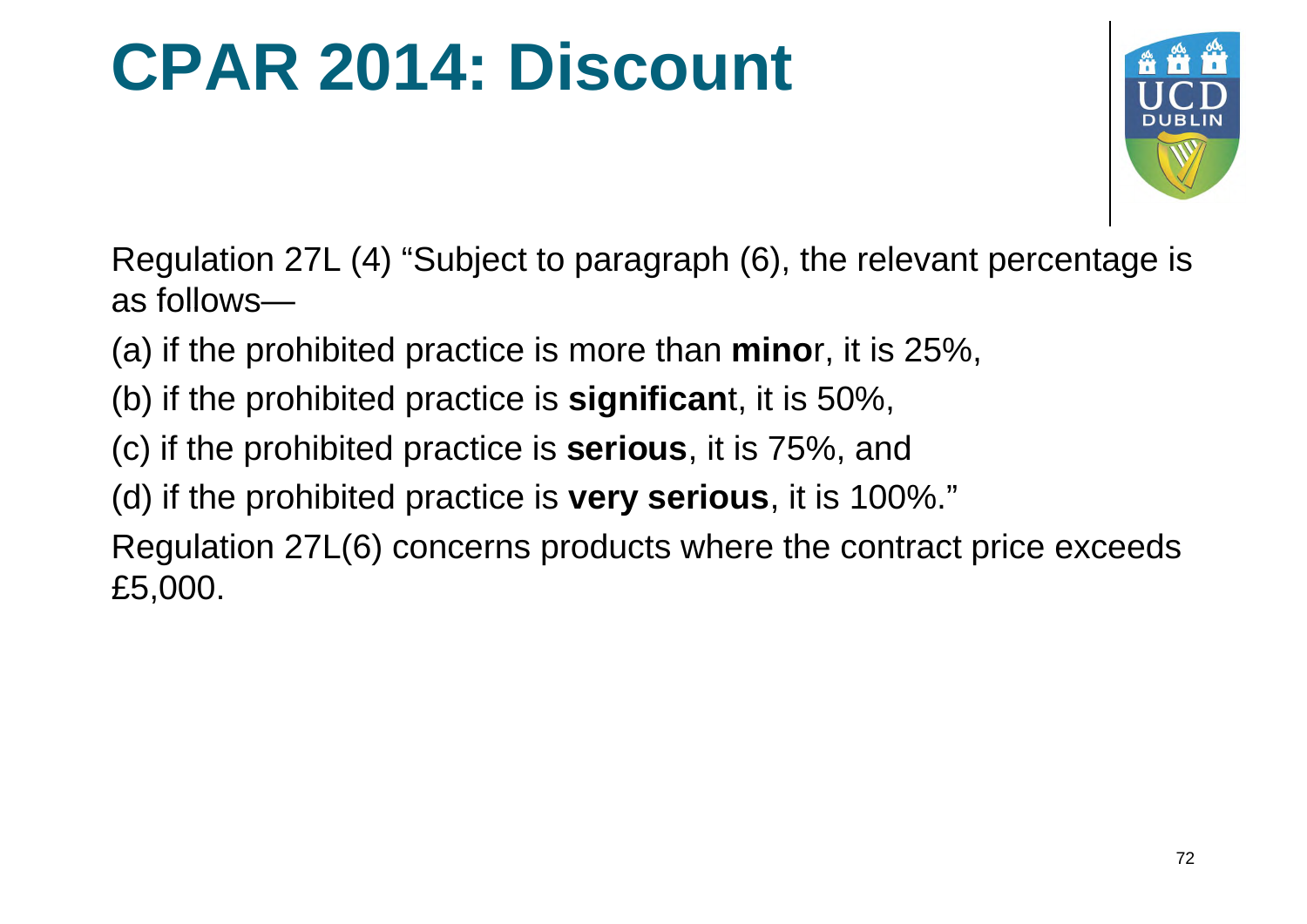#### **CPAR 2014: Discount**



Regulation 27L (4) "Subject to paragraph (6), the relevant percentage is as follows—

- (a) if the prohibited practice is more than **mino**r, it is 25%,
- (b) if the prohibited practice is **significan**t, it is 50%,
- (c) if the prohibited practice is **serious**, it is 75%, and
- (d) if the prohibited practice is **very serious**, it is 100%."

Regulation 27L(6) concerns products where the contract price exceeds £5,000.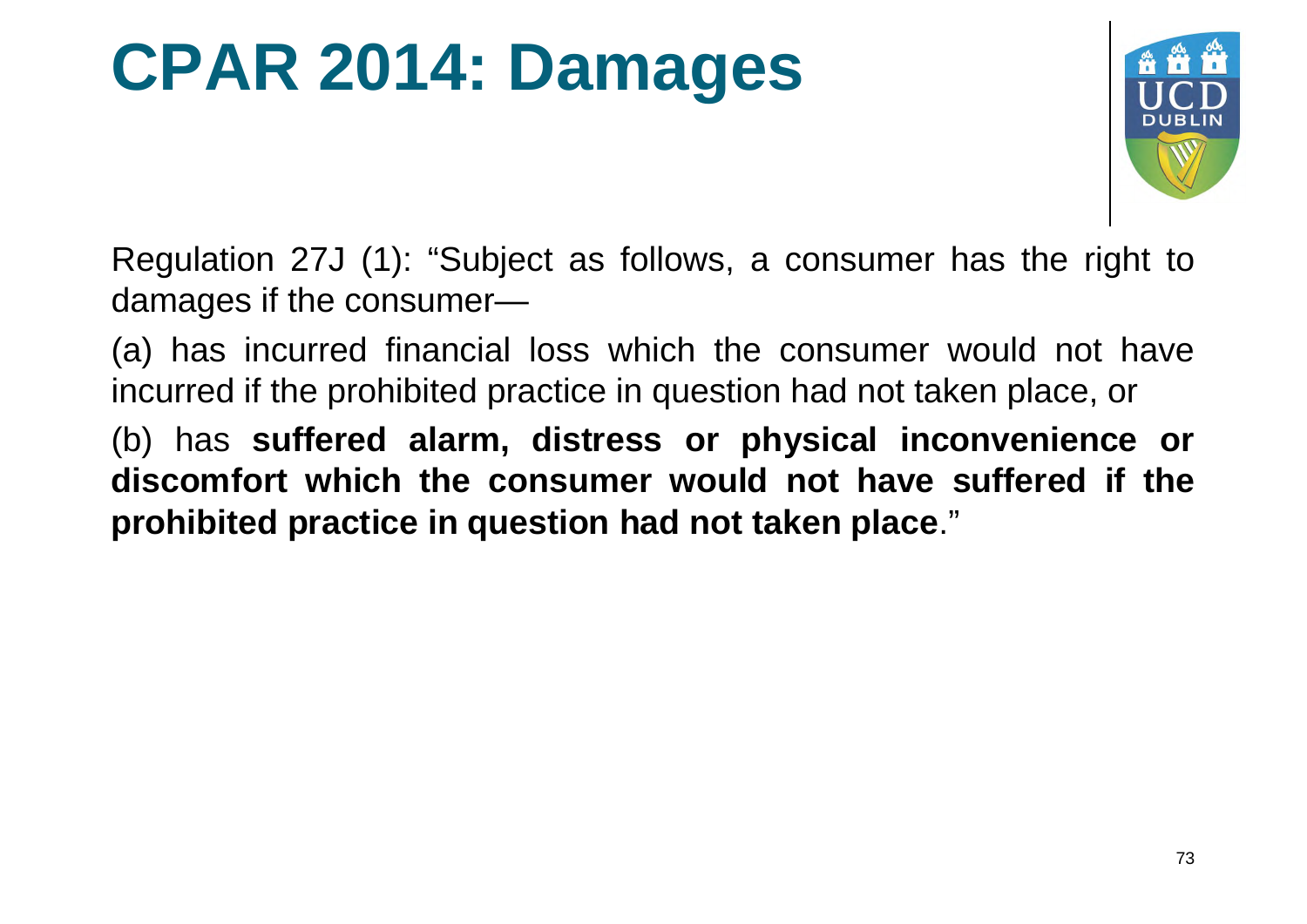#### **CPAR 2014: Damages**



Regulation 27J (1): "Subject as follows, a consumer has the right to damages if the consumer—

(a) has incurred financial loss which the consumer would not have incurred if the prohibited practice in question had not taken place, or

(b) has **suffered alarm, distress or physical inconvenience or discomfort which the consumer would not have suffered if the prohibited practice in question had not taken place**."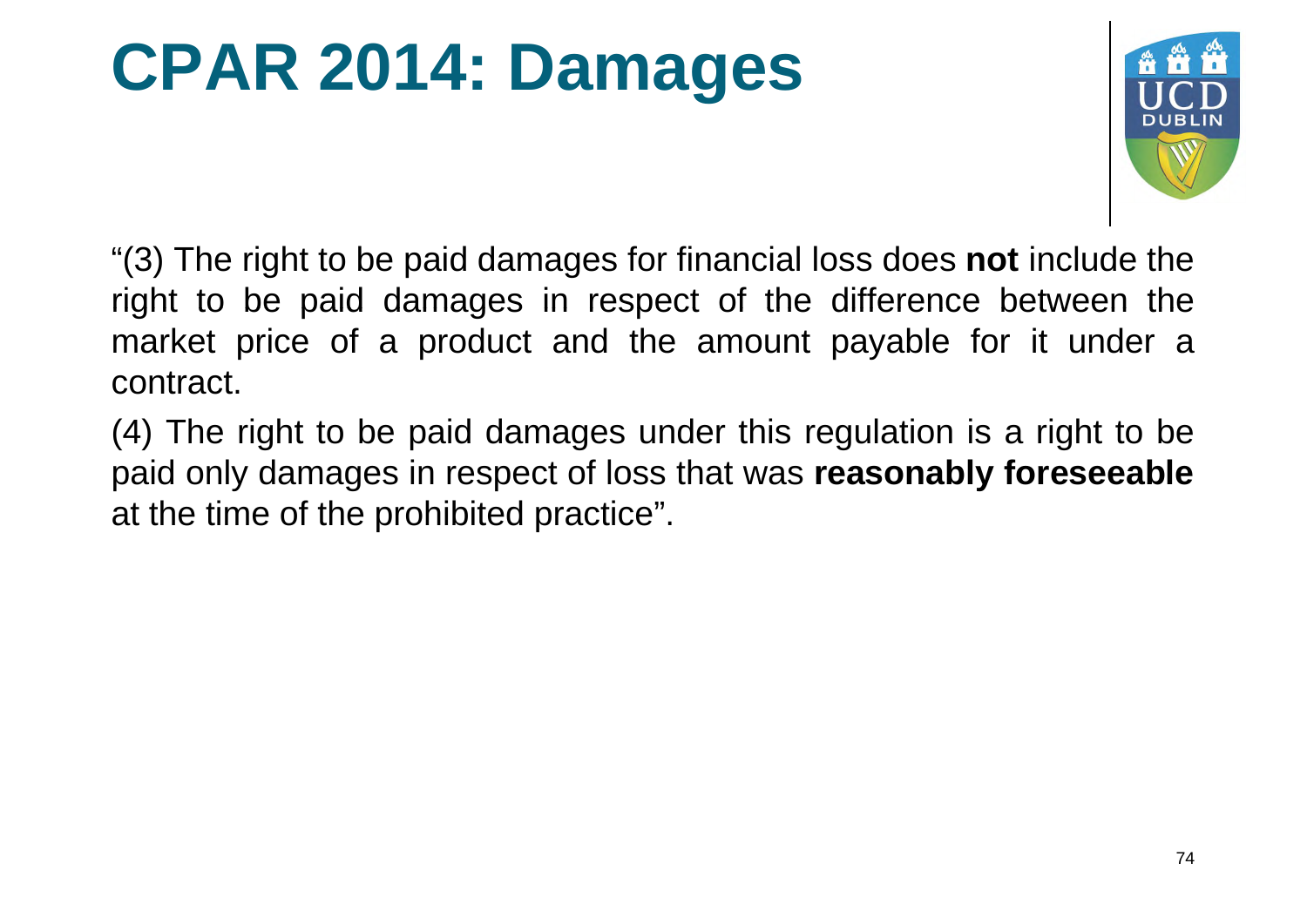#### **CPAR 2014: Damages**



"(3) The right to be paid damages for financial loss does **not** include the right to be paid damages in respect of the difference between the market price of a product and the amount payable for it under a contract.

(4) The right to be paid damages under this regulation is a right to be paid only damages in respect of loss that was **reasonably foreseeable** at the time of the prohibited practice".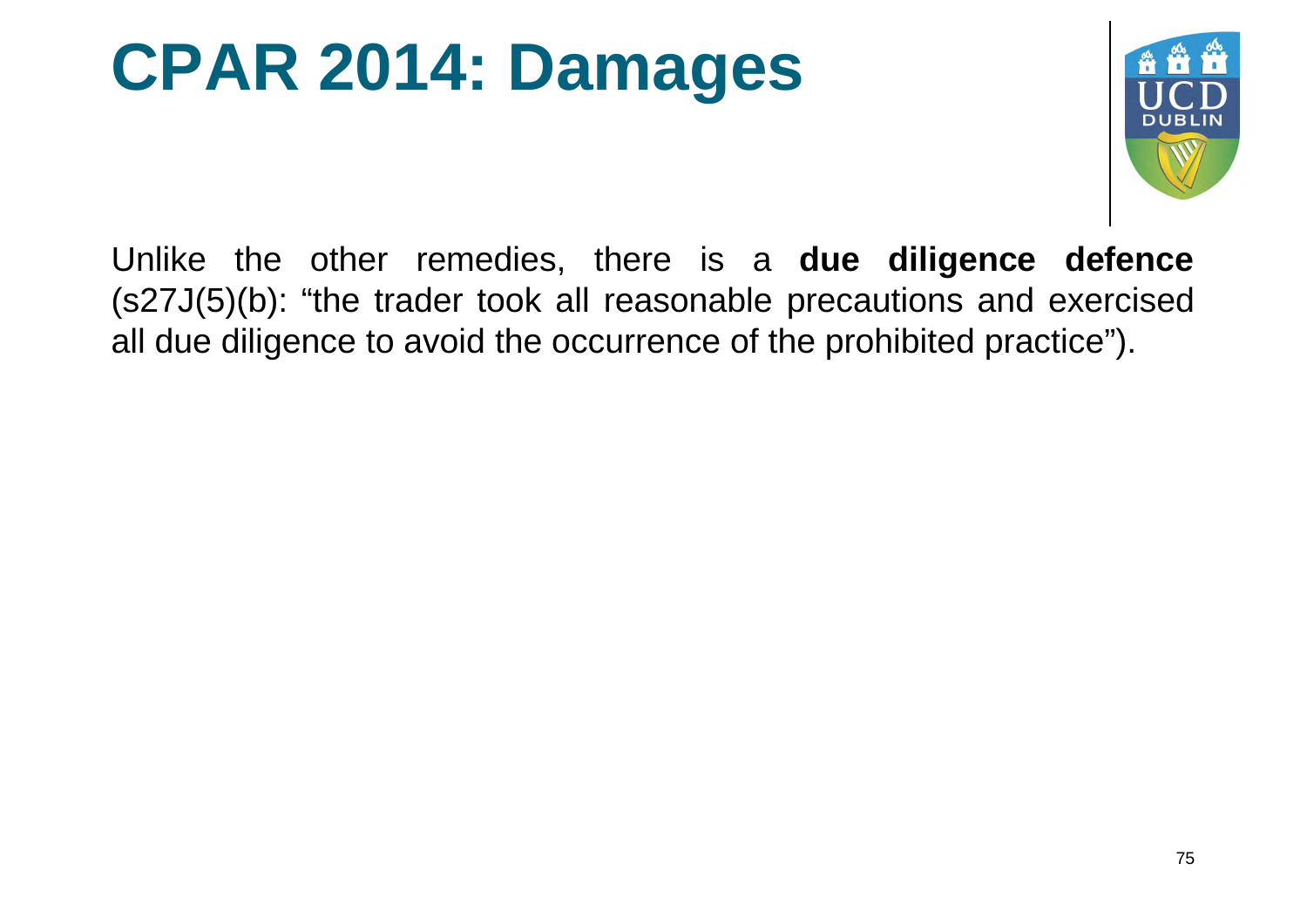#### **CPAR 2014: Damages**



Unlike the other remedies, there is a **due diligence defence** (s27J(5)(b): "the trader took all reasonable precautions and exercised all due diligence to avoid the occurrence of the prohibited practice").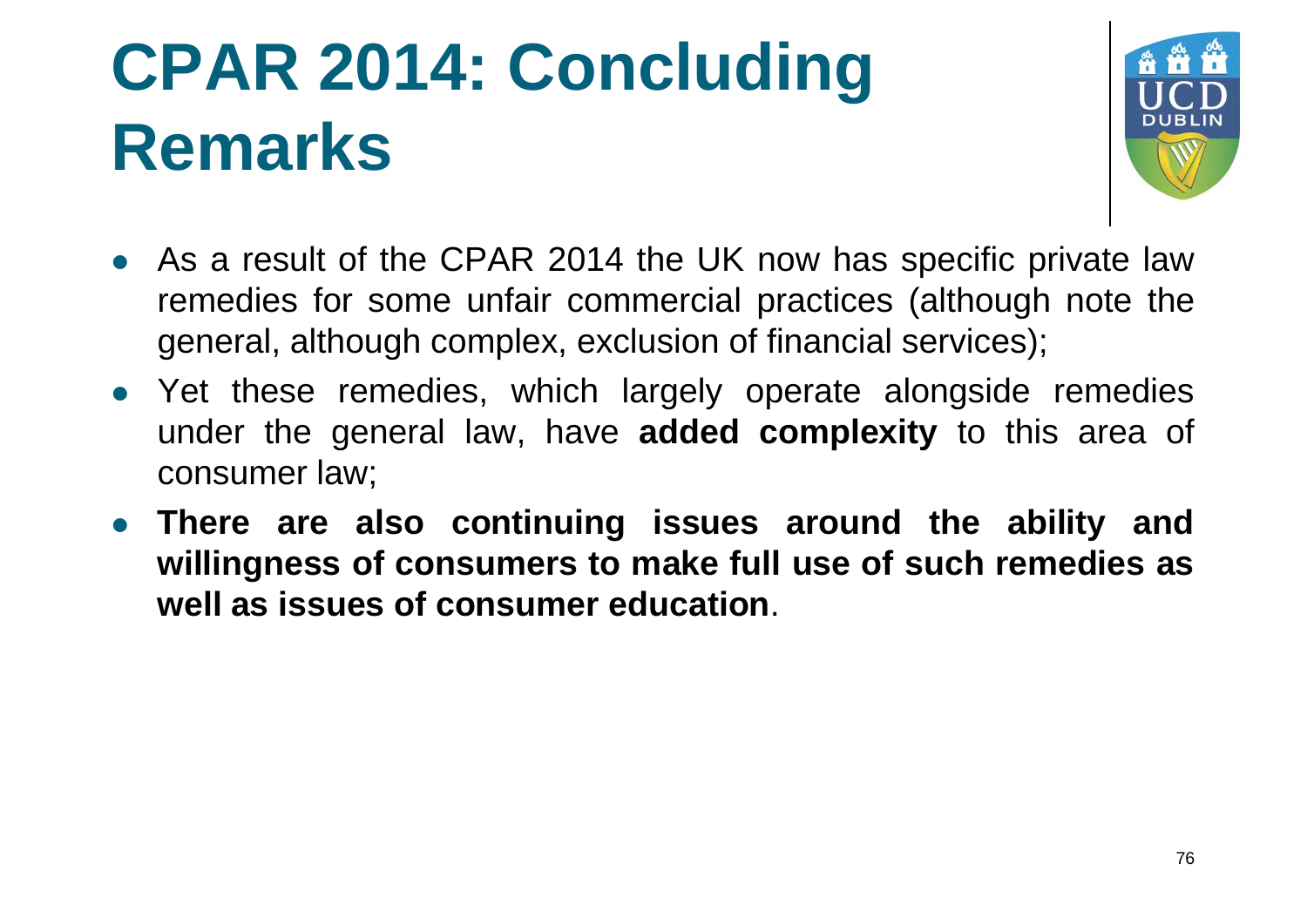### **CPAR 2014: Concluding Remarks**



- As a result of the CPAR 2014 the UK now has specific private law remedies for some unfair commercial practices (although note the general, although complex, exclusion of financial services);
- Yet these remedies, which largely operate alongside remedies under the general law, have **added complexity** to this area of consumer law;
- **There are also continuing issues around the ability and willingness of consumers to make full use of such remedies as well as issues of consumer education** .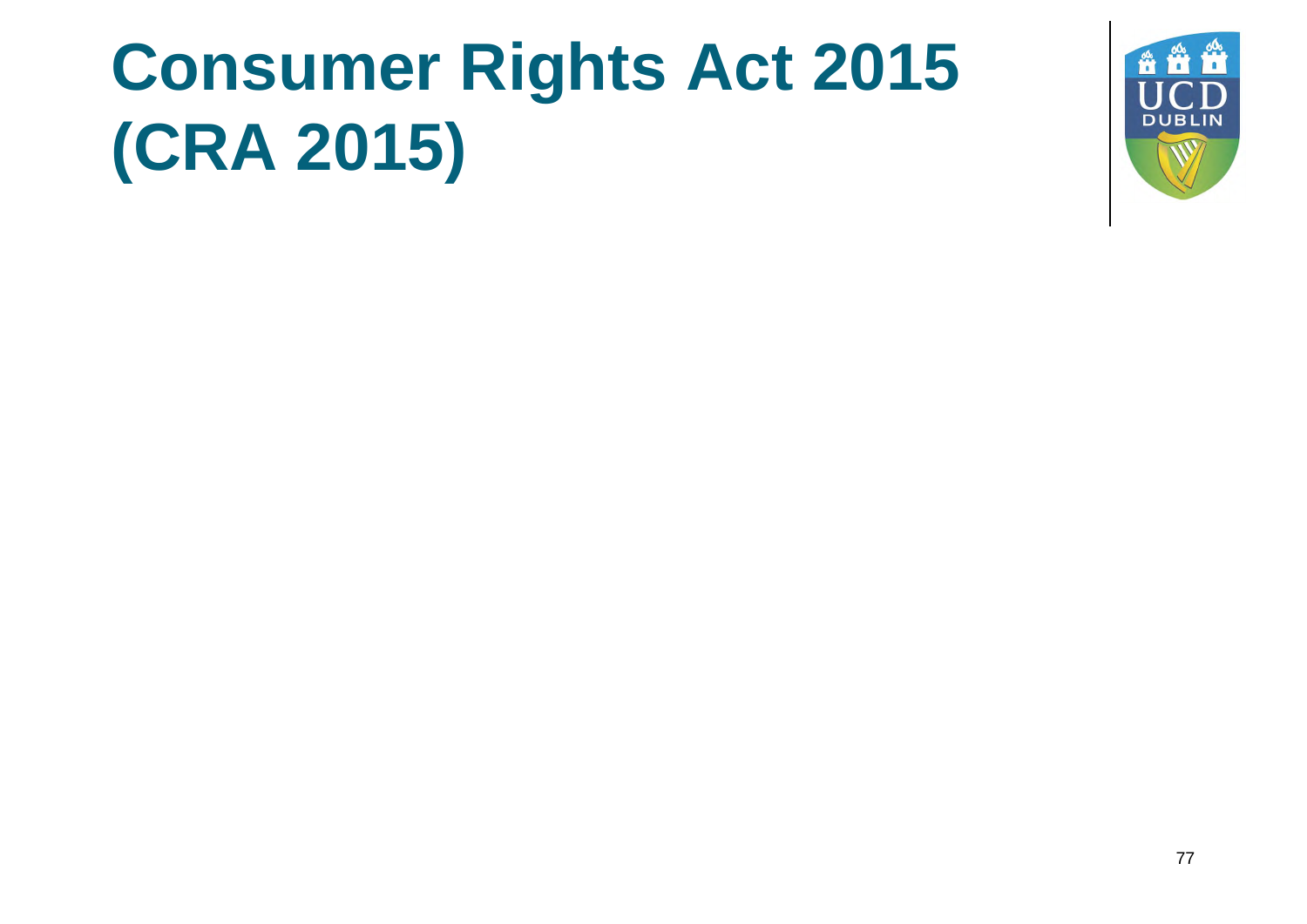# **Consumer Rights Act 2015 (CRA 2015)**

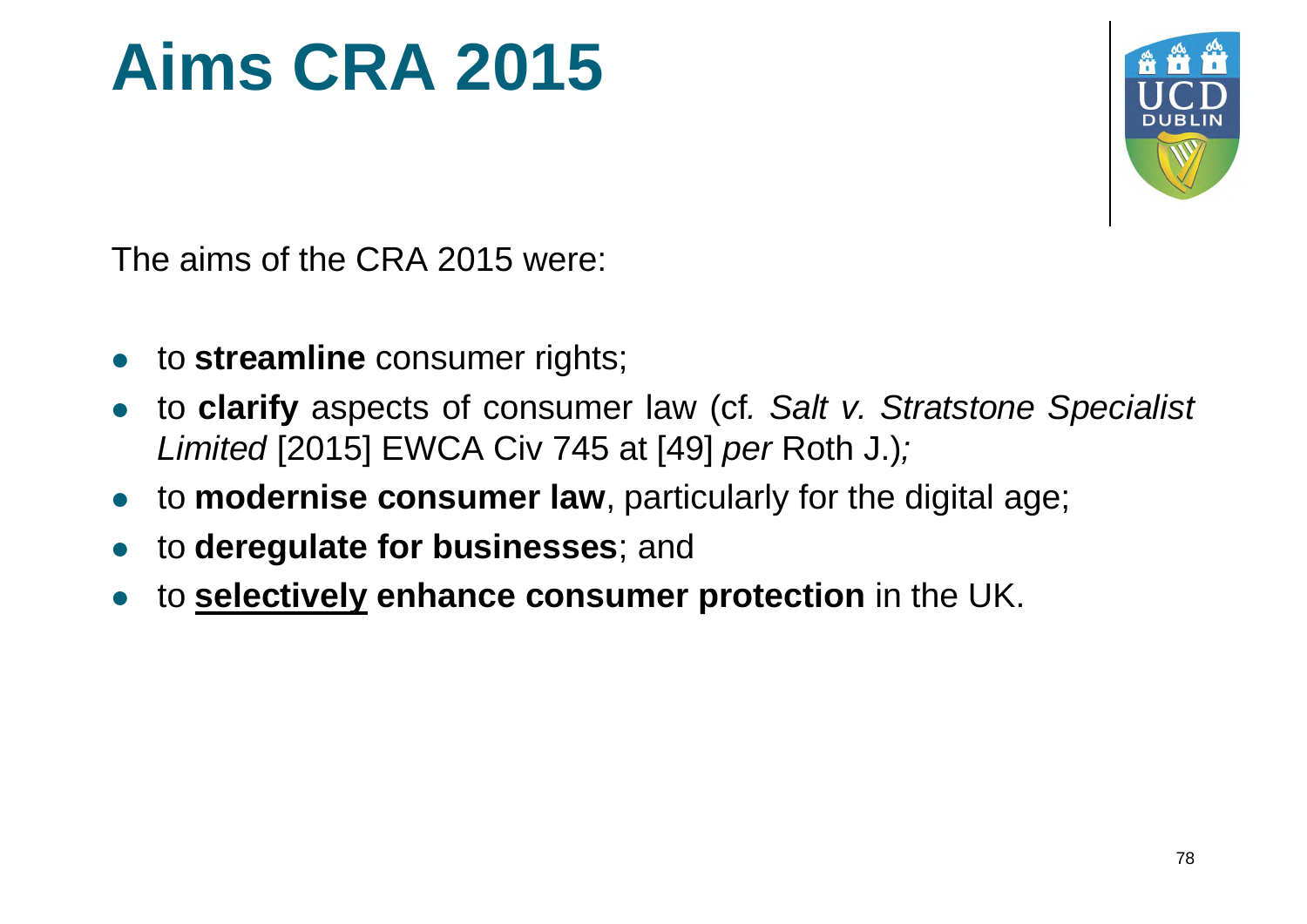#### **Aims CRA 2015**



The aims of the CRA 2015 were:

- **to streamline** consumer rights;
- to **clarify** aspects of consumer law (cf*. Salt v. Stratstone Specialist Limited* [2015] EWCA Civ 745 at [49] *per* Roth J.)*;*
- to **modernise consumer law**, particularly for the digital age;
- to **deregulate for businesses**; and
- to **selectively enhance consumer protection** in the UK.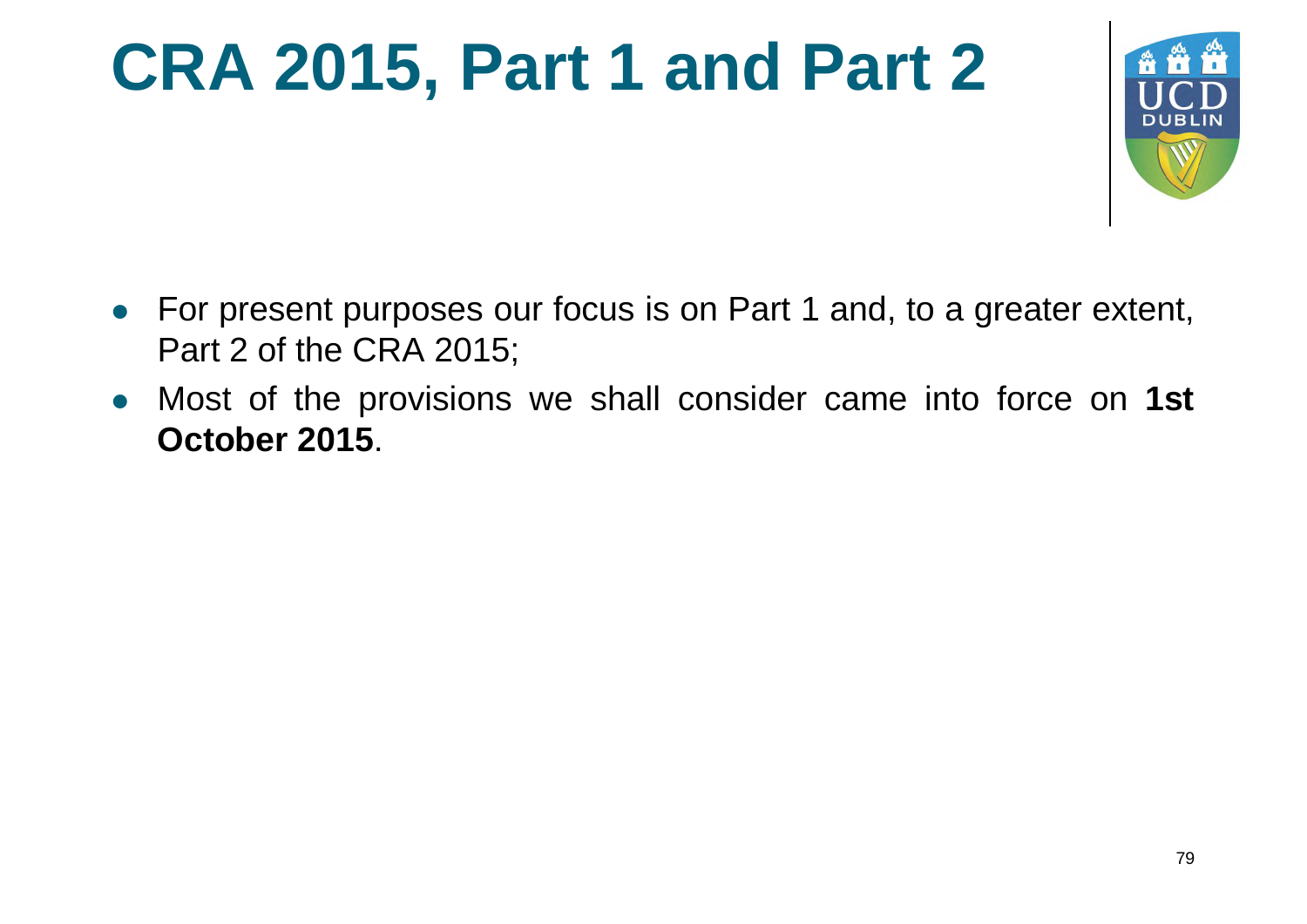#### **CRA 2015, Part 1 and Part 2**



- For present purposes our focus is on Part 1 and, to a greater extent, Part 2 of the CRA 2015;
- Most of the provisions we shall consider came into force on **1st October 2015**.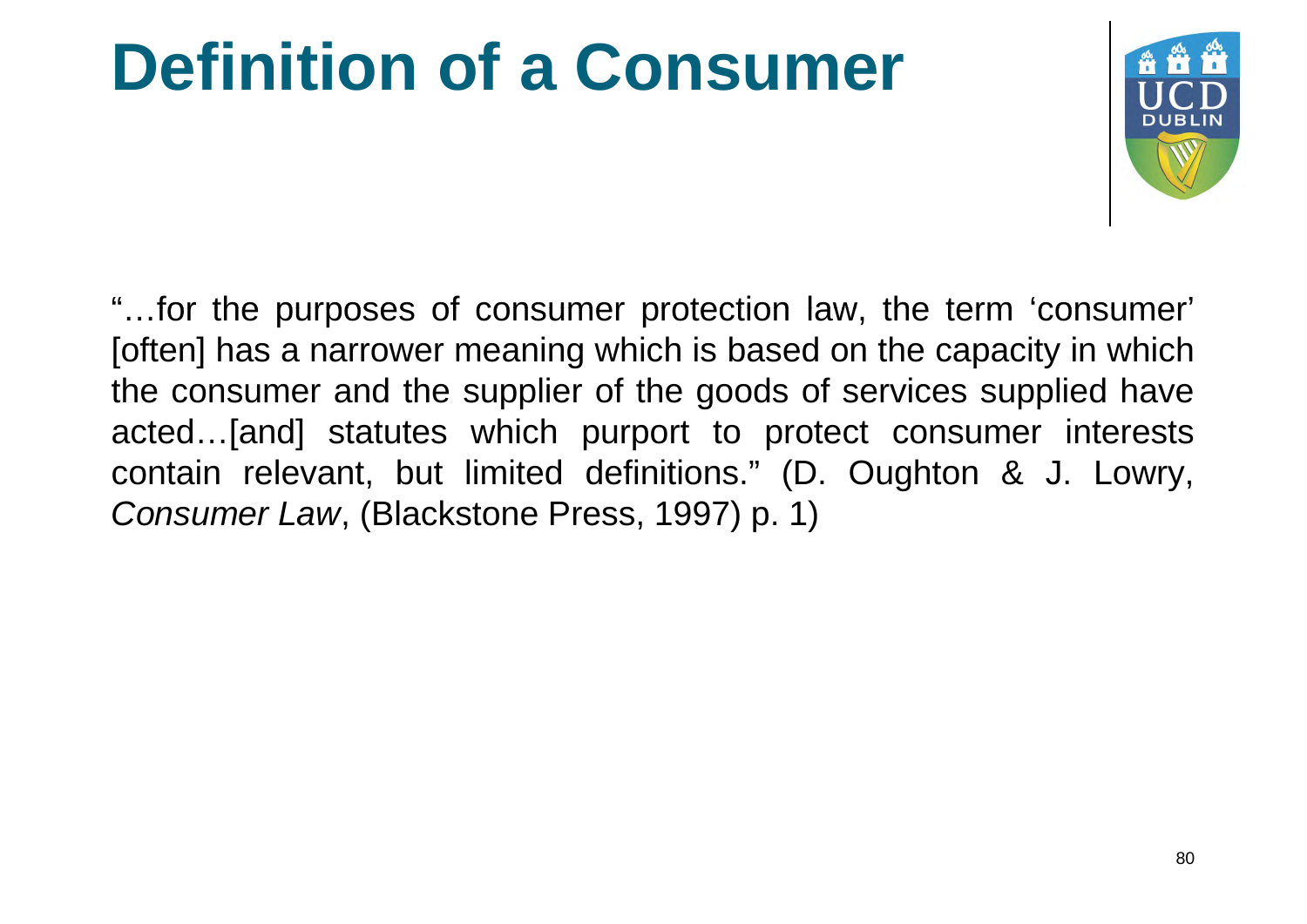#### **Definition of a Consumer**



"…for the purposes of consumer protection law, the term 'consumer' [often] has a narrower meaning which is based on the capacity in which the consumer and the supplier of the goods of services supplied have acted…[and] statutes which purport to protect consumer interests contain relevant, but limited definitions." (D. Oughton & J. Lowry, *Consumer Law*, (Blackstone Press, 1997) p. 1)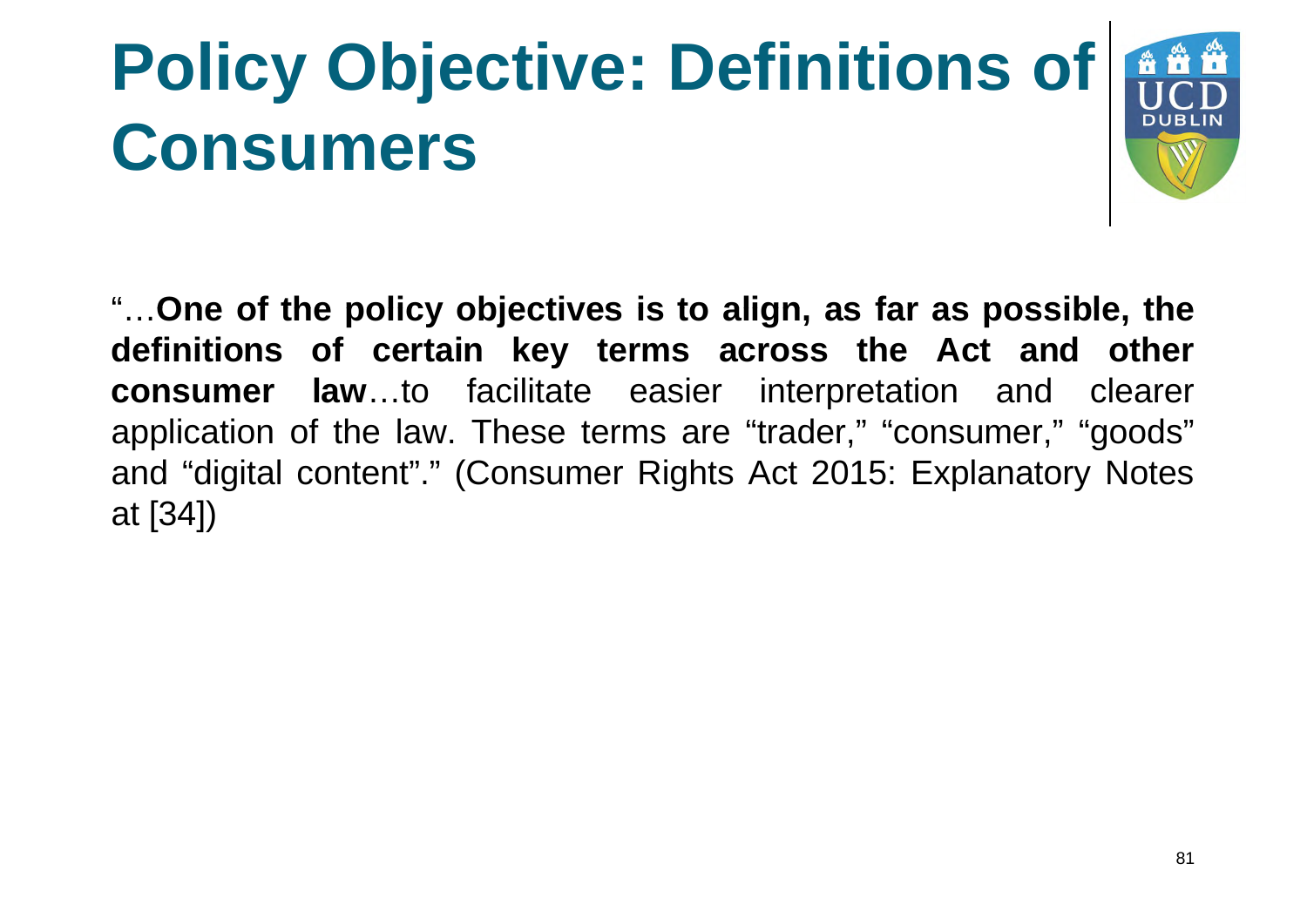# **Policy Objective: Definitions of Consumers**



"…**One of the policy objectives is to align, as far as possible, the definitions of certain key terms across the Act and other consumer law**…to facilitate easier interpretation and clearer application of the law. These terms are "trader," "consumer," "goods" and "digital content"." (Consumer Rights Act 2015: Explanatory Notes at [34])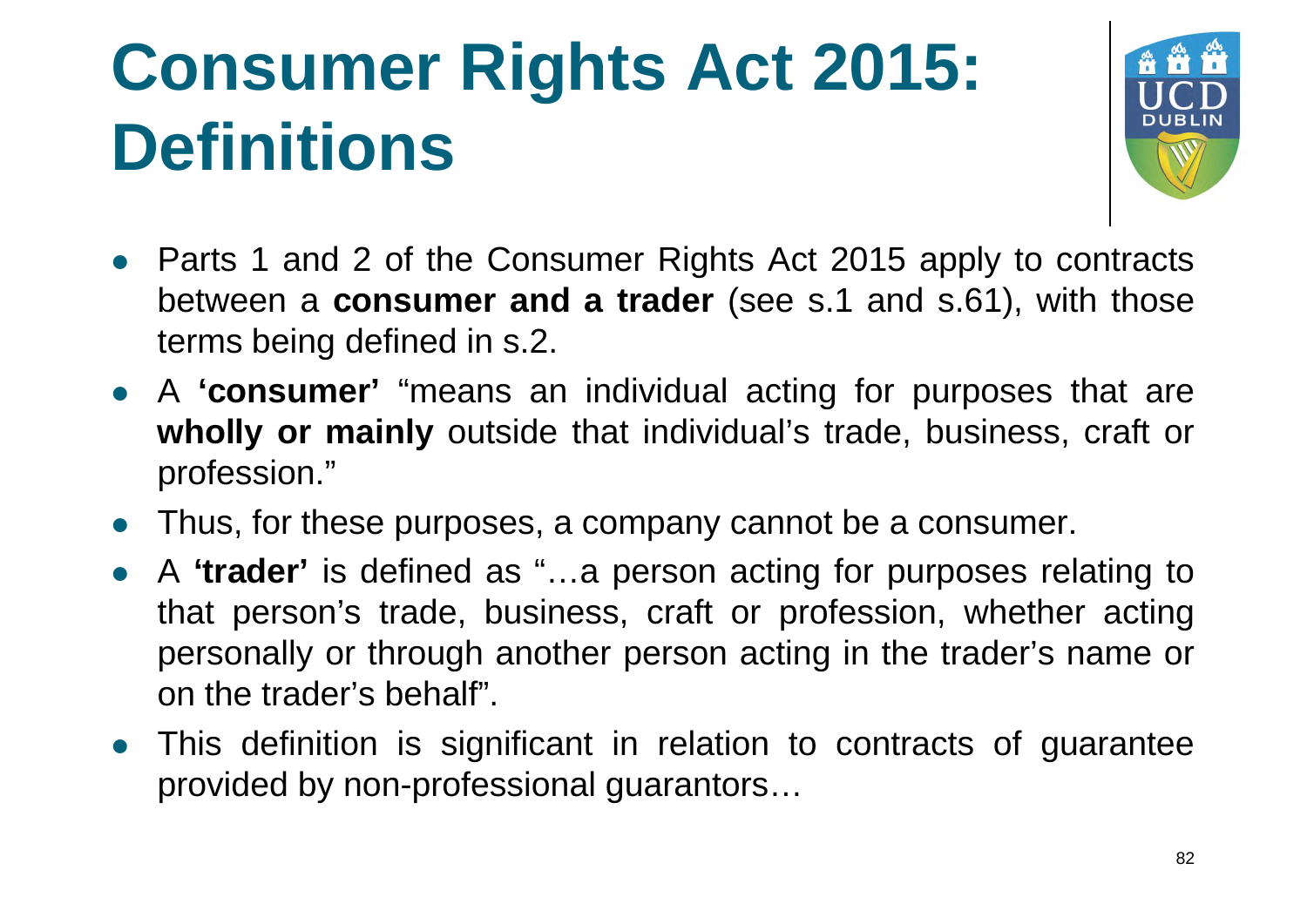### **Consumer Rights Act 2015: Definitions**



- Parts 1 and 2 of the Consumer Rights Act 2015 apply to contracts between a **consumer and a trader** (see s.1 and s.61), with those terms being defined in s.2.
- A **'consumer'** "means an individual acting for purposes that are **wholly or mainly** outside that individual's trade, business, craft or profession."
- Thus, for these purposes, a company cannot be a consumer.
- A **'trader'** is defined as "…a person acting for purposes relating to that person's trade, business, craft or profession, whether acting personally or through another person acting in the trader's name or on the trader's behalf".
- This definition is significant in relation to contracts of guarantee provided by non-professional guarantors…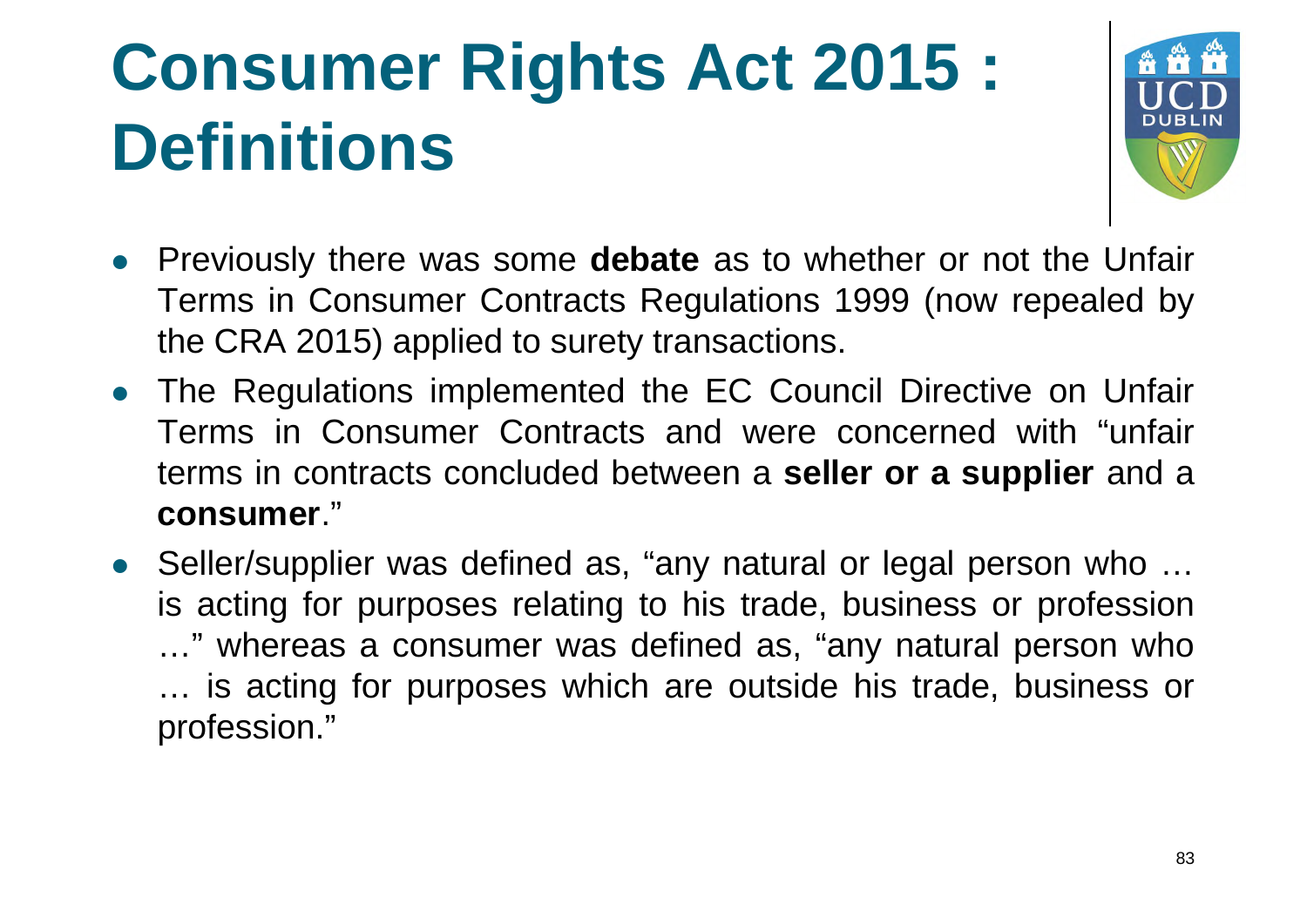### **Consumer Rights Act 2015 : Definitions**



- Previously there was some **debate** as to whether or not the Unfair Terms in Consumer Contracts Regulations 1999 (now repealed by the CRA 2015) applied to surety transactions.
- The Regulations implemented the EC Council Directive on Unfair Terms in Consumer Contracts and were concerned with "unfair terms in contracts concluded between a **seller or a supplier** and a **consumer**."
- Seller/supplier was defined as, "any natural or legal person who ... is acting for purposes relating to his trade, business or profession …" whereas a consumer was defined as, "any natural person who … is acting for purposes which are outside his trade, business or profession."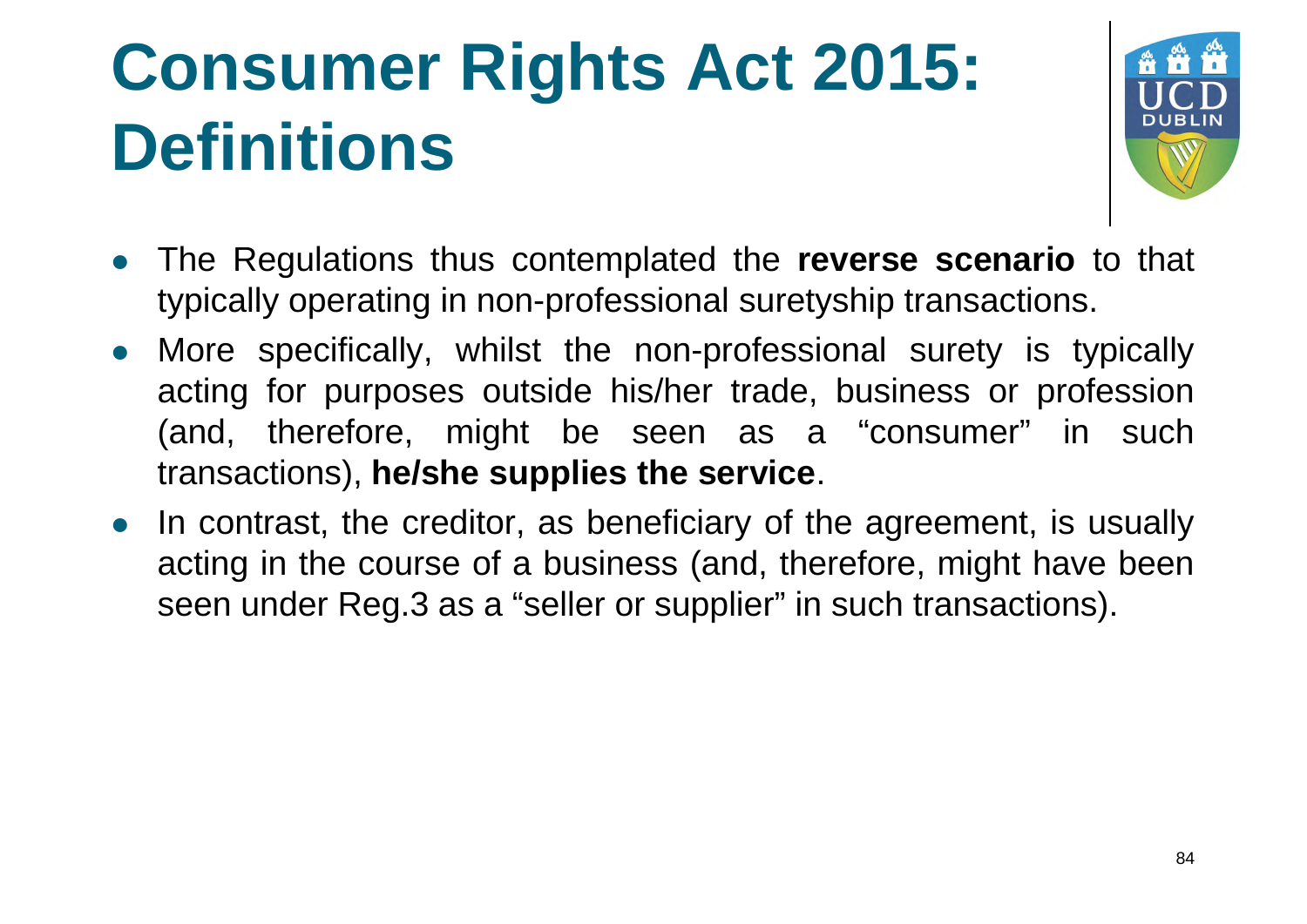### **Consumer Rights Act 2015: Definitions**



- The Regulations thus contemplated the **reverse scenario** to that typically operating in non-professional suretyship transactions.
- More specifically, whilst the non-professional surety is typically acting for purposes outside his/her trade, business or profession (and, therefore, might be seen as a "consumer" in such transactions), **he/she supplies the service**.
- In contrast, the creditor, as beneficiary of the agreement, is usually acting in the course of a business (and, therefore, might have been seen under Reg.3 as a "seller or supplier" in such transactions).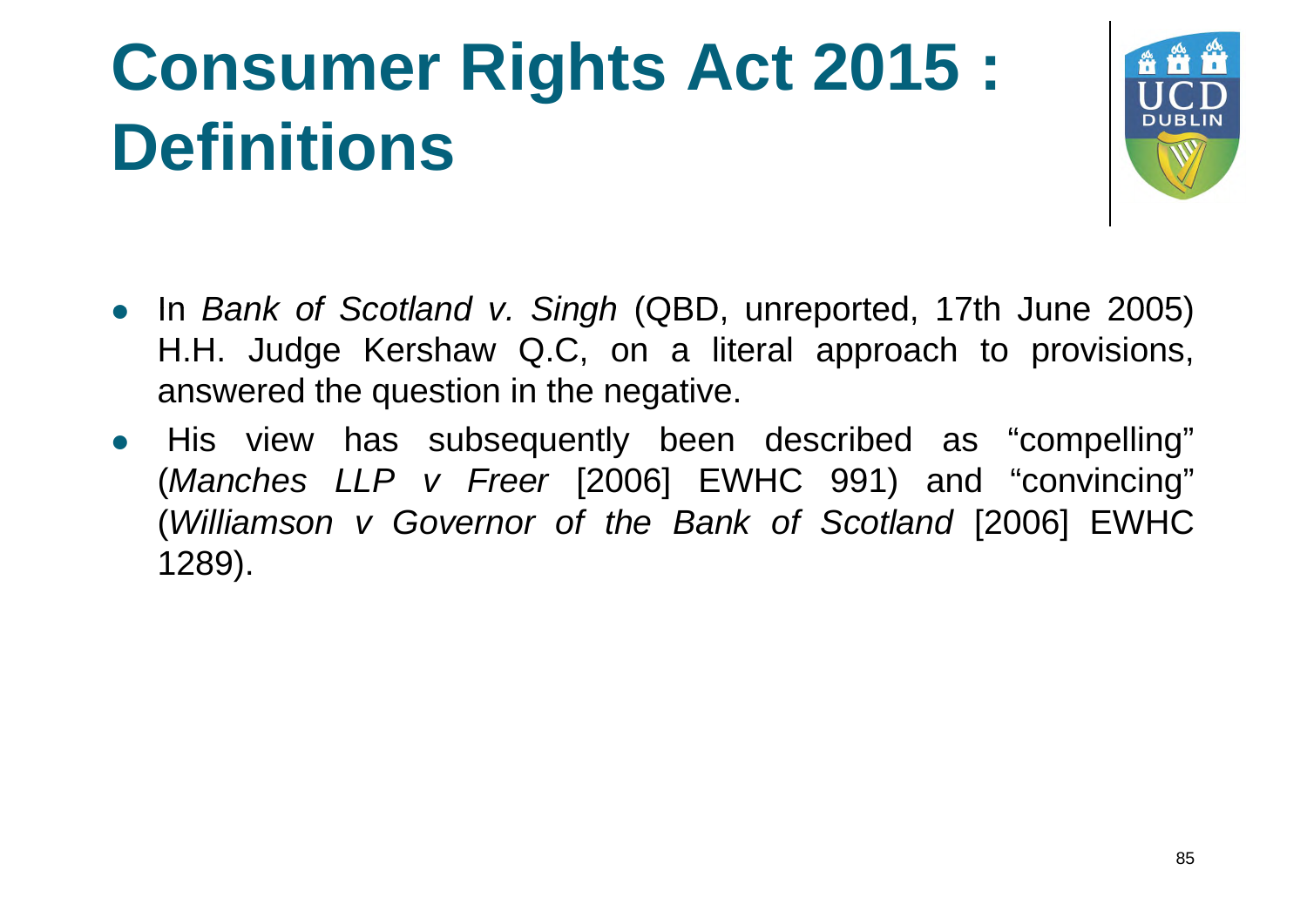

- In *Bank of Scotland v. Singh* (QBD, unreported, 17th June 2005) H.H. Judge Kershaw Q.C, on a literal approach to provisions, answered the question in the negative.
- His view has subsequently been described as "compelling" (*Manches LLP v Freer* [2006] EWHC 991) and "convincing" (*Williamson v Governor of the Bank of Scotland* [2006] EWHC 1289).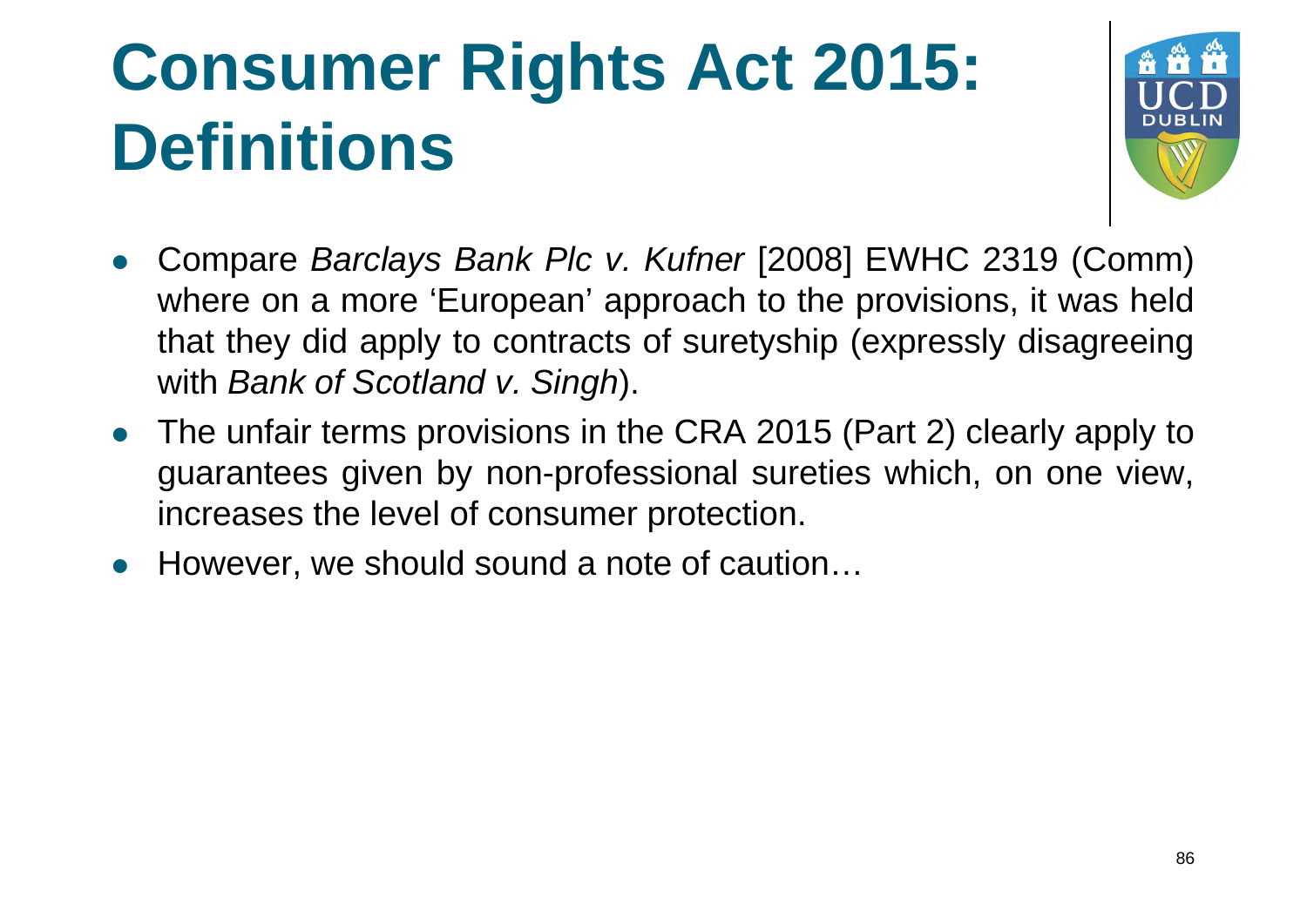

- Compare *Barclays Bank Plc v. Kufner* [2008] EWHC 2319 (Comm) where on a more 'European' approach to the provisions, it was held that they did apply to contracts of suretyship (expressly disagreeing with *Bank of Scotland v. Singh*).
- The unfair terms provisions in the CRA 2015 (Part 2) clearly apply to guarantees given by non-professional sureties which, on one view, increases the level of consumer protection.
- However, we should sound a note of caution…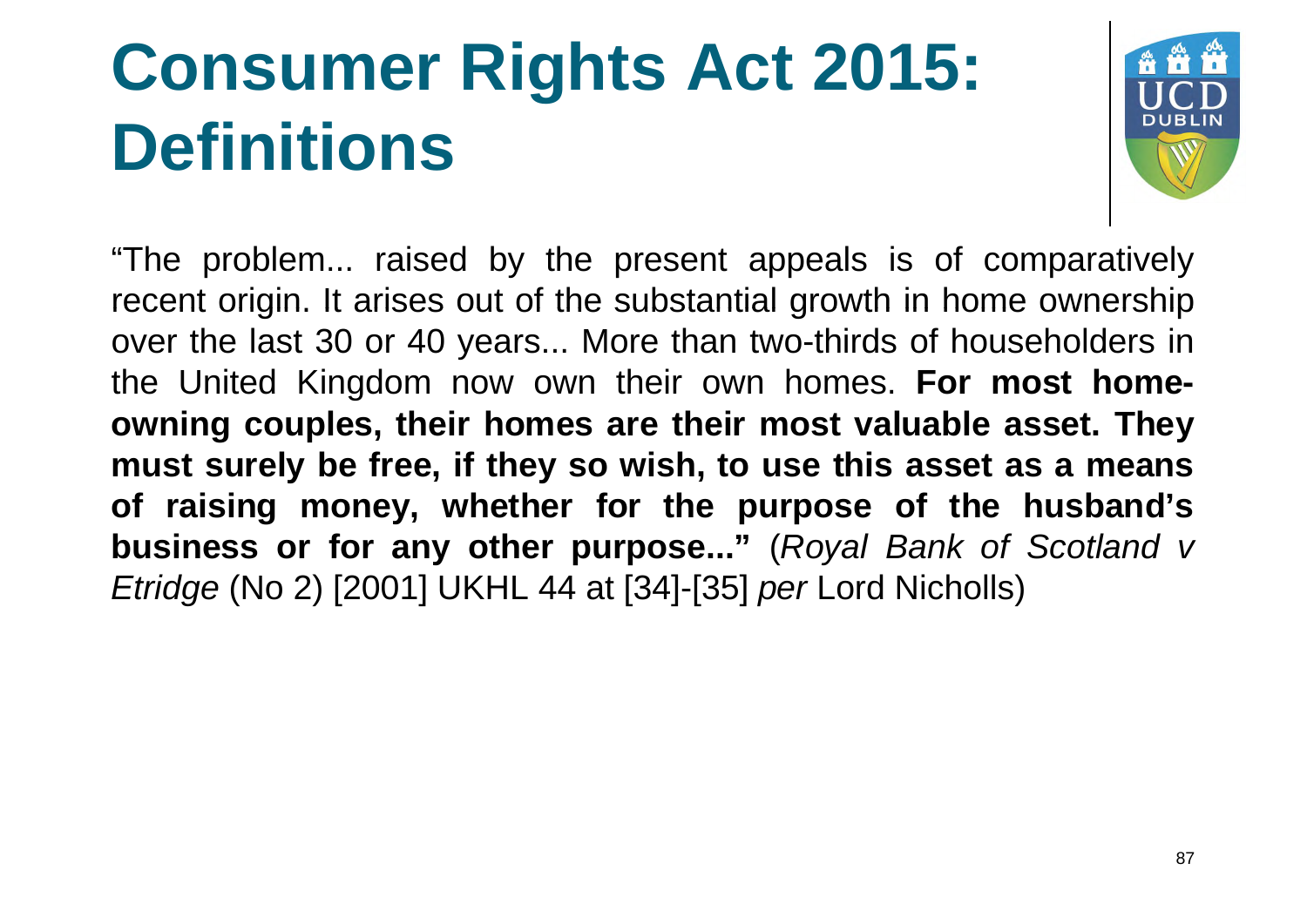

"The problem... raised by the present appeals is of comparatively recent origin. It arises out of the substantial growth in home ownership over the last 30 or 40 years... More than two-thirds of householders in the United Kingdom now own their own homes. **For most homeowning couples, their homes are their most valuable asset. They must surely be free, if they so wish, to use this asset as a means of raising money, whether for the purpose of the husband's business or for any other purpose..."** (*Royal Bank of Scotland v Etridge* (No 2) [2001] UKHL 44 at [34]-[35] *per* Lord Nicholls)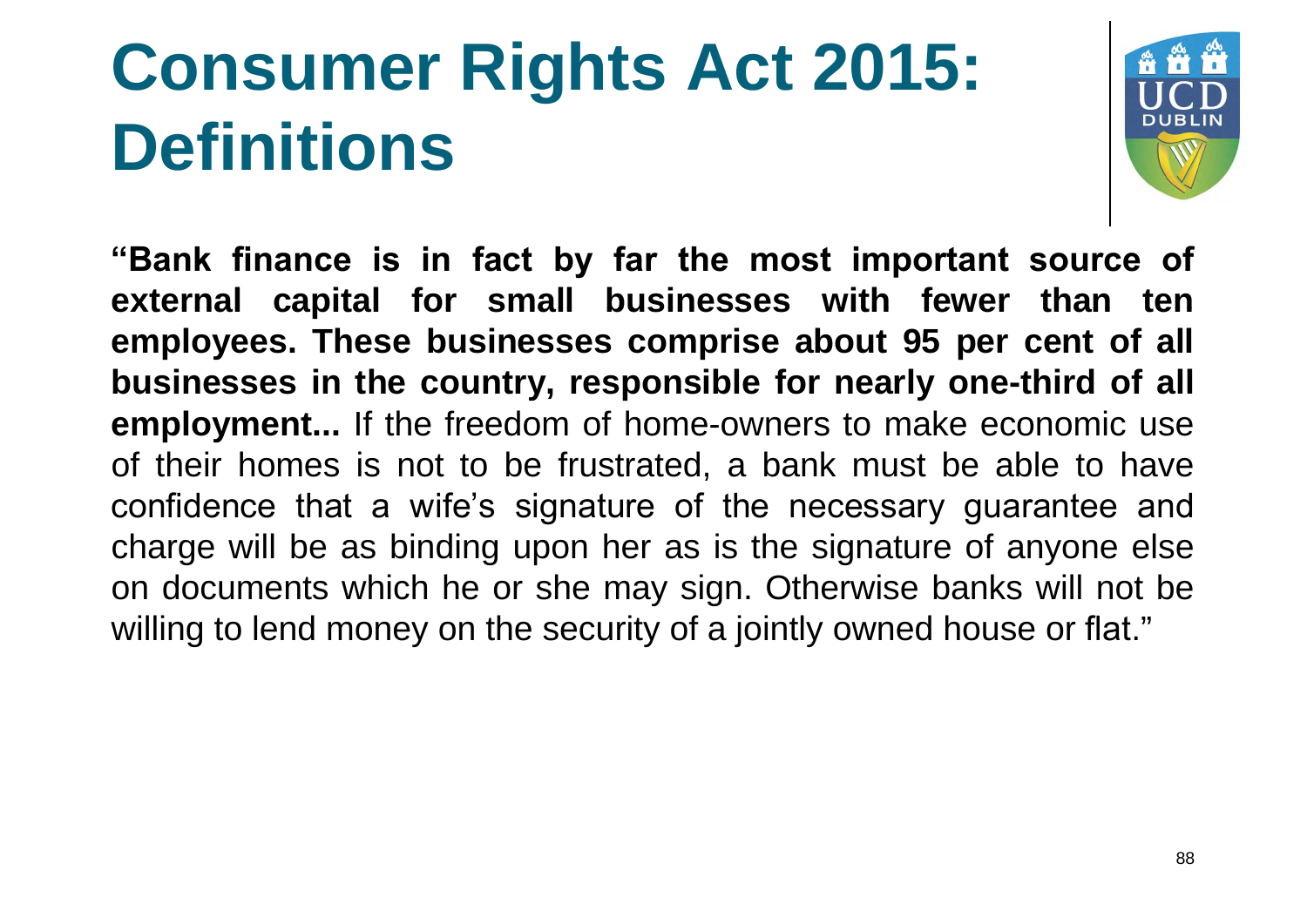

**"Bank finance is in fact by far the most important source of external capital for small businesses with fewer than ten employees. These businesses comprise about 95 per cent of all businesses in the country, responsible for nearly one-third of all employment...** If the freedom of home-owners to make economic use of their homes is not to be frustrated, a bank must be able to have confidence that a wife's signature of the necessary guarantee and charge will be as binding upon her as is the signature of anyone else on documents which he or she may sign. Otherwise banks will not be willing to lend money on the security of a jointly owned house or flat."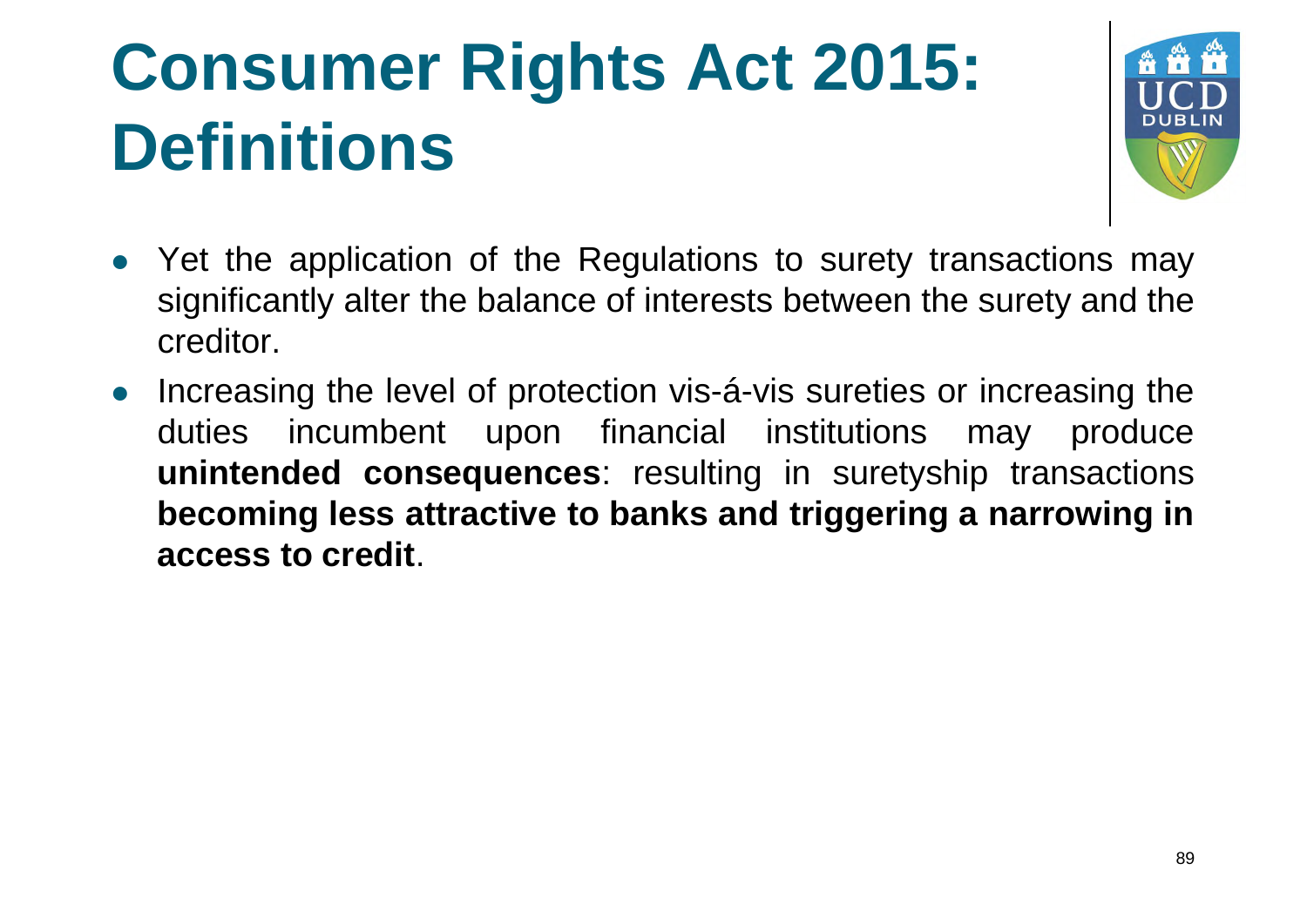

- Yet the application of the Regulations to surety transactions may significantly alter the balance of interests between the surety and the creditor.
- Increasing the level of protection vis-á-vis sureties or increasing the duties incumbent upon financial institutions may produce **unintended consequences**: resulting in suretyship transactions **becoming less attractive to banks and triggering a narrowing in access to credit**.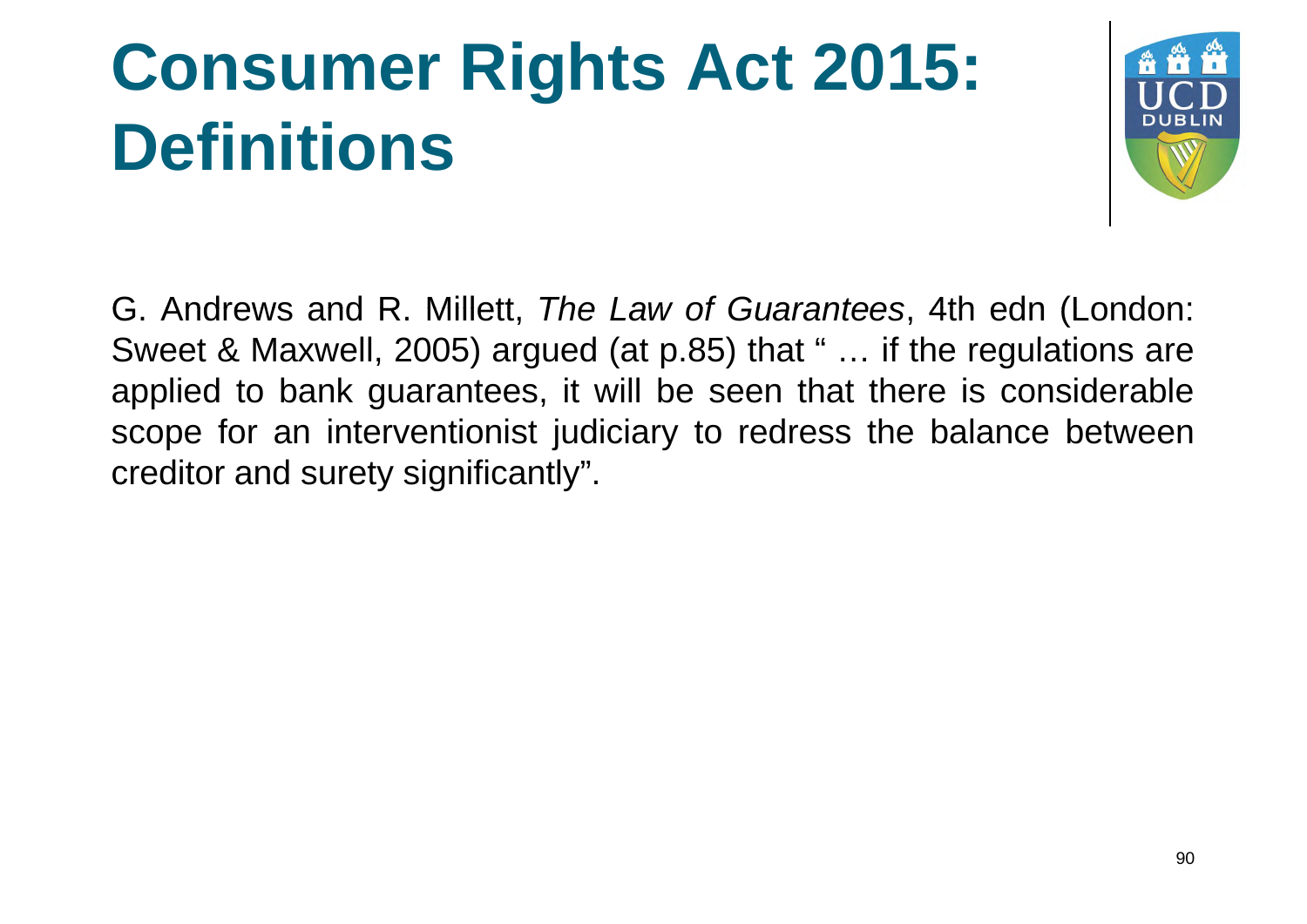

G. Andrews and R. Millett, *The Law of Guarantees* , 4th edn (London (London: Sweet & Maxwell, 2005) argued (at p.85) that " … if the regulations are applied to bank guarantees, it will be seen that there is considerable scope for an interventionist judiciary to redress the balance between creditor and surety significantly".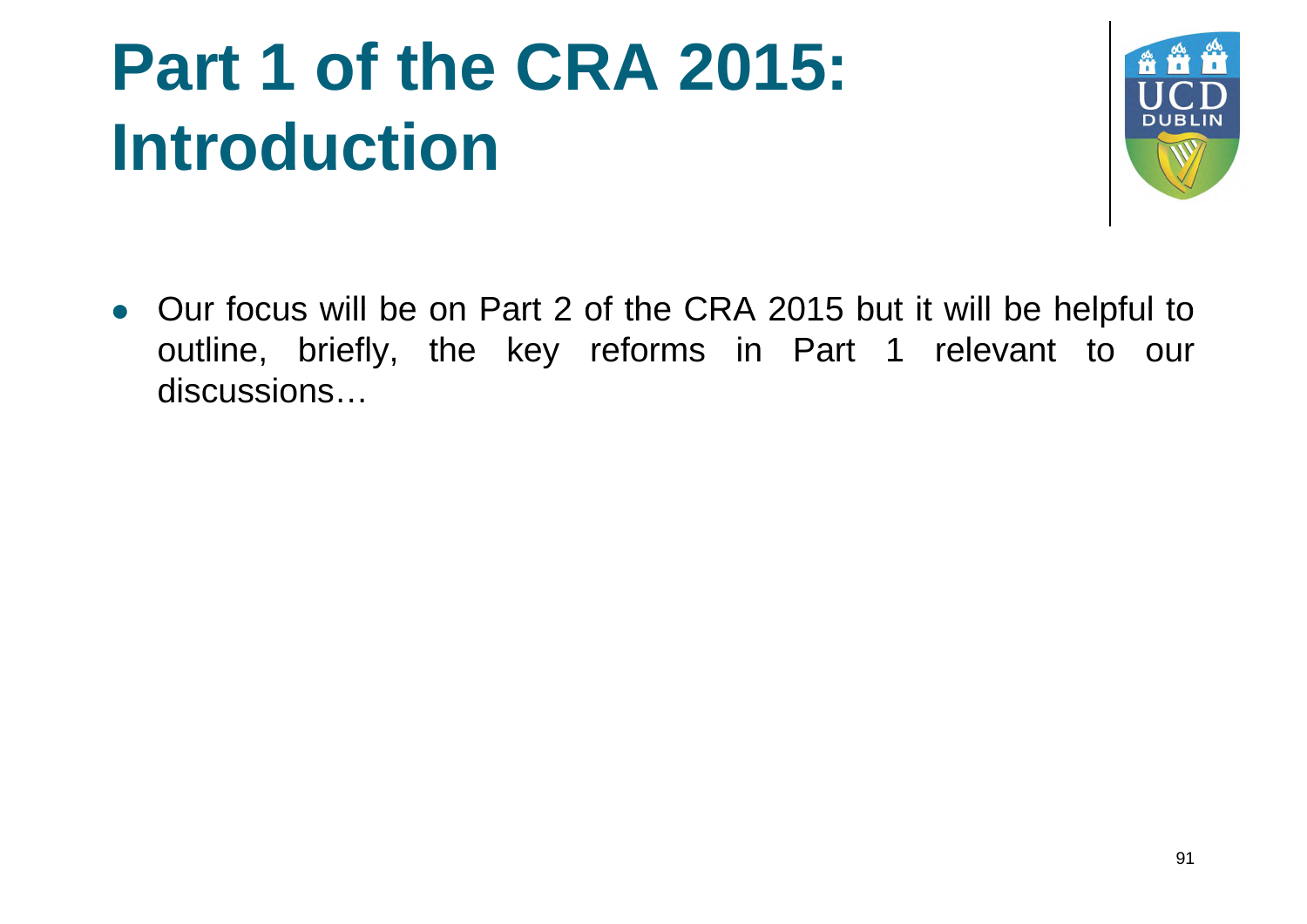#### **Part 1 of the CRA 2015: Introduction**



• Our focus will be on Part 2 of the CRA 2015 but it will be helpful to outline, briefly, the key reforms in Part 1 relevant to our discussions…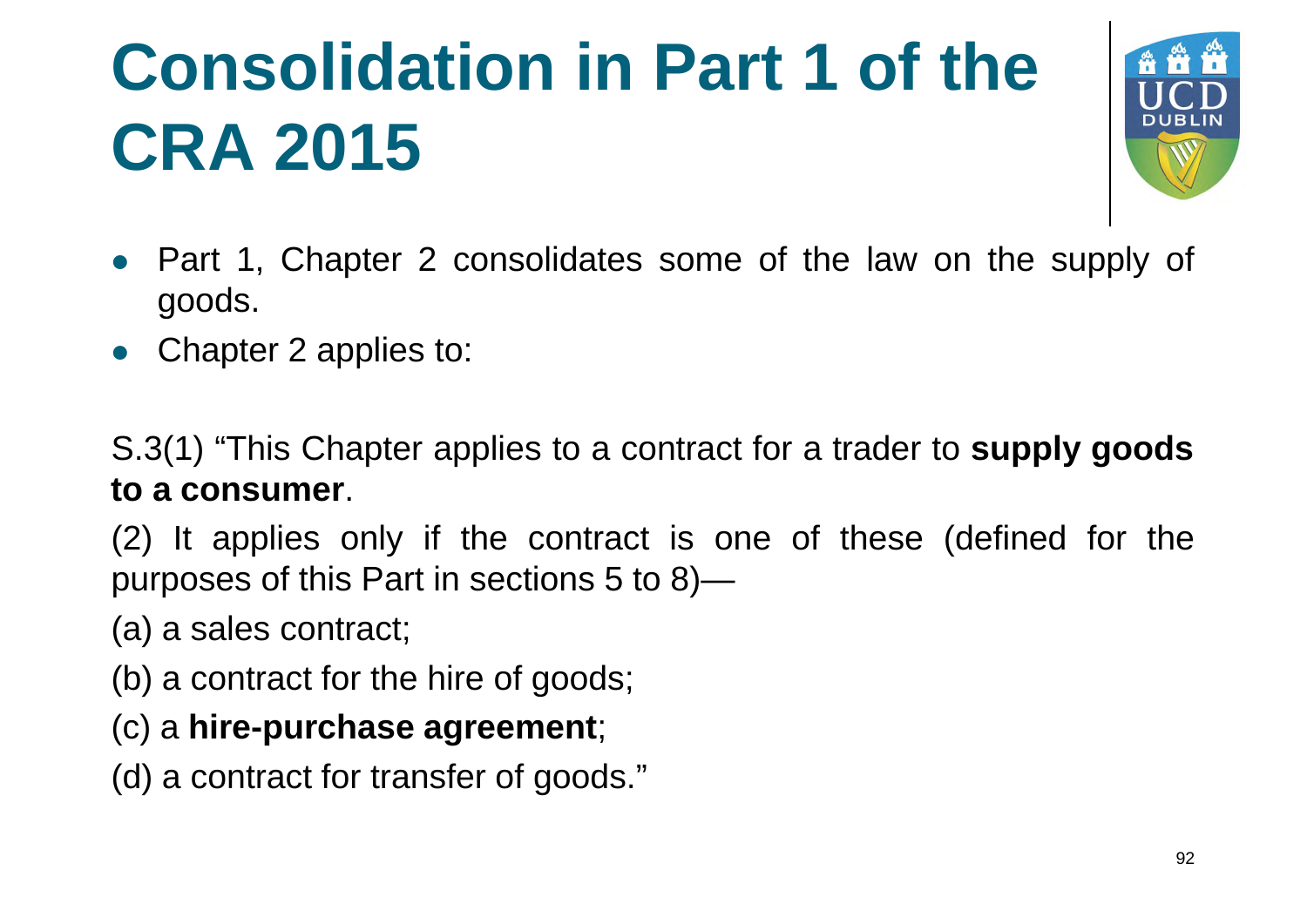# **Consolidation in Part 1 of the CRA 2015**



- Part 1, Chapter 2 consolidates some of the law on the supply of goods.
- Chapter 2 applies to:

S.3(1) "This Chapter applies to a contract for a trader to **supply goods to a consumer**.

(2) It applies only if the contract is one of these (defined for the purposes of this Part in sections 5 to 8)—

(a) a sales contract;

- (b) a contract for the hire of goods;
- (c) a **hire-purchase agreement**;
- (d) a contract for transfer of goods."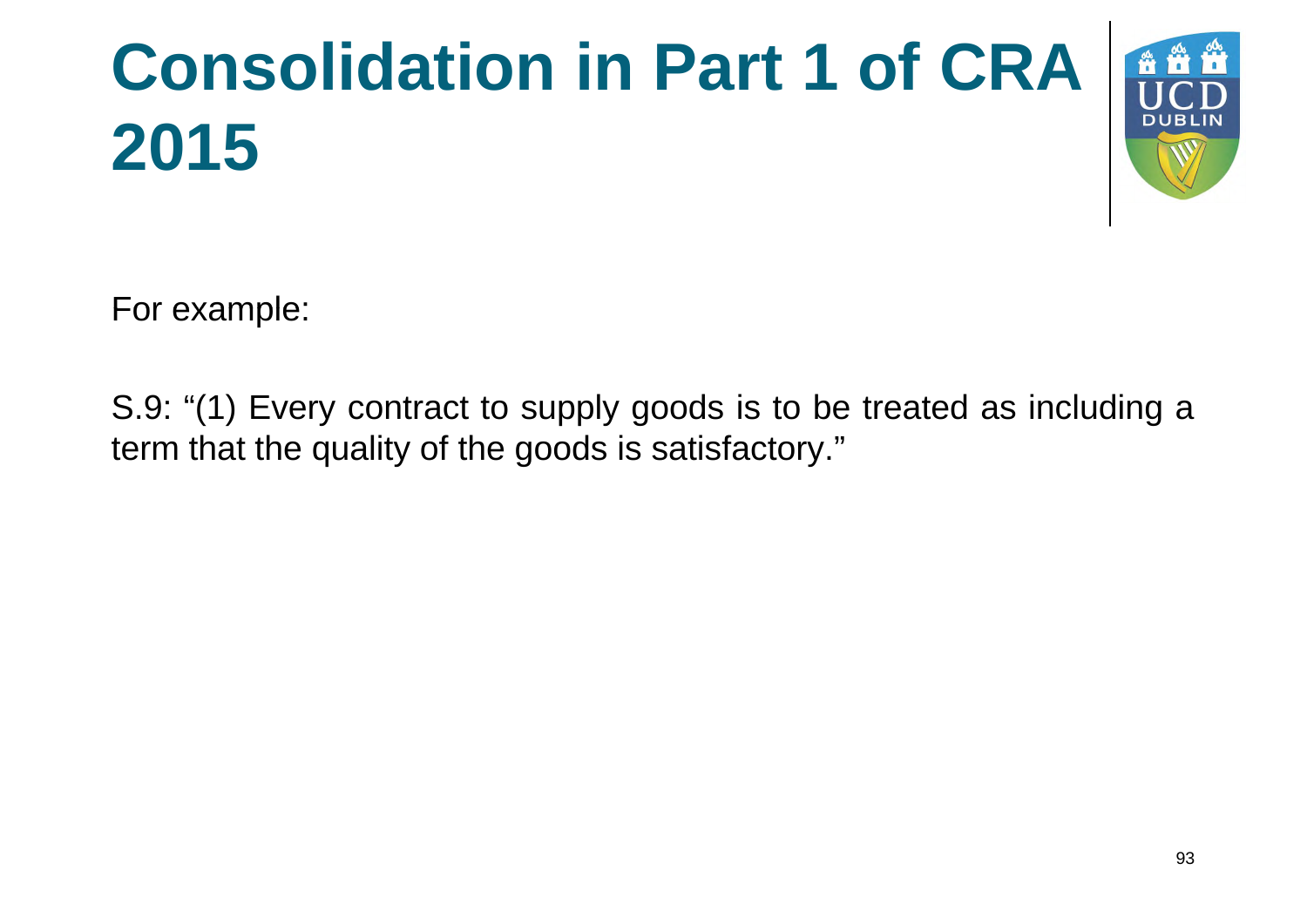# Consolidation in Part 1 of CRA **2015**



For example:

S.9: "(1) Every contract to supply goods is to be treated as including a term that the quality of the goods is satisfactory."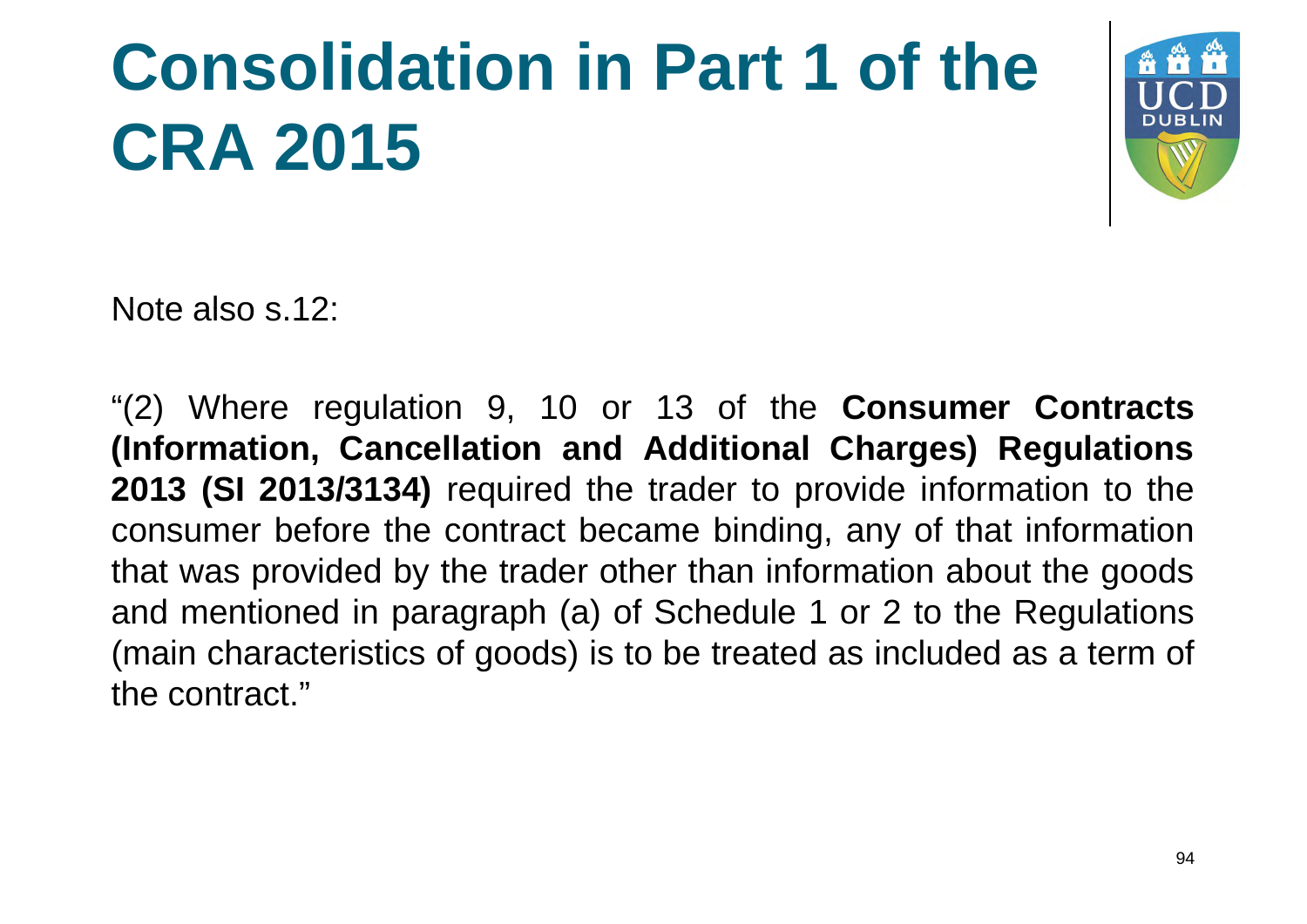### **Consolidation in Part 1 of the CRA 2015**



Note also s.12:

"(2) Where regulation 9, 10 or 13 of the **Consumer Contracts (Information, Cancellation and Additional Charges) Regulations 2013 (SI 2013/3134)** required the trader to provide information to the consumer before the contract became binding, any of that information that was provided by the trader other than information about the goods and mentioned in paragraph (a) of Schedule 1 or 2 to the Regulations (main characteristics of goods) is to be treated as included as a term of the contract."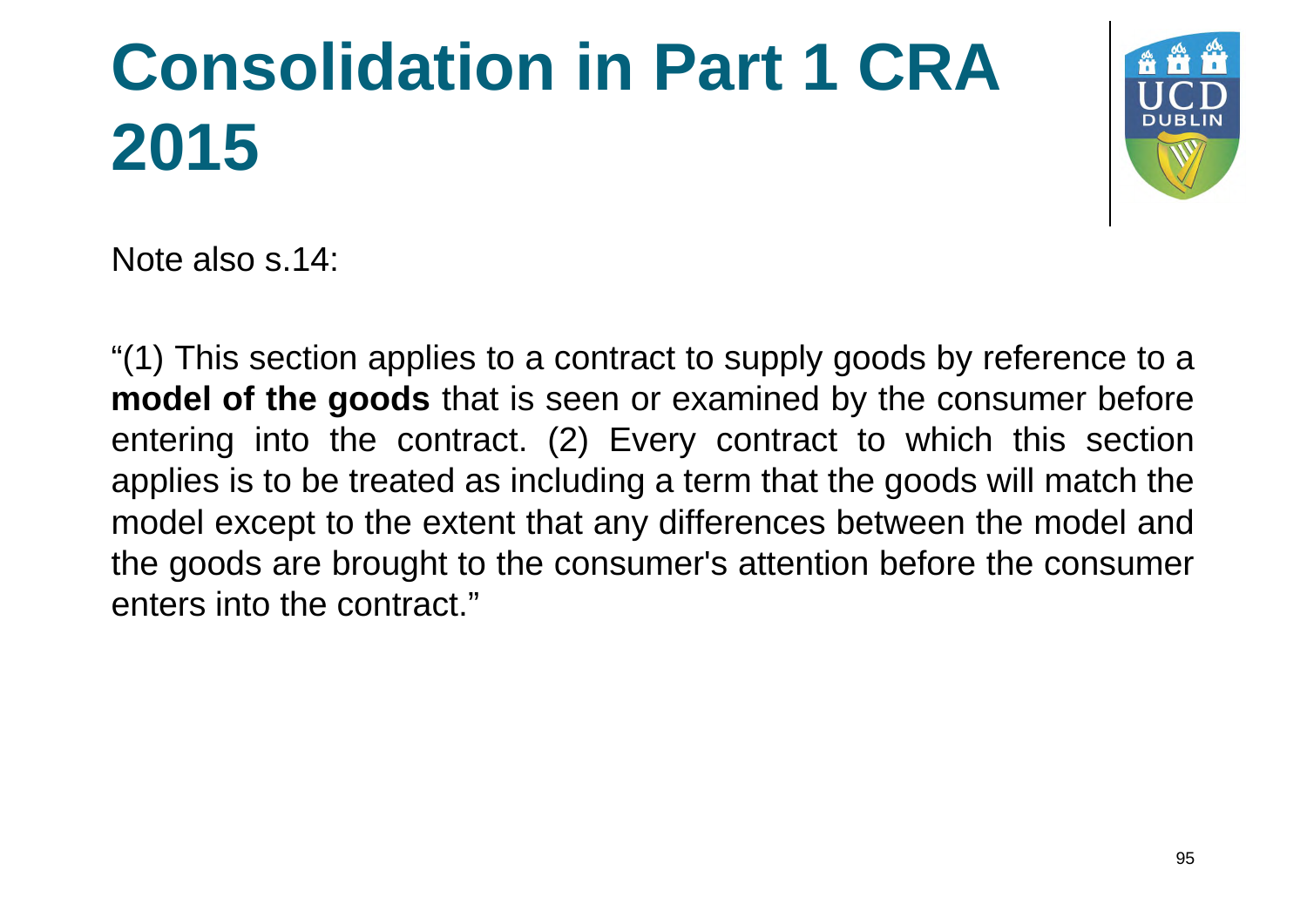# **Consolidation in Part 1 CRA 2015**



Note also s.14:

"(1) This section applies to a contract to supply goods by reference to a **model of the goods** that is seen or examined by the consumer before entering into the contract. (2) Every contract to which this section applies is to be treated as including a term that the goods will match the model except to the extent that any differences between the model and the goods are brought to the consumer's attention before the consumer enters into the contract."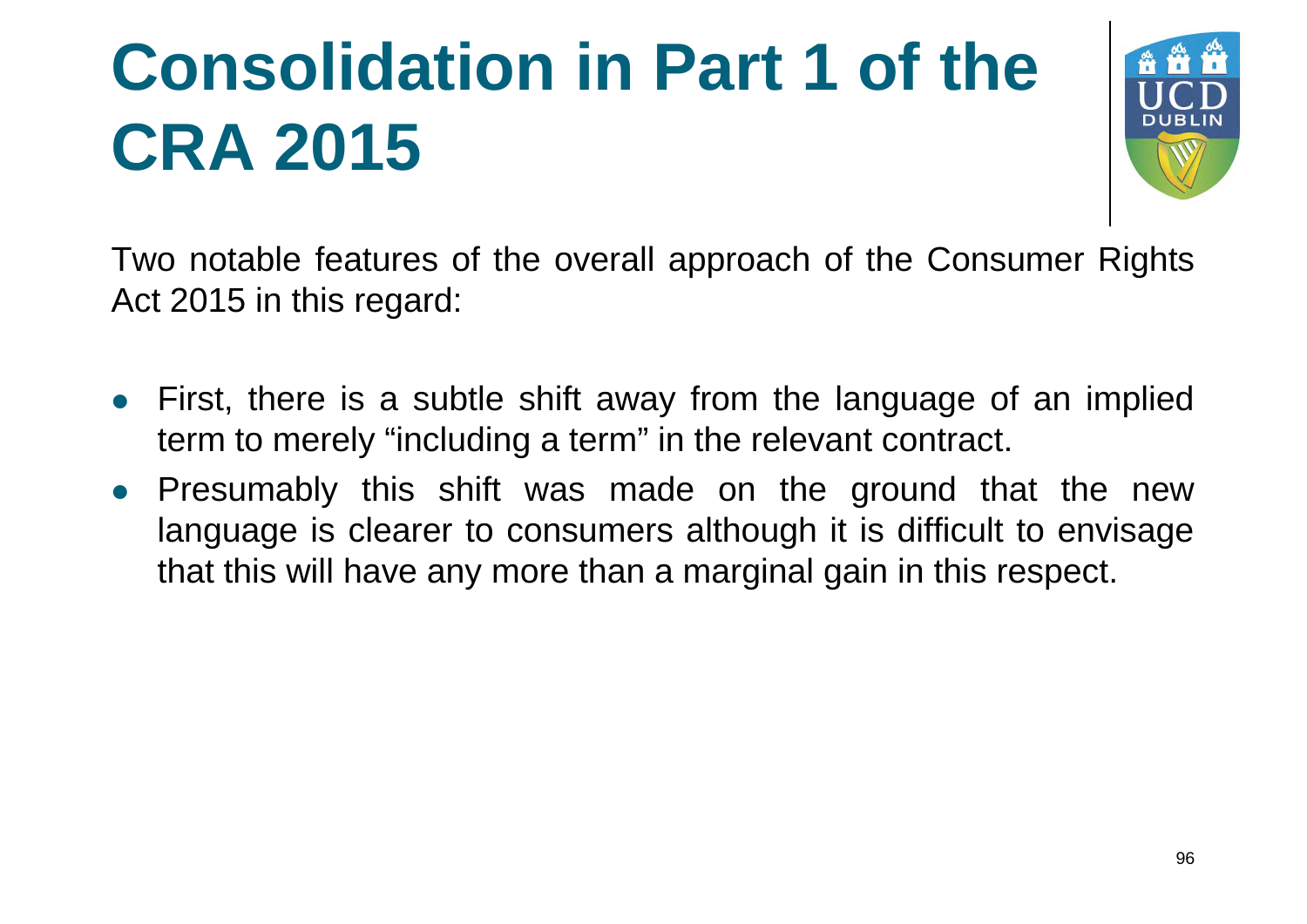## **Consolidation in Part 1 of the CRA 2015**



Two notable features of the overall approach of the Consumer Rights Act 2015 in this regard:

- First, there is a subtle shift away from the language of an implied term to merely "including a term" in the relevant contract.
- Presumably this shift was made on the ground that the new language is clearer to consumers although it is difficult to envisage that this will have any more than a marginal gain in this respect.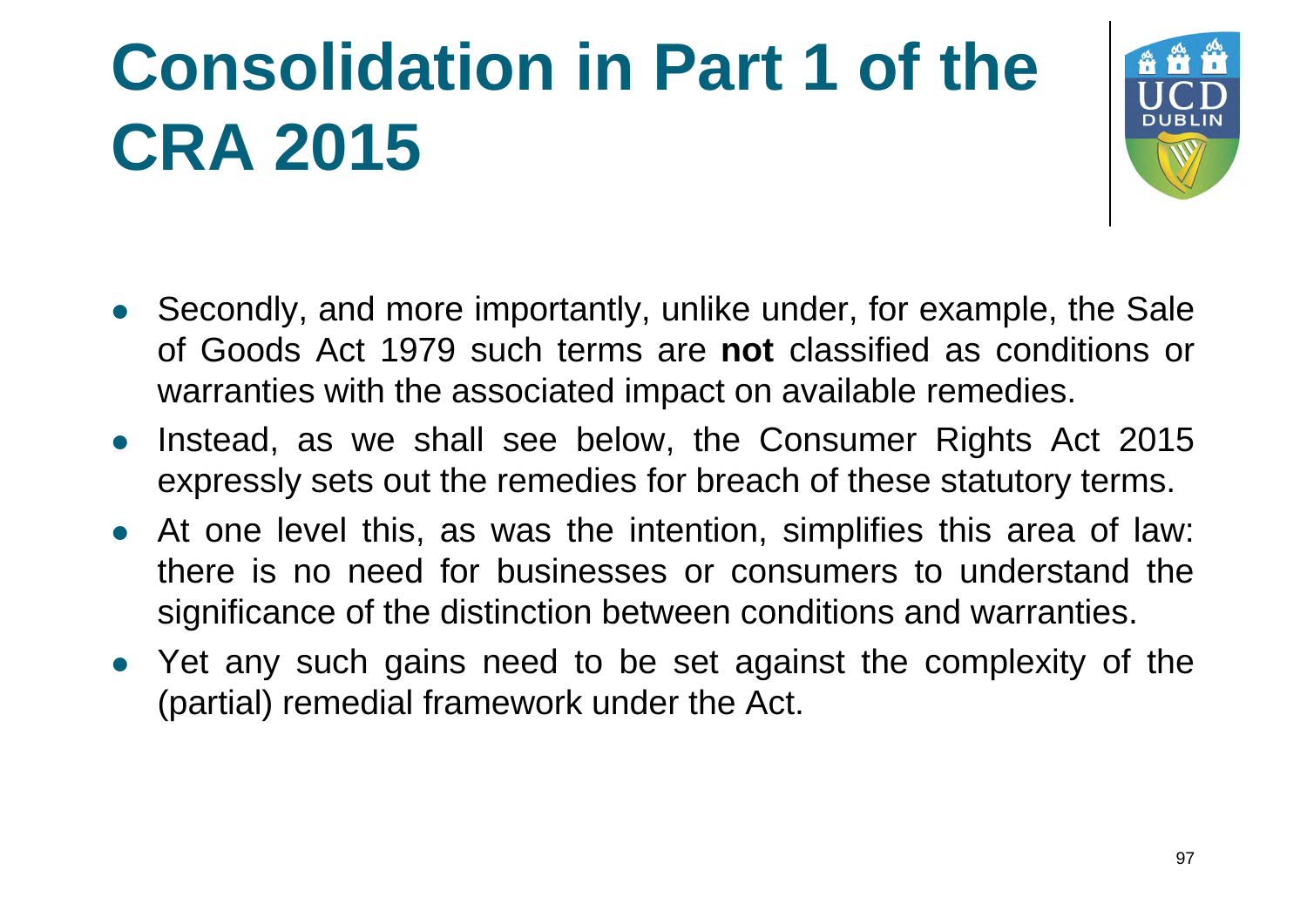# **Consolidation in Part 1 of the CRA 2015**



- Secondly, and more importantly, unlike under, for example, the Sale of Goods Act 1979 such terms are **not** classified as conditions or warranties with the associated impact on available remedies.
- Instead, as we shall see below, the Consumer Rights Act 2015 expressly sets out the remedies for breach of these statutory terms.
- At one level this, as was the intention, simplifies this area of law: there is no need for businesses or consumers to understand the significance of the distinction between conditions and warranties.
- Yet any such gains need to be set against the complexity of the (partial) remedial framework under the Act.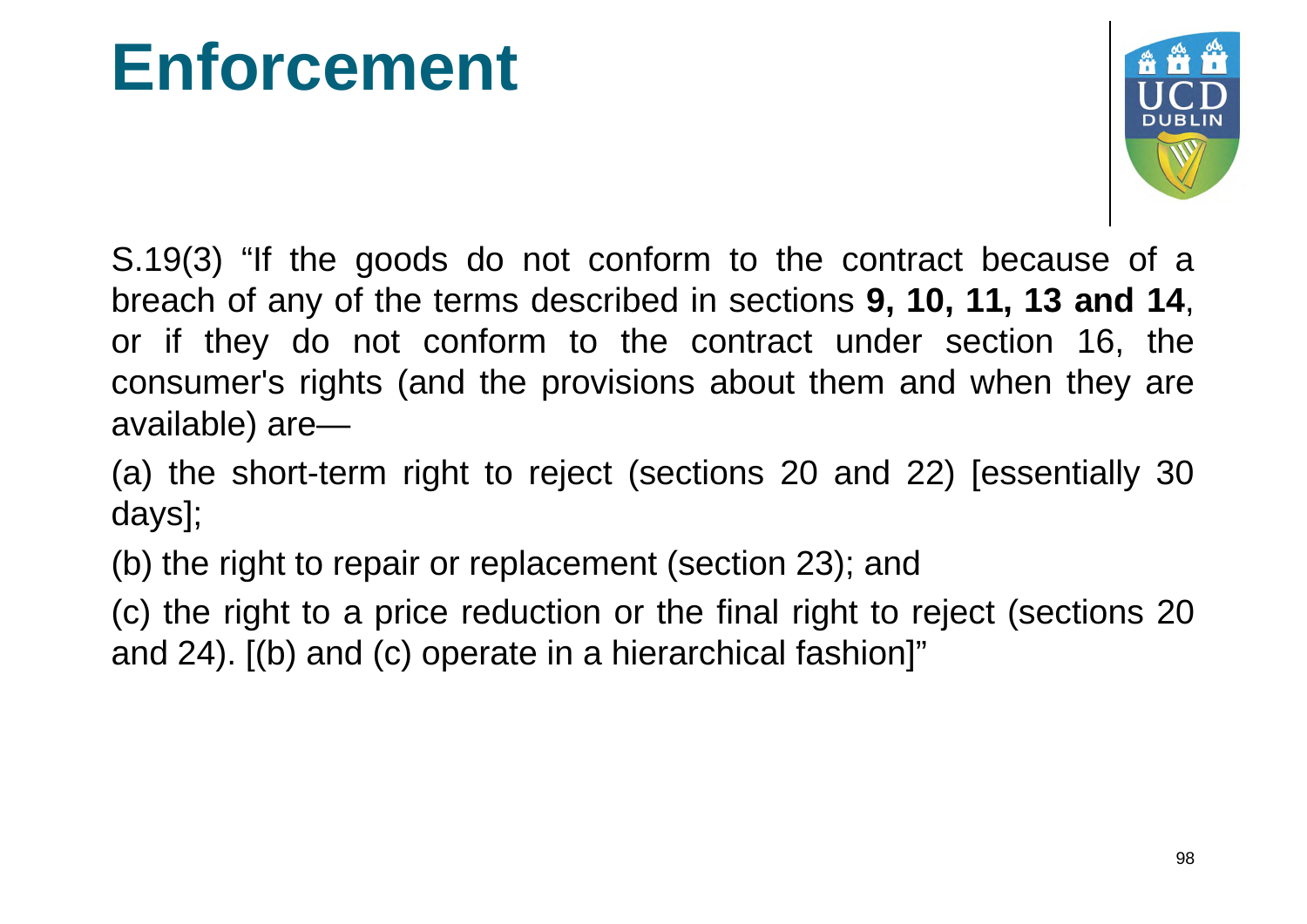#### **Enforcement**



S.19(3) "If the goods do not conform to the contract because of a breach of any of the terms described in sections **9, 10, 11, 13 and 14**, or if they do not conform to the contract under section 16, the consumer's rights (and the provisions about them and when they are available) are—

(a) the short-term right to reject (sections 20 and 22) [essentially 30 days];

(b) the right to repair or replacement (section 23); and

(c) the right to a price reduction or the final right to reject (sections 20 and 24). [(b) and (c) operate in a hierarchical fashion]"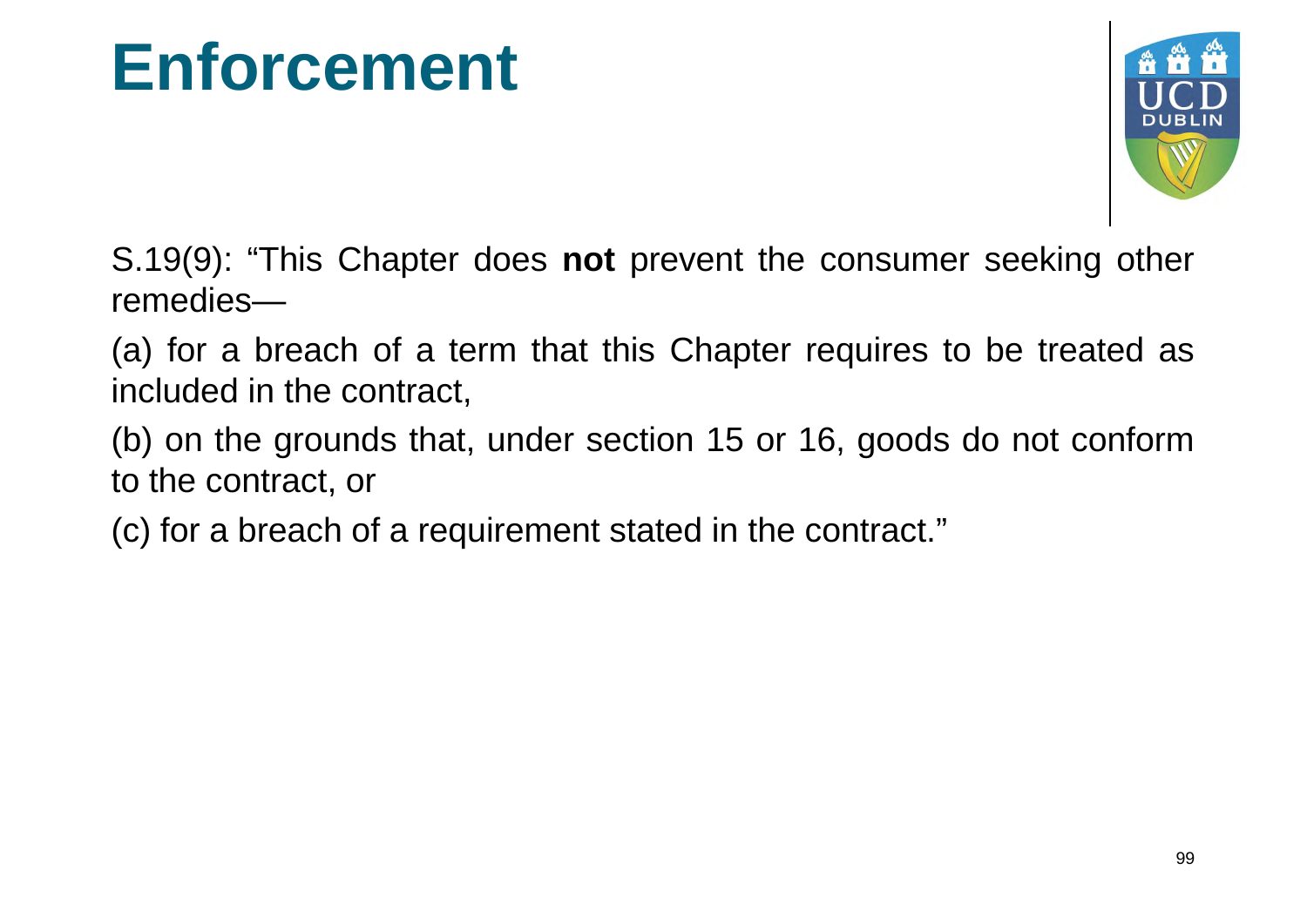#### **Enforcement**



S.19(9): "This Chapter does **not** prevent the consumer seeking other remedies—

(a) for a breach of a term that this Chapter requires to be treated as included in the contract,

(b) on the grounds that, under section 15 or 16, goods do not conform to the contract, or

(c) for a breach of a requirement stated in the contract."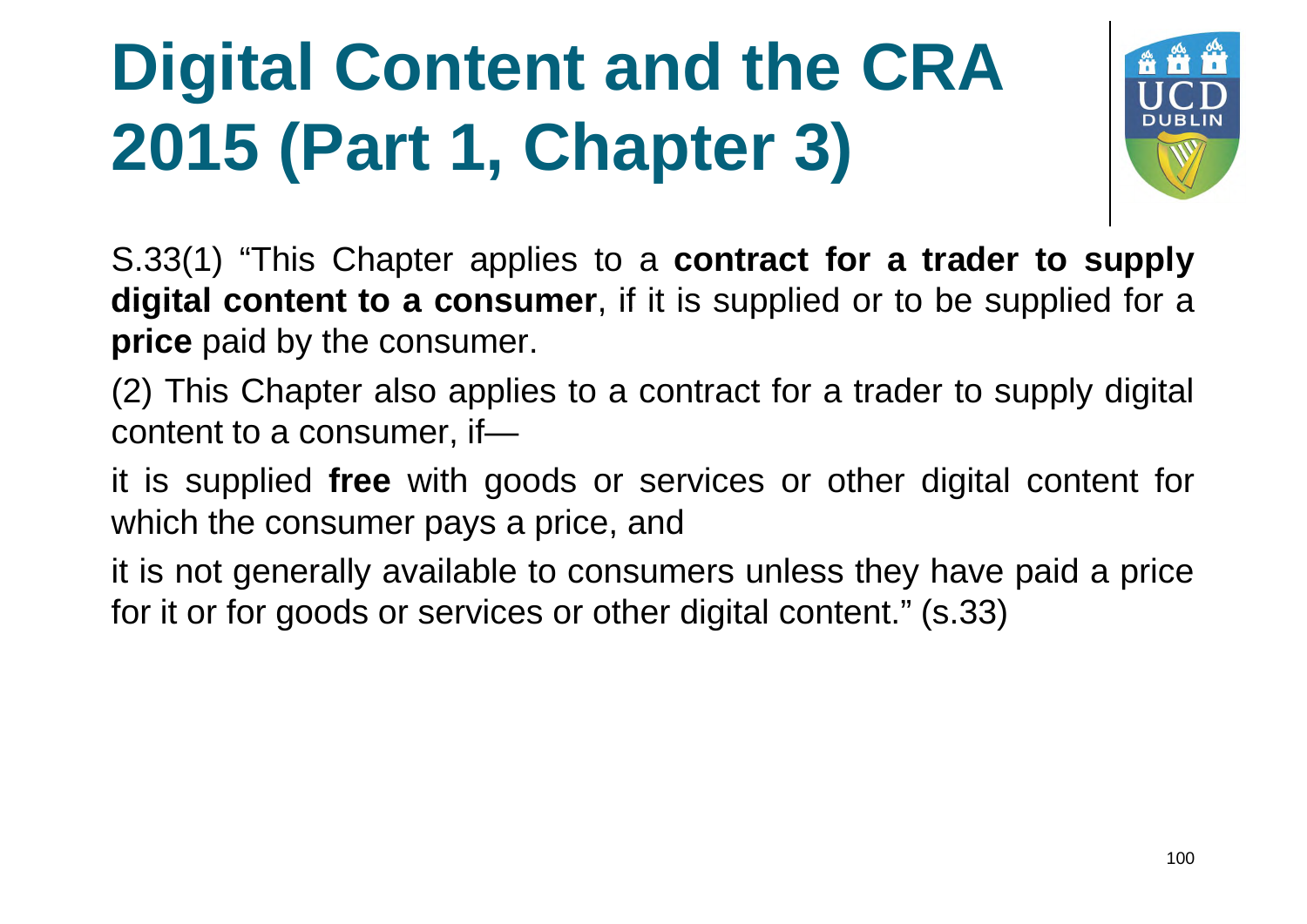# **Digital Content and the CRA 2015 (Part 1, Chapter 3)**



S.33(1) "This Chapter applies to a **contract for a trader to supply digital content to a consumer** , if it is supplied or to be supplied for a **price** paid by the consumer.

(2) This Chapter also applies to a contract for a trader to supply digital content to a consumer, if—

it is supplied **free** with goods or services or other digital content for which the consumer pays a price, and

it is not generally available to consumers unless they have paid a price for it or for goods or services or other digital content." (s.33)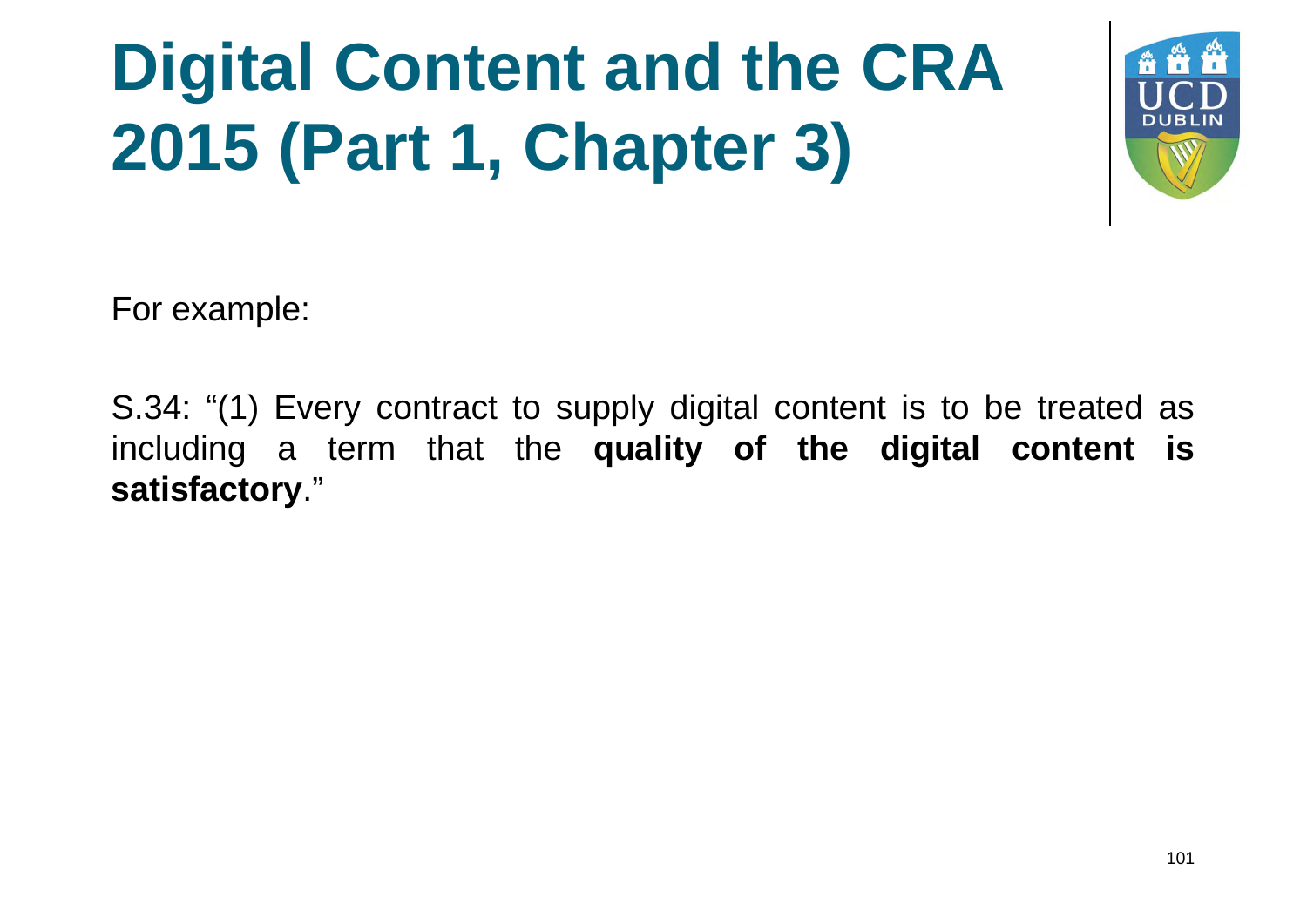# **Digital Content and the CRA 2015 (Part 1, Chapter 3)**



For example:

S.34: "(1) Every contract to supply digital content is to be treated as including a term that the **quality of the digital content is satisfactory**."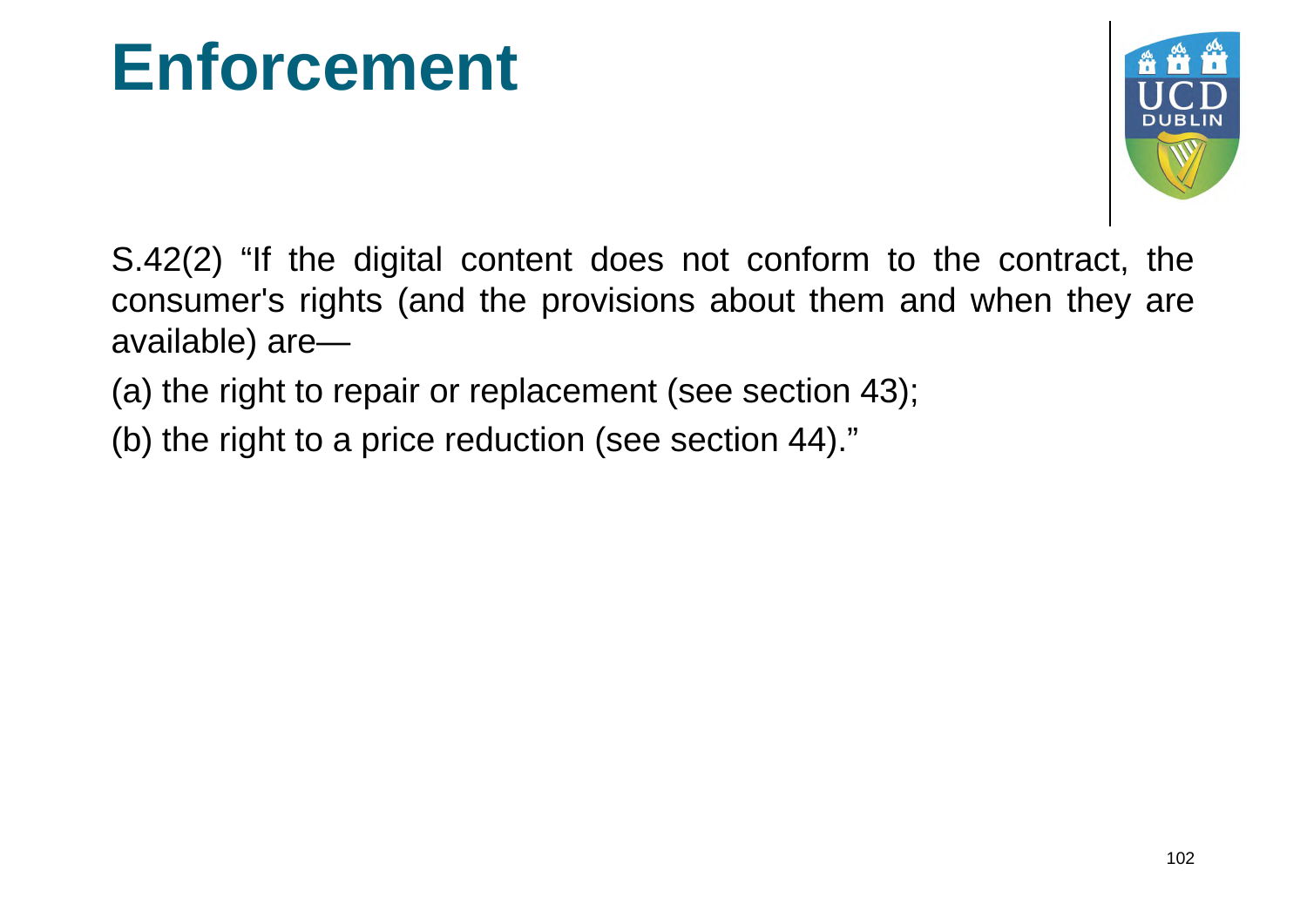#### **Enforcement**



S.42(2) "If the digital content does not conform to the contract, the consumer's rights (and the provisions about them and when they are available) are—

(a) the right to repair or replacement (see section 43);

(b) the right to a price reduction (see section 44)."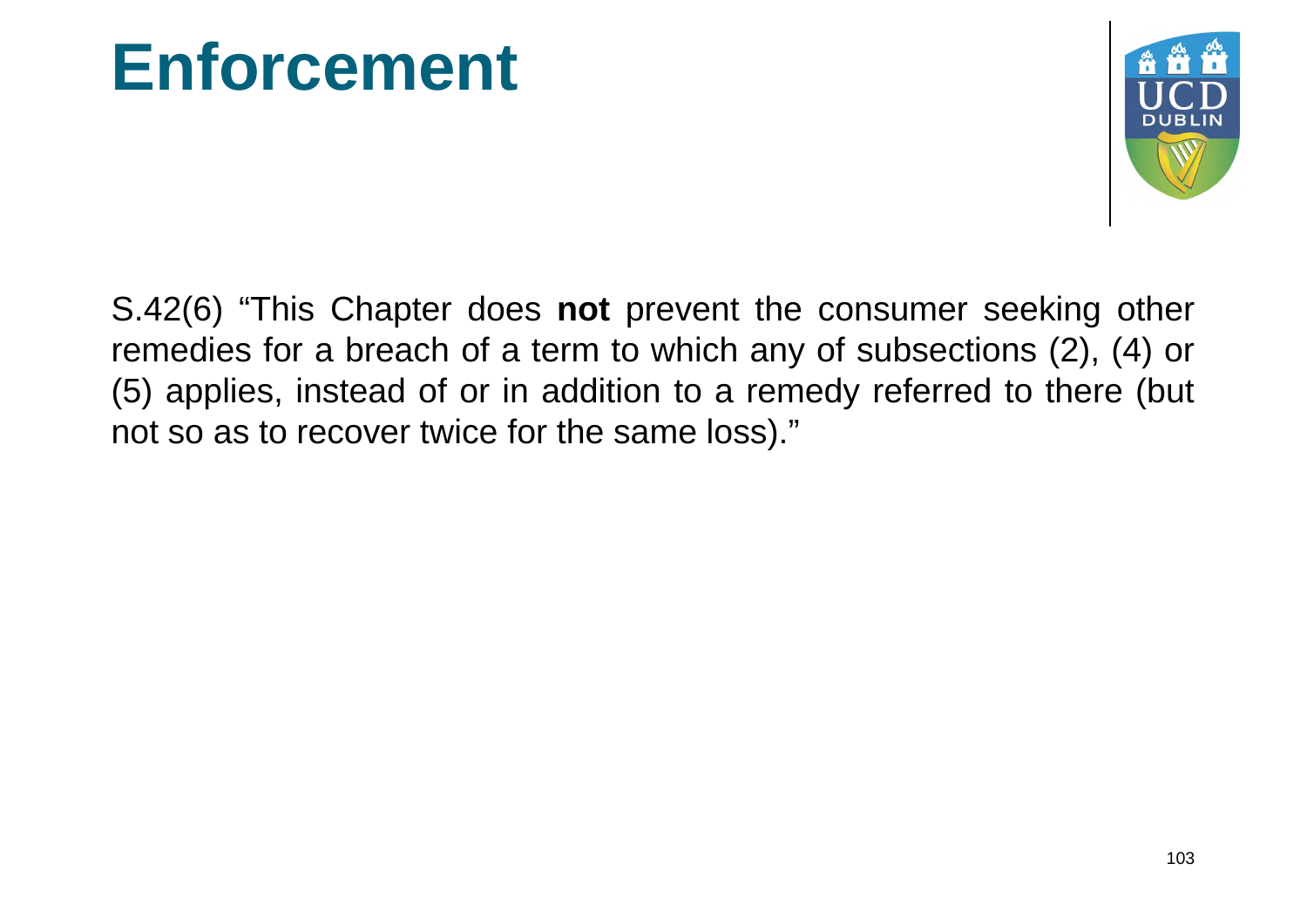#### **Enforcement**



S.42(6) "This Chapter does **not** prevent the consumer seeking other remedies for a breach of a term to which any of subsections (2), (4) or (5) applies, instead of or in addition to a remedy referred to there (but not so as to recover twice for the same loss)."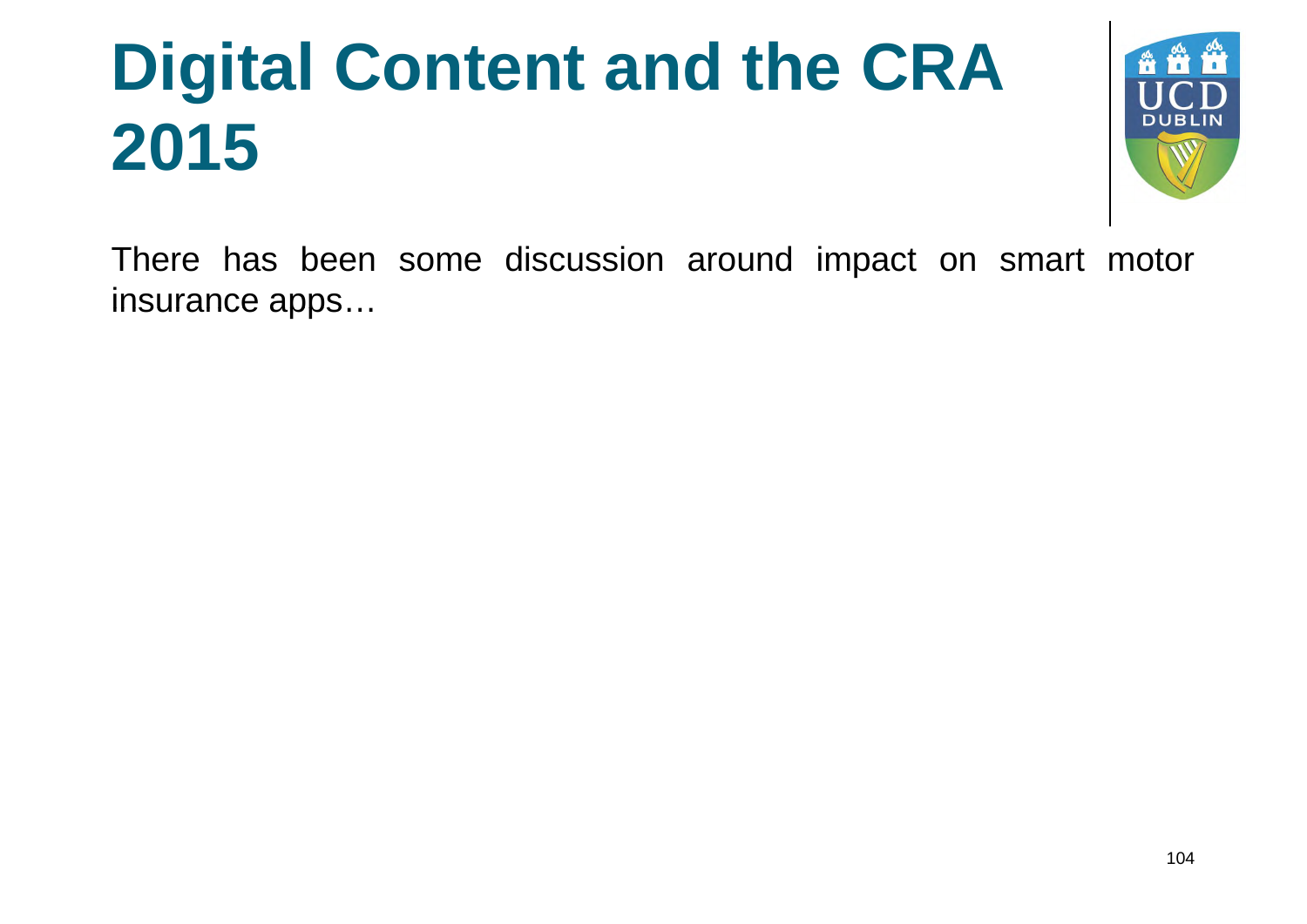

There has been some discussion around impact on smart motor insurance apps…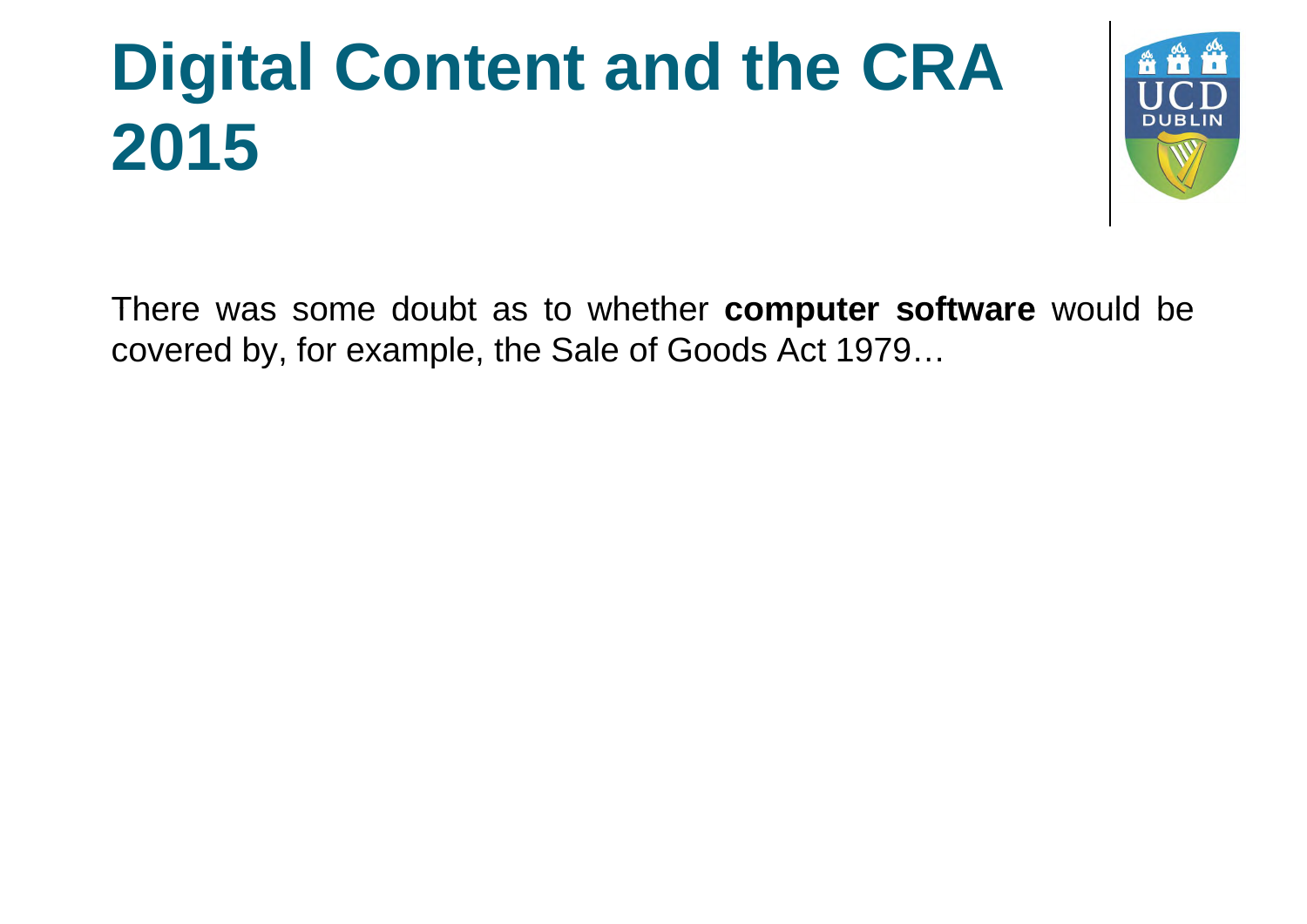

There was some doubt as to whether **computer software** would be covered by, for example, the Sale of Goods Act 1979…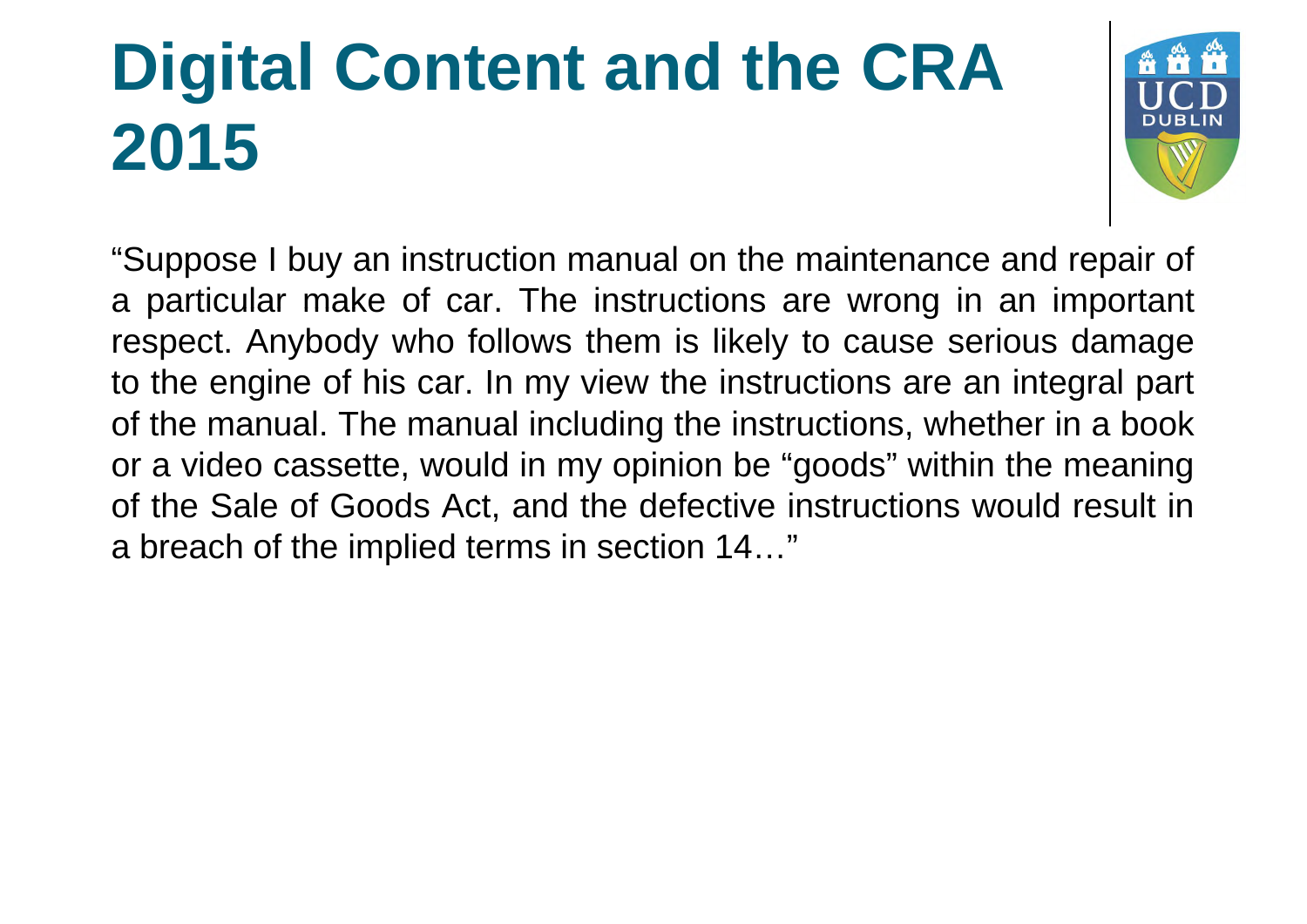

"Suppose I buy an instruction manual on the maintenance and repair of a particular make of car. The instructions are wrong in an important respect. Anybody who follows them is likely to cause serious damage to the engine of his car. In my view the instructions are an integral part of the manual. The manual including the instructions, whether in a book or a video cassette, would in my opinion be "goods" within the meaning of the Sale of Goods Act, and the defective instructions would result in a breach of the implied terms in section 14…"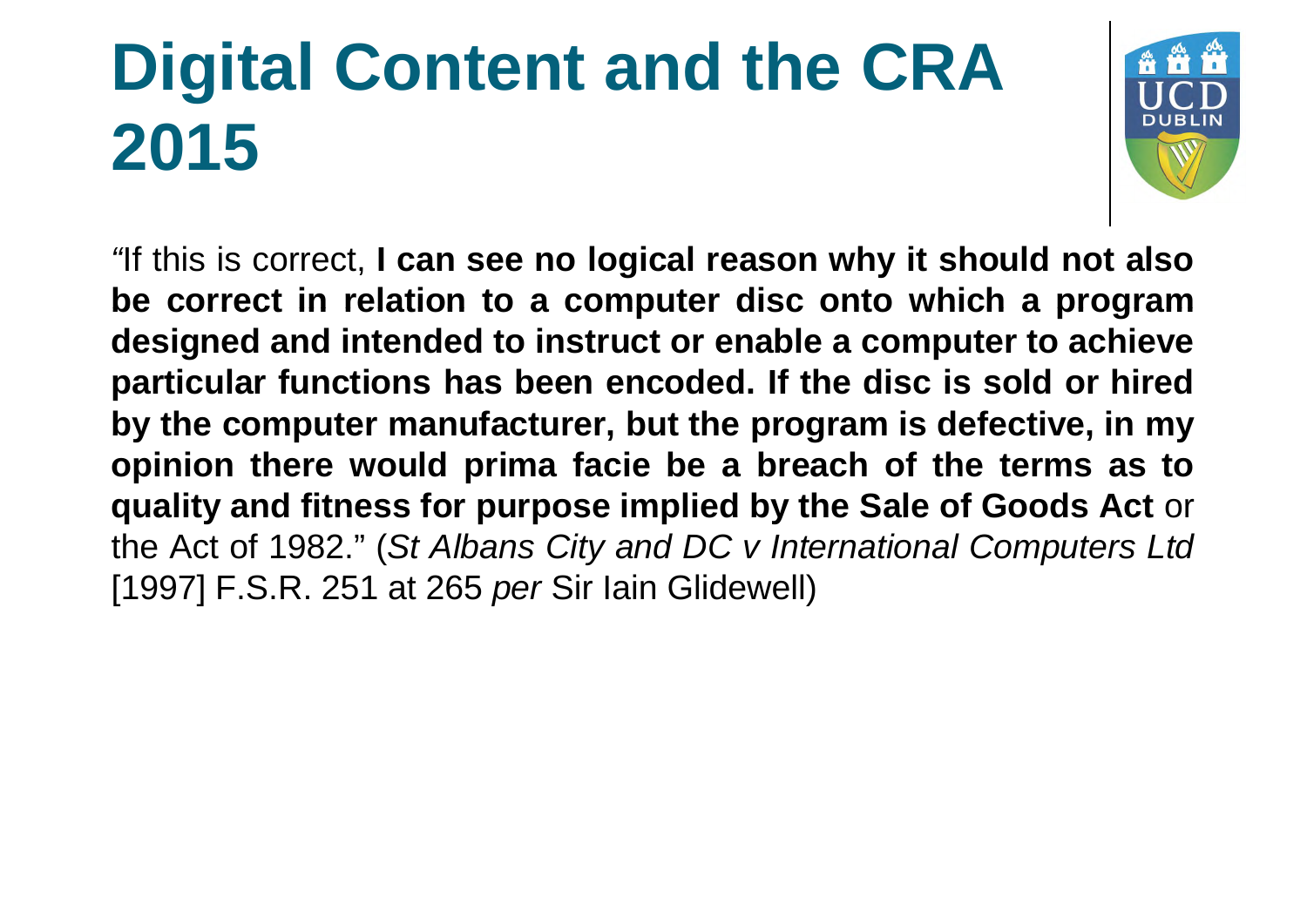

*"*If this is correct, **I can see no logical reason why it should not also be correct in relation to a computer disc onto which a program designed and intended to instruct or enable a computer to achieve particular functions has been encoded. If the disc is sold or hired by the computer manufacturer, but the program is defective, in my opinion there would prima facie be a breach of the terms as to quality and fitness for purpose implied by the Sale of Goods Act** or the Act of 1982." (*St Albans City and DC v International Computers Ltd* [1997] F.S.R. 251 at 265 *per* Sir Iain Glidewell)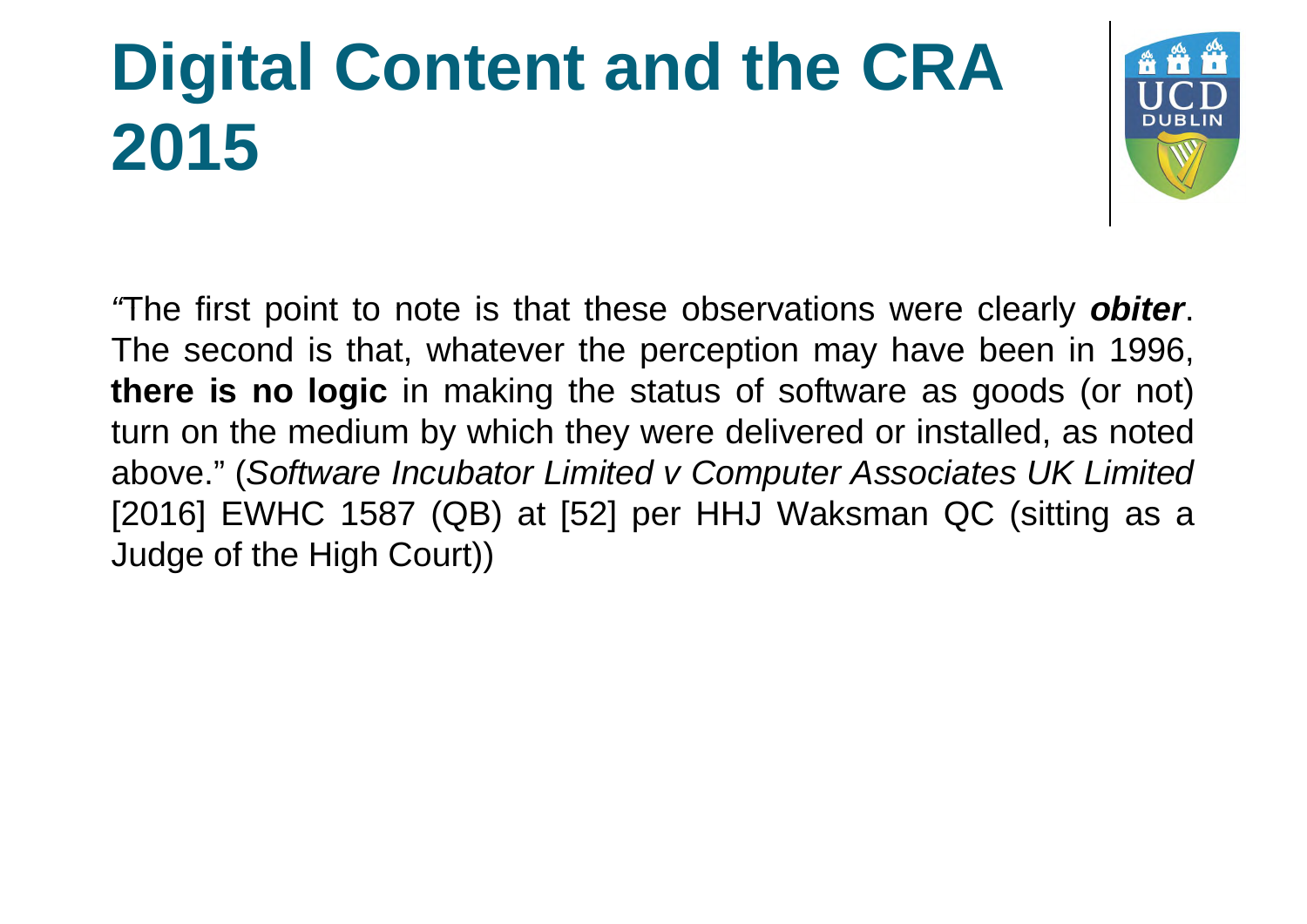

*"*The first point to note is that these observations were clearly *obiter*. The second is that, whatever the perception may have been in 1996, **there is no logic** in making the status of software as goods (or not) turn on the medium by which they were delivered or installed, as noted above." (*Software Incubator Limited v Computer Associates UK Limited* [2016] EWHC 1587 (QB) at [52] per HHJ Waksman QC (sitting as a Judge of the High Court))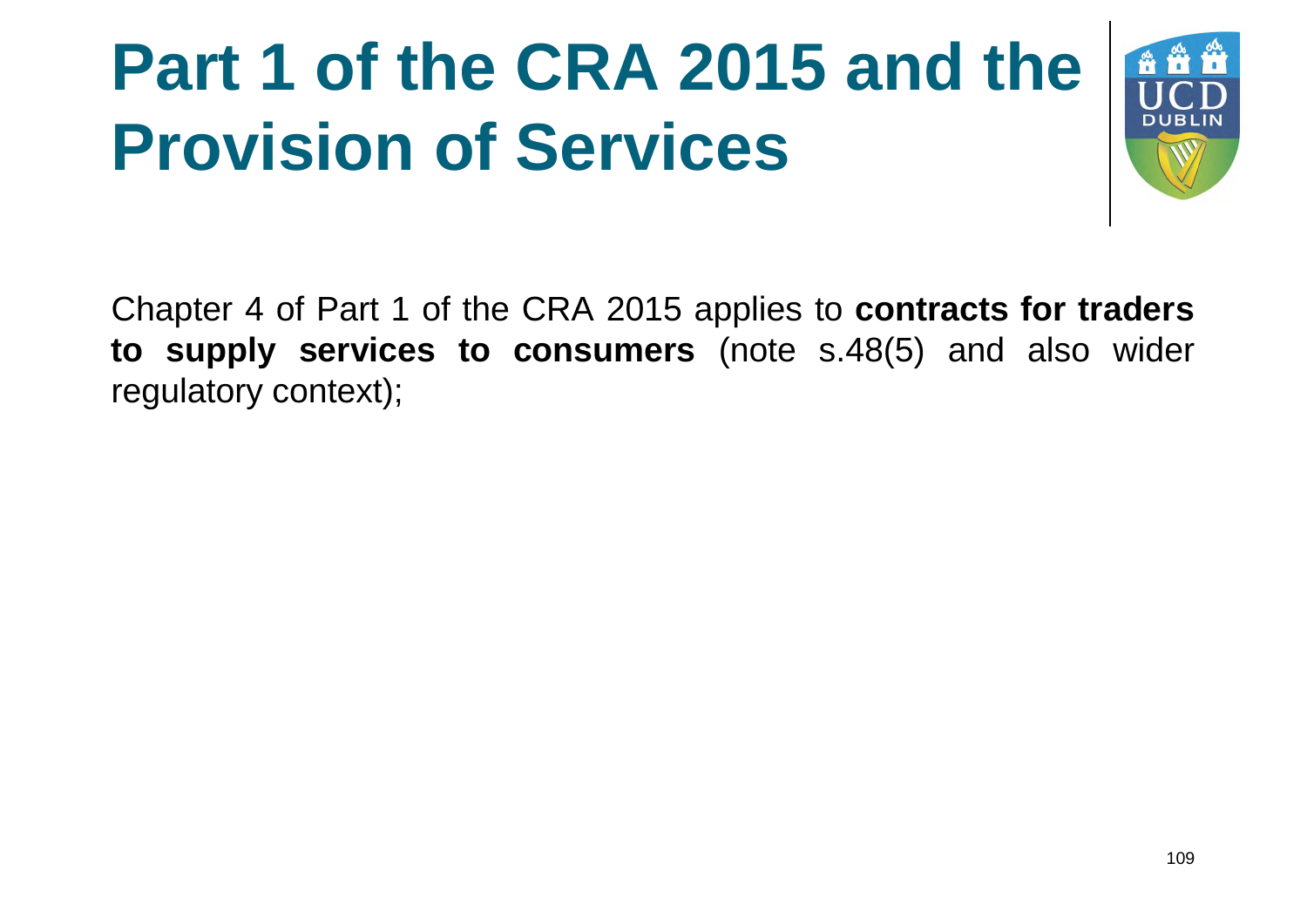# **Part 1 of the CRA 2015 and the Provision of Services**



Chapter 4 of Part 1 of the CRA 2015 applies to **contracts for traders to supply services to consumers** (note s.48(5) and also wider regulatory context);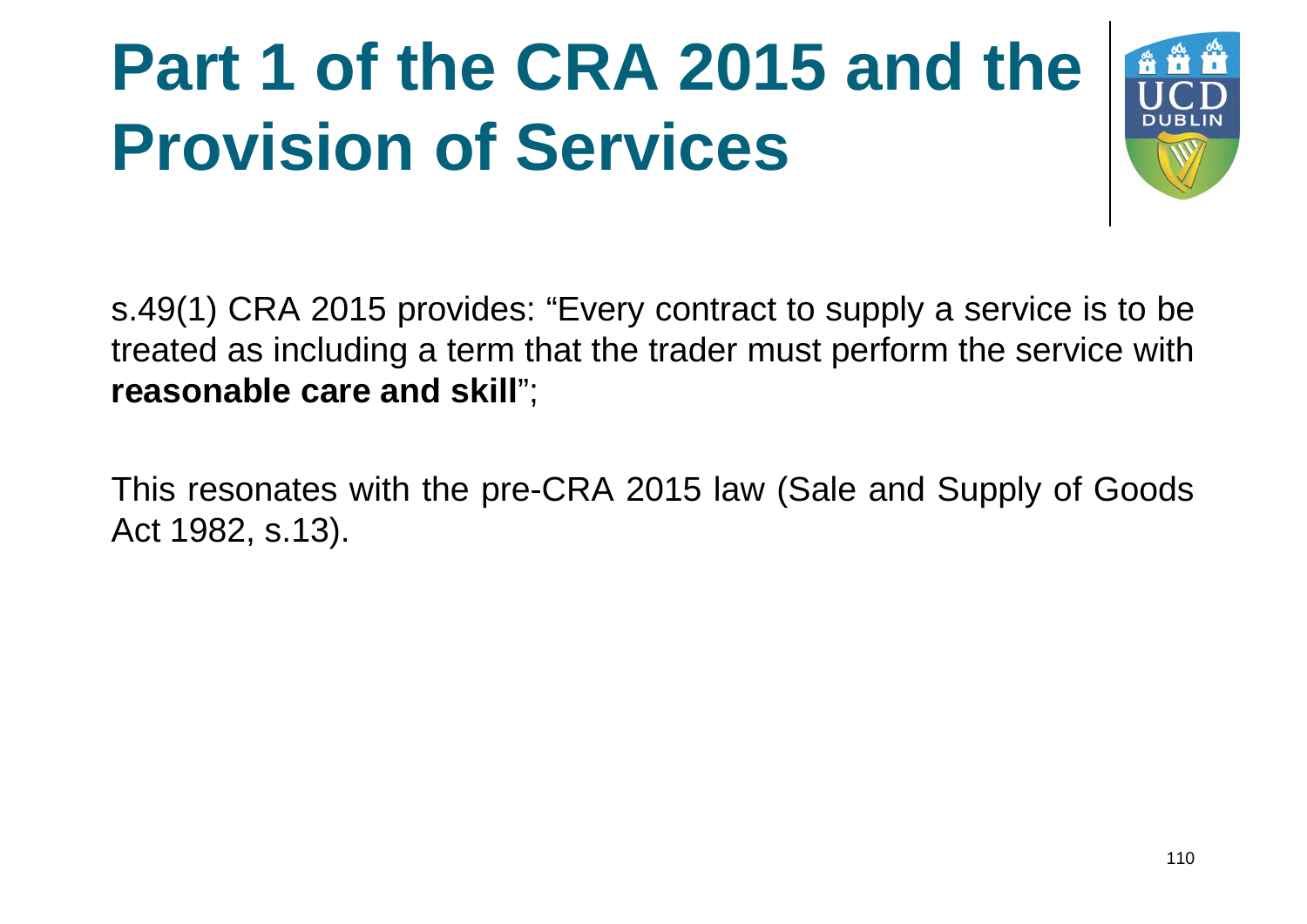# **Part 1 of the CRA 2015 and the Provision of Services**



s.49(1) CRA 2015 provides: "Every contract to supply a service is to be treated as including a term that the trader must perform the service with **reasonable care and skill**";

This resonates with the pre-CRA 2015 law (Sale and Supply of Goods Act 1982, s.13).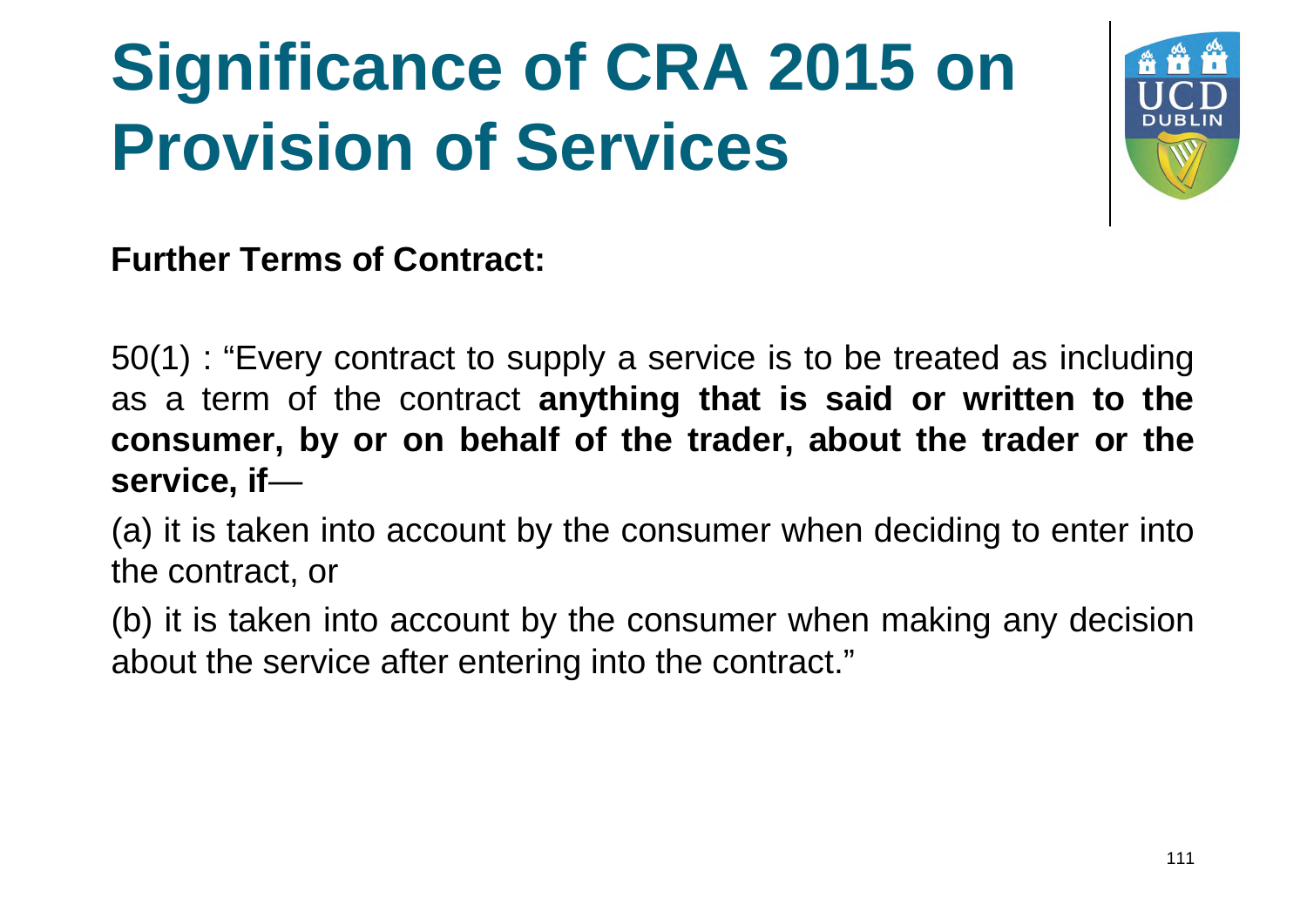

**Further Terms of Contract:**

50(1) : "Every contract to supply a service is to be treated as including as a term of the contract **anything that is said or written to the consumer, by or on behalf of the trader, about the trader or the service, if**—

(a) it is taken into account by the consumer when deciding to enter into the contract, or

(b) it is taken into account by the consumer when making any decision about the service after entering into the contract."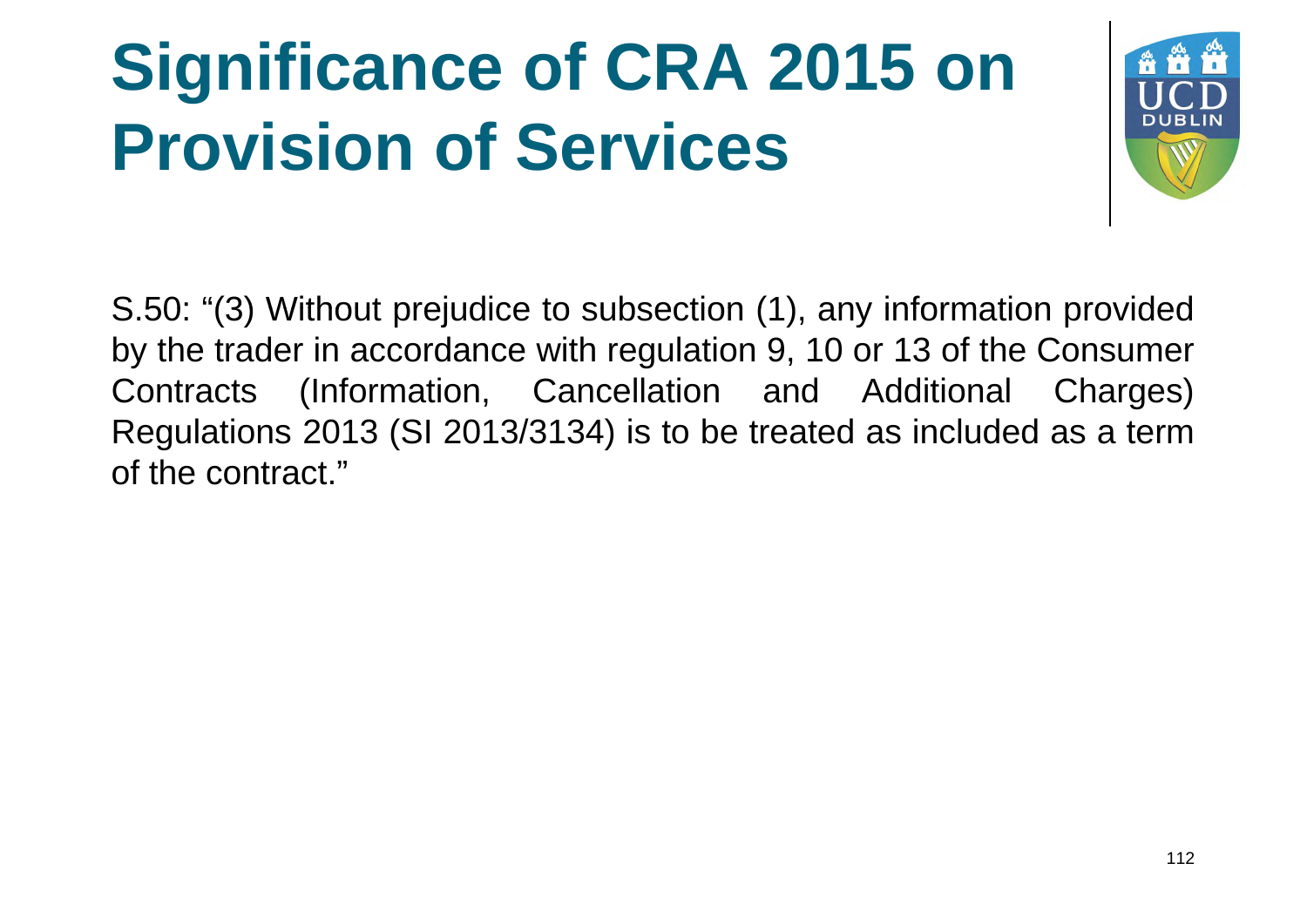

S.50: "(3) Without prejudice to subsection (1), any information provided by the trader in accordance with regulation 9, 10 or 13 of the Consumer Contracts (Information, Cancellation and Additional Charges) Regulations 2013 (SI 2013/3134) is to be treated as included as a term of the contract."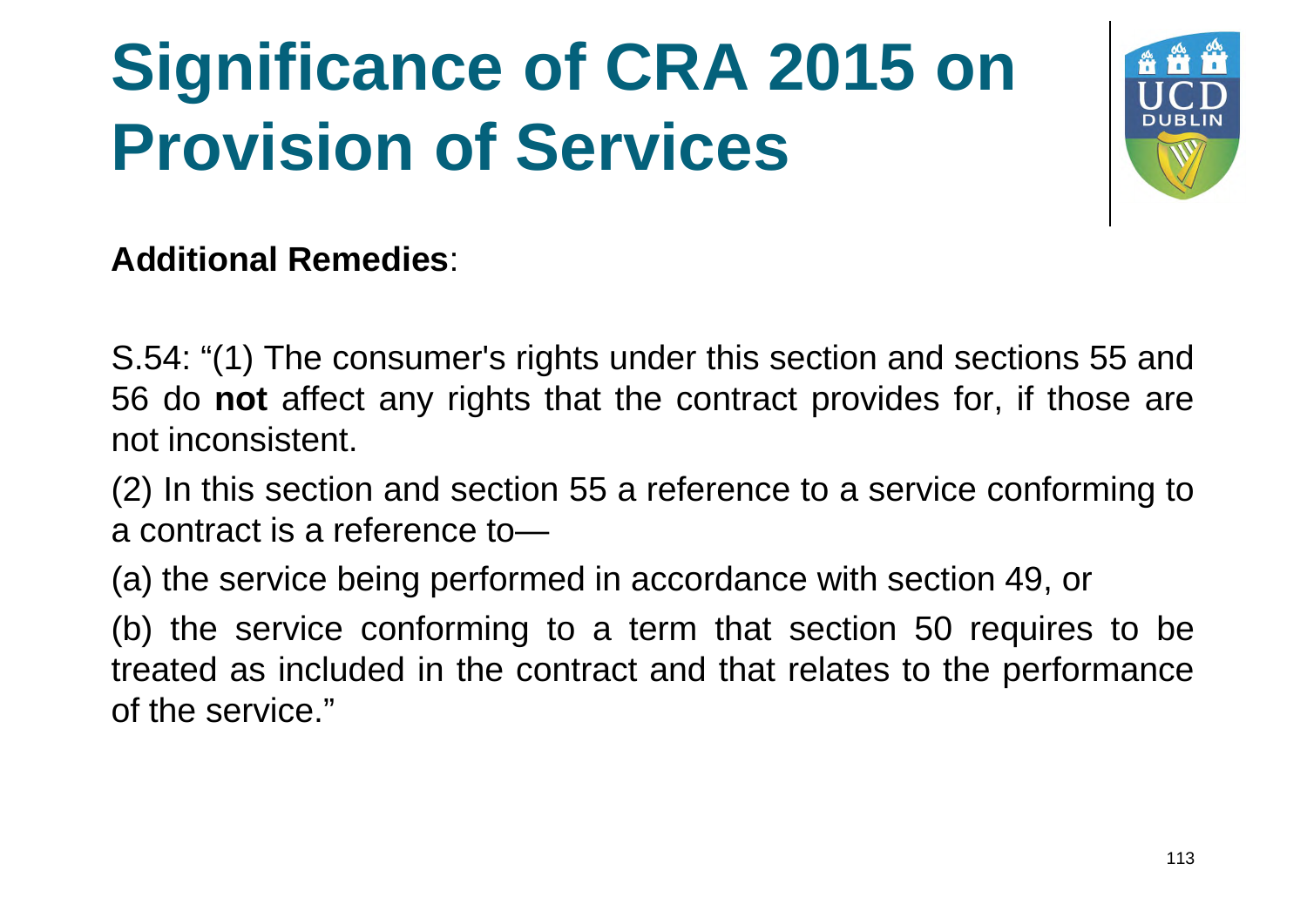

#### **Additional Remedies**:

S.54: "(1) The consumer's rights under this section and sections 55 and 56 do **not** affect any rights that the contract provides for, if those are not inconsistent.

(2) In this section and section 55 a reference to a service conforming to a contract is a reference to—

(a) the service being performed in accordance with section 49, or

(b) the service conforming to a term that section 50 requires to be treated as included in the contract and that relates to the performance of the service."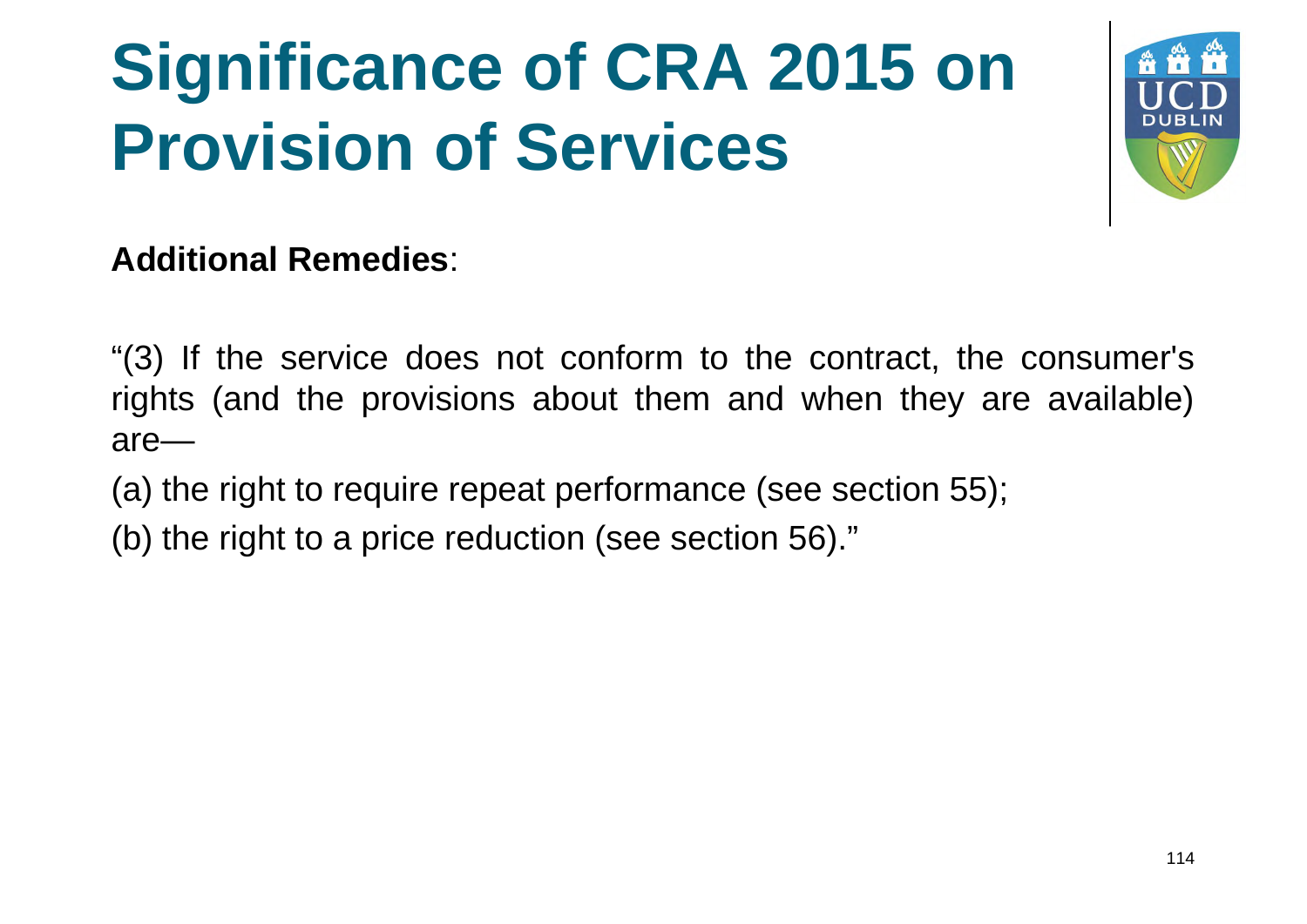

#### **Additional Remedies**:

"(3) If the service does not conform to the contract, the consumer's rights (and the provisions about them and when they are available) are—

- (a) the right to require repeat performance (see section 55);
- (b) the right to a price reduction (see section 56)."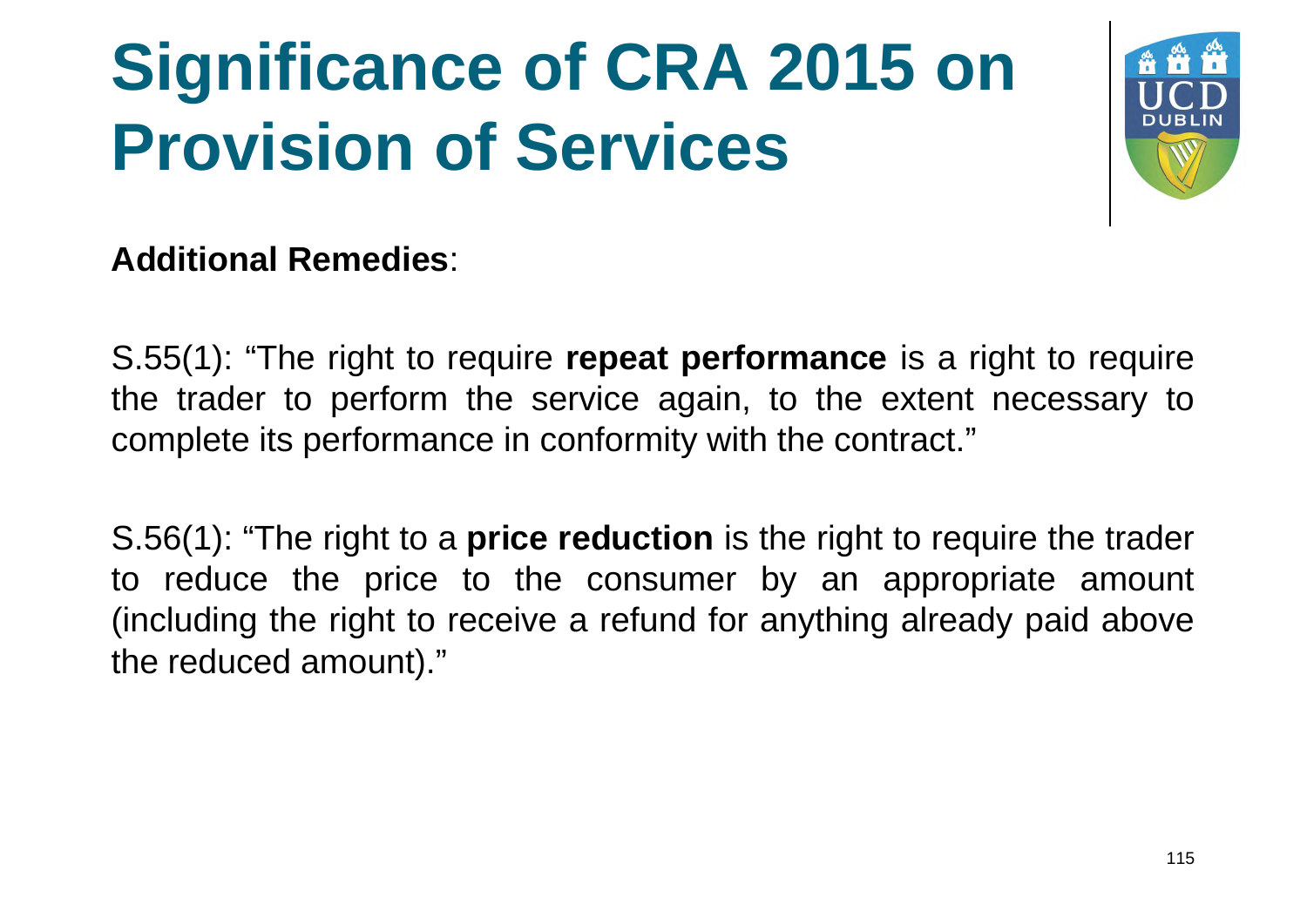

#### **Additional Remedies**:

S.55(1): "The right to require **repeat performance** is a right to require the trader to perform the service again, to the extent necessary to complete its performance in conformity with the contract."

S.56(1): "The right to a **price reduction** is the right to require the trader to reduce the price to the consumer by an appropriate amount (including the right to receive a refund for anything already paid above the reduced amount)."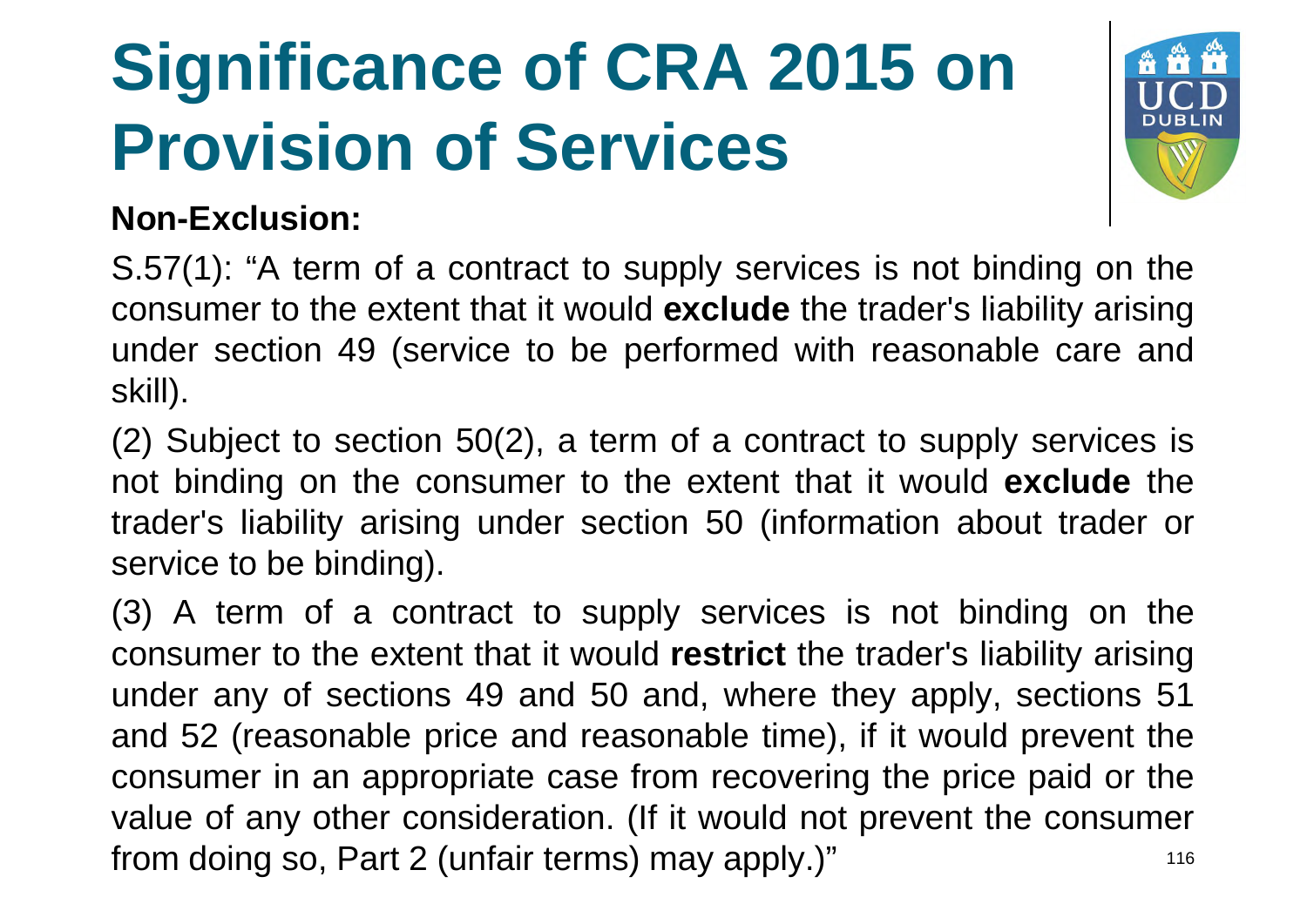

#### **Non-Exclusion:**

S.57(1): "A term of a contract to supply services is not binding on the consumer to the extent that it would **exclude** the trader's liability arising under section 49 (service to be performed with reasonable care and skill).

(2) Subject to section 50(2), a term of a contract to supply services is not binding on the consumer to the extent that it would **exclude** the trader's liability arising under section 50 (information about trader or service to be binding).

(3) A term of a contract to supply services is not binding on the consumer to the extent that it would **restrict** the trader's liability arising under any of sections 49 and 50 and, where they apply, sections 51 and 52 (reasonable price and reasonable time), if it would prevent the consumer in an appropriate case from recovering the price paid or the value of any other consideration. (If it would not prevent the consumer from doing so, Part 2 (unfair terms) may apply.)" <sup>116</sup>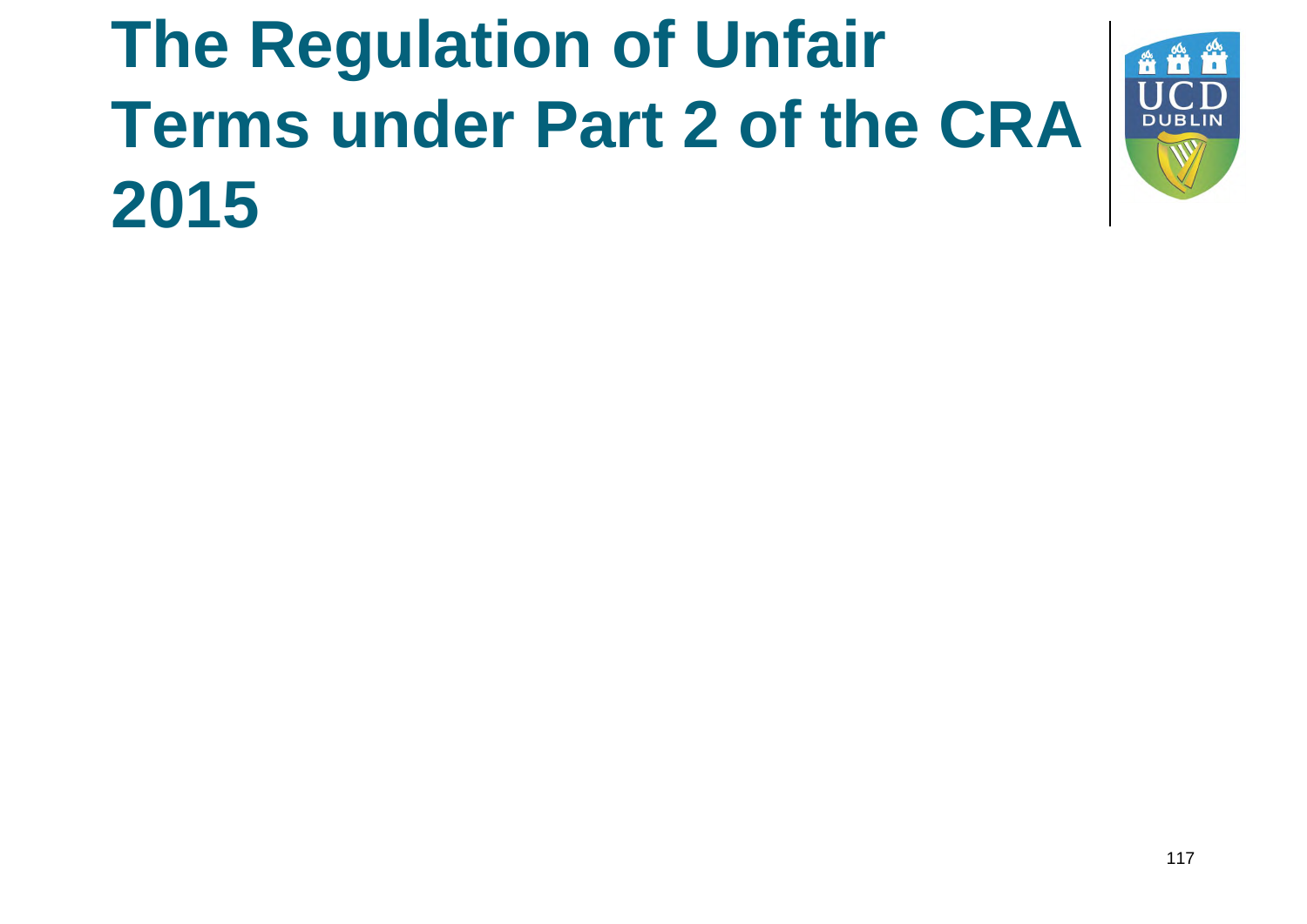#### **The Regulation of Unfair Terms under Part 2 of the CRA 2015**

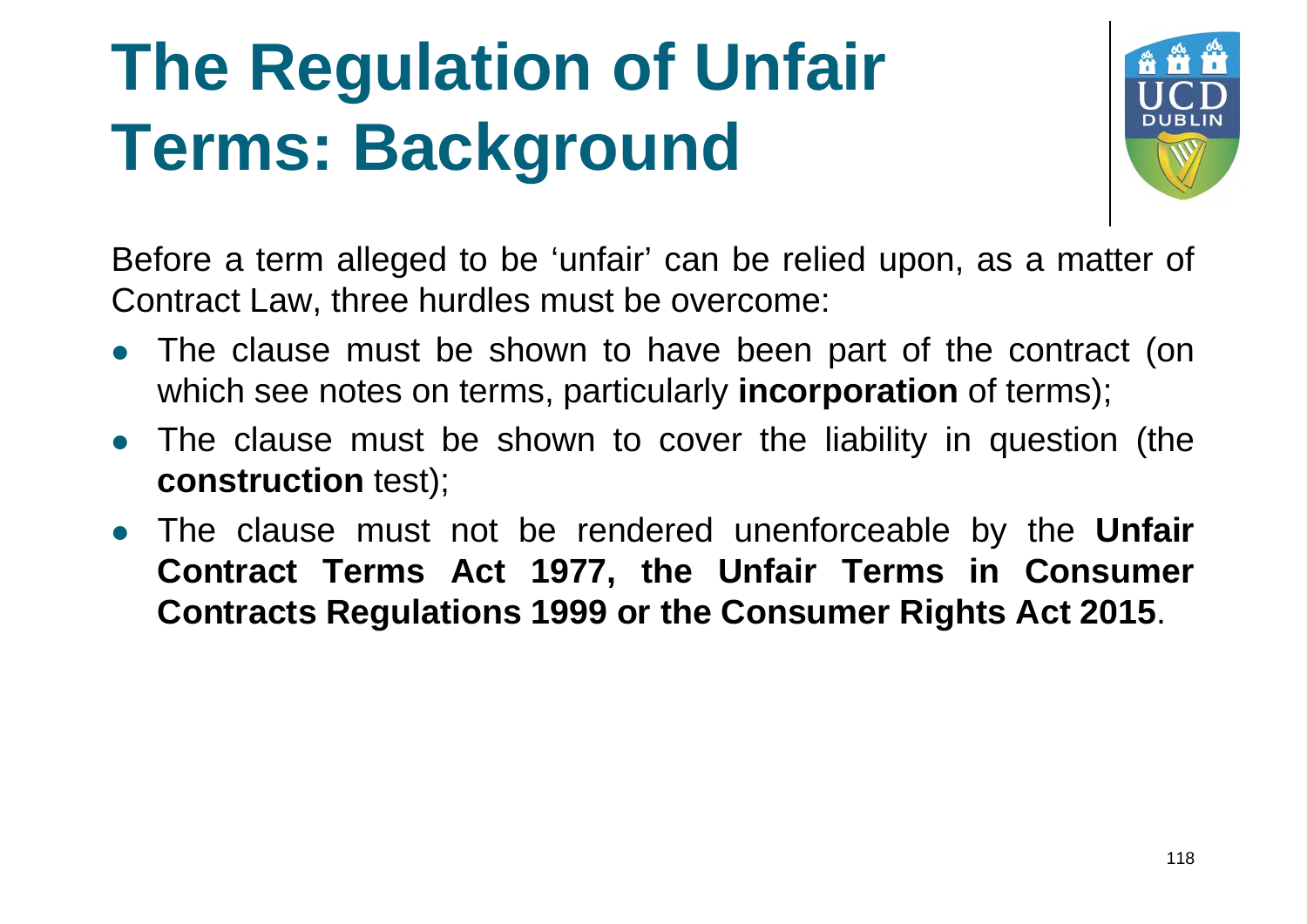#### **The Regulation of Unfair Terms: Background**



Before a term alleged to be 'unfair' can be relied upon, as a matter of Contract Law, three hurdles must be overcome:

- The clause must be shown to have been part of the contract (on which see notes on terms, particularly **incorporation** of terms);
- The clause must be shown to cover the liability in question (the **construction** test);
- The clause must not be rendered unenforceable by the **Unfair Contract Terms Act 1977, the Unfair Terms in Consumer Contracts Regulations 1999 or the Consumer Rights Act 2015**.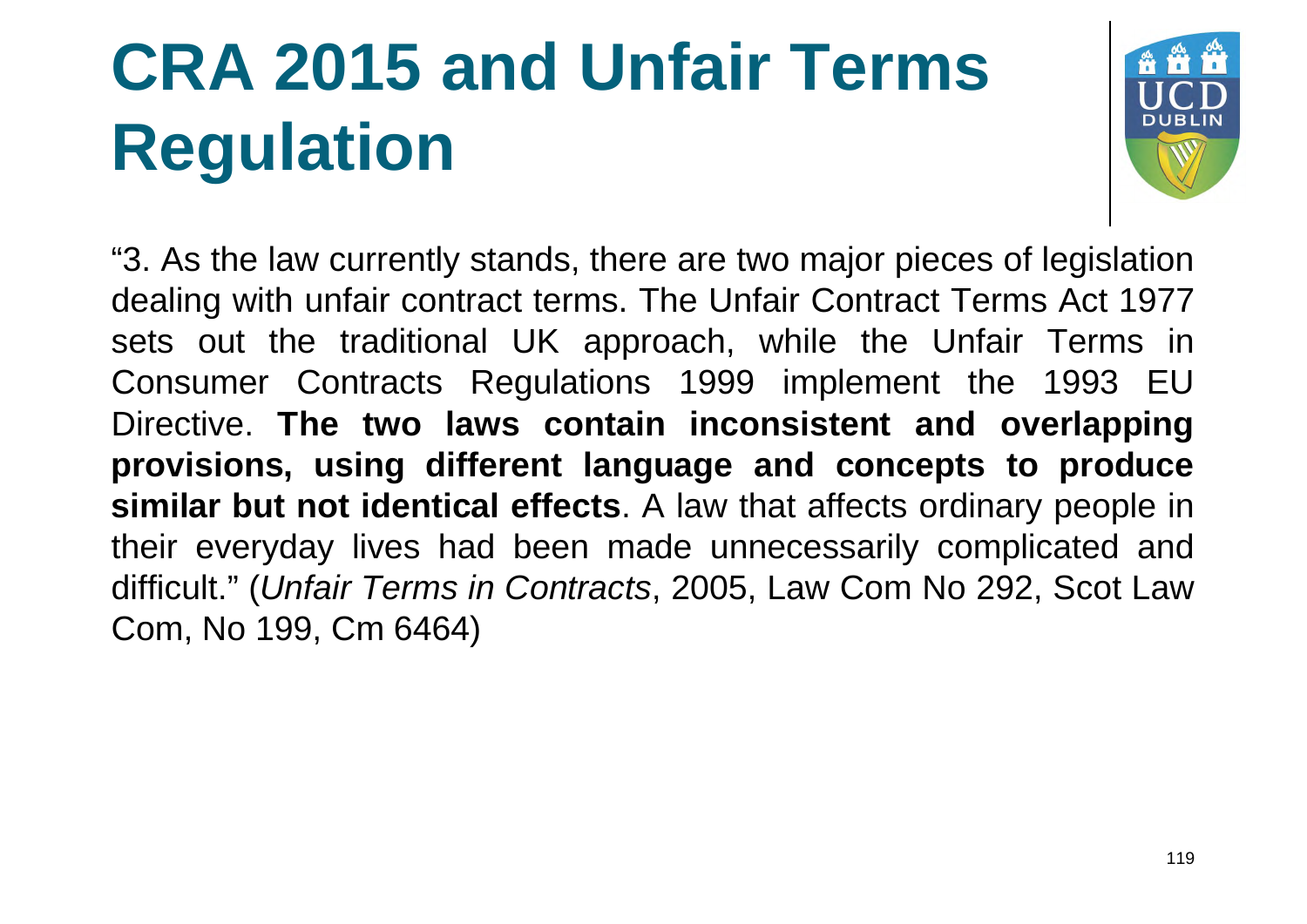# **CRA 2015 and Unfair Terms Regulation**



"3. As the law currently stands, there are two major pieces of legislation dealing with unfair contract terms. The Unfair Contract Terms Act 1977 sets out the traditional UK approach, while the Unfair Terms in Consumer Contracts Regulations 1999 implement the 1993 EU Directive. **The two laws contain inconsistent and overlapping provisions, using different language and concepts to produce similar but not identical effects**. A law that affects ordinary people in their everyday lives had been made unnecessarily complicated and difficult." (*Unfair Terms in Contracts*, 2005, Law Com No 292, Scot Law Com, No 199, Cm 6464)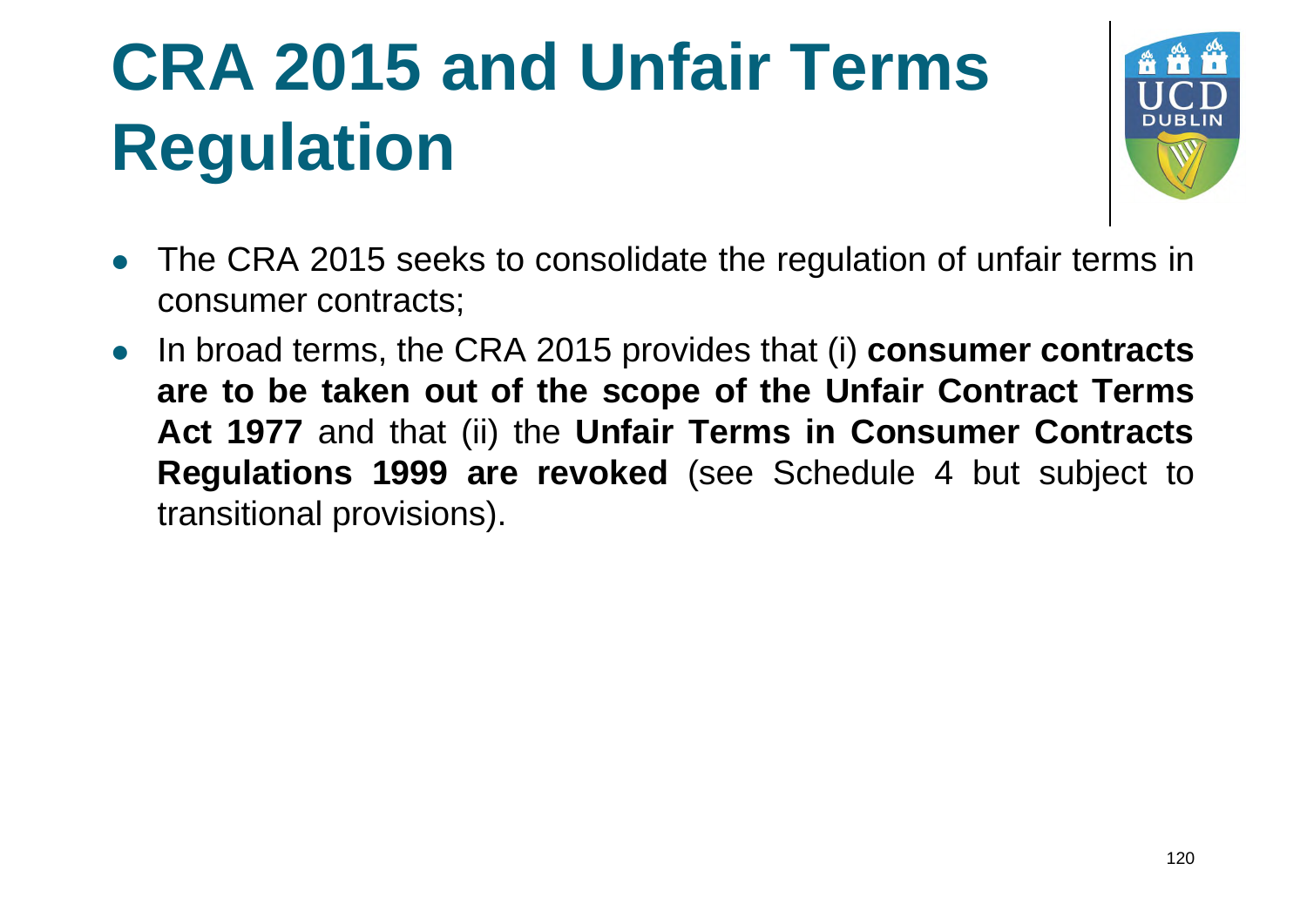# **CRA 2015 and Unfair Terms Regulation**



- The CRA 2015 seeks to consolidate the regulation of unfair terms in consumer contracts;
- In broad terms, the CRA 2015 provides that (i) **consumer contracts are to be taken out of the scope of the Unfair Contract Terms Act 1977** and that (ii) the **Unfair Terms in Consumer Contracts Regulations 1999 are revoked** (see Schedule 4 but subject to transitional provisions).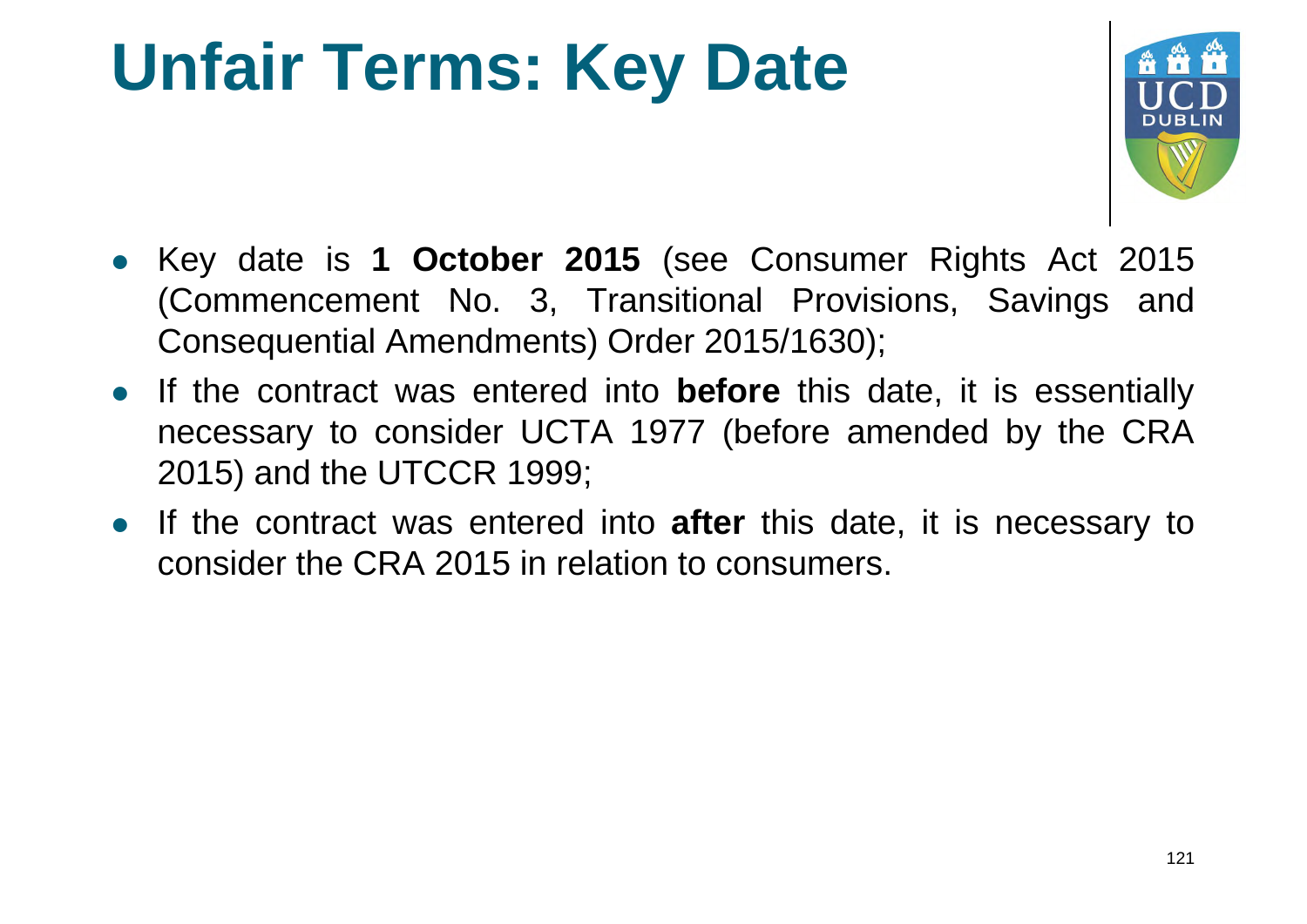#### **Unfair Terms: Key Date**



- Key date is **1 October 2015** (see Consumer Rights Act 2015 (Commencement No. 3, Transitional Provisions, Savings and Consequential Amendments) Order 2015/1630);
- If the contract was entered into **before** this date, it is essentially necessary to consider UCTA 1977 (before amended by the CRA 2015) and the UTCCR 1999;
- If the contract was entered into **after** this date, it is necessary to consider the CRA 2015 in relation to consumers.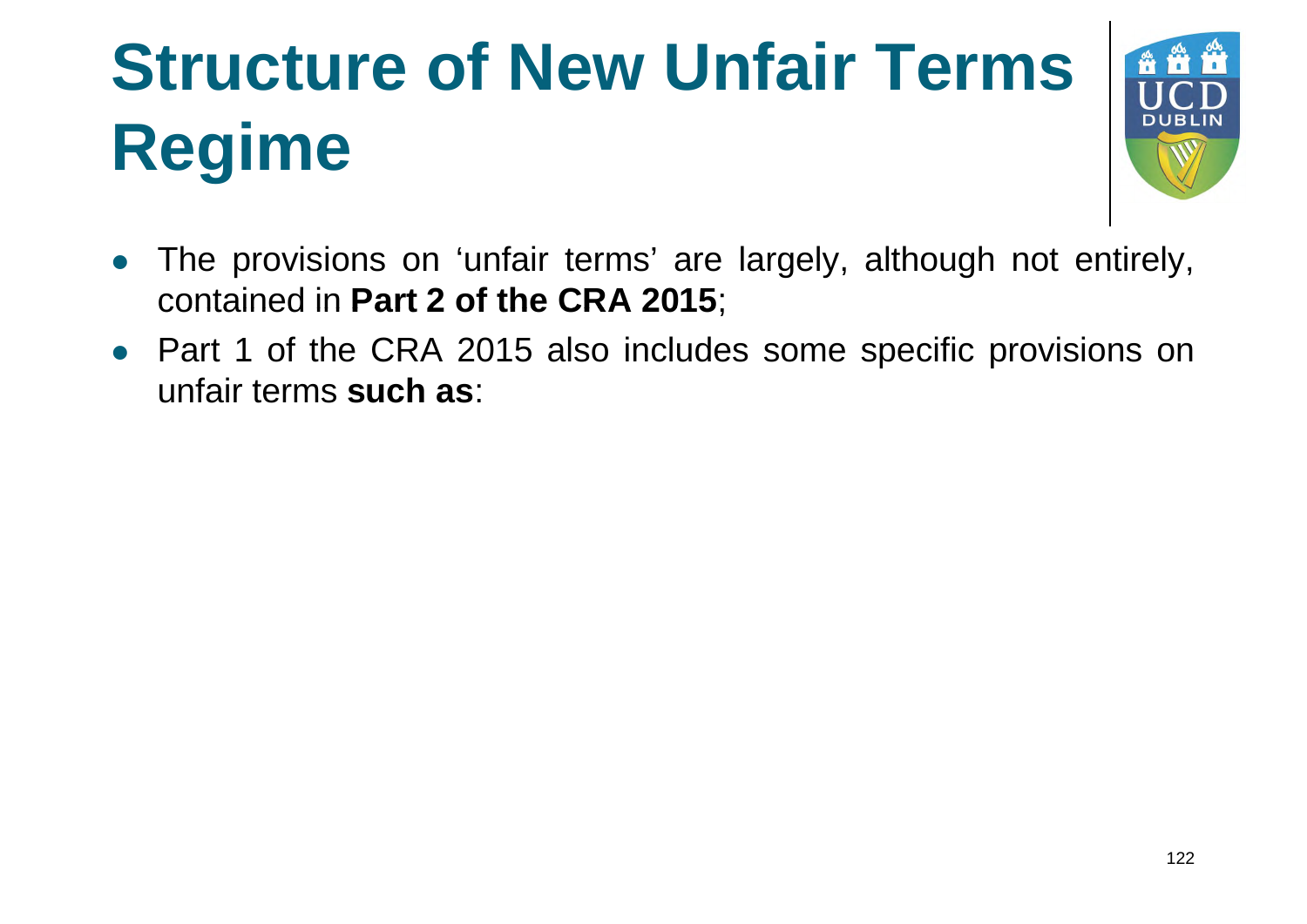#### **Structure of New Unfair Terms Regime**



- The provisions on 'unfair terms' are largely, although not entirely, contained in **Part 2 of the CRA 2015**;
- Part 1 of the CRA 2015 also includes some specific provisions on unfair terms **such as**: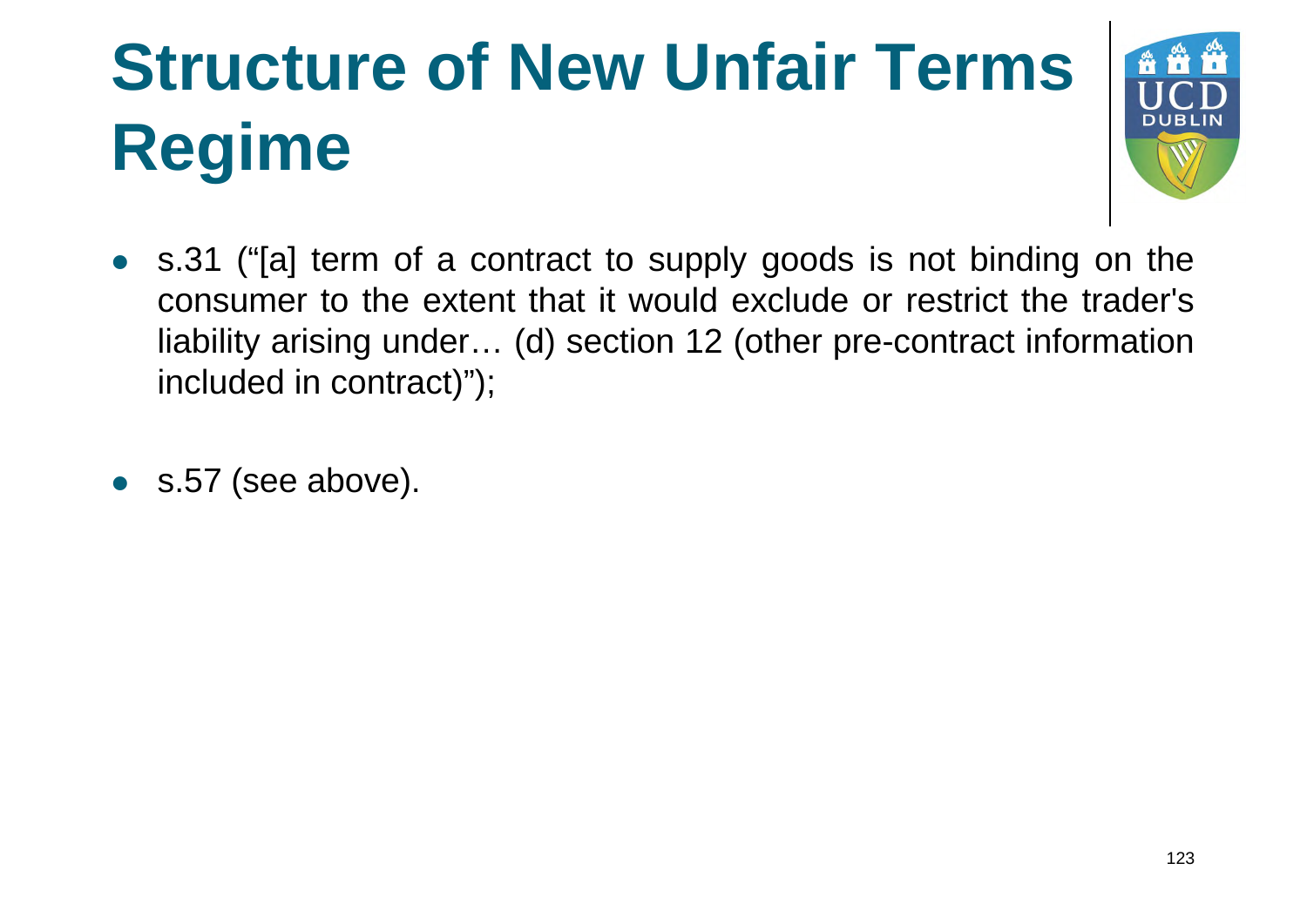# **Structure of New Unfair Terms Regime**



- s.31 ("[a] term of a contract to supply goods is not binding on the consumer to the extent that it would exclude or restrict the trader's liability arising under… (d) section 12 (other pre-contract information included in contract)");
- s.57 (see above).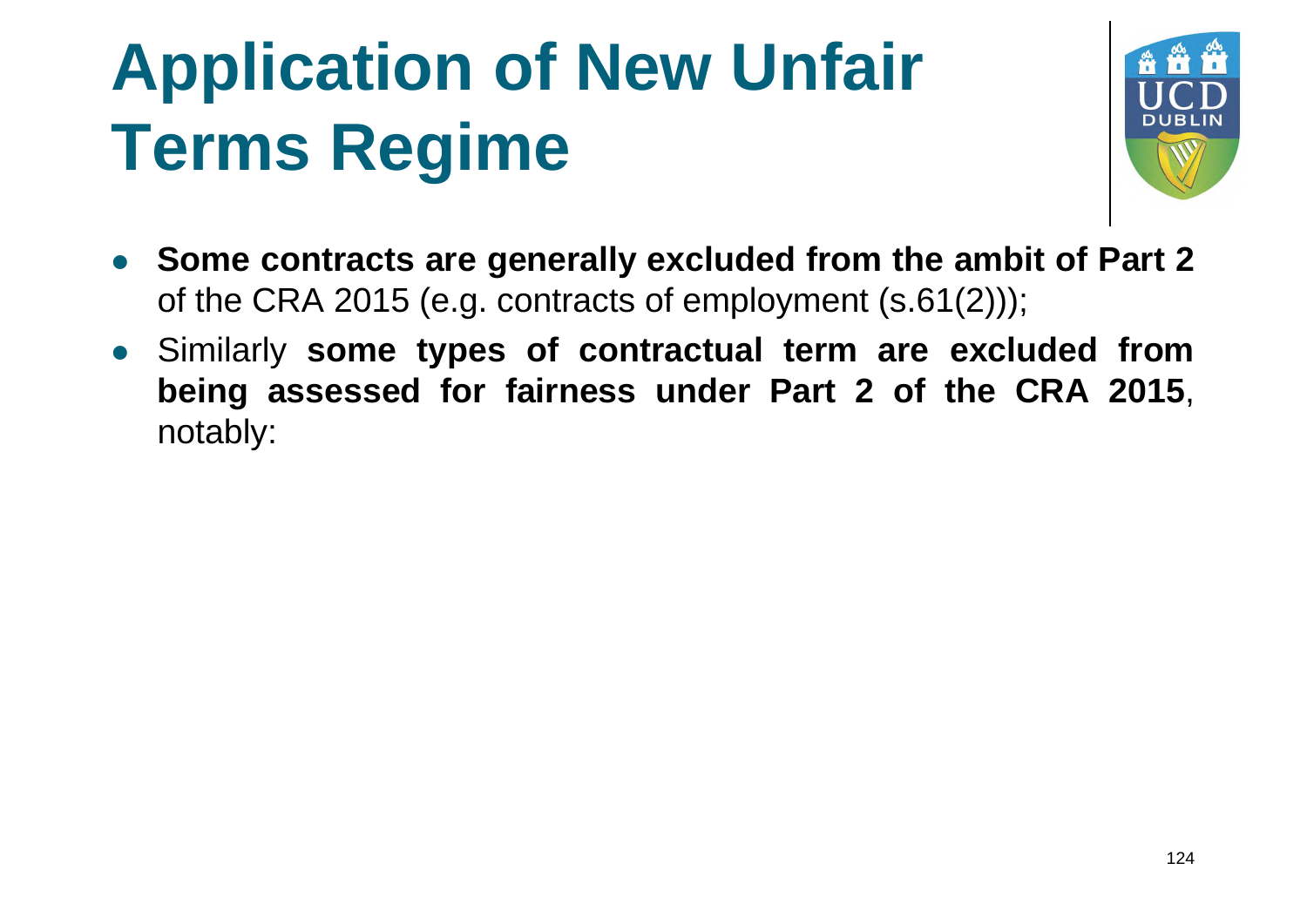

- **Some contracts are generally excluded from the ambit of Part 2** of the CRA 2015 (e.g. contracts of employment (s.61(2)));
- Similarly **some types of contractual term are excluded from being assessed for fairness under Part 2 of the CRA 2015**, notably: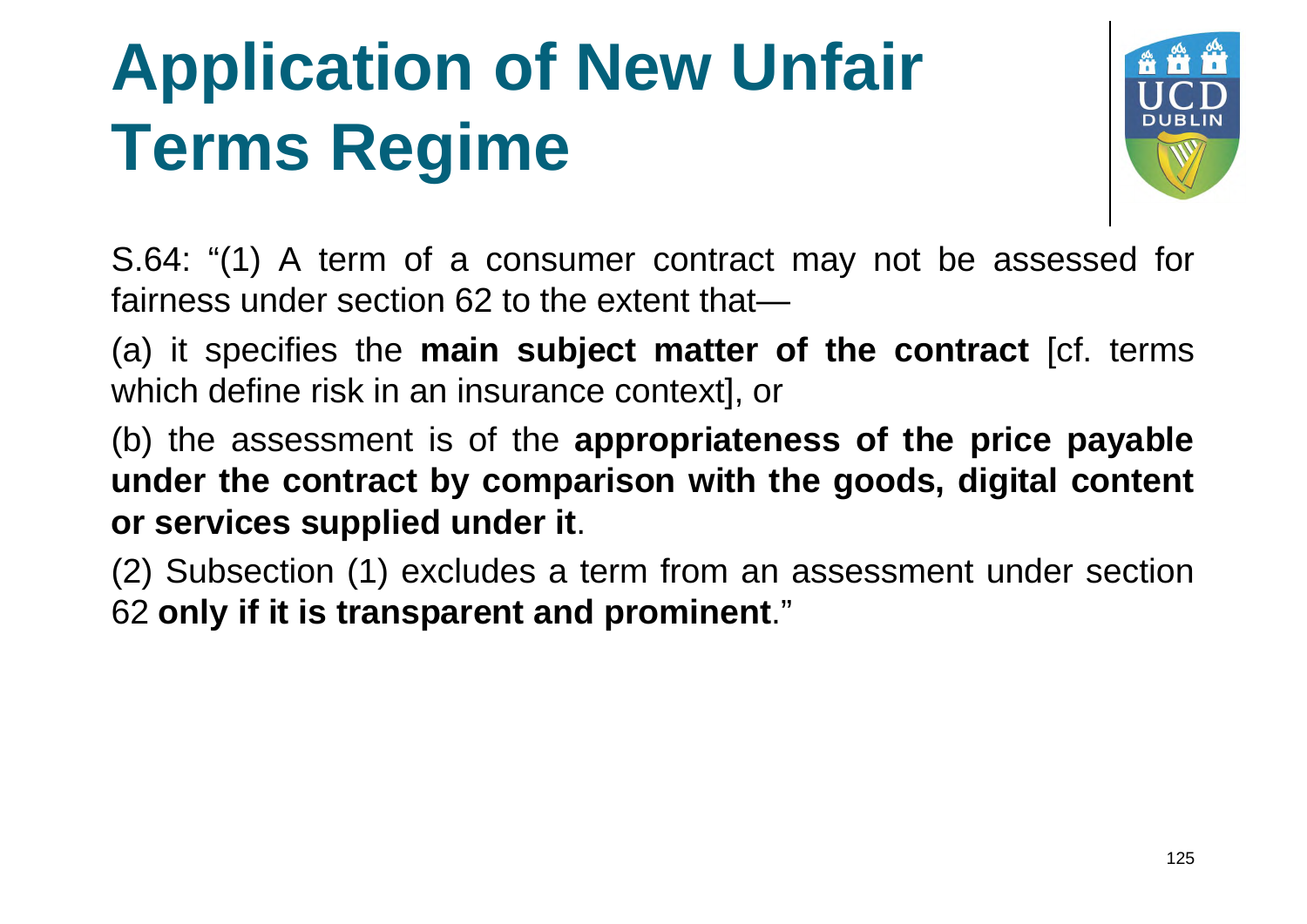

S.64: "(1) A term of a consumer contract may not be assessed for fairness under section 62 to the extent that—

(a) it specifies the **main subject matter of the contract** [cf. terms which define risk in an insurance context], or

(b) the assessment is of the **appropriateness of the price payable under the contract by comparison with the goods, digital content or services supplied under it**.

(2) Subsection (1) excludes a term from an assessment under section 62 **only if it is transparent and prominent** ."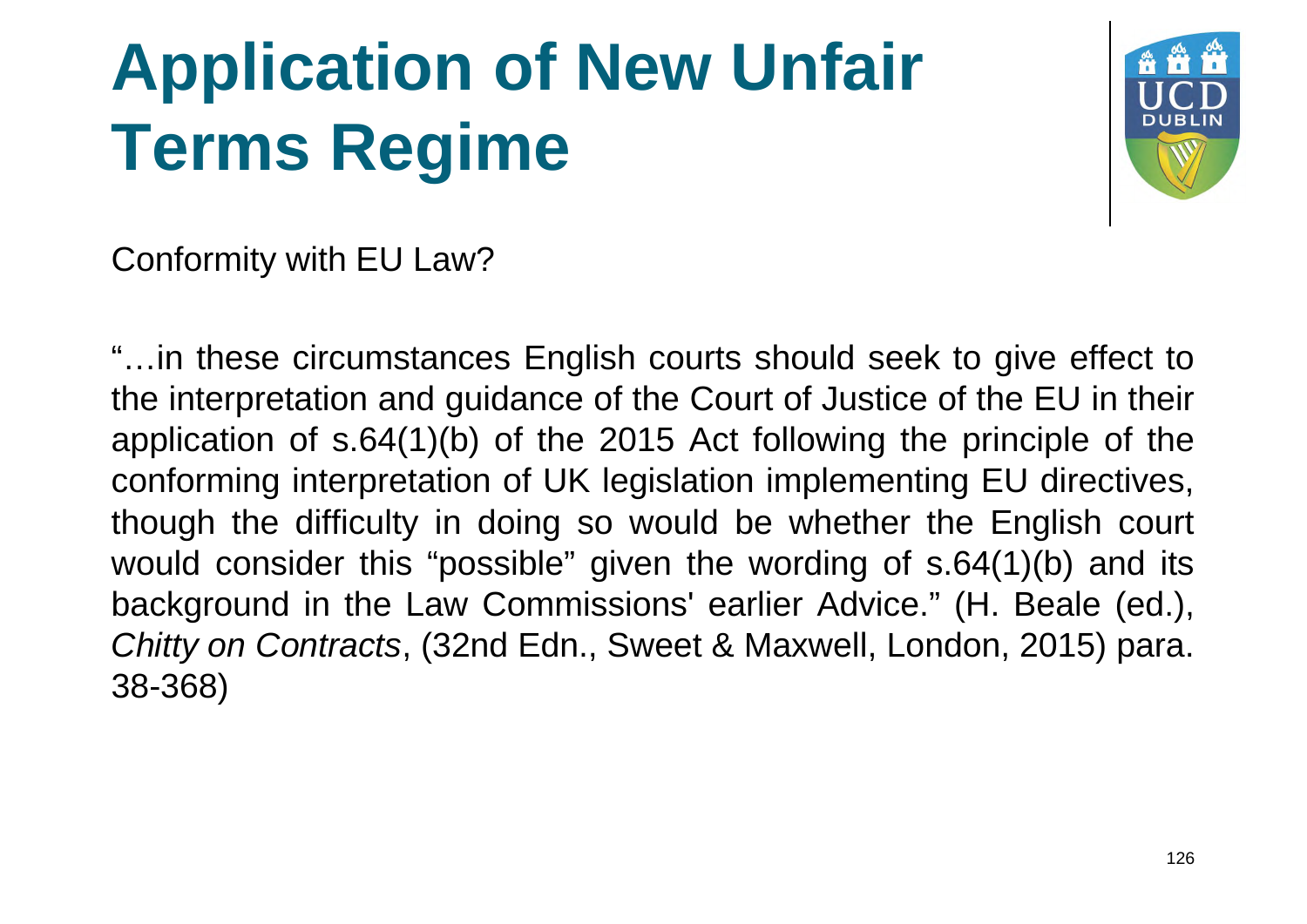

Conformity with EU Law?

"…in these circumstances English courts should seek to give effect to the interpretation and guidance of the Court of Justice of the EU in their application of s.64(1)(b) of the 2015 Act following the principle of the conforming interpretation of UK legislation implementing EU directives, though the difficulty in doing so would be whether the English court would consider this "possible" given the wording of s.64(1)(b) and its background in the Law Commissions' earlier Advice." (H. Beale (ed.), *Chitty on Contracts*, (32nd Edn., Sweet & Maxwell, London, 2015) para. 38-368)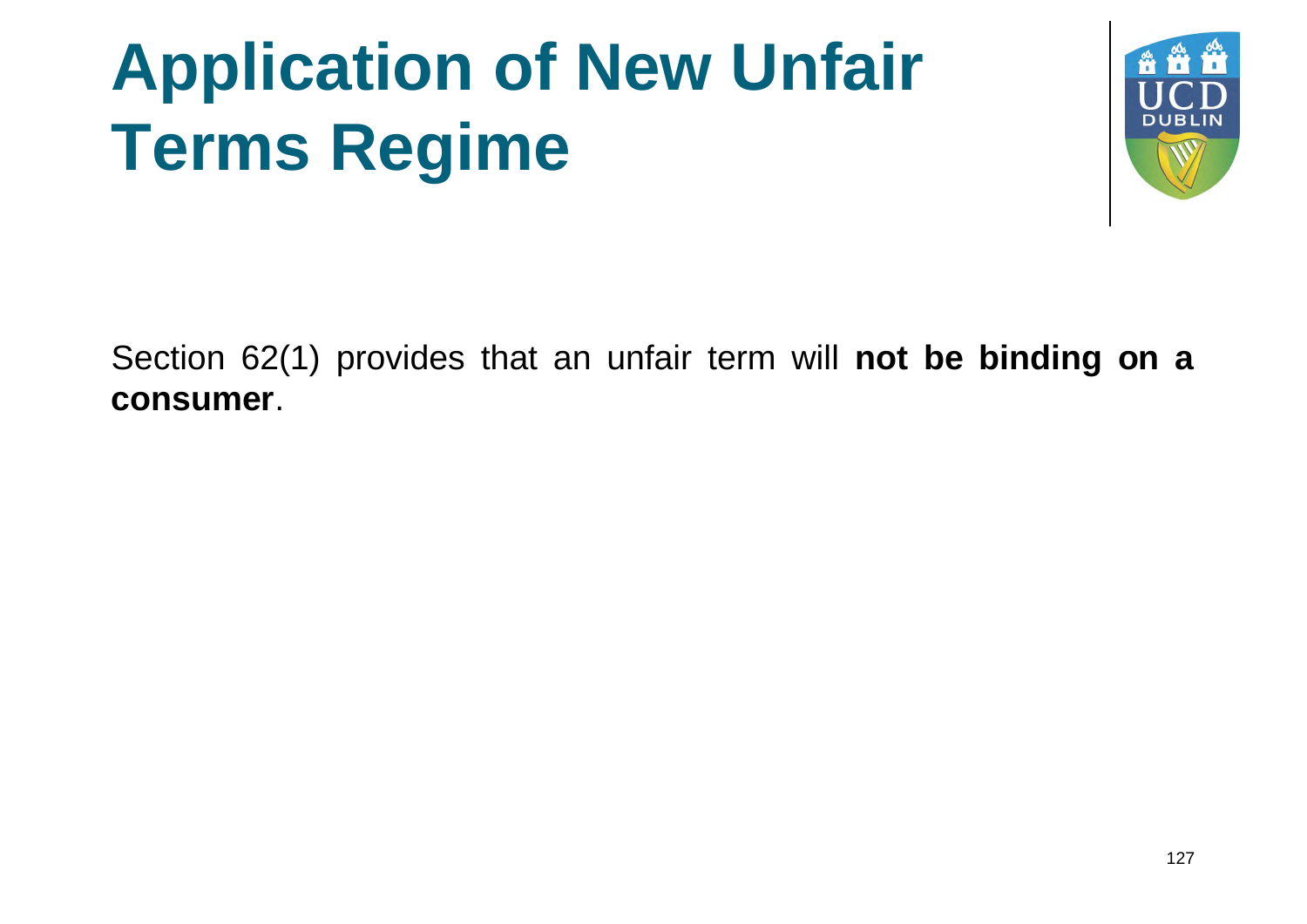

Section 62(1) provides that an unfair term will **not be binding on a consumer**.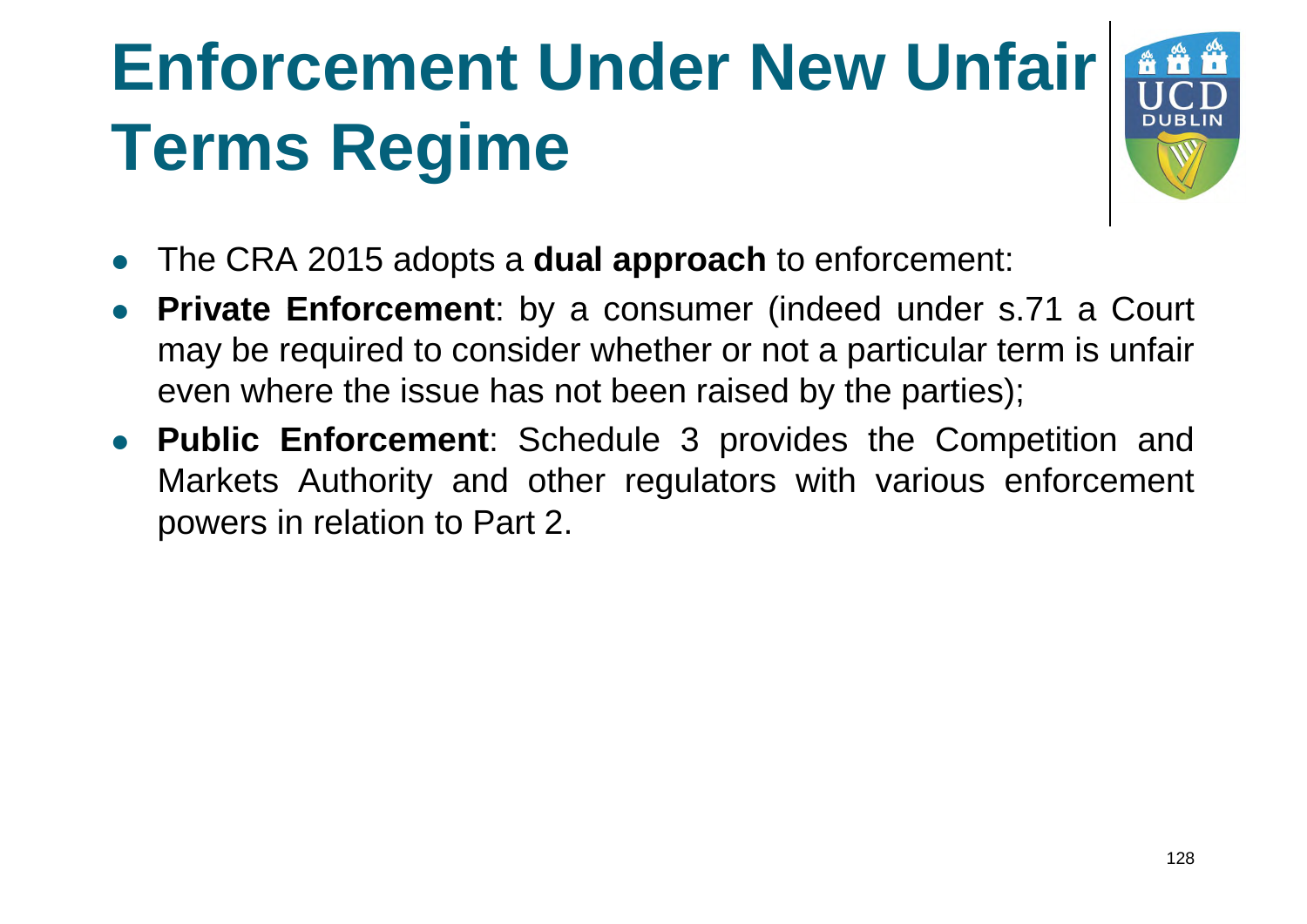# **Enforcement Under New Unfair Terms Regime**



- The CRA 2015 adopts a **dual approach** to enforcement:
- **Private Enforcement**: by a consumer (indeed under s.71 a Court may be required to consider whether or not a particular term is unfair even where the issue has not been raised by the parties);
- **Public Enforcement**: Schedule 3 provides the Competition and Markets Authority and other regulators with various enforcement powers in relation to Part 2.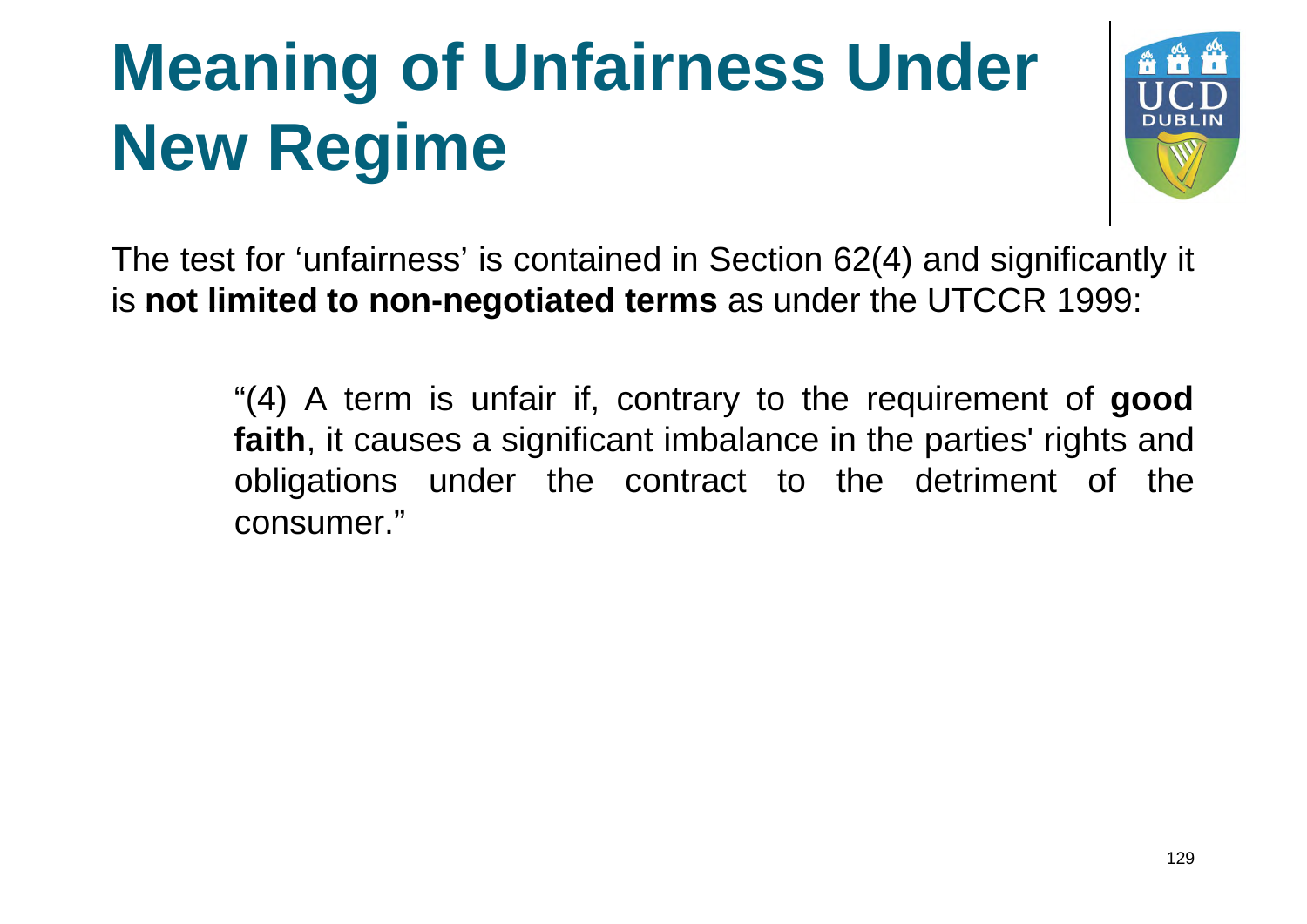### **Meaning of Unfairness Under New Regime**



The test for 'unfairness' is contained in Section 62(4) and significantly it **is not limited to non-negotiated terms** as under the UTCCR 1999:

> "(4) A term is unfair if, contrary to the requirement of **good faith**, it causes a significant imbalance in the parties' rights and obligations under the contract to the detriment of the consumer."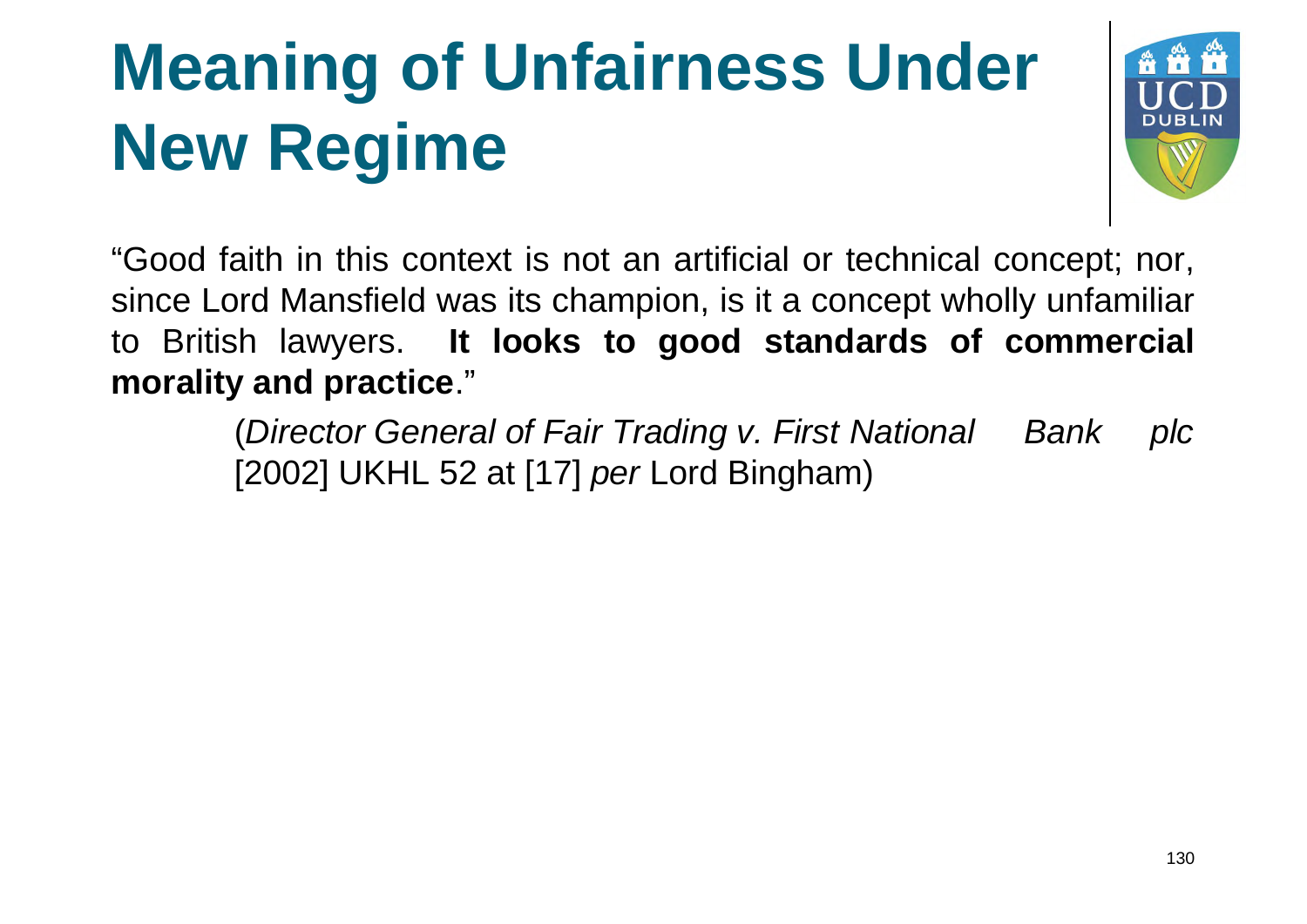### **Meaning of Unfairness Under New Regime**



"Good faith in this context is not an artificial or technical concept; nor, since Lord Mansfield was its champion, is it a concept wholly unfamiliar to British lawyers. **It looks to good standards of commercial morality and practice**."

> (*Director General of Fair Trading v. First National Bank plc* [2002] UKHL 52 at [17] *per* Lord Bingham)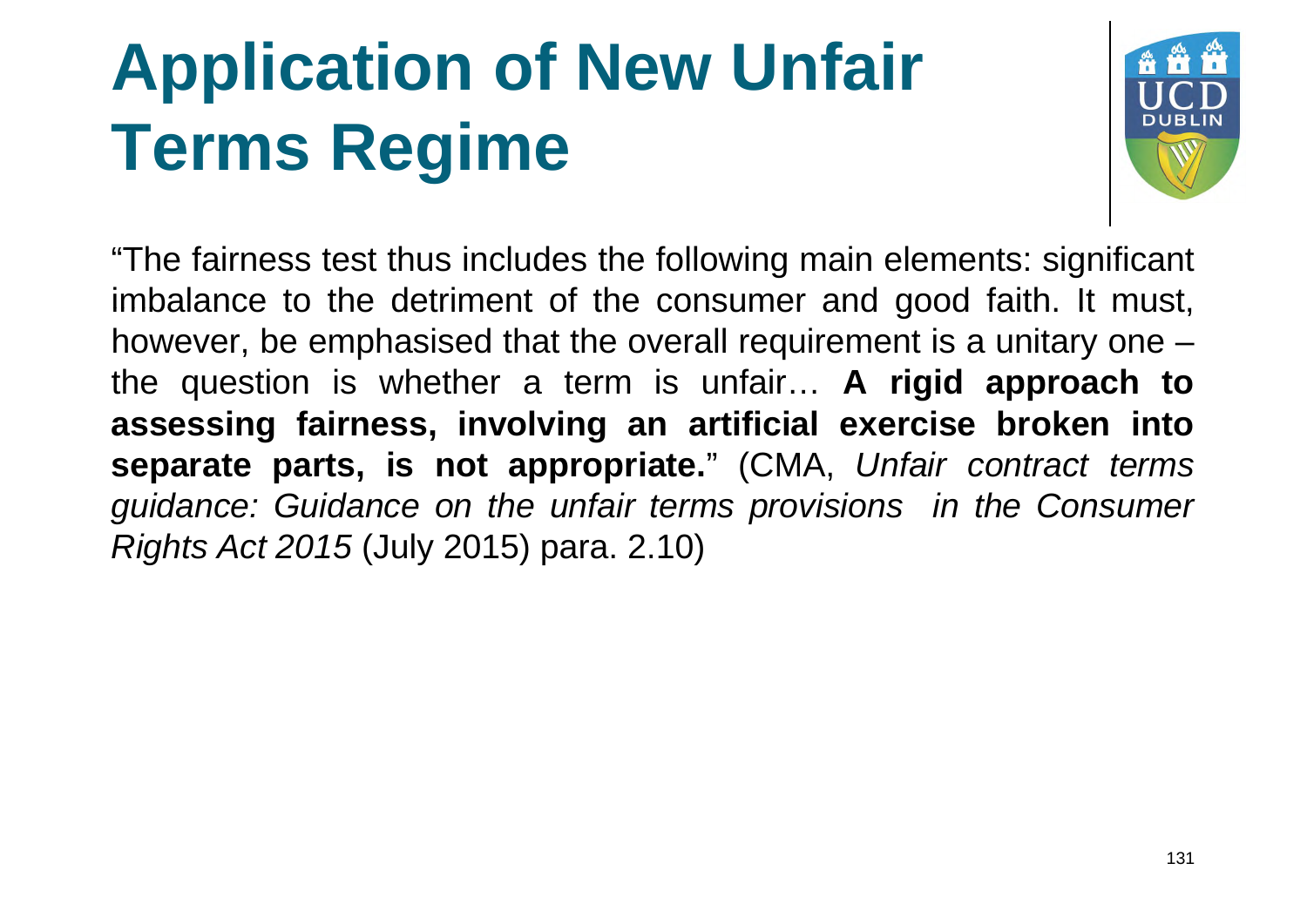

"The fairness test thus includes the following main elements: significant imbalance to the detriment of the consumer and good faith. It must, however, be emphasised that the overall requirement is a unitary one – the question is whether a term is unfair… **A rigid approach to assessing fairness, involving an artificial exercise broken into separate parts, is not appropriate.**" (CMA, *Unfair contract terms guidance: Guidance on the unfair terms provisions in the Consumer Rights Act 2015* (July 2015) para. 2.10)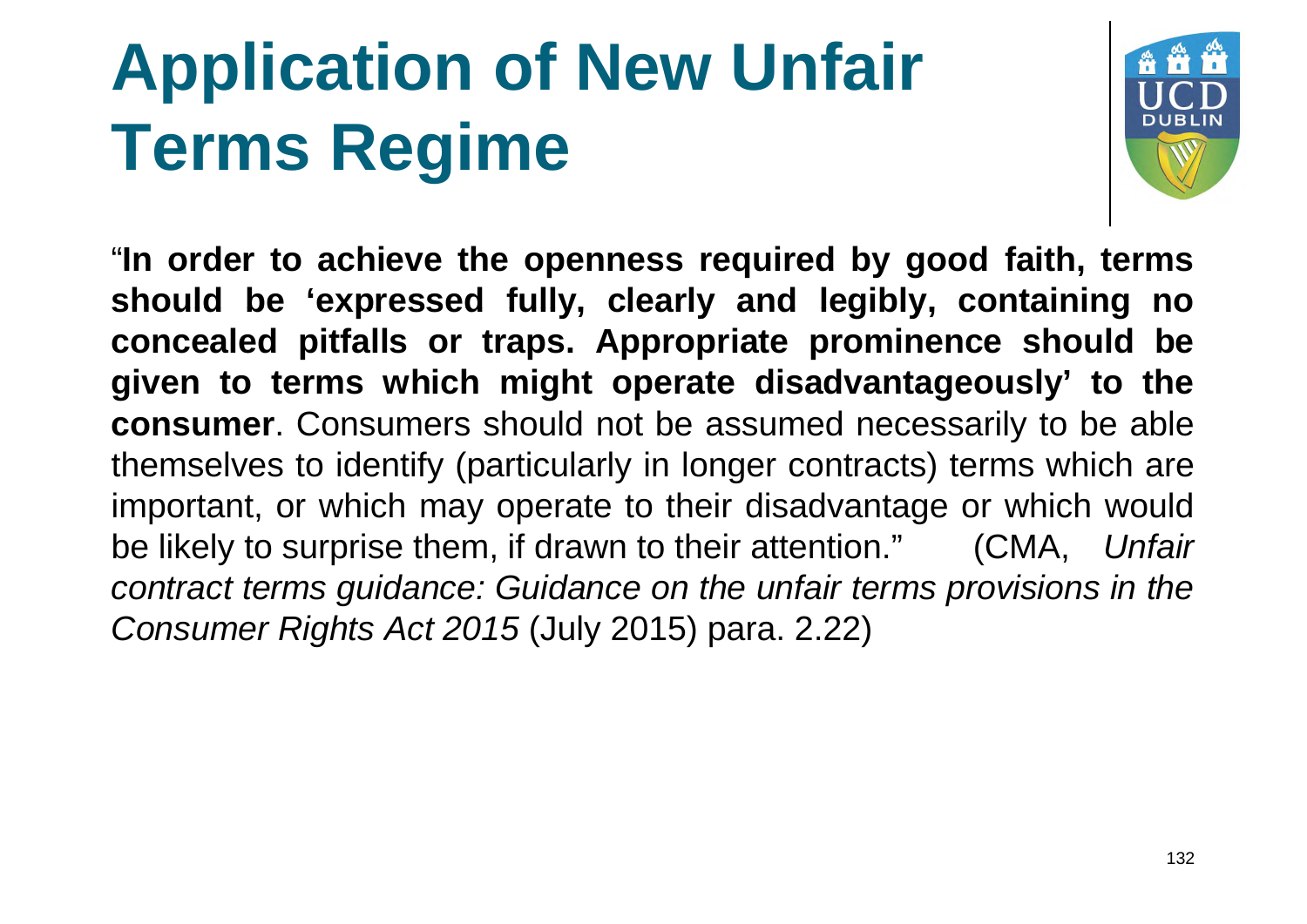

"**In order to achieve the openness required by good faith, terms should be 'expressed fully, clearly and legibly, containing no concealed pitfalls or traps. Appropriate prominence should be given to terms which might operate disadvantageously' to the consumer**. Consumers should not be assumed necessarily to be able themselves to identify (particularly in longer contracts) terms which are important, or which may operate to their disadvantage or which would be likely to surprise them, if drawn to their attention." (CMA, *Unfair contract terms guidance: Guidance on the unfair terms provisions in the Consumer Rights Act 2015* (July 2015) para. 2.22)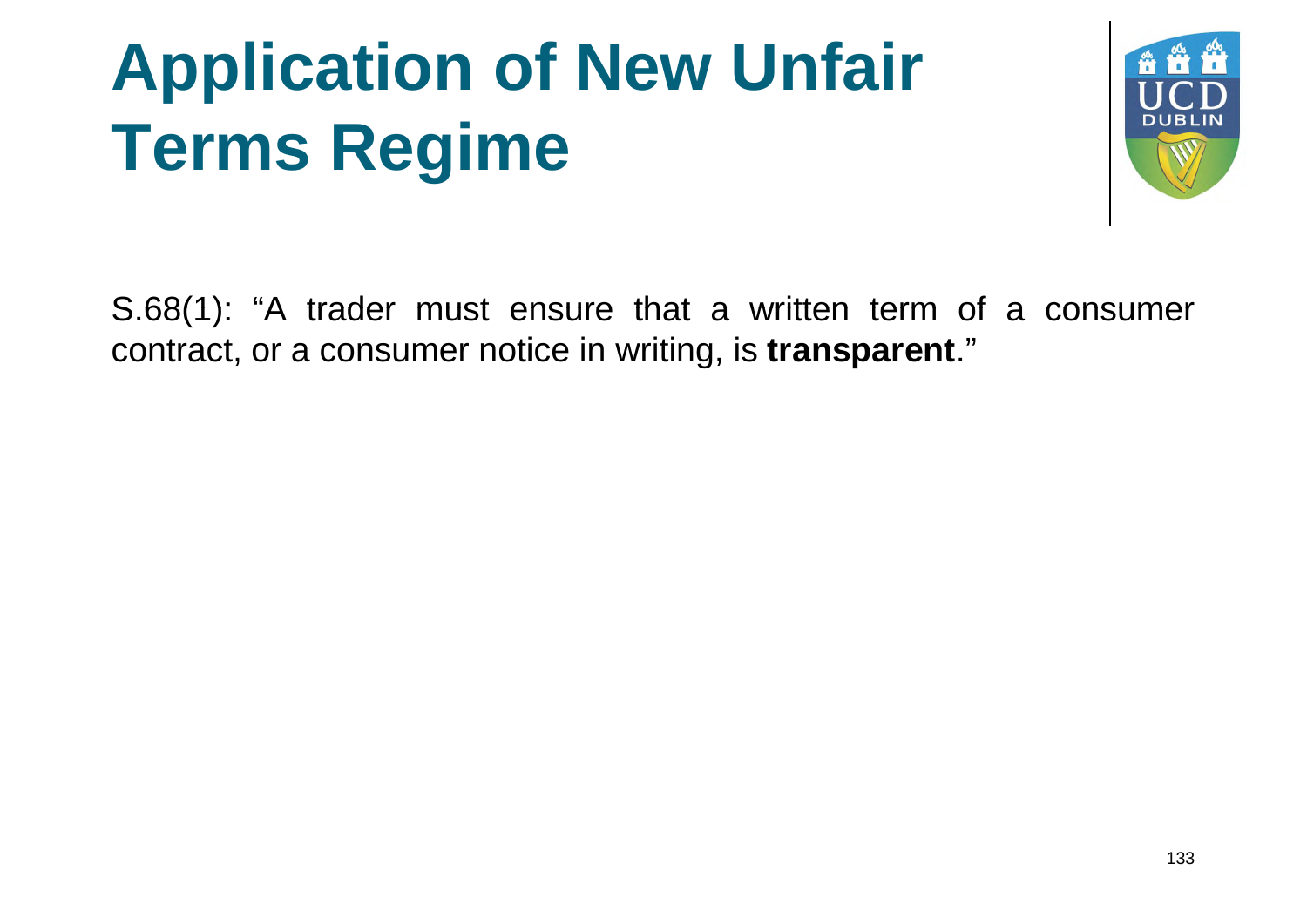

S.68(1): "A trader must ensure that a written term of a consumer contract, or a consumer notice in writing, is **transparent**."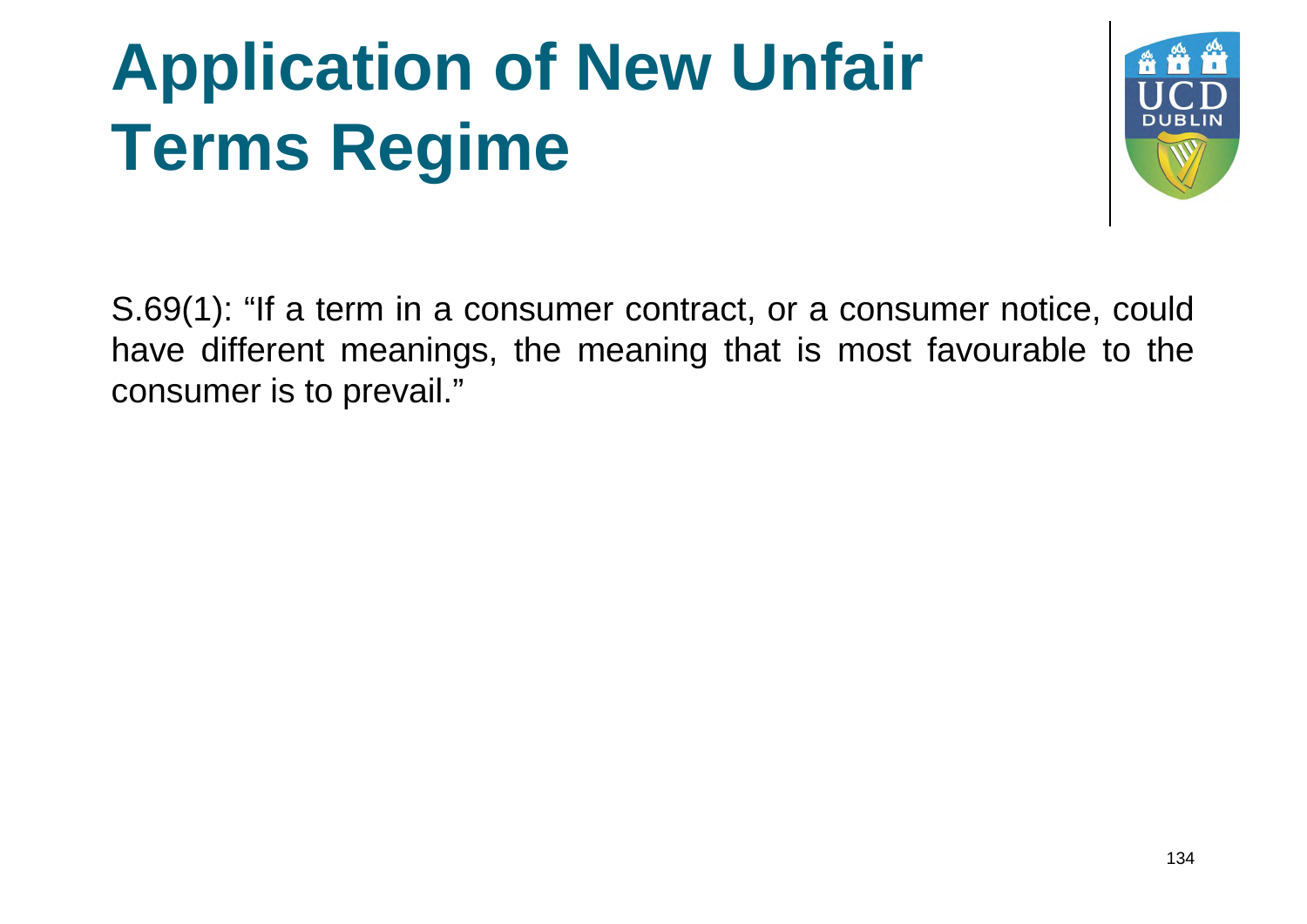

S.69(1): "If a term in a consumer contract, or a consumer notice, could have different meanings, the meaning that is most favourable to the consumer is to prevail."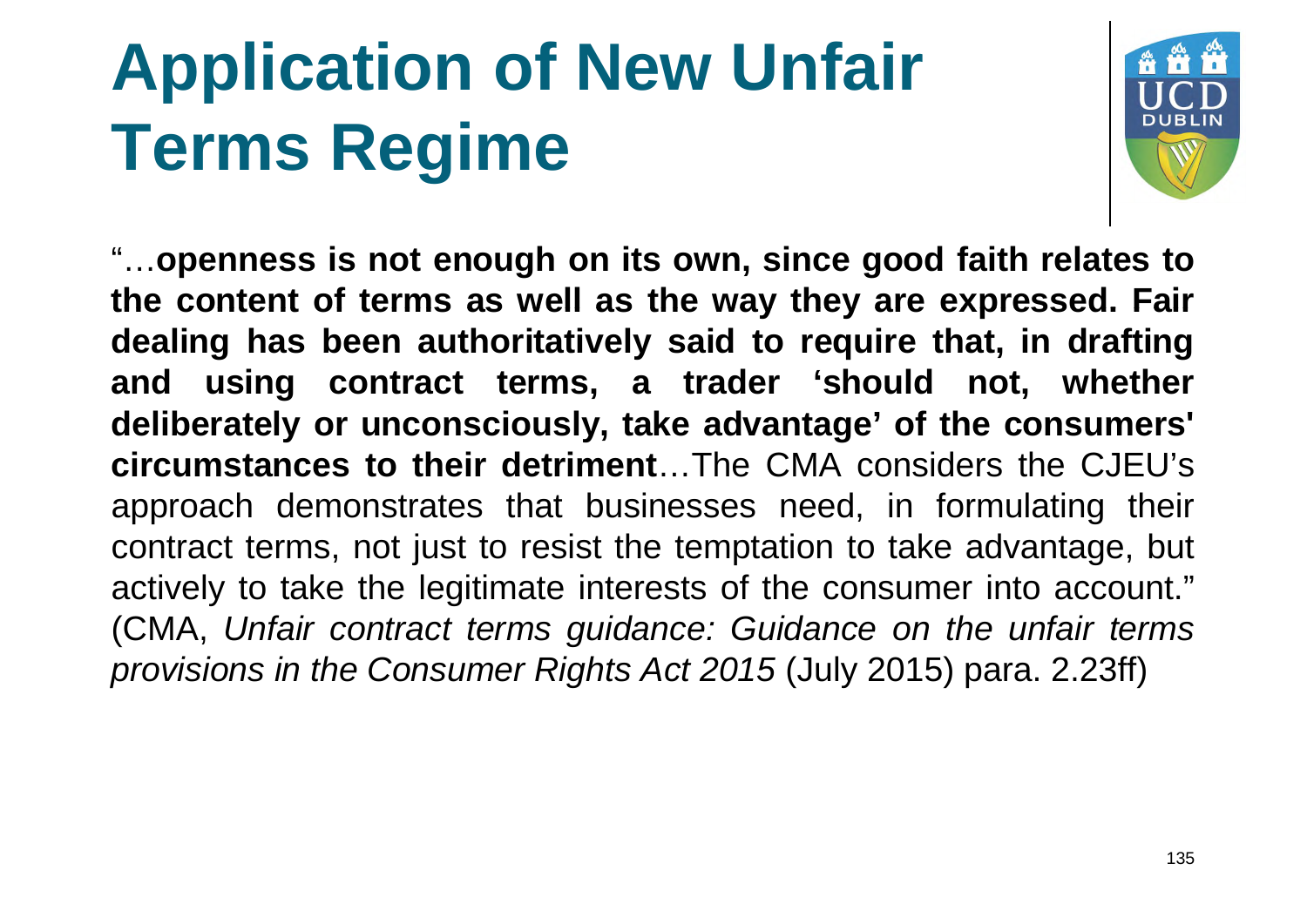

"…**openness is not enough on its own, since good faith relates to the content of terms as well as the way they are expressed expressed. Fair dealing has been authoritatively said to require that, in drafting and using contract terms, a trader 'should not, whether deliberately or unconsciously, take advantage' of the consumers' circumstances to their detriment**…The CMA considers the CJEU's approach demonstrates that businesses need, in formulating their contract terms, not just to resist the temptation to take advantage, but actively to take the legitimate interests of the consumer into account." (CMA, *Unfair contract terms guidance guidance: Guidance on the unfair terms provisions in the Consumer Rights Act 2015* (July 2015) para. 2.23ff)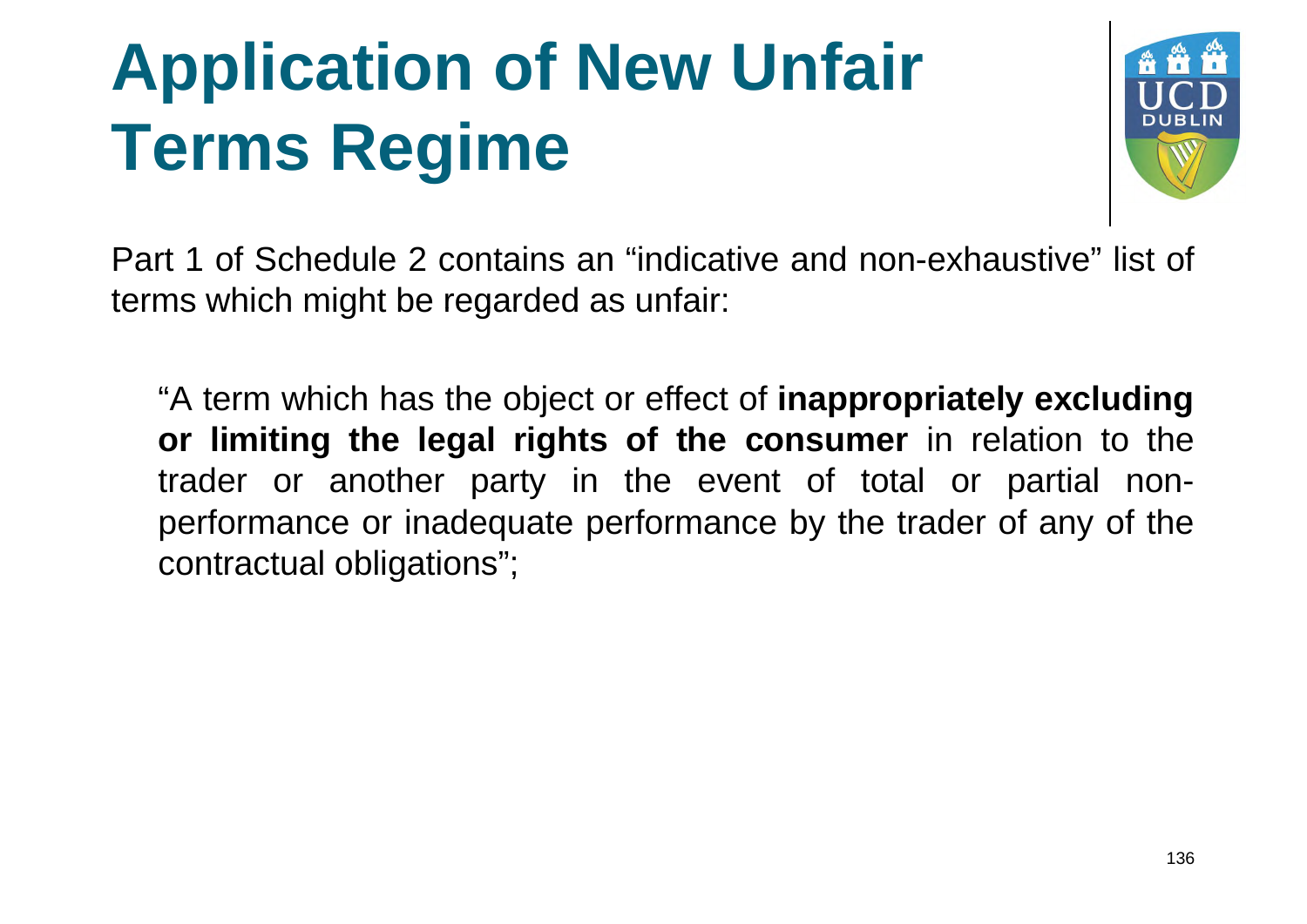

Part 1 of Schedule 2 contains an "indicative and non-exhaustive" list of terms which might be regarded as unfair:

"A term which has the object or effect of **inappropriately excluding or limiting the legal rights of the consumer** in relation to the trader or another party in the event of total or partial nonperformance or inadequate performance by the trader of any of the contractual obligations";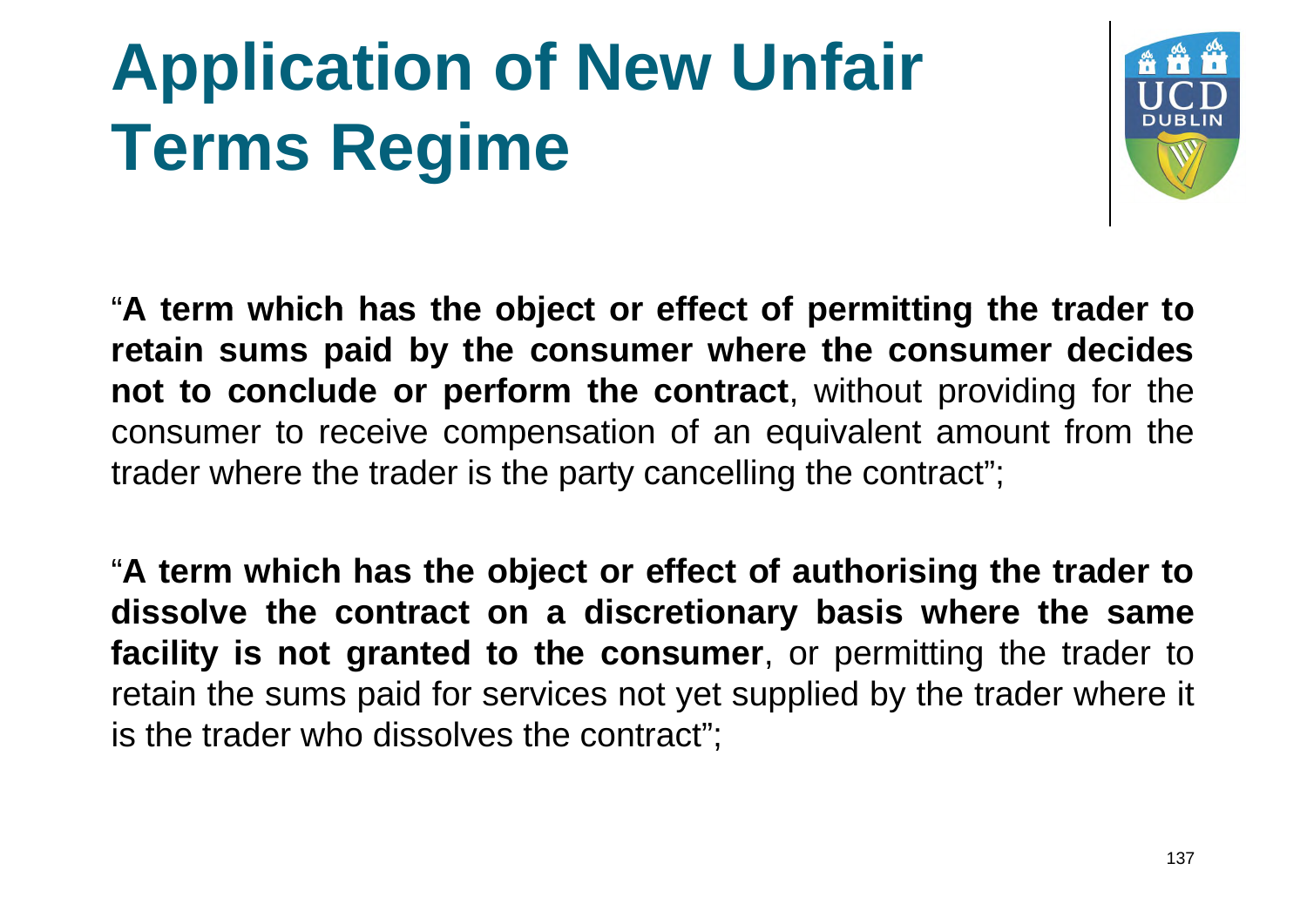

"**A term which has the object or effect of permitting the trader to retain sums paid by the consumer where the consumer decides not to conclude or perform the contract**, without providing for the consumer to receive compensation of an equivalent amount from the trader where the trader is the party cancelling the contract";

"**A term which has the object or effect of authorising the trader to dissolve the contract on a discretionary basis where the same facility is not granted to the consumer**, or permitting the trader to retain the sums paid for services not yet supplied by the trader where it is the trader who dissolves the contract";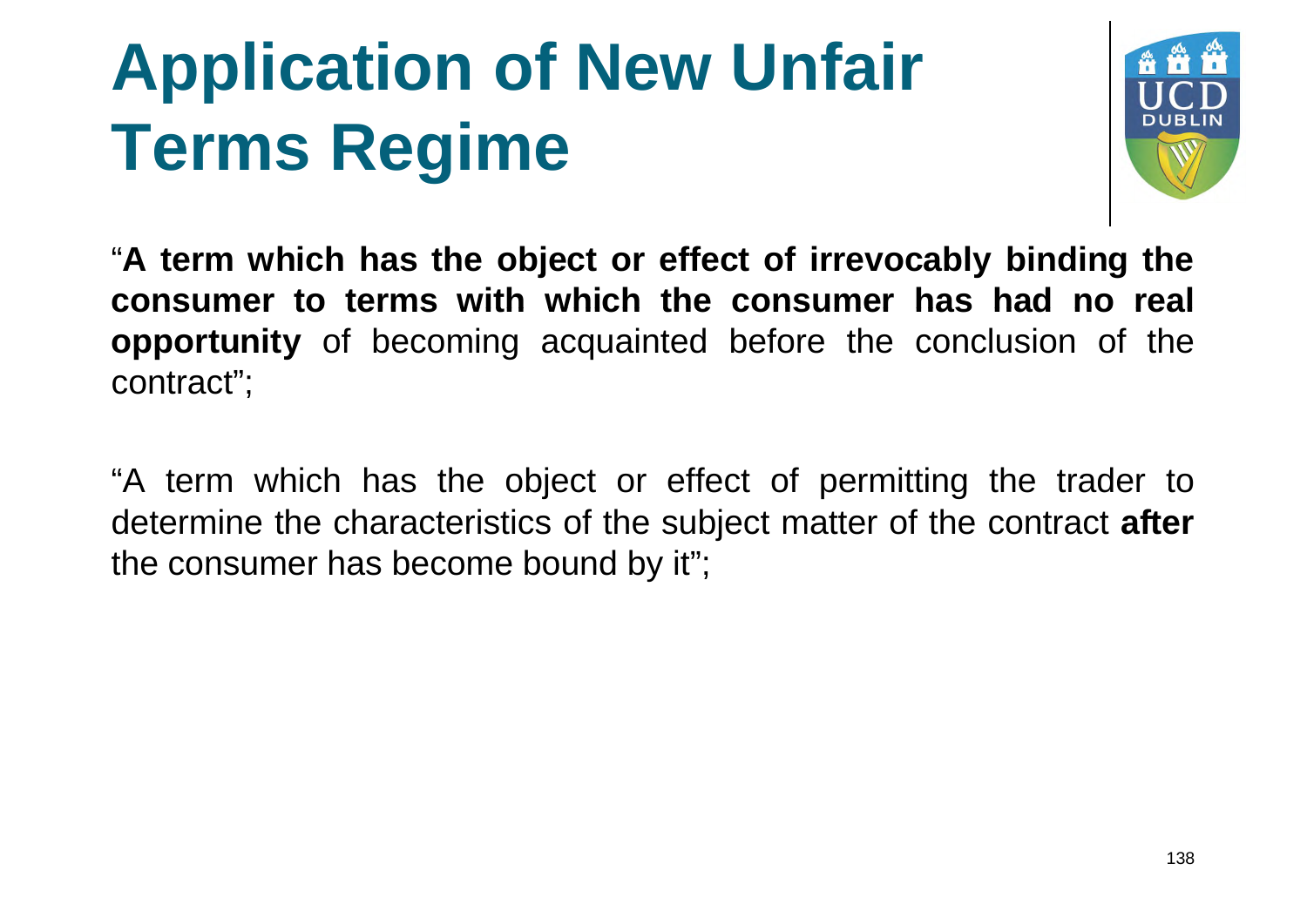

"**A term which has the object or effect of irrevocably binding the consumer to terms with which the consumer has had no real opportunity** of becoming acquainted before the conclusion of the contract";

"A term which has the object or effect of permitting the trader to determine the characteristics of the subject matter of the contract **after** the consumer has become bound by it";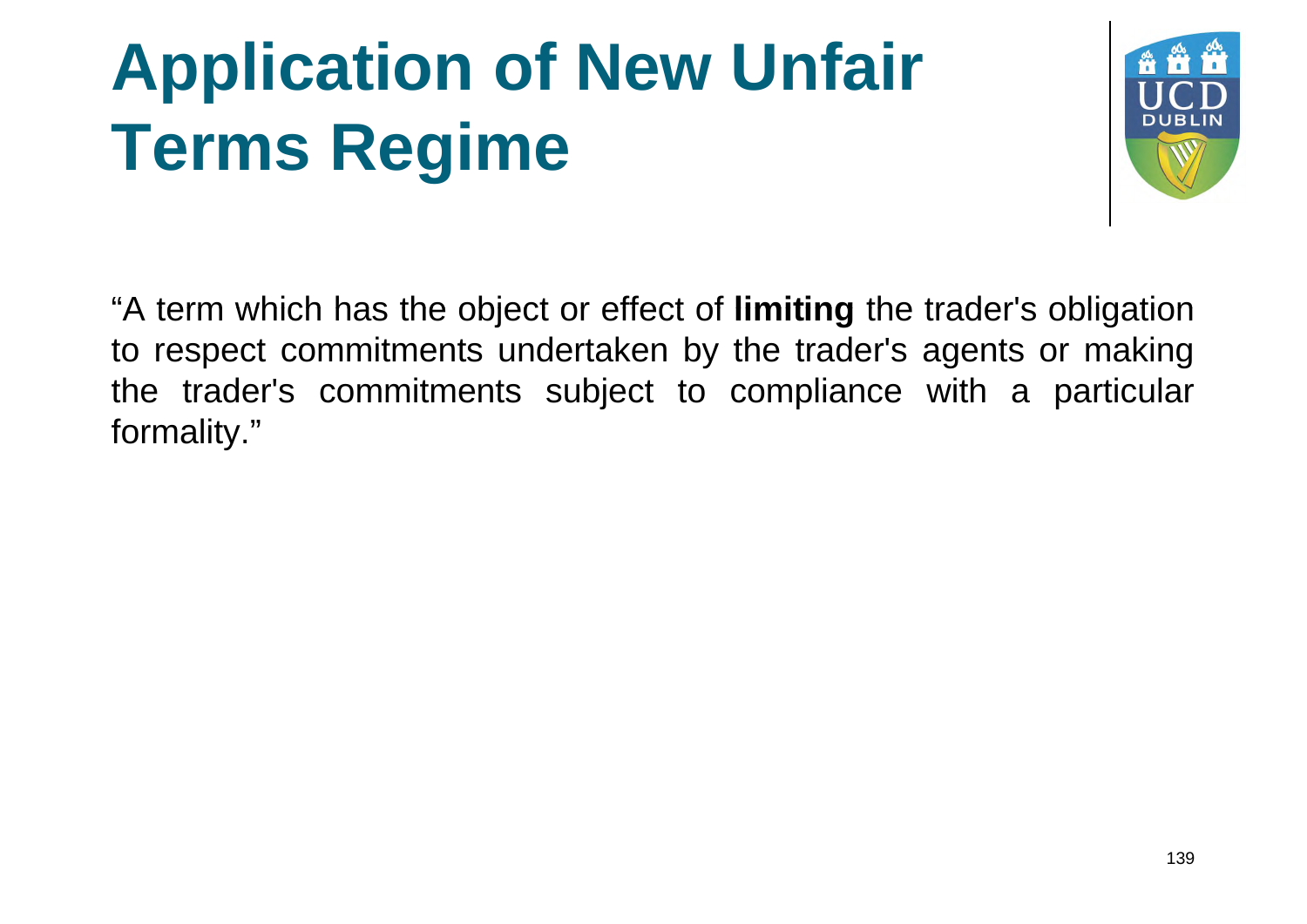

"A term which has the object or effect of **limiting** the trader's obligation to respect commitments undertaken by the trader's agents or making the trader's commitments subject to compliance with a particular formality."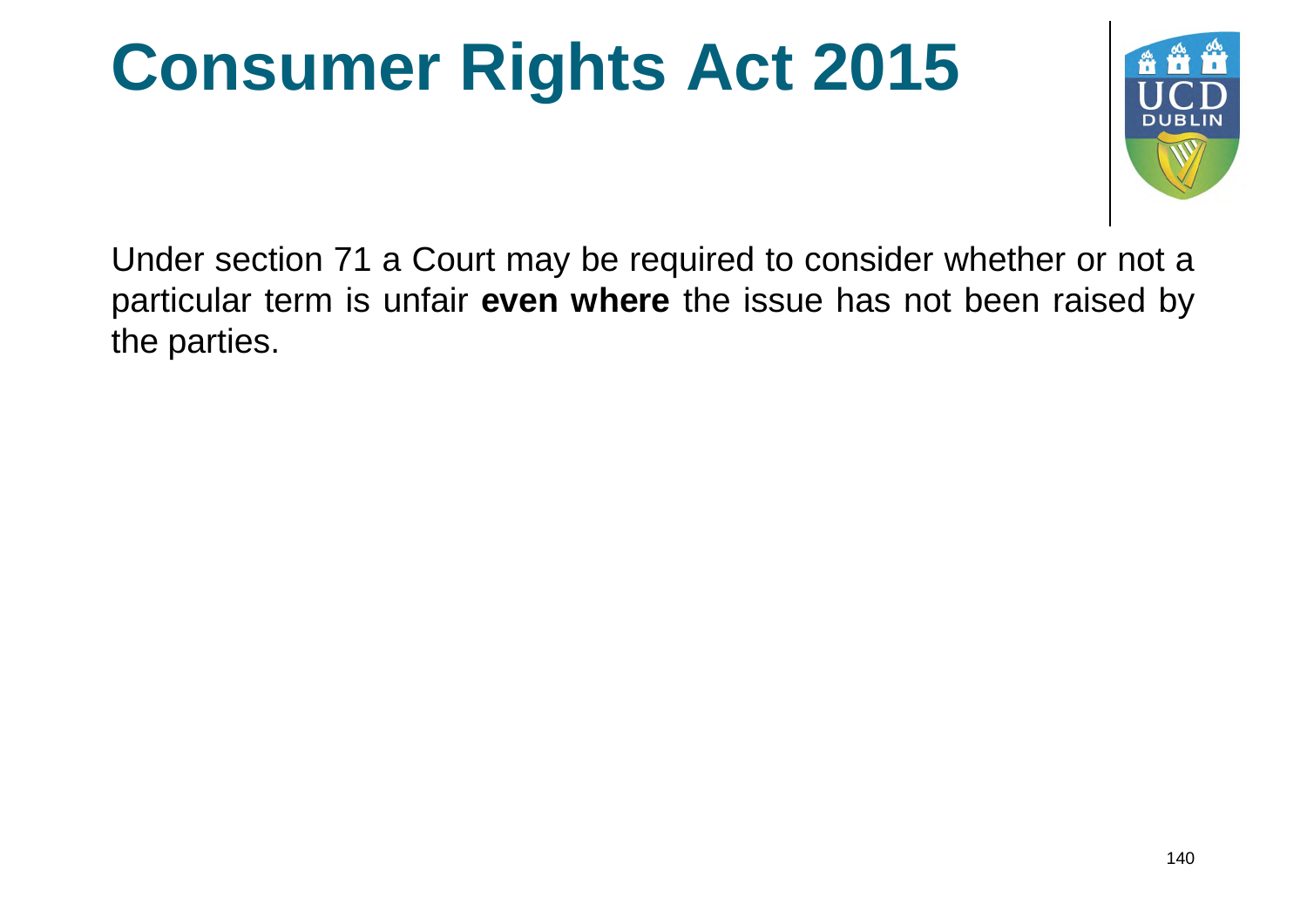#### **Consumer Rights Act 2015**



Under section 71 a Court may be required to consider whether or not a particular term is unfair **even where** the issue has not been raised by the parties.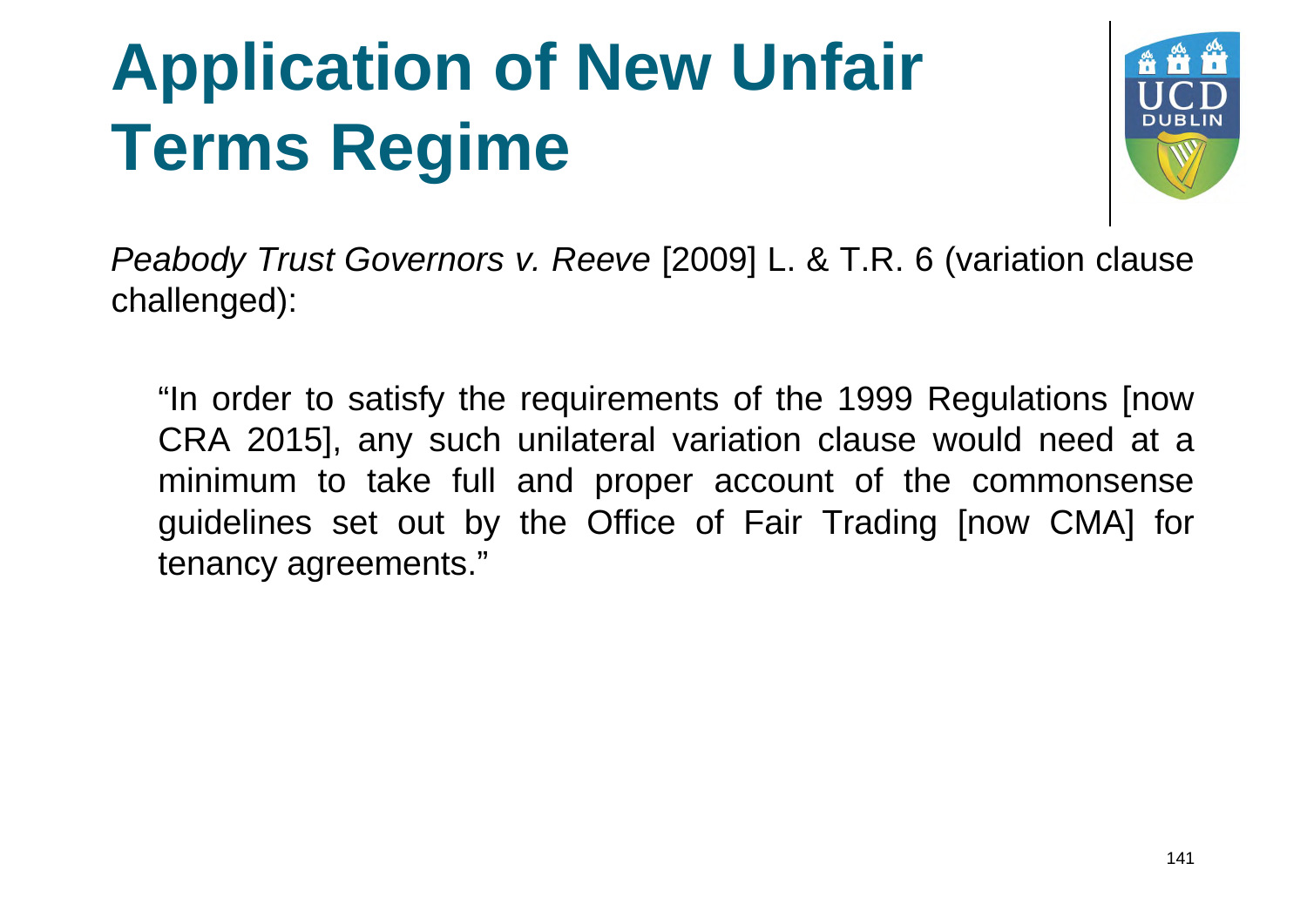

*Peabody Trust Governors v. Reeve* [2009] L. & T.R. 6 (variation clause challenged):

"In order to satisfy the requirements of the 1999 Regulations [now CRA 2015], any such unilateral variation clause would need at a minimum to take full and proper account of the commonsense guidelines set out by the Office of Fair Trading [now CMA] for tenancy agreements."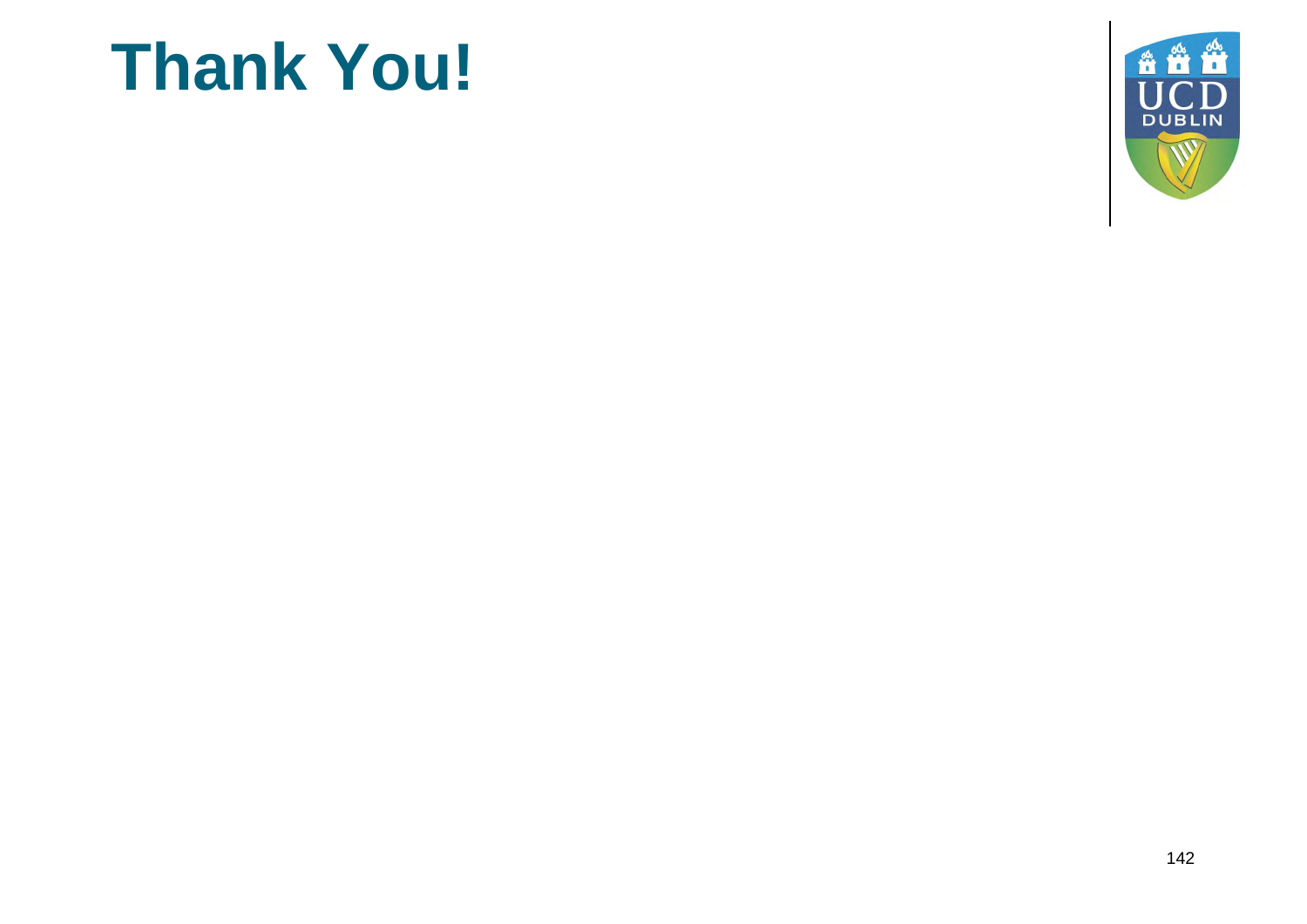#### **Thank You!**

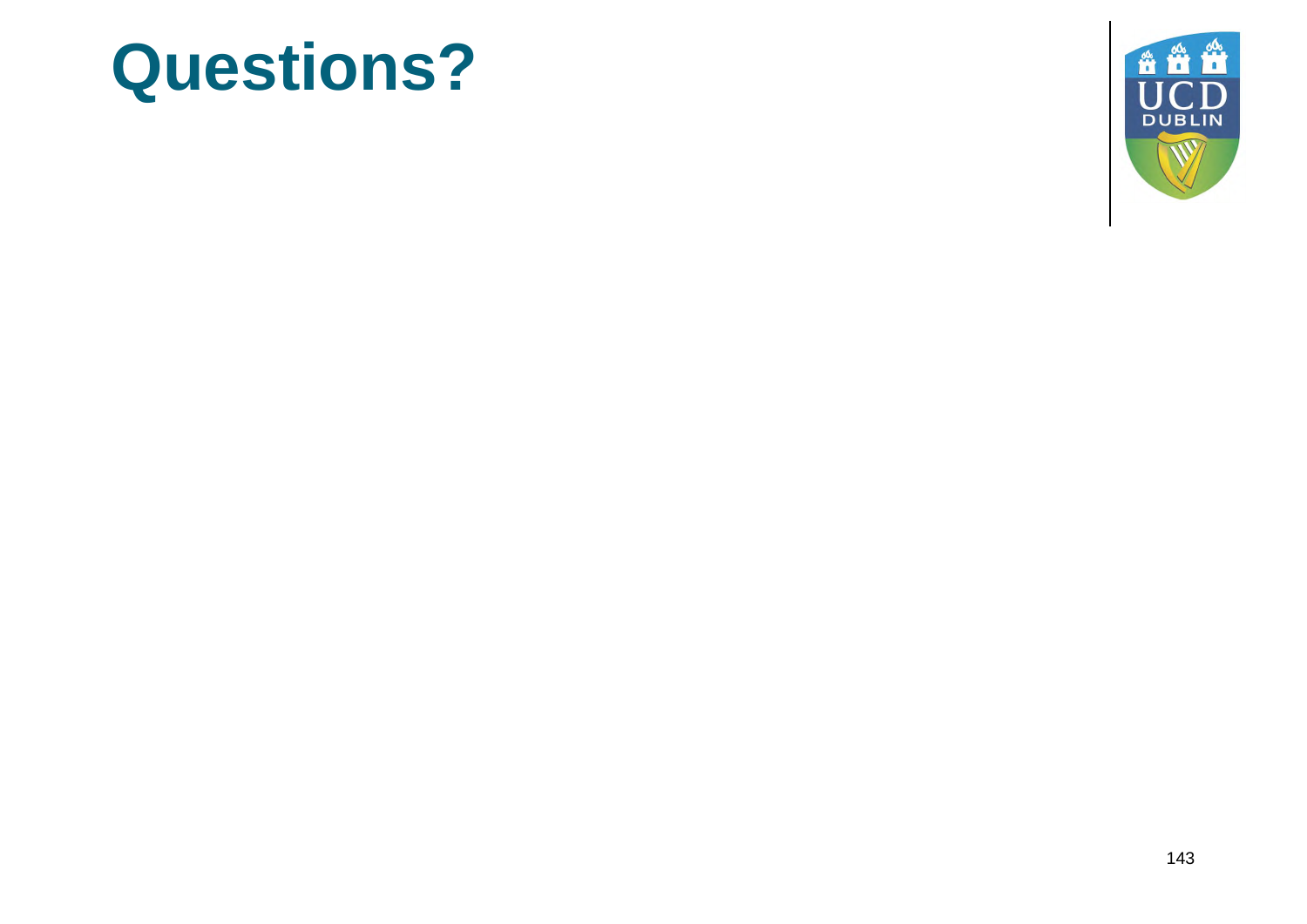#### **Questions?**

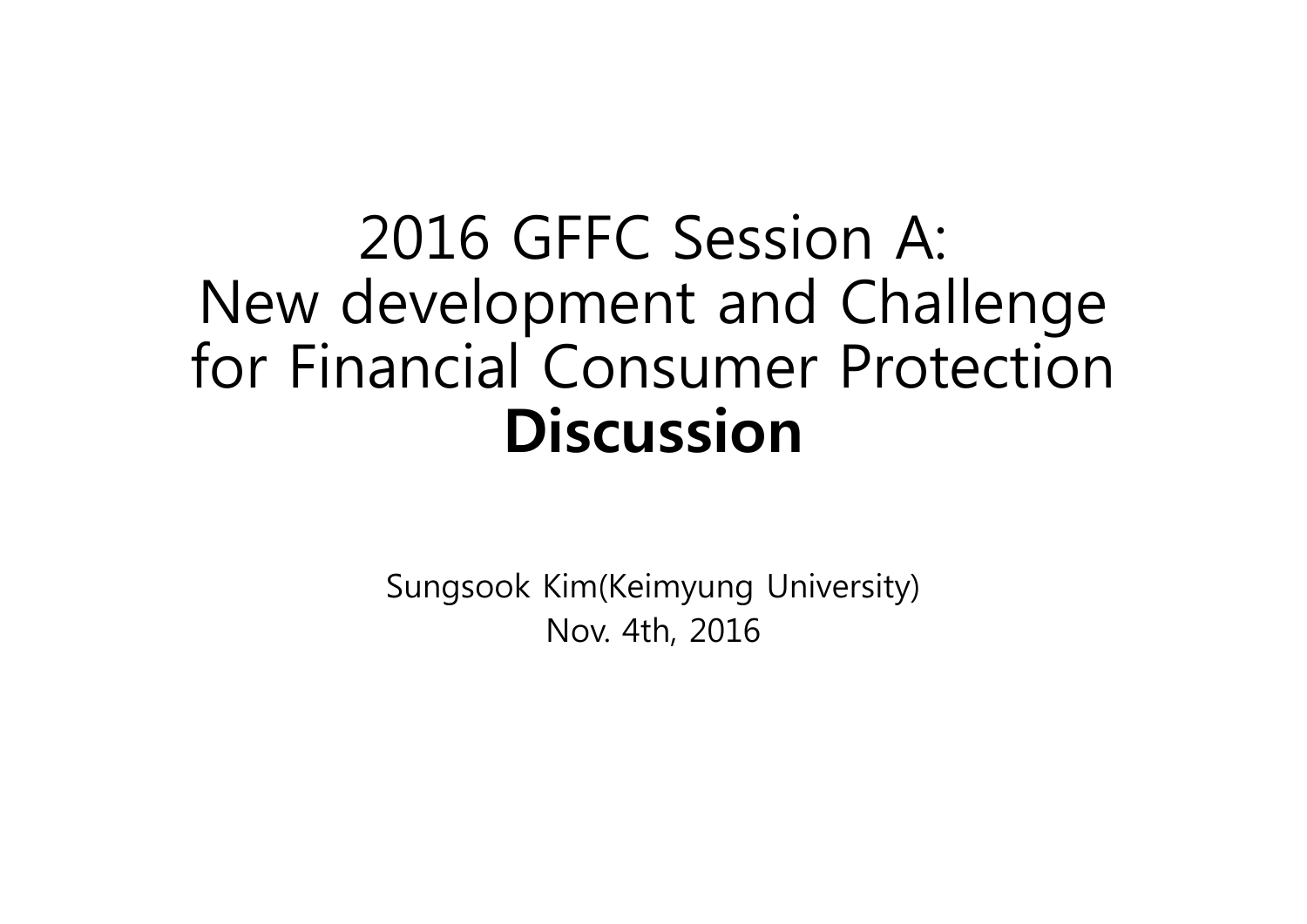#### 2016 GFFC Session A: New development and Challenge for Financial Consumer Protection **Discussion**

Sungsook Kim(Keimyung University) Nov. 4th, 2016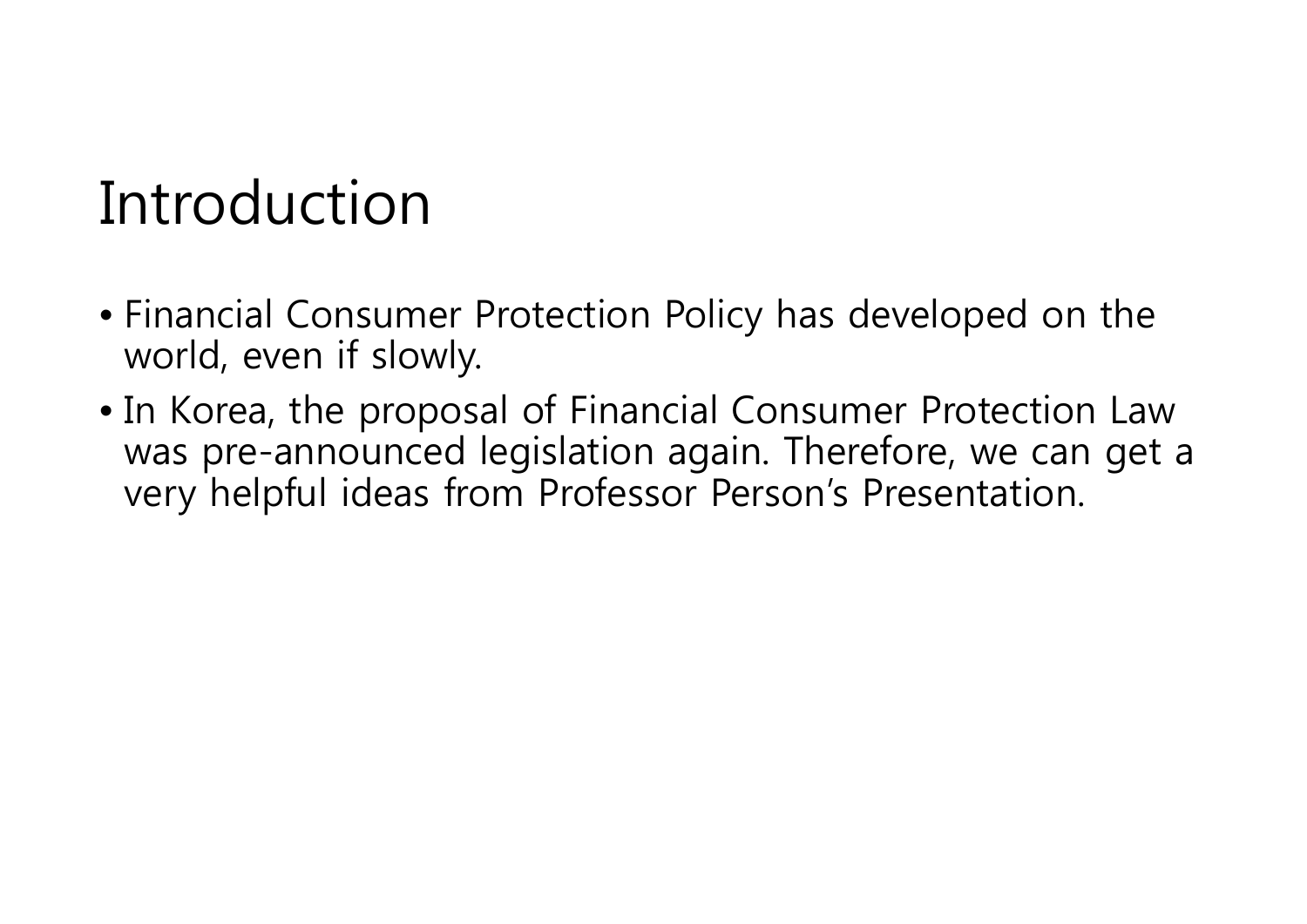#### Introduction

- Financial Consumer Protection Policy has developed on the world, even if slowly.
- In Korea, the proposal of Financial Consumer Protection Law was pre-announced legislation again. Therefore, we can get a very helpful ideas from Professor Person's Presentation.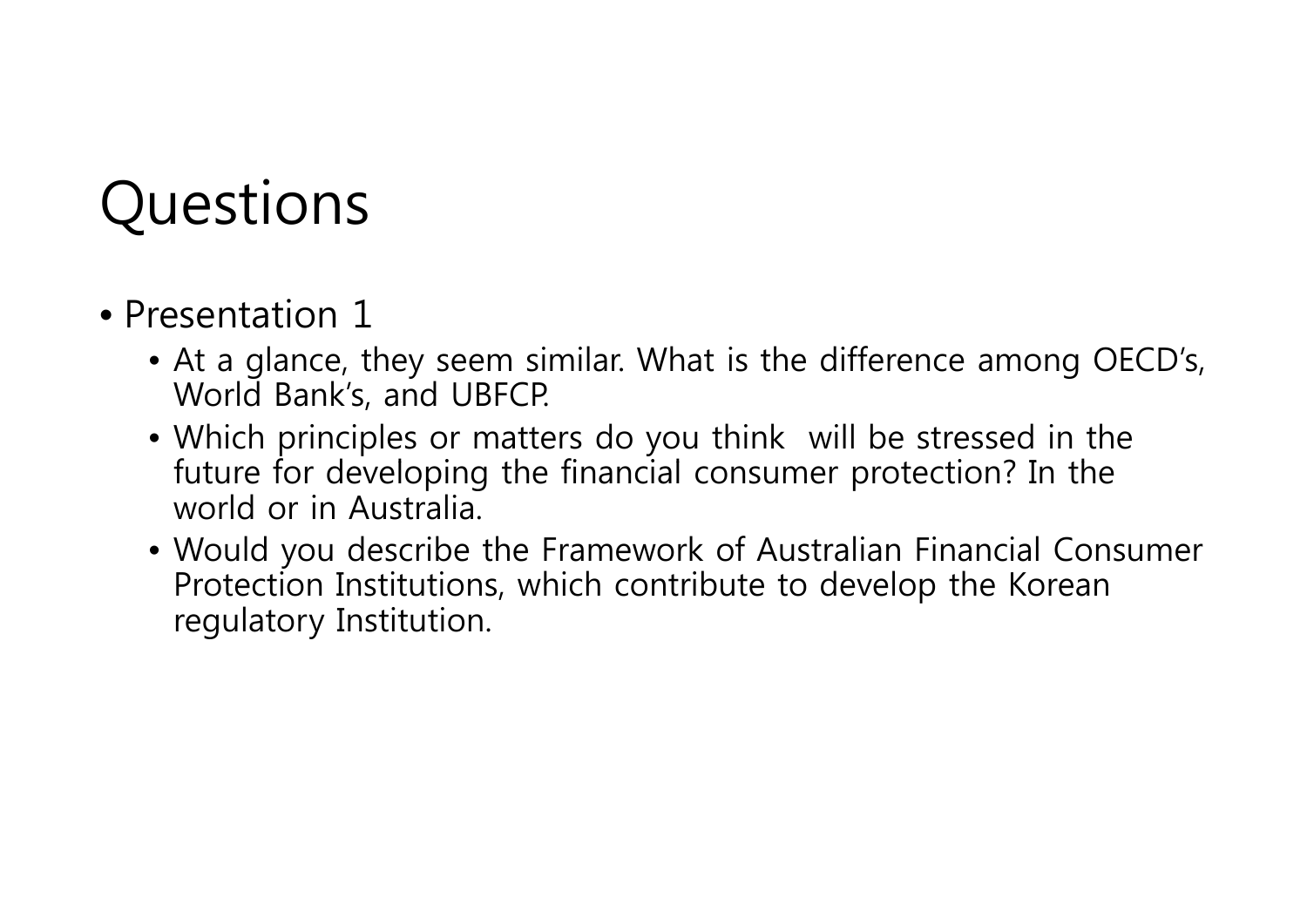#### Questions

#### • Presentation 1

- At a glance, they seem similar. What is the difference among OECD's, World Bank's, and UBFCP.
- Which principles or matters do you think will be stressed in the future for developing the financial consumer protection? In the world or in Australia.
- Would you describe the Framework of Australian Financial Consumer Protection Institutions, which contribute to develop the Korean regulatory Institution.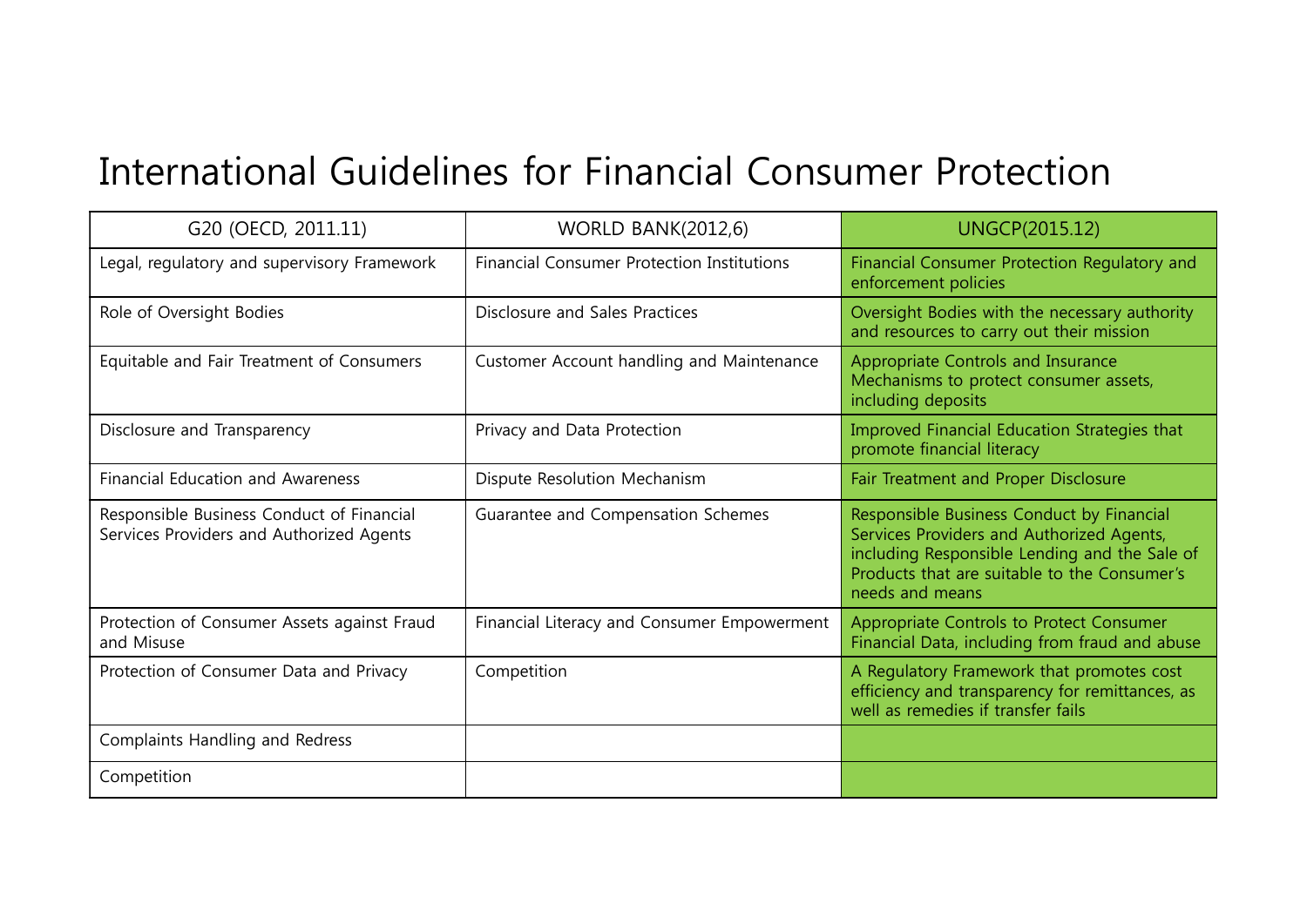#### International Guidelines for Financial Consumer Protection

| G20 (OECD, 2011.11)                                                                   | <b>WORLD BANK(2012,6)</b>                         | UNGCP(2015.12)                                                                                                                                                                                             |
|---------------------------------------------------------------------------------------|---------------------------------------------------|------------------------------------------------------------------------------------------------------------------------------------------------------------------------------------------------------------|
| Legal, regulatory and supervisory Framework                                           | <b>Financial Consumer Protection Institutions</b> | Financial Consumer Protection Regulatory and<br>enforcement policies                                                                                                                                       |
| Role of Oversight Bodies                                                              | Disclosure and Sales Practices                    | Oversight Bodies with the necessary authority<br>and resources to carry out their mission                                                                                                                  |
| Equitable and Fair Treatment of Consumers                                             | Customer Account handling and Maintenance         | Appropriate Controls and Insurance<br>Mechanisms to protect consumer assets,<br>including deposits                                                                                                         |
| Disclosure and Transparency                                                           | Privacy and Data Protection                       | Improved Financial Education Strategies that<br>promote financial literacy                                                                                                                                 |
| <b>Financial Education and Awareness</b>                                              | Dispute Resolution Mechanism                      | Fair Treatment and Proper Disclosure                                                                                                                                                                       |
| Responsible Business Conduct of Financial<br>Services Providers and Authorized Agents | Guarantee and Compensation Schemes                | Responsible Business Conduct by Financial<br>Services Providers and Authorized Agents,<br>including Responsible Lending and the Sale of<br>Products that are suitable to the Consumer's<br>needs and means |
| Protection of Consumer Assets against Fraud<br>and Misuse                             | Financial Literacy and Consumer Empowerment       | Appropriate Controls to Protect Consumer<br>Financial Data, including from fraud and abuse                                                                                                                 |
| Protection of Consumer Data and Privacy                                               | Competition                                       | A Regulatory Framework that promotes cost<br>efficiency and transparency for remittances, as<br>well as remedies if transfer fails                                                                         |
| Complaints Handling and Redress                                                       |                                                   |                                                                                                                                                                                                            |
| Competition                                                                           |                                                   |                                                                                                                                                                                                            |